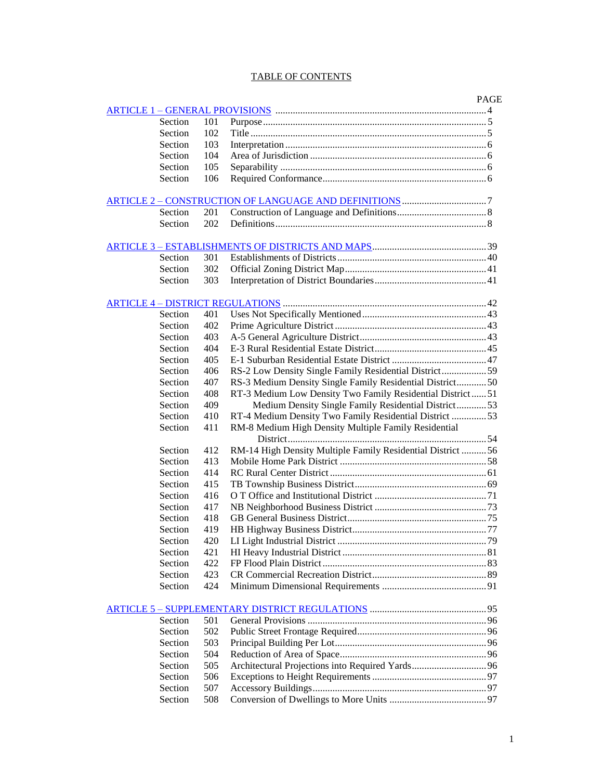## TABLE OF CONTENTS

|         |     |                                                             | <b>PAGE</b> |
|---------|-----|-------------------------------------------------------------|-------------|
| Section | 101 |                                                             |             |
| Section | 102 |                                                             |             |
| Section | 103 |                                                             |             |
| Section | 104 |                                                             |             |
| Section | 105 |                                                             |             |
| Section | 106 |                                                             |             |
|         |     |                                                             |             |
| Section | 201 |                                                             |             |
| Section | 202 |                                                             |             |
|         |     |                                                             |             |
| Section | 301 |                                                             |             |
| Section | 302 |                                                             |             |
| Section | 303 |                                                             |             |
|         |     |                                                             |             |
| Section | 401 |                                                             |             |
| Section | 402 |                                                             |             |
| Section | 403 |                                                             |             |
| Section | 404 |                                                             |             |
| Section | 405 |                                                             |             |
| Section | 406 | RS-2 Low Density Single Family Residential District59       |             |
| Section | 407 |                                                             |             |
| Section |     | RS-3 Medium Density Single Family Residential District50    |             |
| Section | 408 | RT-3 Medium Low Density Two Family Residential District51   |             |
|         | 409 | Medium Density Single Family Residential District53         |             |
| Section | 410 | RT-4 Medium Density Two Family Residential District  53     |             |
| Section | 411 | RM-8 Medium High Density Multiple Family Residential        |             |
|         |     |                                                             |             |
| Section | 412 | RM-14 High Density Multiple Family Residential District  56 |             |
| Section | 413 |                                                             |             |
| Section | 414 |                                                             |             |
| Section | 415 |                                                             |             |
| Section | 416 |                                                             |             |
| Section | 417 |                                                             |             |
| Section | 418 |                                                             |             |
| Section | 419 |                                                             |             |
| Section | 420 |                                                             |             |
| Section | 421 |                                                             |             |
| Section | 422 |                                                             |             |
| Section | 423 |                                                             |             |
| Section | 424 |                                                             |             |
|         |     |                                                             |             |
| Section | 501 |                                                             |             |
| Section | 502 |                                                             |             |
| Section | 503 |                                                             |             |
| Section | 504 |                                                             |             |
| Section | 505 |                                                             |             |
| Section | 506 |                                                             |             |
| Section | 507 |                                                             |             |
|         |     |                                                             |             |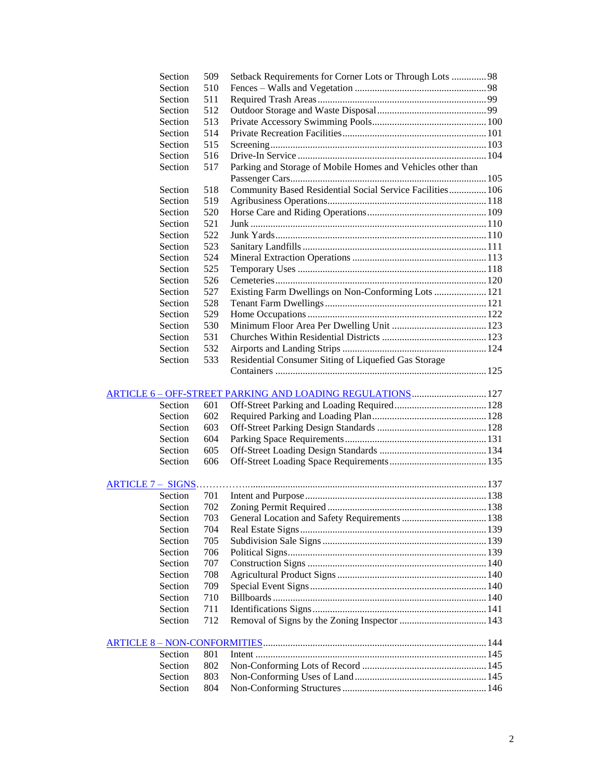| Section | 509 | Setback Requirements for Corner Lots or Through Lots 98     |  |
|---------|-----|-------------------------------------------------------------|--|
| Section | 510 |                                                             |  |
| Section | 511 |                                                             |  |
| Section | 512 |                                                             |  |
| Section | 513 |                                                             |  |
| Section | 514 |                                                             |  |
| Section | 515 |                                                             |  |
| Section | 516 |                                                             |  |
| Section | 517 | Parking and Storage of Mobile Homes and Vehicles other than |  |
|         |     |                                                             |  |
| Section | 518 | Community Based Residential Social Service Facilities 106   |  |
| Section | 519 |                                                             |  |
| Section | 520 |                                                             |  |
| Section | 521 |                                                             |  |
| Section | 522 |                                                             |  |
| Section | 523 |                                                             |  |
| Section | 524 |                                                             |  |
| Section | 525 |                                                             |  |
| Section | 526 |                                                             |  |
| Section | 527 | Existing Farm Dwellings on Non-Conforming Lots  121         |  |
| Section | 528 |                                                             |  |
| Section | 529 |                                                             |  |
| Section | 530 |                                                             |  |
| Section | 531 |                                                             |  |
| Section | 532 |                                                             |  |
| Section | 533 | Residential Consumer Siting of Liquefied Gas Storage        |  |
|         |     |                                                             |  |
| Section | 601 |                                                             |  |
| Section | 602 |                                                             |  |
| Section | 603 |                                                             |  |
| Section | 604 |                                                             |  |
| Section | 605 |                                                             |  |
| Section | 606 |                                                             |  |
|         |     |                                                             |  |
| Section | 701 |                                                             |  |
| Section | 702 |                                                             |  |
| Section | 703 |                                                             |  |
| Section | 704 |                                                             |  |
| Section | 705 |                                                             |  |
| Section | 706 |                                                             |  |
| Section | 707 |                                                             |  |
| Section | 708 |                                                             |  |
| Section | 709 |                                                             |  |
| Section | 710 |                                                             |  |
| Section | 711 |                                                             |  |
| Section | 712 |                                                             |  |
|         |     |                                                             |  |
| Section | 801 |                                                             |  |
| Section | 802 |                                                             |  |
| Section | 803 |                                                             |  |
| Section | 804 |                                                             |  |
|         |     |                                                             |  |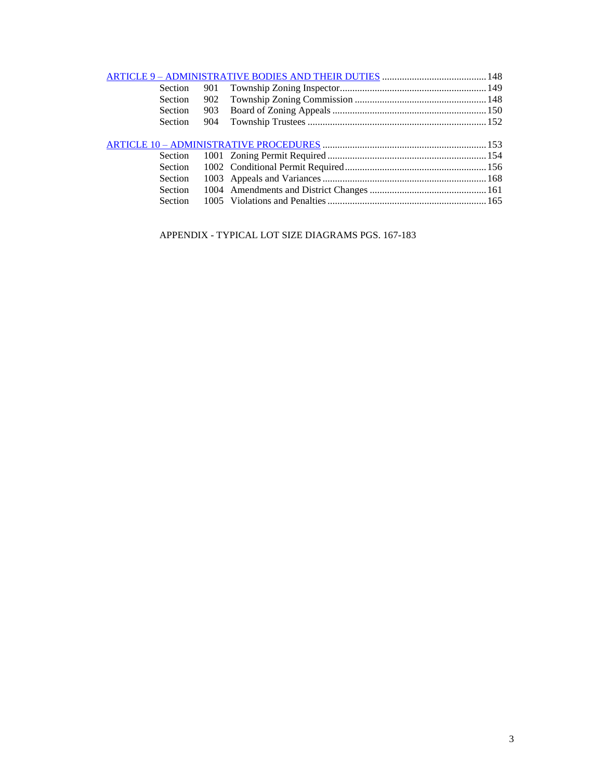| Section        | 901 |  |
|----------------|-----|--|
| Section        |     |  |
| <b>Section</b> | 903 |  |
| <b>Section</b> | 904 |  |
|                |     |  |
|                |     |  |
|                |     |  |
| Section        |     |  |
| Section        |     |  |
| Section        |     |  |
| <b>Section</b> |     |  |
|                |     |  |

APPENDIX - TYPICAL LOT SIZE DIAGRAMS PGS. 167-183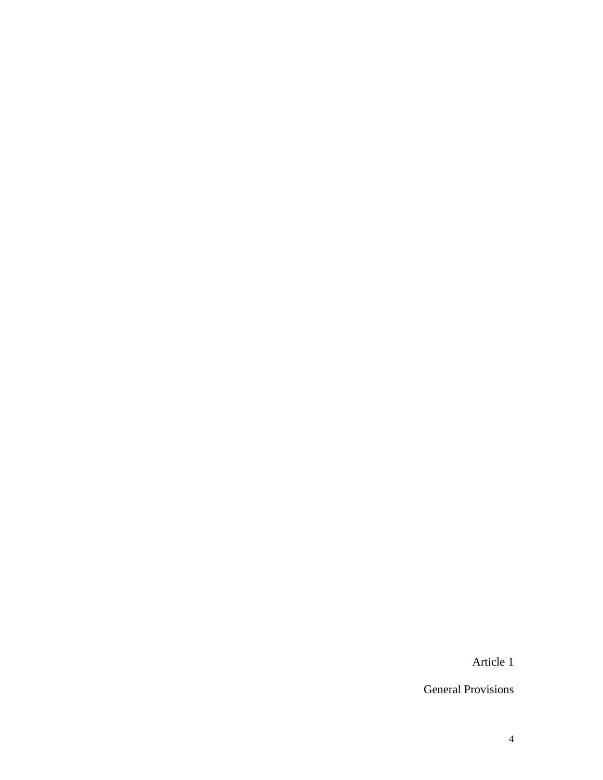Article 1

General Provisions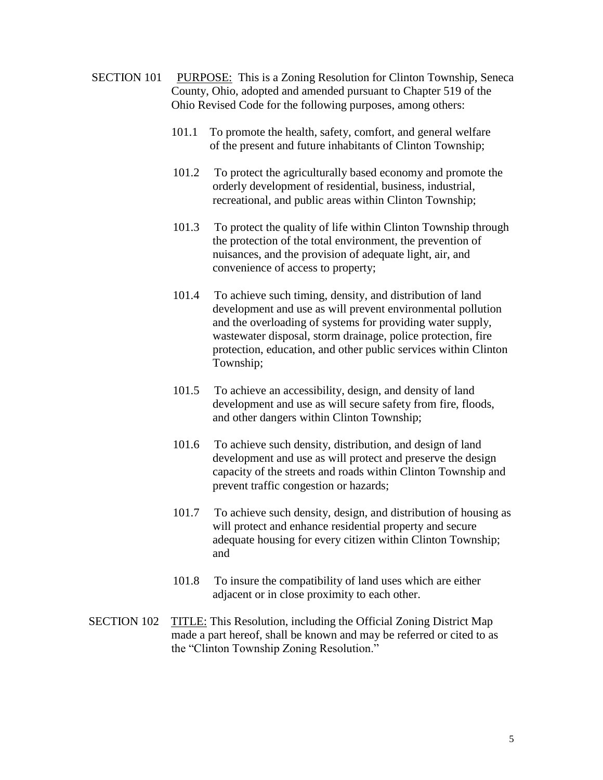- <span id="page-4-0"></span>SECTION 101 PURPOSE: This is a Zoning Resolution for Clinton Township, Seneca County, Ohio, adopted and amended pursuant to Chapter 519 of the Ohio Revised Code for the following purposes, among others:
	- 101.1 To promote the health, safety, comfort, and general welfare of the present and future inhabitants of Clinton Township;
	- 101.2 To protect the agriculturally based economy and promote the orderly development of residential, business, industrial, recreational, and public areas within Clinton Township;
	- 101.3 To protect the quality of life within Clinton Township through the protection of the total environment, the prevention of nuisances, and the provision of adequate light, air, and convenience of access to property;
	- 101.4 To achieve such timing, density, and distribution of land development and use as will prevent environmental pollution and the overloading of systems for providing water supply, wastewater disposal, storm drainage, police protection, fire protection, education, and other public services within Clinton Township;
	- 101.5 To achieve an accessibility, design, and density of land development and use as will secure safety from fire, floods, and other dangers within Clinton Township;
	- 101.6 To achieve such density, distribution, and design of land development and use as will protect and preserve the design capacity of the streets and roads within Clinton Township and prevent traffic congestion or hazards;
	- 101.7 To achieve such density, design, and distribution of housing as will protect and enhance residential property and secure adequate housing for every citizen within Clinton Township; and
	- 101.8 To insure the compatibility of land uses which are either adjacent or in close proximity to each other.
- SECTION 102 TITLE: This Resolution, including the Official Zoning District Map made a part hereof, shall be known and may be referred or cited to as the "Clinton Township Zoning Resolution."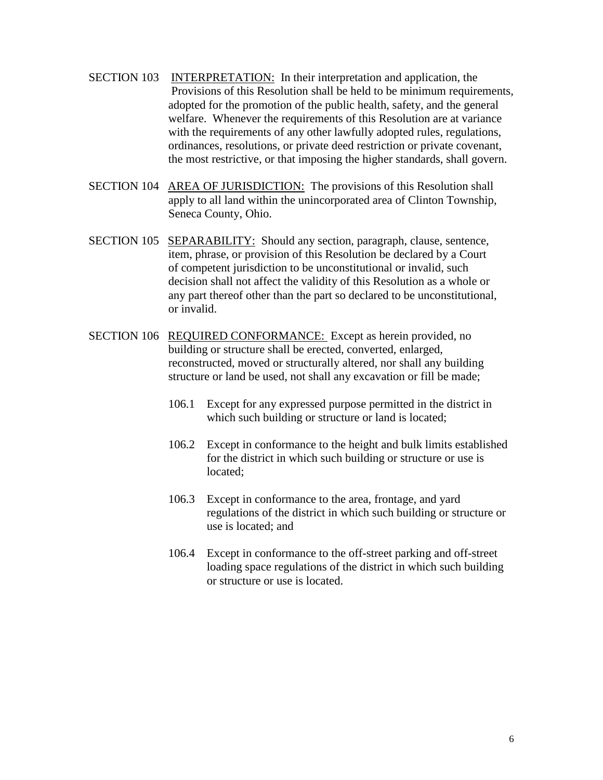- SECTION 103 INTERPRETATION: In their interpretation and application, the Provisions of this Resolution shall be held to be minimum requirements, adopted for the promotion of the public health, safety, and the general welfare. Whenever the requirements of this Resolution are at variance with the requirements of any other lawfully adopted rules, regulations, ordinances, resolutions, or private deed restriction or private covenant, the most restrictive, or that imposing the higher standards, shall govern.
- SECTION 104 AREA OF JURISDICTION: The provisions of this Resolution shall apply to all land within the unincorporated area of Clinton Township, Seneca County, Ohio.
- SECTION 105 SEPARABILITY: Should any section, paragraph, clause, sentence, item, phrase, or provision of this Resolution be declared by a Court of competent jurisdiction to be unconstitutional or invalid, such decision shall not affect the validity of this Resolution as a whole or any part thereof other than the part so declared to be unconstitutional, or invalid.
- SECTION 106 REQUIRED CONFORMANCE: Except as herein provided, no building or structure shall be erected, converted, enlarged, reconstructed, moved or structurally altered, nor shall any building structure or land be used, not shall any excavation or fill be made;
	- 106.1 Except for any expressed purpose permitted in the district in which such building or structure or land is located;
	- 106.2 Except in conformance to the height and bulk limits established for the district in which such building or structure or use is located;
	- 106.3 Except in conformance to the area, frontage, and yard regulations of the district in which such building or structure or use is located; and
	- 106.4 Except in conformance to the off-street parking and off-street loading space regulations of the district in which such building or structure or use is located.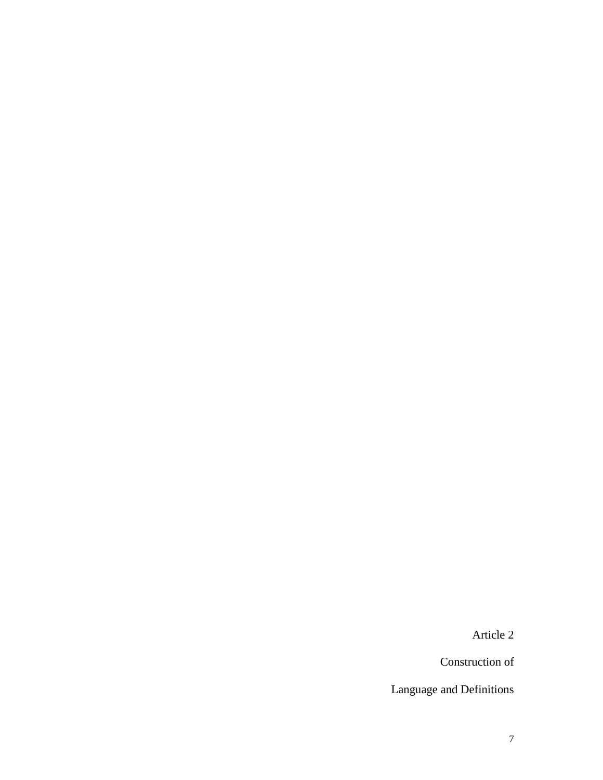Article 2

Construction of

Language and Definitions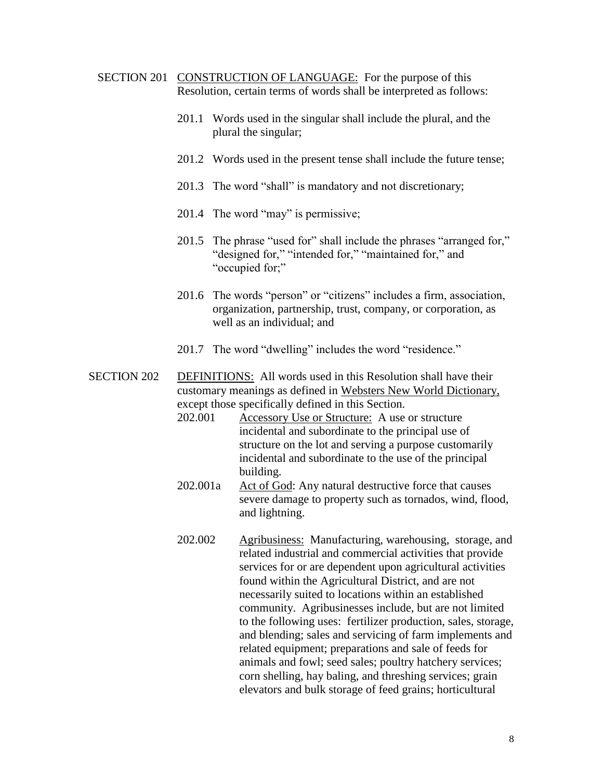- <span id="page-7-0"></span>SECTION 201 CONSTRUCTION OF LANGUAGE: For the purpose of this Resolution, certain terms of words shall be interpreted as follows:
	- 201.1 Words used in the singular shall include the plural, and the plural the singular;
	- 201.2 Words used in the present tense shall include the future tense;
	- 201.3 The word "shall" is mandatory and not discretionary;
	- 201.4 The word "may" is permissive;
	- 201.5 The phrase "used for" shall include the phrases "arranged for," "designed for," "intended for," "maintained for," and "occupied for;"
	- 201.6 The words "person" or "citizens" includes a firm, association, organization, partnership, trust, company, or corporation, as well as an individual; and
	- 201.7 The word "dwelling" includes the word "residence."

SECTION 202 DEFINITIONS: All words used in this Resolution shall have their customary meanings as defined in Websters New World Dictionary, except those specifically defined in this Section.

- 202.001 Accessory Use or Structure: A use or structure incidental and subordinate to the principal use of structure on the lot and serving a purpose customarily incidental and subordinate to the use of the principal building.
- 202.001a Act of God: Any natural destructive force that causes severe damage to property such as tornados, wind, flood, and lightning.
- 202.002 Agribusiness: Manufacturing, warehousing, storage, and related industrial and commercial activities that provide services for or are dependent upon agricultural activities found within the Agricultural District, and are not necessarily suited to locations within an established community. Agribusinesses include, but are not limited to the following uses: fertilizer production, sales, storage, and blending; sales and servicing of farm implements and related equipment; preparations and sale of feeds for animals and fowl; seed sales; poultry hatchery services; corn shelling, hay baling, and threshing services; grain elevators and bulk storage of feed grains; horticultural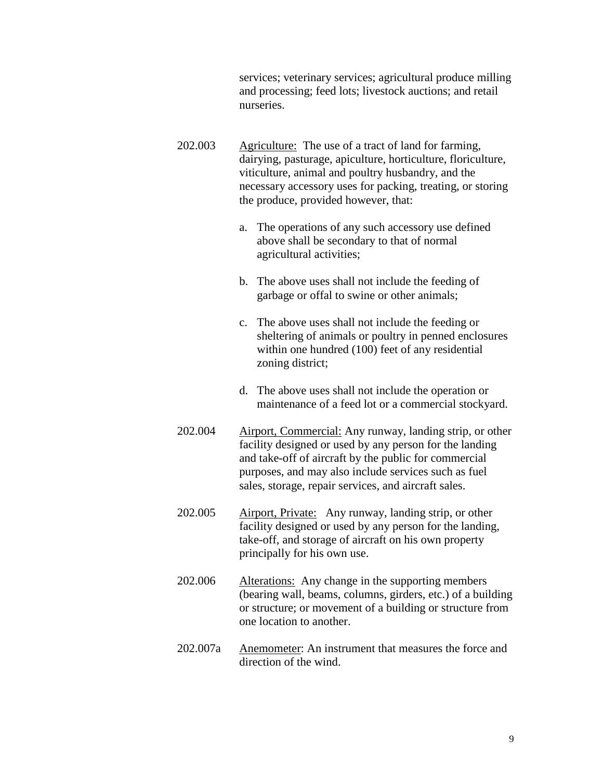services; veterinary services; agricultural produce milling and processing; feed lots; livestock auctions; and retail nurseries.

- 202.003 Agriculture: The use of a tract of land for farming, dairying, pasturage, apiculture, horticulture, floriculture, viticulture, animal and poultry husbandry, and the necessary accessory uses for packing, treating, or storing the produce, provided however, that:
	- a. The operations of any such accessory use defined above shall be secondary to that of normal agricultural activities;
	- b. The above uses shall not include the feeding of garbage or offal to swine or other animals;
	- c. The above uses shall not include the feeding or sheltering of animals or poultry in penned enclosures within one hundred (100) feet of any residential zoning district;
	- d. The above uses shall not include the operation or maintenance of a feed lot or a commercial stockyard.
- 202.004 Airport, Commercial: Any runway, landing strip, or other facility designed or used by any person for the landing and take-off of aircraft by the public for commercial purposes, and may also include services such as fuel sales, storage, repair services, and aircraft sales.
- 202.005 Airport, Private: Any runway, landing strip, or other facility designed or used by any person for the landing, take-off, and storage of aircraft on his own property principally for his own use.
- 202.006 Alterations: Any change in the supporting members (bearing wall, beams, columns, girders, etc.) of a building or structure; or movement of a building or structure from one location to another.
- 202.007a Anemometer: An instrument that measures the force and direction of the wind.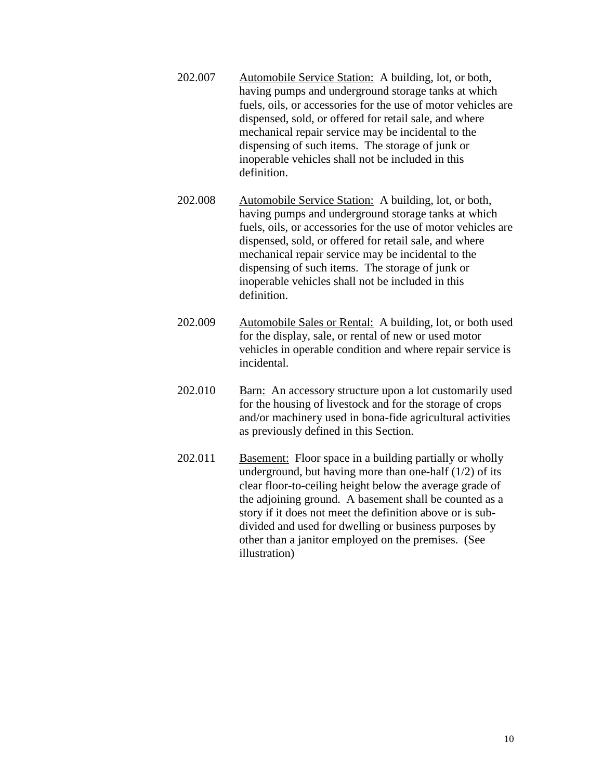- 202.007 Automobile Service Station: A building, lot, or both, having pumps and underground storage tanks at which fuels, oils, or accessories for the use of motor vehicles are dispensed, sold, or offered for retail sale, and where mechanical repair service may be incidental to the dispensing of such items. The storage of junk or inoperable vehicles shall not be included in this definition.
- 202.008 Automobile Service Station: A building, lot, or both, having pumps and underground storage tanks at which fuels, oils, or accessories for the use of motor vehicles are dispensed, sold, or offered for retail sale, and where mechanical repair service may be incidental to the dispensing of such items. The storage of junk or inoperable vehicles shall not be included in this definition.
- 202.009 Automobile Sales or Rental: A building, lot, or both used for the display, sale, or rental of new or used motor vehicles in operable condition and where repair service is incidental.
- 202.010 Barn: An accessory structure upon a lot customarily used for the housing of livestock and for the storage of crops and/or machinery used in bona-fide agricultural activities as previously defined in this Section.
- 202.011 Basement: Floor space in a building partially or wholly underground, but having more than one-half  $(1/2)$  of its clear floor-to-ceiling height below the average grade of the adjoining ground. A basement shall be counted as a story if it does not meet the definition above or is subdivided and used for dwelling or business purposes by other than a janitor employed on the premises. (See illustration)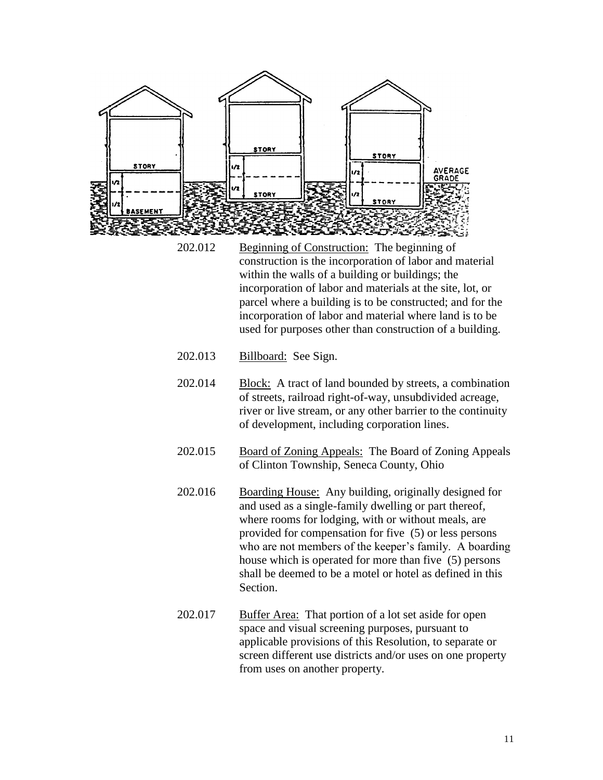

- 202.012 Beginning of Construction: The beginning of construction is the incorporation of labor and material within the walls of a building or buildings; the incorporation of labor and materials at the site, lot, or parcel where a building is to be constructed; and for the incorporation of labor and material where land is to be used for purposes other than construction of a building.
- 202.013 Billboard: See Sign.
- 202.014 Block: A tract of land bounded by streets, a combination of streets, railroad right-of-way, unsubdivided acreage, river or live stream, or any other barrier to the continuity of development, including corporation lines.
- 202.015 Board of Zoning Appeals: The Board of Zoning Appeals of Clinton Township, Seneca County, Ohio
- 202.016 Boarding House: Any building, originally designed for and used as a single-family dwelling or part thereof, where rooms for lodging, with or without meals, are provided for compensation for five (5) or less persons who are not members of the keeper's family. A boarding house which is operated for more than five (5) persons shall be deemed to be a motel or hotel as defined in this Section.
- 202.017 Buffer Area: That portion of a lot set aside for open space and visual screening purposes, pursuant to applicable provisions of this Resolution, to separate or screen different use districts and/or uses on one property from uses on another property.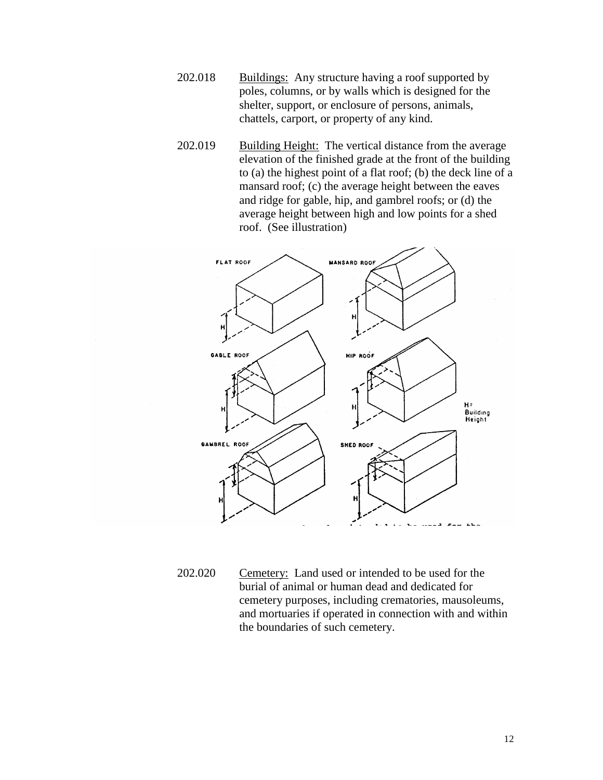- 202.018 Buildings: Any structure having a roof supported by poles, columns, or by walls which is designed for the shelter, support, or enclosure of persons, animals, chattels, carport, or property of any kind.
- 202.019 Building Height: The vertical distance from the average elevation of the finished grade at the front of the building to (a) the highest point of a flat roof; (b) the deck line of a mansard roof; (c) the average height between the eaves and ridge for gable, hip, and gambrel roofs; or (d) the average height between high and low points for a shed roof. (See illustration)



202.020 Cemetery: Land used or intended to be used for the burial of animal or human dead and dedicated for cemetery purposes, including crematories, mausoleums, and mortuaries if operated in connection with and within the boundaries of such cemetery.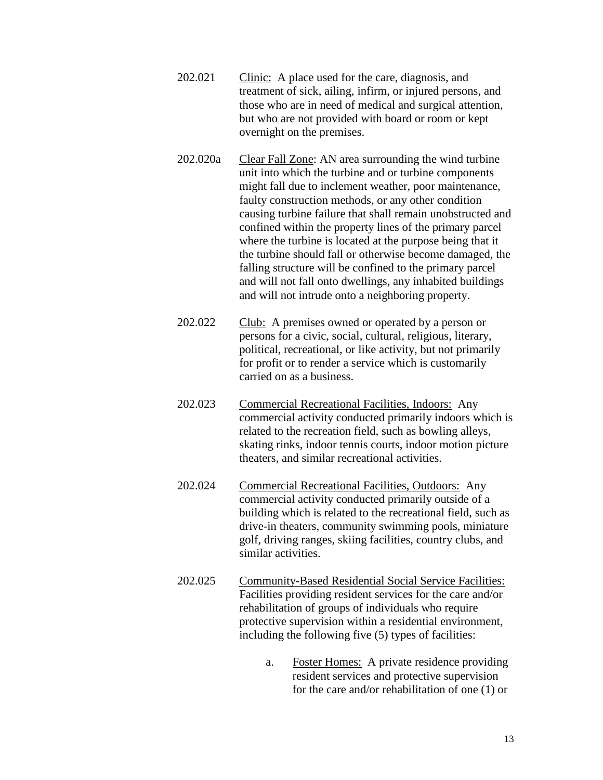- 202.021 Clinic: A place used for the care, diagnosis, and treatment of sick, ailing, infirm, or injured persons, and those who are in need of medical and surgical attention, but who are not provided with board or room or kept overnight on the premises.
- 202.020a Clear Fall Zone: AN area surrounding the wind turbine unit into which the turbine and or turbine components might fall due to inclement weather, poor maintenance, faulty construction methods, or any other condition causing turbine failure that shall remain unobstructed and confined within the property lines of the primary parcel where the turbine is located at the purpose being that it the turbine should fall or otherwise become damaged, the falling structure will be confined to the primary parcel and will not fall onto dwellings, any inhabited buildings and will not intrude onto a neighboring property.
- 202.022 Club: A premises owned or operated by a person or persons for a civic, social, cultural, religious, literary, political, recreational, or like activity, but not primarily for profit or to render a service which is customarily carried on as a business.
- 202.023 Commercial Recreational Facilities, Indoors: Any commercial activity conducted primarily indoors which is related to the recreation field, such as bowling alleys, skating rinks, indoor tennis courts, indoor motion picture theaters, and similar recreational activities.
- 202.024 Commercial Recreational Facilities, Outdoors: Any commercial activity conducted primarily outside of a building which is related to the recreational field, such as drive-in theaters, community swimming pools, miniature golf, driving ranges, skiing facilities, country clubs, and similar activities.
- 202.025 Community-Based Residential Social Service Facilities: Facilities providing resident services for the care and/or rehabilitation of groups of individuals who require protective supervision within a residential environment, including the following five (5) types of facilities:
	- a. Foster Homes: A private residence providing resident services and protective supervision for the care and/or rehabilitation of one (1) or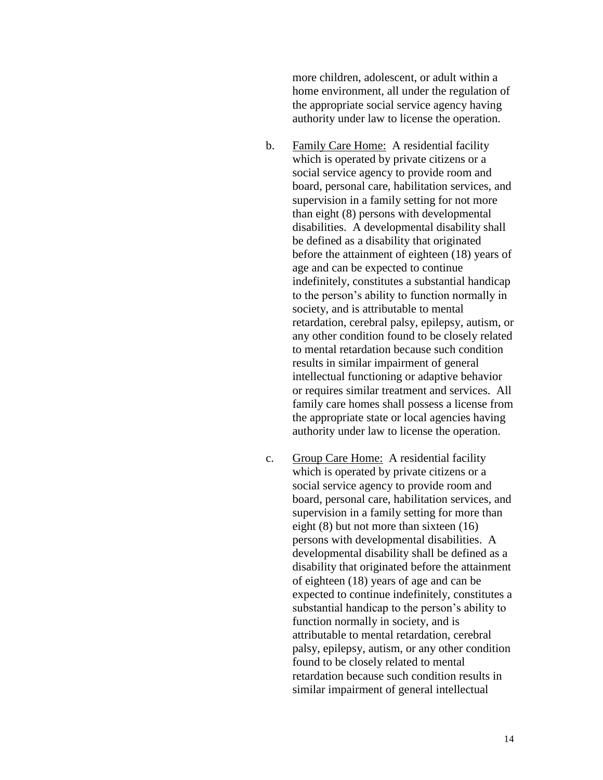more children, adolescent, or adult within a home environment, all under the regulation of the appropriate social service agency having authority under law to license the operation.

- b. Family Care Home: A residential facility which is operated by private citizens or a social service agency to provide room and board, personal care, habilitation services, and supervision in a family setting for not more than eight (8) persons with developmental disabilities. A developmental disability shall be defined as a disability that originated before the attainment of eighteen (18) years of age and can be expected to continue indefinitely, constitutes a substantial handicap to the person's ability to function normally in society, and is attributable to mental retardation, cerebral palsy, epilepsy, autism, or any other condition found to be closely related to mental retardation because such condition results in similar impairment of general intellectual functioning or adaptive behavior or requires similar treatment and services. All family care homes shall possess a license from the appropriate state or local agencies having authority under law to license the operation.
- c. Group Care Home: A residential facility which is operated by private citizens or a social service agency to provide room and board, personal care, habilitation services, and supervision in a family setting for more than eight (8) but not more than sixteen (16) persons with developmental disabilities. A developmental disability shall be defined as a disability that originated before the attainment of eighteen (18) years of age and can be expected to continue indefinitely, constitutes a substantial handicap to the person's ability to function normally in society, and is attributable to mental retardation, cerebral palsy, epilepsy, autism, or any other condition found to be closely related to mental retardation because such condition results in similar impairment of general intellectual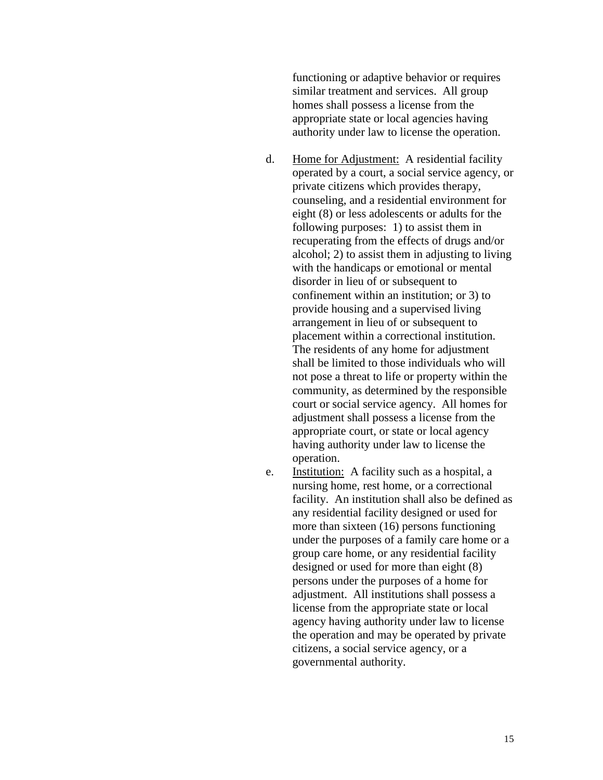functioning or adaptive behavior or requires similar treatment and services. All group homes shall possess a license from the appropriate state or local agencies having authority under law to license the operation.

- d. Home for Adjustment: A residential facility operated by a court, a social service agency, or private citizens which provides therapy, counseling, and a residential environment for eight (8) or less adolescents or adults for the following purposes: 1) to assist them in recuperating from the effects of drugs and/or alcohol; 2) to assist them in adjusting to living with the handicaps or emotional or mental disorder in lieu of or subsequent to confinement within an institution; or 3) to provide housing and a supervised living arrangement in lieu of or subsequent to placement within a correctional institution. The residents of any home for adjustment shall be limited to those individuals who will not pose a threat to life or property within the community, as determined by the responsible court or social service agency. All homes for adjustment shall possess a license from the appropriate court, or state or local agency having authority under law to license the operation.
- e. Institution: A facility such as a hospital, a nursing home, rest home, or a correctional facility. An institution shall also be defined as any residential facility designed or used for more than sixteen (16) persons functioning under the purposes of a family care home or a group care home, or any residential facility designed or used for more than eight (8) persons under the purposes of a home for adjustment. All institutions shall possess a license from the appropriate state or local agency having authority under law to license the operation and may be operated by private citizens, a social service agency, or a governmental authority.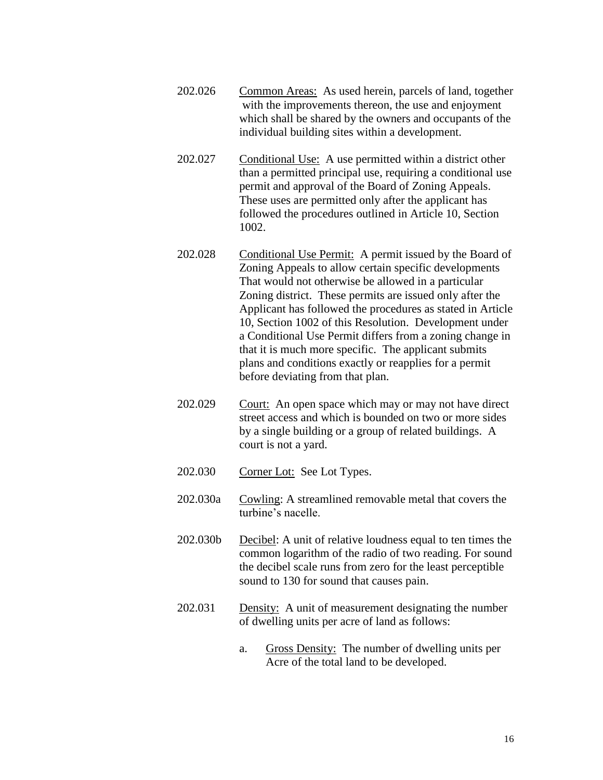- 202.026 Common Areas: As used herein, parcels of land, together with the improvements thereon, the use and enjoyment which shall be shared by the owners and occupants of the individual building sites within a development.
- 202.027 Conditional Use: A use permitted within a district other than a permitted principal use, requiring a conditional use permit and approval of the Board of Zoning Appeals. These uses are permitted only after the applicant has followed the procedures outlined in Article 10, Section 1002.
- 202.028 Conditional Use Permit: A permit issued by the Board of Zoning Appeals to allow certain specific developments That would not otherwise be allowed in a particular Zoning district. These permits are issued only after the Applicant has followed the procedures as stated in Article 10, Section 1002 of this Resolution. Development under a Conditional Use Permit differs from a zoning change in that it is much more specific. The applicant submits plans and conditions exactly or reapplies for a permit before deviating from that plan.
- 202.029 Court: An open space which may or may not have direct street access and which is bounded on two or more sides by a single building or a group of related buildings. A court is not a yard.
- 202.030 Corner Lot: See Lot Types.
- 202.030a Cowling: A streamlined removable metal that covers the turbine's nacelle.
- 202.030b Decibel: A unit of relative loudness equal to ten times the common logarithm of the radio of two reading. For sound the decibel scale runs from zero for the least perceptible sound to 130 for sound that causes pain.
- 202.031 Density: A unit of measurement designating the number of dwelling units per acre of land as follows:
	- a. Gross Density: The number of dwelling units per Acre of the total land to be developed.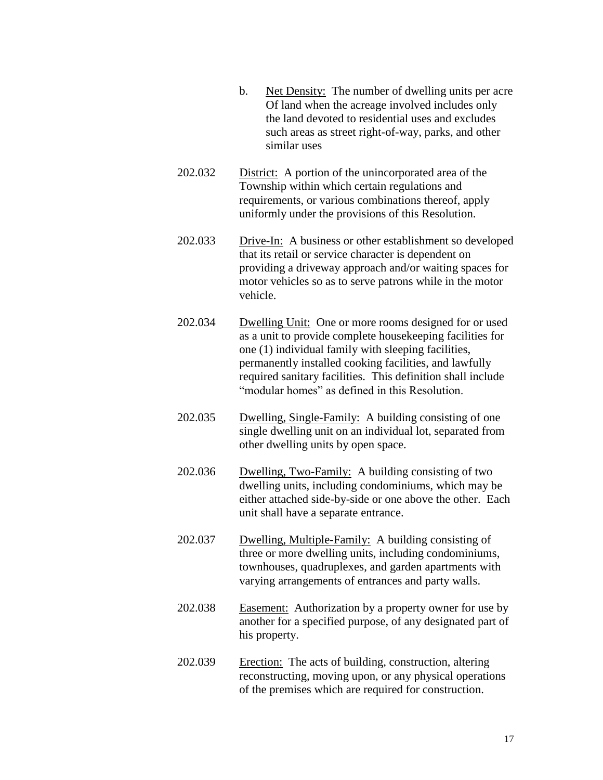- b. Net Density: The number of dwelling units per acre Of land when the acreage involved includes only the land devoted to residential uses and excludes such areas as street right-of-way, parks, and other similar uses
- 202.032 District: A portion of the unincorporated area of the Township within which certain regulations and requirements, or various combinations thereof, apply uniformly under the provisions of this Resolution.
- 202.033 Drive-In: A business or other establishment so developed that its retail or service character is dependent on providing a driveway approach and/or waiting spaces for motor vehicles so as to serve patrons while in the motor vehicle.
- 202.034 Dwelling Unit: One or more rooms designed for or used as a unit to provide complete housekeeping facilities for one (1) individual family with sleeping facilities, permanently installed cooking facilities, and lawfully required sanitary facilities. This definition shall include "modular homes" as defined in this Resolution.
- 202.035 Dwelling, Single-Family: A building consisting of one single dwelling unit on an individual lot, separated from other dwelling units by open space.
- 202.036 Dwelling, Two-Family: A building consisting of two dwelling units, including condominiums, which may be either attached side-by-side or one above the other. Each unit shall have a separate entrance.
- 202.037 Dwelling, Multiple-Family: A building consisting of three or more dwelling units, including condominiums, townhouses, quadruplexes, and garden apartments with varying arrangements of entrances and party walls.
- 202.038 Easement: Authorization by a property owner for use by another for a specified purpose, of any designated part of his property.
- 202.039 Erection: The acts of building, construction, altering reconstructing, moving upon, or any physical operations of the premises which are required for construction.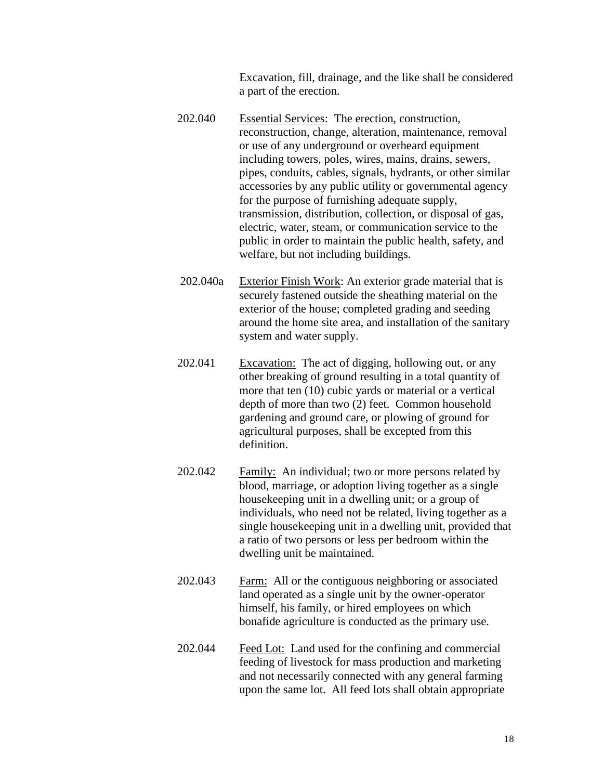Excavation, fill, drainage, and the like shall be considered a part of the erection.

- 202.040 Essential Services: The erection, construction, reconstruction, change, alteration, maintenance, removal or use of any underground or overheard equipment including towers, poles, wires, mains, drains, sewers, pipes, conduits, cables, signals, hydrants, or other similar accessories by any public utility or governmental agency for the purpose of furnishing adequate supply, transmission, distribution, collection, or disposal of gas, electric, water, steam, or communication service to the public in order to maintain the public health, safety, and welfare, but not including buildings.
- 202.040a Exterior Finish Work: An exterior grade material that is securely fastened outside the sheathing material on the exterior of the house; completed grading and seeding around the home site area, and installation of the sanitary system and water supply.
- 202.041 Excavation: The act of digging, hollowing out, or any other breaking of ground resulting in a total quantity of more that ten (10) cubic yards or material or a vertical depth of more than two (2) feet. Common household gardening and ground care, or plowing of ground for agricultural purposes, shall be excepted from this definition.
- 202.042 Family: An individual; two or more persons related by blood, marriage, or adoption living together as a single housekeeping unit in a dwelling unit; or a group of individuals, who need not be related, living together as a single housekeeping unit in a dwelling unit, provided that a ratio of two persons or less per bedroom within the dwelling unit be maintained.
- 202.043 Farm: All or the contiguous neighboring or associated land operated as a single unit by the owner-operator himself, his family, or hired employees on which bonafide agriculture is conducted as the primary use.
- 202.044 Feed Lot: Land used for the confining and commercial feeding of livestock for mass production and marketing and not necessarily connected with any general farming upon the same lot. All feed lots shall obtain appropriate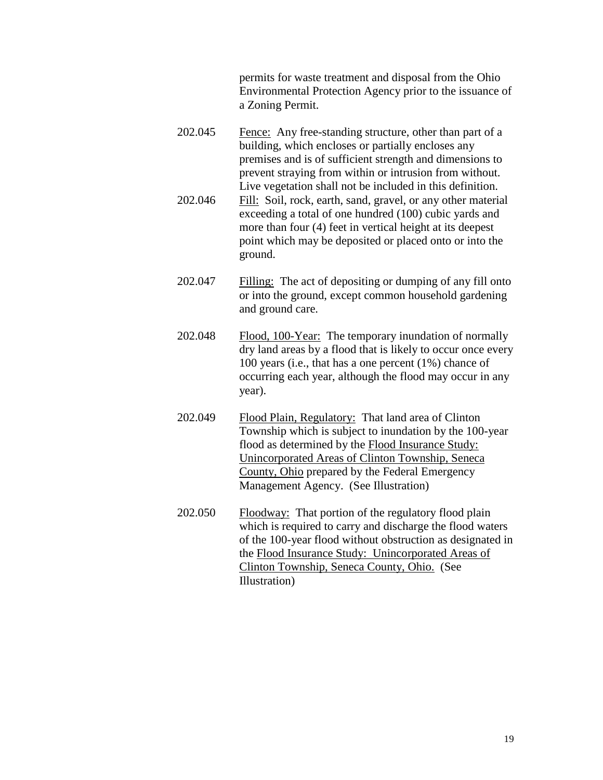permits for waste treatment and disposal from the Ohio Environmental Protection Agency prior to the issuance of a Zoning Permit.

- 202.045 Fence: Any free-standing structure, other than part of a building, which encloses or partially encloses any premises and is of sufficient strength and dimensions to prevent straying from within or intrusion from without. Live vegetation shall not be included in this definition. 202.046 Fill: Soil, rock, earth, sand, gravel, or any other material exceeding a total of one hundred (100) cubic yards and
	- more than four (4) feet in vertical height at its deepest point which may be deposited or placed onto or into the ground.
- 202.047 Filling: The act of depositing or dumping of any fill onto or into the ground, except common household gardening and ground care.
- 202.048 Flood, 100-Year: The temporary inundation of normally dry land areas by a flood that is likely to occur once every 100 years (i.e., that has a one percent (1%) chance of occurring each year, although the flood may occur in any year).
- 202.049 Flood Plain, Regulatory: That land area of Clinton Township which is subject to inundation by the 100-year flood as determined by the Flood Insurance Study: Unincorporated Areas of Clinton Township, Seneca County, Ohio prepared by the Federal Emergency Management Agency. (See Illustration)
- 202.050 Floodway: That portion of the regulatory flood plain which is required to carry and discharge the flood waters of the 100-year flood without obstruction as designated in the Flood Insurance Study: Unincorporated Areas of Clinton Township, Seneca County, Ohio. (See Illustration)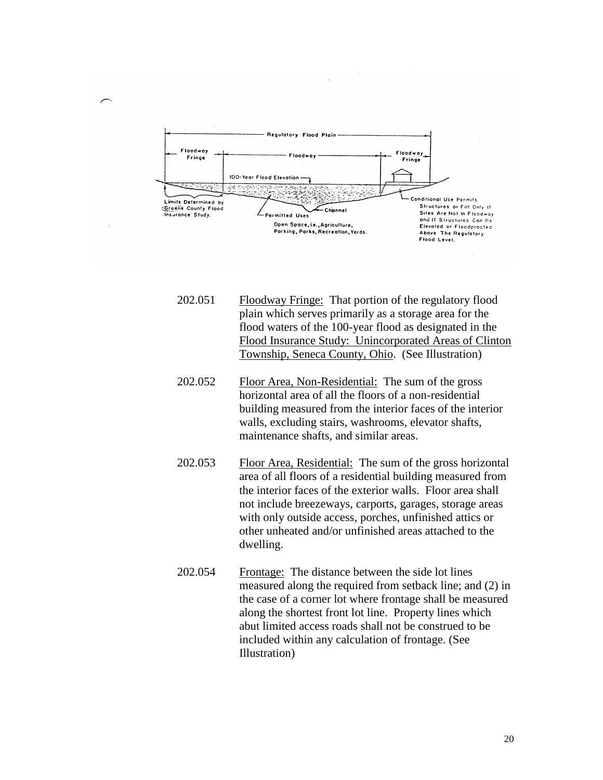

- 202.051 Floodway Fringe: That portion of the regulatory flood plain which serves primarily as a storage area for the flood waters of the 100-year flood as designated in the Flood Insurance Study: Unincorporated Areas of Clinton Township, Seneca County, Ohio. (See Illustration)
- 202.052 Floor Area, Non-Residential: The sum of the gross horizontal area of all the floors of a non-residential building measured from the interior faces of the interior walls, excluding stairs, washrooms, elevator shafts, maintenance shafts, and similar areas.
- 202.053 Floor Area, Residential: The sum of the gross horizontal area of all floors of a residential building measured from the interior faces of the exterior walls. Floor area shall not include breezeways, carports, garages, storage areas with only outside access, porches, unfinished attics or other unheated and/or unfinished areas attached to the dwelling.
- 202.054 Frontage: The distance between the side lot lines measured along the required from setback line; and (2) in the case of a corner lot where frontage shall be measured along the shortest front lot line. Property lines which abut limited access roads shall not be construed to be included within any calculation of frontage. (See Illustration)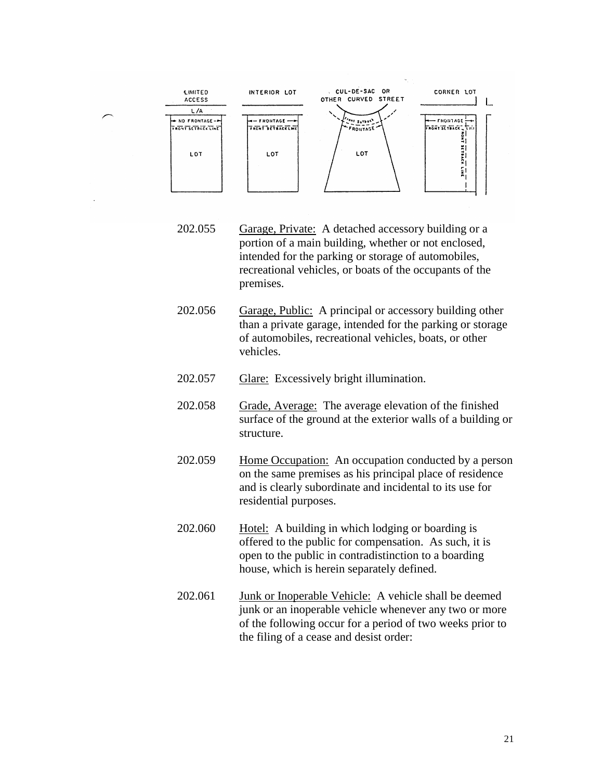

- 202.055 Garage, Private: A detached accessory building or a portion of a main building, whether or not enclosed, intended for the parking or storage of automobiles, recreational vehicles, or boats of the occupants of the premises.
- 202.056 Garage, Public: A principal or accessory building other than a private garage, intended for the parking or storage of automobiles, recreational vehicles, boats, or other vehicles.
- 202.057 Glare: Excessively bright illumination.
- 202.058 Grade, Average: The average elevation of the finished surface of the ground at the exterior walls of a building or structure.
- 202.059 Home Occupation: An occupation conducted by a person on the same premises as his principal place of residence and is clearly subordinate and incidental to its use for residential purposes.
- 202.060 Hotel: A building in which lodging or boarding is offered to the public for compensation. As such, it is open to the public in contradistinction to a boarding house, which is herein separately defined.
- 202.061 Junk or Inoperable Vehicle: A vehicle shall be deemed junk or an inoperable vehicle whenever any two or more of the following occur for a period of two weeks prior to the filing of a cease and desist order: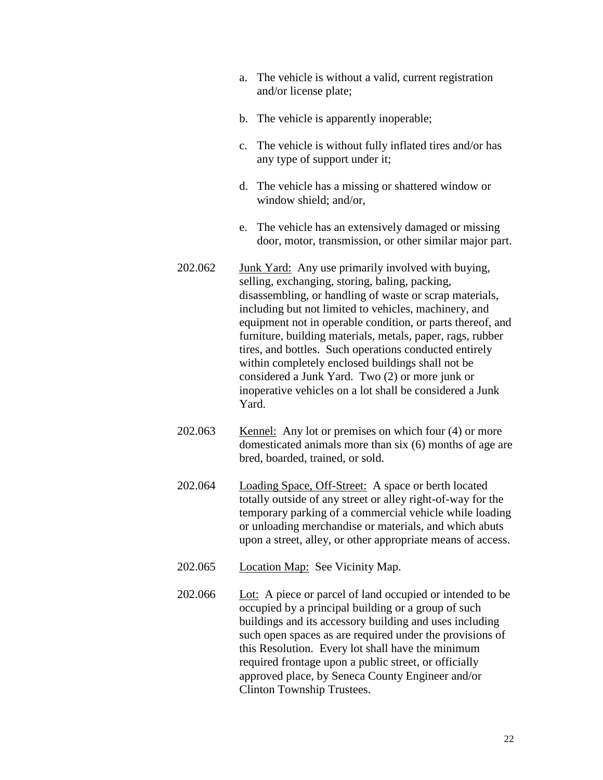- a. The vehicle is without a valid, current registration and/or license plate;
- b. The vehicle is apparently inoperable;
- c. The vehicle is without fully inflated tires and/or has any type of support under it;
- d. The vehicle has a missing or shattered window or window shield; and/or,
- e. The vehicle has an extensively damaged or missing door, motor, transmission, or other similar major part.
- 202.062 Junk Yard: Any use primarily involved with buying, selling, exchanging, storing, baling, packing, disassembling, or handling of waste or scrap materials, including but not limited to vehicles, machinery, and equipment not in operable condition, or parts thereof, and furniture, building materials, metals, paper, rags, rubber tires, and bottles. Such operations conducted entirely within completely enclosed buildings shall not be considered a Junk Yard. Two (2) or more junk or inoperative vehicles on a lot shall be considered a Junk Yard.
- 202.063 Kennel: Any lot or premises on which four (4) or more domesticated animals more than six (6) months of age are bred, boarded, trained, or sold.
- 202.064 Loading Space, Off-Street: A space or berth located totally outside of any street or alley right-of-way for the temporary parking of a commercial vehicle while loading or unloading merchandise or materials, and which abuts upon a street, alley, or other appropriate means of access.
- 202.065 Location Map: See Vicinity Map.
- 202.066 Lot: A piece or parcel of land occupied or intended to be occupied by a principal building or a group of such buildings and its accessory building and uses including such open spaces as are required under the provisions of this Resolution. Every lot shall have the minimum required frontage upon a public street, or officially approved place, by Seneca County Engineer and/or Clinton Township Trustees.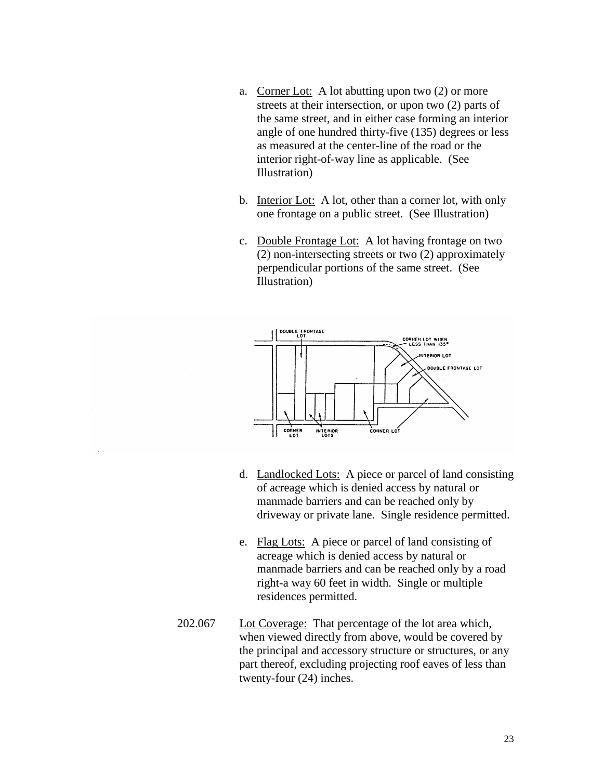- a. Corner Lot: A lot abutting upon two (2) or more streets at their intersection, or upon two (2) parts of the same street, and in either case forming an interior angle of one hundred thirty-five (135) degrees or less as measured at the center-line of the road or the interior right-of-way line as applicable. (See Illustration)
- b. Interior Lot: A lot, other than a corner lot, with only one frontage on a public street. (See Illustration)
- c. Double Frontage Lot: A lot having frontage on two (2) non-intersecting streets or two (2) approximately perpendicular portions of the same street. (See Illustration)



- d. Landlocked Lots: A piece or parcel of land consisting of acreage which is denied access by natural or manmade barriers and can be reached only by driveway or private lane. Single residence permitted.
- e. Flag Lots: A piece or parcel of land consisting of acreage which is denied access by natural or manmade barriers and can be reached only by a road right-a way 60 feet in width. Single or multiple residences permitted.
- 202.067 Lot Coverage: That percentage of the lot area which, when viewed directly from above, would be covered by the principal and accessory structure or structures, or any part thereof, excluding projecting roof eaves of less than twenty-four (24) inches.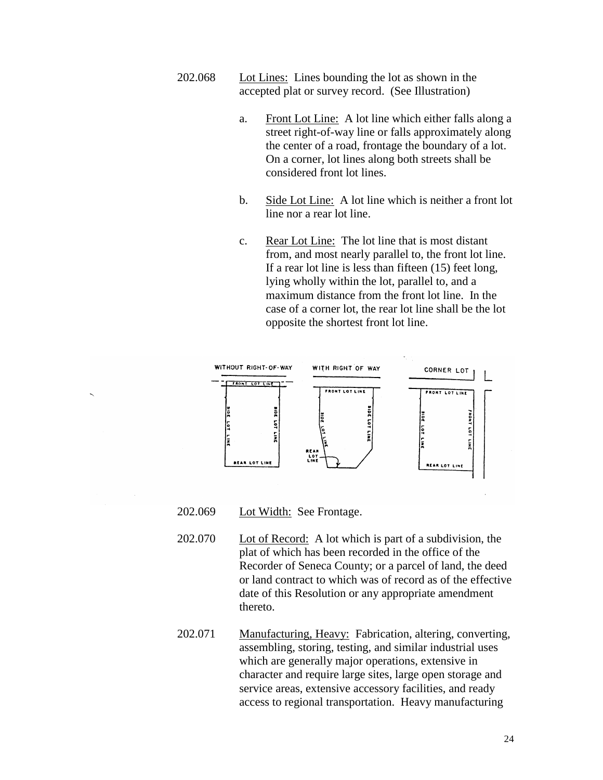- 202.068 Lot Lines: Lines bounding the lot as shown in the accepted plat or survey record. (See Illustration)
	- a. Front Lot Line: A lot line which either falls along a street right-of-way line or falls approximately along the center of a road, frontage the boundary of a lot. On a corner, lot lines along both streets shall be considered front lot lines.
	- b. Side Lot Line: A lot line which is neither a front lot line nor a rear lot line.
	- c. Rear Lot Line: The lot line that is most distant from, and most nearly parallel to, the front lot line. If a rear lot line is less than fifteen (15) feet long, lying wholly within the lot, parallel to, and a maximum distance from the front lot line. In the case of a corner lot, the rear lot line shall be the lot opposite the shortest front lot line.



## 202.069 Lot Width: See Frontage.

- 202.070 Lot of Record: A lot which is part of a subdivision, the plat of which has been recorded in the office of the Recorder of Seneca County; or a parcel of land, the deed or land contract to which was of record as of the effective date of this Resolution or any appropriate amendment thereto.
- 202.071 Manufacturing, Heavy: Fabrication, altering, converting, assembling, storing, testing, and similar industrial uses which are generally major operations, extensive in character and require large sites, large open storage and service areas, extensive accessory facilities, and ready access to regional transportation. Heavy manufacturing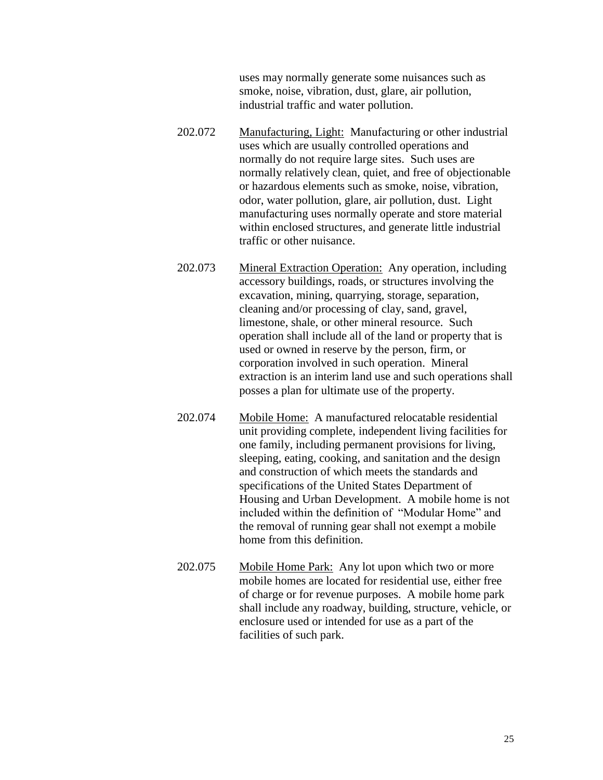uses may normally generate some nuisances such as smoke, noise, vibration, dust, glare, air pollution, industrial traffic and water pollution.

- 202.072 Manufacturing, Light: Manufacturing or other industrial uses which are usually controlled operations and normally do not require large sites. Such uses are normally relatively clean, quiet, and free of objectionable or hazardous elements such as smoke, noise, vibration, odor, water pollution, glare, air pollution, dust. Light manufacturing uses normally operate and store material within enclosed structures, and generate little industrial traffic or other nuisance.
- 202.073 Mineral Extraction Operation: Any operation, including accessory buildings, roads, or structures involving the excavation, mining, quarrying, storage, separation, cleaning and/or processing of clay, sand, gravel, limestone, shale, or other mineral resource. Such operation shall include all of the land or property that is used or owned in reserve by the person, firm, or corporation involved in such operation. Mineral extraction is an interim land use and such operations shall posses a plan for ultimate use of the property.
- 202.074 Mobile Home: A manufactured relocatable residential unit providing complete, independent living facilities for one family, including permanent provisions for living, sleeping, eating, cooking, and sanitation and the design and construction of which meets the standards and specifications of the United States Department of Housing and Urban Development. A mobile home is not included within the definition of "Modular Home" and the removal of running gear shall not exempt a mobile home from this definition.
- 202.075 Mobile Home Park: Any lot upon which two or more mobile homes are located for residential use, either free of charge or for revenue purposes. A mobile home park shall include any roadway, building, structure, vehicle, or enclosure used or intended for use as a part of the facilities of such park.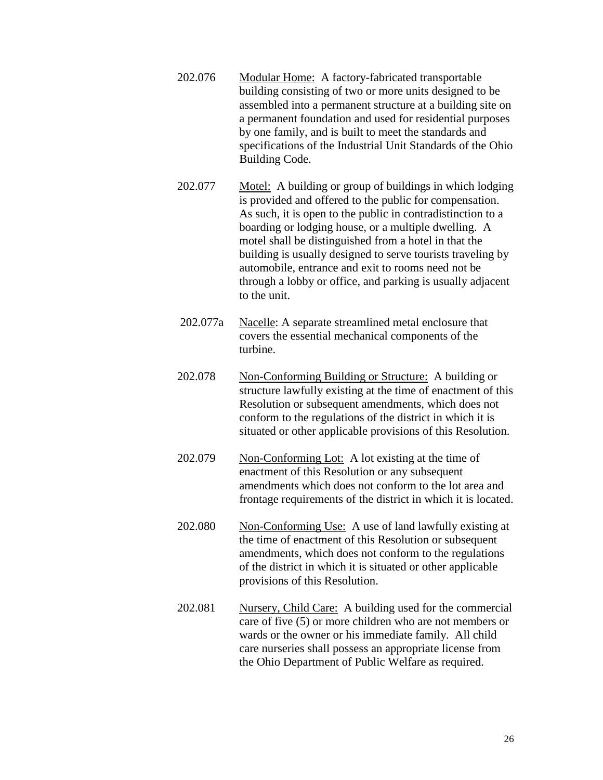- 202.076 Modular Home: A factory-fabricated transportable building consisting of two or more units designed to be assembled into a permanent structure at a building site on a permanent foundation and used for residential purposes by one family, and is built to meet the standards and specifications of the Industrial Unit Standards of the Ohio Building Code.
- 202.077 Motel: A building or group of buildings in which lodging is provided and offered to the public for compensation. As such, it is open to the public in contradistinction to a boarding or lodging house, or a multiple dwelling. A motel shall be distinguished from a hotel in that the building is usually designed to serve tourists traveling by automobile, entrance and exit to rooms need not be through a lobby or office, and parking is usually adjacent to the unit.
- 202.077a Nacelle: A separate streamlined metal enclosure that covers the essential mechanical components of the turbine.
- 202.078 Non-Conforming Building or Structure: A building or structure lawfully existing at the time of enactment of this Resolution or subsequent amendments, which does not conform to the regulations of the district in which it is situated or other applicable provisions of this Resolution.
- 202.079 Non-Conforming Lot: A lot existing at the time of enactment of this Resolution or any subsequent amendments which does not conform to the lot area and frontage requirements of the district in which it is located.
- 202.080 Non-Conforming Use: A use of land lawfully existing at the time of enactment of this Resolution or subsequent amendments, which does not conform to the regulations of the district in which it is situated or other applicable provisions of this Resolution.
- 202.081 Nursery, Child Care: A building used for the commercial care of five (5) or more children who are not members or wards or the owner or his immediate family. All child care nurseries shall possess an appropriate license from the Ohio Department of Public Welfare as required.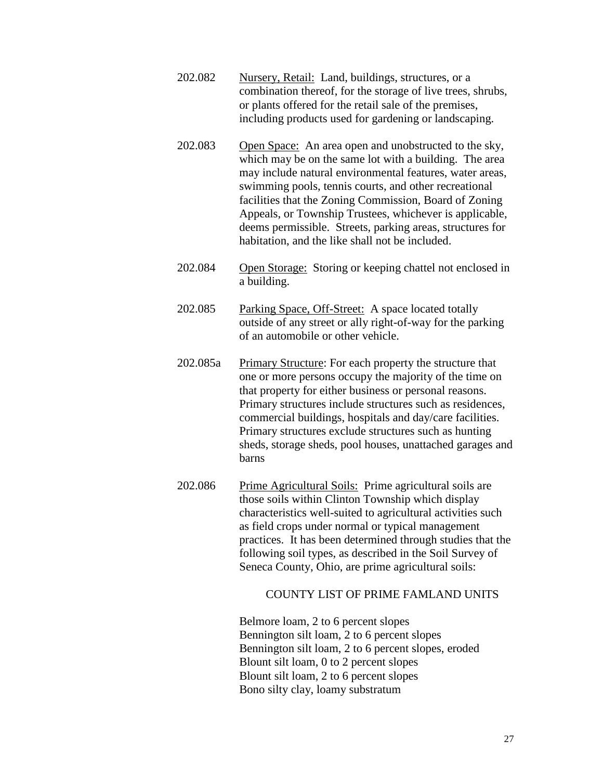- 202.082 Nursery, Retail: Land, buildings, structures, or a combination thereof, for the storage of live trees, shrubs, or plants offered for the retail sale of the premises, including products used for gardening or landscaping.
- 202.083 Open Space: An area open and unobstructed to the sky, which may be on the same lot with a building. The area may include natural environmental features, water areas, swimming pools, tennis courts, and other recreational facilities that the Zoning Commission, Board of Zoning Appeals, or Township Trustees, whichever is applicable, deems permissible. Streets, parking areas, structures for habitation, and the like shall not be included.
- 202.084 Open Storage: Storing or keeping chattel not enclosed in a building.
- 202.085 Parking Space, Off-Street: A space located totally outside of any street or ally right-of-way for the parking of an automobile or other vehicle.
- 202.085a Primary Structure: For each property the structure that one or more persons occupy the majority of the time on that property for either business or personal reasons. Primary structures include structures such as residences, commercial buildings, hospitals and day/care facilities. Primary structures exclude structures such as hunting sheds, storage sheds, pool houses, unattached garages and barns
- 202.086 Prime Agricultural Soils: Prime agricultural soils are those soils within Clinton Township which display characteristics well-suited to agricultural activities such as field crops under normal or typical management practices. It has been determined through studies that the following soil types, as described in the Soil Survey of Seneca County, Ohio, are prime agricultural soils:

## COUNTY LIST OF PRIME FAMLAND UNITS

Belmore loam, 2 to 6 percent slopes Bennington silt loam, 2 to 6 percent slopes Bennington silt loam, 2 to 6 percent slopes, eroded Blount silt loam, 0 to 2 percent slopes Blount silt loam, 2 to 6 percent slopes Bono silty clay, loamy substratum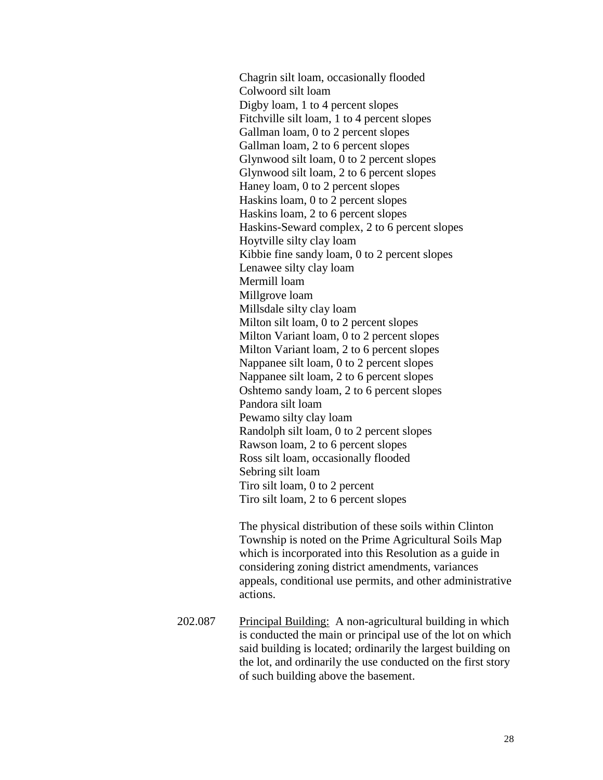Chagrin silt loam, occasionally flooded Colwoord silt loam Digby loam, 1 to 4 percent slopes Fitchville silt loam, 1 to 4 percent slopes Gallman loam, 0 to 2 percent slopes Gallman loam, 2 to 6 percent slopes Glynwood silt loam, 0 to 2 percent slopes Glynwood silt loam, 2 to 6 percent slopes Haney loam, 0 to 2 percent slopes Haskins loam, 0 to 2 percent slopes Haskins loam, 2 to 6 percent slopes Haskins-Seward complex, 2 to 6 percent slopes Hoytville silty clay loam Kibbie fine sandy loam, 0 to 2 percent slopes Lenawee silty clay loam Mermill loam Millgrove loam Millsdale silty clay loam Milton silt loam, 0 to 2 percent slopes Milton Variant loam, 0 to 2 percent slopes Milton Variant loam, 2 to 6 percent slopes Nappanee silt loam, 0 to 2 percent slopes Nappanee silt loam, 2 to 6 percent slopes Oshtemo sandy loam, 2 to 6 percent slopes Pandora silt loam Pewamo silty clay loam Randolph silt loam, 0 to 2 percent slopes Rawson loam, 2 to 6 percent slopes Ross silt loam, occasionally flooded Sebring silt loam Tiro silt loam, 0 to 2 percent Tiro silt loam, 2 to 6 percent slopes

The physical distribution of these soils within Clinton Township is noted on the Prime Agricultural Soils Map which is incorporated into this Resolution as a guide in considering zoning district amendments, variances appeals, conditional use permits, and other administrative actions.

202.087 Principal Building: A non-agricultural building in which is conducted the main or principal use of the lot on which said building is located; ordinarily the largest building on the lot, and ordinarily the use conducted on the first story of such building above the basement.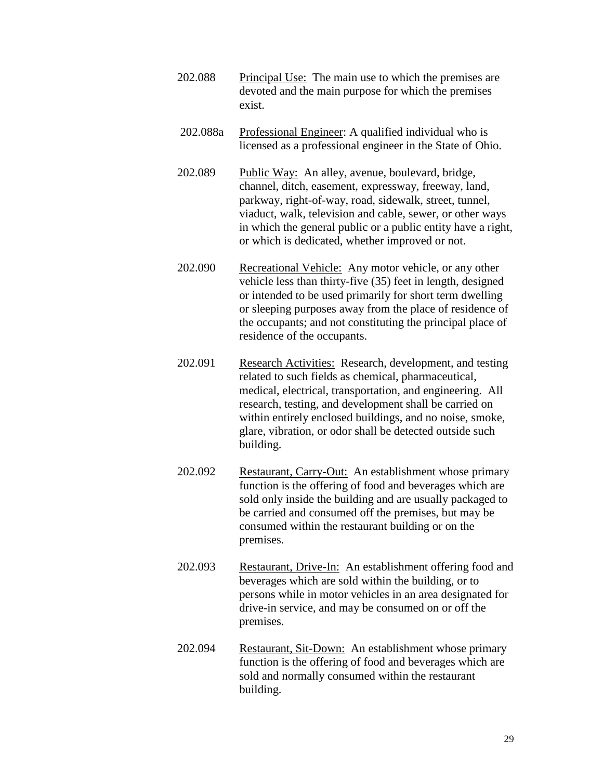- 202.088 Principal Use: The main use to which the premises are devoted and the main purpose for which the premises exist.
- 202.088a Professional Engineer: A qualified individual who is licensed as a professional engineer in the State of Ohio.
- 202.089 Public Way: An alley, avenue, boulevard, bridge, channel, ditch, easement, expressway, freeway, land, parkway, right-of-way, road, sidewalk, street, tunnel, viaduct, walk, television and cable, sewer, or other ways in which the general public or a public entity have a right, or which is dedicated, whether improved or not.
- 202.090 Recreational Vehicle: Any motor vehicle, or any other vehicle less than thirty-five (35) feet in length, designed or intended to be used primarily for short term dwelling or sleeping purposes away from the place of residence of the occupants; and not constituting the principal place of residence of the occupants.
- 202.091 Research Activities: Research, development, and testing related to such fields as chemical, pharmaceutical, medical, electrical, transportation, and engineering. All research, testing, and development shall be carried on within entirely enclosed buildings, and no noise, smoke, glare, vibration, or odor shall be detected outside such building.
- 202.092 Restaurant, Carry-Out: An establishment whose primary function is the offering of food and beverages which are sold only inside the building and are usually packaged to be carried and consumed off the premises, but may be consumed within the restaurant building or on the premises.
- 202.093 Restaurant, Drive-In: An establishment offering food and beverages which are sold within the building, or to persons while in motor vehicles in an area designated for drive-in service, and may be consumed on or off the premises.
- 202.094 Restaurant, Sit-Down: An establishment whose primary function is the offering of food and beverages which are sold and normally consumed within the restaurant building.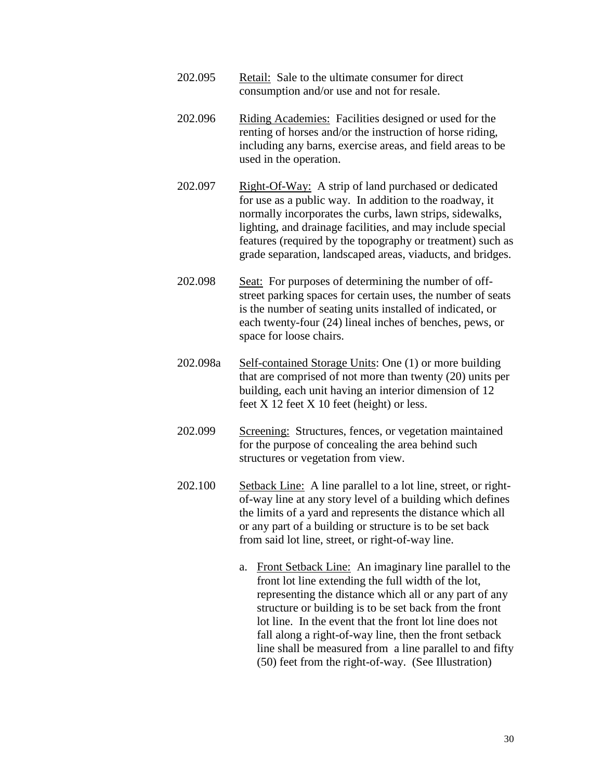- 202.095 Retail: Sale to the ultimate consumer for direct consumption and/or use and not for resale.
- 202.096 Riding Academies: Facilities designed or used for the renting of horses and/or the instruction of horse riding, including any barns, exercise areas, and field areas to be used in the operation.
- 202.097 Right-Of-Way: A strip of land purchased or dedicated for use as a public way. In addition to the roadway, it normally incorporates the curbs, lawn strips, sidewalks, lighting, and drainage facilities, and may include special features (required by the topography or treatment) such as grade separation, landscaped areas, viaducts, and bridges.
- 202.098 Seat: For purposes of determining the number of offstreet parking spaces for certain uses, the number of seats is the number of seating units installed of indicated, or each twenty-four (24) lineal inches of benches, pews, or space for loose chairs.
- 202.098a Self-contained Storage Units: One (1) or more building that are comprised of not more than twenty (20) units per building, each unit having an interior dimension of 12 feet  $X$  12 feet  $X$  10 feet (height) or less.
- 202.099 Screening: Structures, fences, or vegetation maintained for the purpose of concealing the area behind such structures or vegetation from view.
- 202.100 Setback Line: A line parallel to a lot line, street, or rightof-way line at any story level of a building which defines the limits of a yard and represents the distance which all or any part of a building or structure is to be set back from said lot line, street, or right-of-way line.
	- a. Front Setback Line: An imaginary line parallel to the front lot line extending the full width of the lot, representing the distance which all or any part of any structure or building is to be set back from the front lot line. In the event that the front lot line does not fall along a right-of-way line, then the front setback line shall be measured from a line parallel to and fifty (50) feet from the right-of-way. (See Illustration)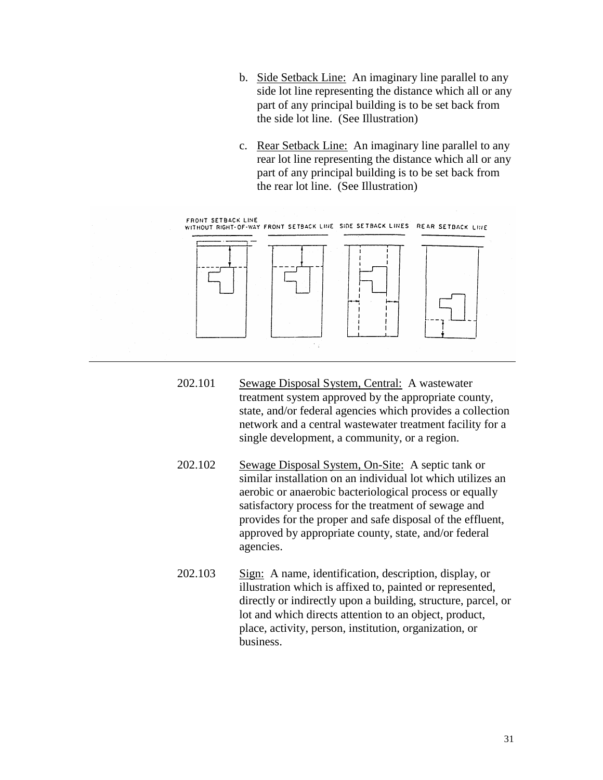- b. Side Setback Line: An imaginary line parallel to any side lot line representing the distance which all or any part of any principal building is to be set back from the side lot line. (See Illustration)
- c. Rear Setback Line: An imaginary line parallel to any rear lot line representing the distance which all or any part of any principal building is to be set back from the rear lot line. (See Illustration)



- 202.101 Sewage Disposal System, Central: A wastewater treatment system approved by the appropriate county, state, and/or federal agencies which provides a collection network and a central wastewater treatment facility for a single development, a community, or a region.
- 202.102 Sewage Disposal System, On-Site: A septic tank or similar installation on an individual lot which utilizes an aerobic or anaerobic bacteriological process or equally satisfactory process for the treatment of sewage and provides for the proper and safe disposal of the effluent, approved by appropriate county, state, and/or federal agencies.
- 202.103 Sign: A name, identification, description, display, or illustration which is affixed to, painted or represented, directly or indirectly upon a building, structure, parcel, or lot and which directs attention to an object, product, place, activity, person, institution, organization, or business.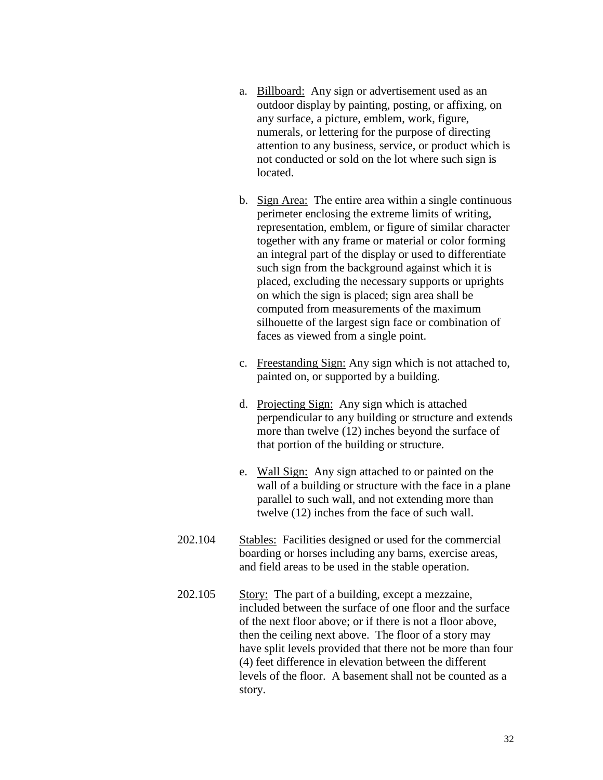- a. Billboard: Any sign or advertisement used as an outdoor display by painting, posting, or affixing, on any surface, a picture, emblem, work, figure, numerals, or lettering for the purpose of directing attention to any business, service, or product which is not conducted or sold on the lot where such sign is located.
- b. Sign Area: The entire area within a single continuous perimeter enclosing the extreme limits of writing, representation, emblem, or figure of similar character together with any frame or material or color forming an integral part of the display or used to differentiate such sign from the background against which it is placed, excluding the necessary supports or uprights on which the sign is placed; sign area shall be computed from measurements of the maximum silhouette of the largest sign face or combination of faces as viewed from a single point.
- c. Freestanding Sign: Any sign which is not attached to, painted on, or supported by a building.
- d. Projecting Sign: Any sign which is attached perpendicular to any building or structure and extends more than twelve (12) inches beyond the surface of that portion of the building or structure.
- e. Wall Sign: Any sign attached to or painted on the wall of a building or structure with the face in a plane parallel to such wall, and not extending more than twelve (12) inches from the face of such wall.
- 202.104 Stables: Facilities designed or used for the commercial boarding or horses including any barns, exercise areas, and field areas to be used in the stable operation.
- 202.105 Story: The part of a building, except a mezzaine, included between the surface of one floor and the surface of the next floor above; or if there is not a floor above, then the ceiling next above. The floor of a story may have split levels provided that there not be more than four (4) feet difference in elevation between the different levels of the floor. A basement shall not be counted as a story.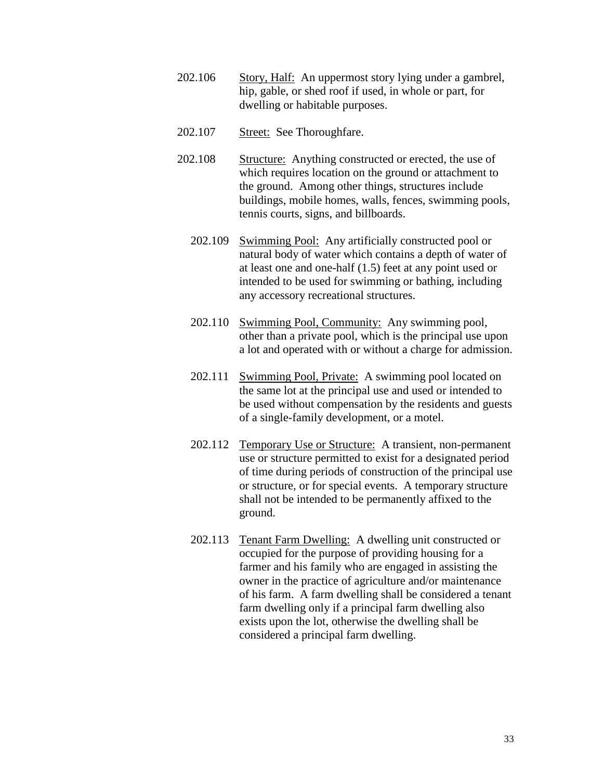- 202.106 Story, Half: An uppermost story lying under a gambrel, hip, gable, or shed roof if used, in whole or part, for dwelling or habitable purposes.
- 202.107 Street: See Thoroughfare.
- 202.108 Structure: Anything constructed or erected, the use of which requires location on the ground or attachment to the ground. Among other things, structures include buildings, mobile homes, walls, fences, swimming pools, tennis courts, signs, and billboards.
	- 202.109 Swimming Pool: Any artificially constructed pool or natural body of water which contains a depth of water of at least one and one-half (1.5) feet at any point used or intended to be used for swimming or bathing, including any accessory recreational structures.
	- 202.110 Swimming Pool, Community: Any swimming pool, other than a private pool, which is the principal use upon a lot and operated with or without a charge for admission.
	- 202.111 Swimming Pool, Private: A swimming pool located on the same lot at the principal use and used or intended to be used without compensation by the residents and guests of a single-family development, or a motel.
	- 202.112 Temporary Use or Structure: A transient, non-permanent use or structure permitted to exist for a designated period of time during periods of construction of the principal use or structure, or for special events. A temporary structure shall not be intended to be permanently affixed to the ground.
	- 202.113 Tenant Farm Dwelling: A dwelling unit constructed or occupied for the purpose of providing housing for a farmer and his family who are engaged in assisting the owner in the practice of agriculture and/or maintenance of his farm. A farm dwelling shall be considered a tenant farm dwelling only if a principal farm dwelling also exists upon the lot, otherwise the dwelling shall be considered a principal farm dwelling.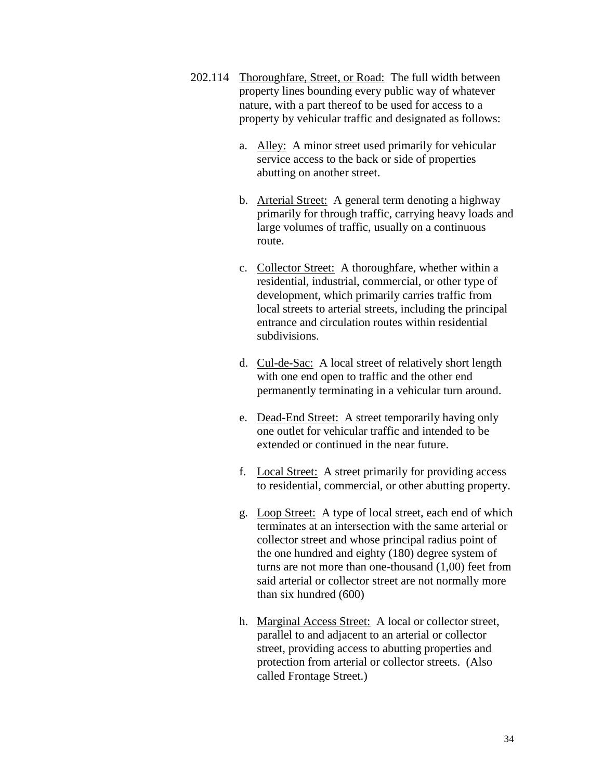- 202.114 Thoroughfare, Street, or Road: The full width between property lines bounding every public way of whatever nature, with a part thereof to be used for access to a property by vehicular traffic and designated as follows:
	- a. Alley: A minor street used primarily for vehicular service access to the back or side of properties abutting on another street.
	- b. Arterial Street: A general term denoting a highway primarily for through traffic, carrying heavy loads and large volumes of traffic, usually on a continuous route.
	- c. Collector Street: A thoroughfare, whether within a residential, industrial, commercial, or other type of development, which primarily carries traffic from local streets to arterial streets, including the principal entrance and circulation routes within residential subdivisions.
	- d. Cul-de-Sac: A local street of relatively short length with one end open to traffic and the other end permanently terminating in a vehicular turn around.
	- e. Dead-End Street: A street temporarily having only one outlet for vehicular traffic and intended to be extended or continued in the near future.
	- f. Local Street: A street primarily for providing access to residential, commercial, or other abutting property.
	- g. Loop Street: A type of local street, each end of which terminates at an intersection with the same arterial or collector street and whose principal radius point of the one hundred and eighty (180) degree system of turns are not more than one-thousand (1,00) feet from said arterial or collector street are not normally more than six hundred (600)
	- h. Marginal Access Street: A local or collector street, parallel to and adjacent to an arterial or collector street, providing access to abutting properties and protection from arterial or collector streets. (Also called Frontage Street.)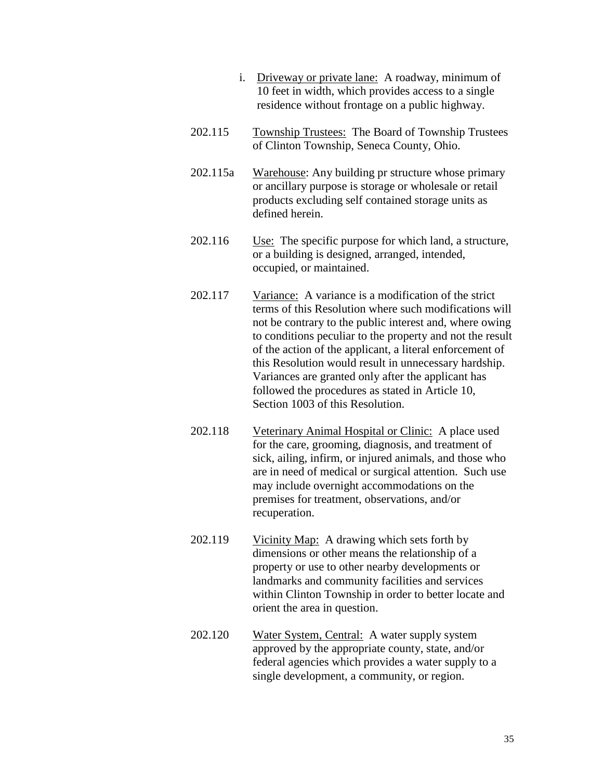- i. Driveway or private lane: A roadway, minimum of 10 feet in width, which provides access to a single residence without frontage on a public highway.
- 202.115 Township Trustees: The Board of Township Trustees of Clinton Township, Seneca County, Ohio.
- 202.115a Warehouse: Any building pr structure whose primary or ancillary purpose is storage or wholesale or retail products excluding self contained storage units as defined herein.
- 202.116 Use: The specific purpose for which land, a structure, or a building is designed, arranged, intended, occupied, or maintained.
- 202.117 Variance: A variance is a modification of the strict terms of this Resolution where such modifications will not be contrary to the public interest and, where owing to conditions peculiar to the property and not the result of the action of the applicant, a literal enforcement of this Resolution would result in unnecessary hardship. Variances are granted only after the applicant has followed the procedures as stated in Article 10, Section 1003 of this Resolution.
- 202.118 Veterinary Animal Hospital or Clinic: A place used for the care, grooming, diagnosis, and treatment of sick, ailing, infirm, or injured animals, and those who are in need of medical or surgical attention. Such use may include overnight accommodations on the premises for treatment, observations, and/or recuperation.
- 202.119 Vicinity Map: A drawing which sets forth by dimensions or other means the relationship of a property or use to other nearby developments or landmarks and community facilities and services within Clinton Township in order to better locate and orient the area in question.
- 202.120 Water System, Central: A water supply system approved by the appropriate county, state, and/or federal agencies which provides a water supply to a single development, a community, or region.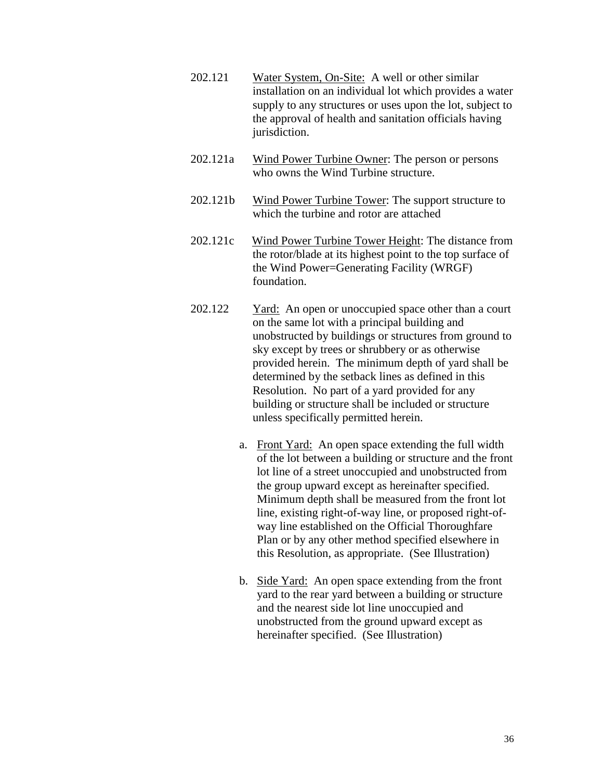- 202.121 Water System, On-Site: A well or other similar installation on an individual lot which provides a water supply to any structures or uses upon the lot, subject to the approval of health and sanitation officials having jurisdiction.
- 202.121a Wind Power Turbine Owner: The person or persons who owns the Wind Turbine structure.
- 202.121b Wind Power Turbine Tower: The support structure to which the turbine and rotor are attached
- 202.121c Wind Power Turbine Tower Height: The distance from the rotor/blade at its highest point to the top surface of the Wind Power=Generating Facility (WRGF) foundation.
- 202.122 Yard: An open or unoccupied space other than a court on the same lot with a principal building and unobstructed by buildings or structures from ground to sky except by trees or shrubbery or as otherwise provided herein. The minimum depth of yard shall be determined by the setback lines as defined in this Resolution. No part of a yard provided for any building or structure shall be included or structure unless specifically permitted herein.
	- a. Front Yard: An open space extending the full width of the lot between a building or structure and the front lot line of a street unoccupied and unobstructed from the group upward except as hereinafter specified. Minimum depth shall be measured from the front lot line, existing right-of-way line, or proposed right-ofway line established on the Official Thoroughfare Plan or by any other method specified elsewhere in this Resolution, as appropriate. (See Illustration)
	- b. Side Yard: An open space extending from the front yard to the rear yard between a building or structure and the nearest side lot line unoccupied and unobstructed from the ground upward except as hereinafter specified. (See Illustration)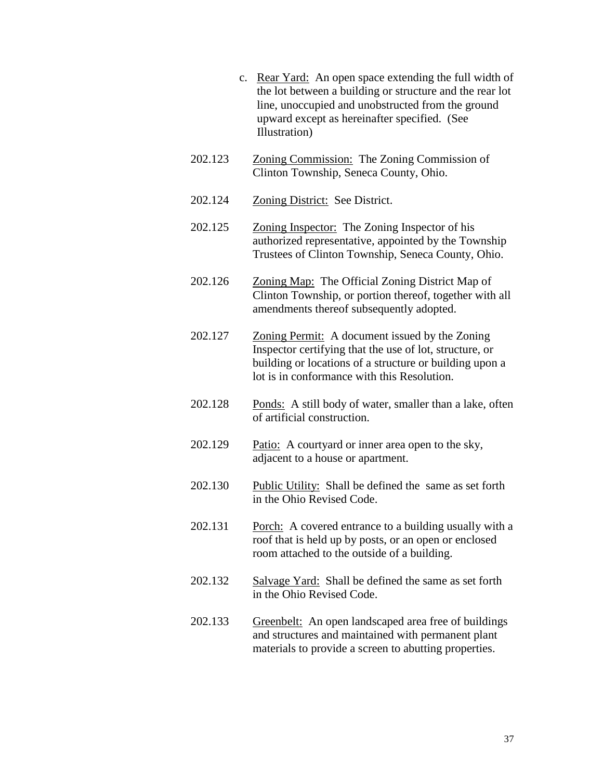- c. Rear Yard: An open space extending the full width of the lot between a building or structure and the rear lot line, unoccupied and unobstructed from the ground upward except as hereinafter specified. (See Illustration)
- 202.123 Zoning Commission: The Zoning Commission of Clinton Township, Seneca County, Ohio.
- 202.124 Zoning District: See District.
- 202.125 Zoning Inspector: The Zoning Inspector of his authorized representative, appointed by the Township Trustees of Clinton Township, Seneca County, Ohio.
- 202.126 Zoning Map: The Official Zoning District Map of Clinton Township, or portion thereof, together with all amendments thereof subsequently adopted.
- 202.127 Zoning Permit: A document issued by the Zoning Inspector certifying that the use of lot, structure, or building or locations of a structure or building upon a lot is in conformance with this Resolution.
- 202.128 Ponds: A still body of water, smaller than a lake, often of artificial construction.
- 202.129 Patio: A courtyard or inner area open to the sky, adjacent to a house or apartment.
- 202.130 Public Utility: Shall be defined the same as set forth in the Ohio Revised Code.
- 202.131 Porch: A covered entrance to a building usually with a roof that is held up by posts, or an open or enclosed room attached to the outside of a building.
- 202.132 Salvage Yard: Shall be defined the same as set forth in the Ohio Revised Code.
- 202.133 Greenbelt: An open landscaped area free of buildings and structures and maintained with permanent plant materials to provide a screen to abutting properties.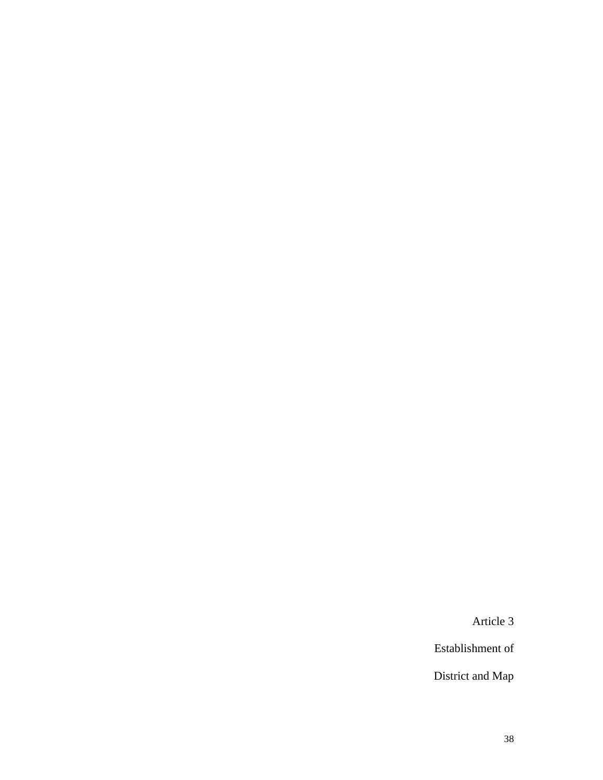Article 3

Establishment of

District and Map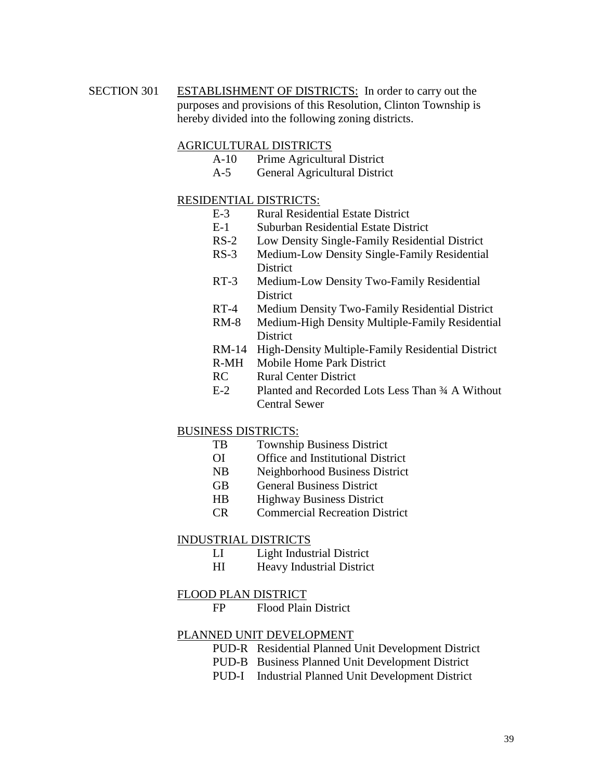SECTION 301 ESTABLISHMENT OF DISTRICTS: In order to carry out the purposes and provisions of this Resolution, Clinton Township is hereby divided into the following zoning districts.

#### AGRICULTURAL DISTRICTS

- A-10 Prime Agricultural District
- A-5 General Agricultural District

### RESIDENTIAL DISTRICTS:

- E-3 Rural Residential Estate District
- E-1 Suburban Residential Estate District
- RS-2 Low Density Single-Family Residential District
- RS-3 Medium-Low Density Single-Family Residential **District**
- RT-3 Medium-Low Density Two-Family Residential **District**
- RT-4 Medium Density Two-Family Residential District
- RM-8 Medium-High Density Multiple-Family Residential **District**
- RM-14 High-Density Multiple-Family Residential District
- R-MH Mobile Home Park District
- RC Rural Center District
- E-2 Planted and Recorded Lots Less Than ¾ A Without Central Sewer

### BUSINESS DISTRICTS:

- TB Township Business District
- OI Office and Institutional District
- NB Neighborhood Business District
- GB General Business District
- HB Highway Business District
- CR Commercial Recreation District

#### INDUSTRIAL DISTRICTS

- LI Light Industrial District
- HI Heavy Industrial District

#### FLOOD PLAN DISTRICT

FP Flood Plain District

#### PLANNED UNIT DEVELOPMENT

- PUD-R Residential Planned Unit Development District
- PUD-B Business Planned Unit Development District
- PUD-I Industrial Planned Unit Development District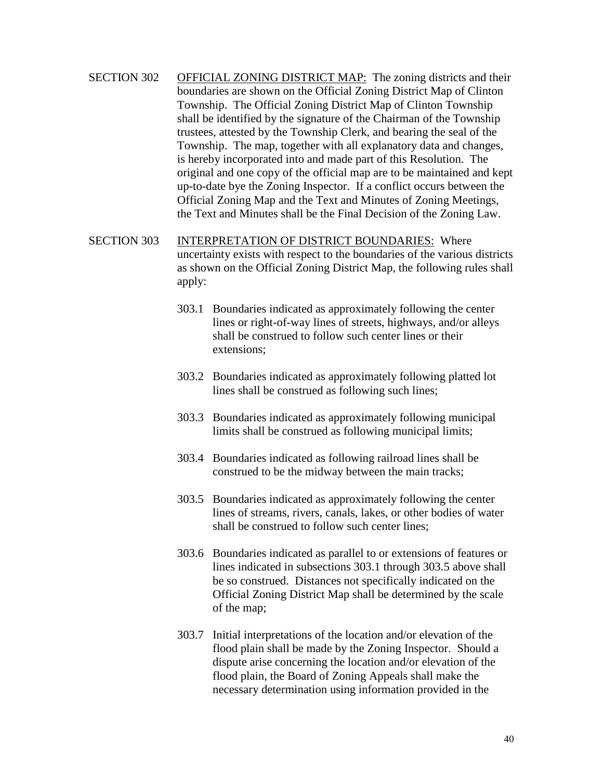- SECTION 302 OFFICIAL ZONING DISTRICT MAP: The zoning districts and their boundaries are shown on the Official Zoning District Map of Clinton Township. The Official Zoning District Map of Clinton Township shall be identified by the signature of the Chairman of the Township trustees, attested by the Township Clerk, and bearing the seal of the Township. The map, together with all explanatory data and changes, is hereby incorporated into and made part of this Resolution. The original and one copy of the official map are to be maintained and kept up-to-date bye the Zoning Inspector. If a conflict occurs between the Official Zoning Map and the Text and Minutes of Zoning Meetings, the Text and Minutes shall be the Final Decision of the Zoning Law.
- SECTION 303 INTERPRETATION OF DISTRICT BOUNDARIES: Where uncertainty exists with respect to the boundaries of the various districts as shown on the Official Zoning District Map, the following rules shall apply:
	- 303.1 Boundaries indicated as approximately following the center lines or right-of-way lines of streets, highways, and/or alleys shall be construed to follow such center lines or their extensions;
	- 303.2 Boundaries indicated as approximately following platted lot lines shall be construed as following such lines;
	- 303.3 Boundaries indicated as approximately following municipal limits shall be construed as following municipal limits;
	- 303.4 Boundaries indicated as following railroad lines shall be construed to be the midway between the main tracks;
	- 303.5 Boundaries indicated as approximately following the center lines of streams, rivers, canals, lakes, or other bodies of water shall be construed to follow such center lines;
	- 303.6 Boundaries indicated as parallel to or extensions of features or lines indicated in subsections 303.1 through 303.5 above shall be so construed. Distances not specifically indicated on the Official Zoning District Map shall be determined by the scale of the map;
	- 303.7 Initial interpretations of the location and/or elevation of the flood plain shall be made by the Zoning Inspector. Should a dispute arise concerning the location and/or elevation of the flood plain, the Board of Zoning Appeals shall make the necessary determination using information provided in the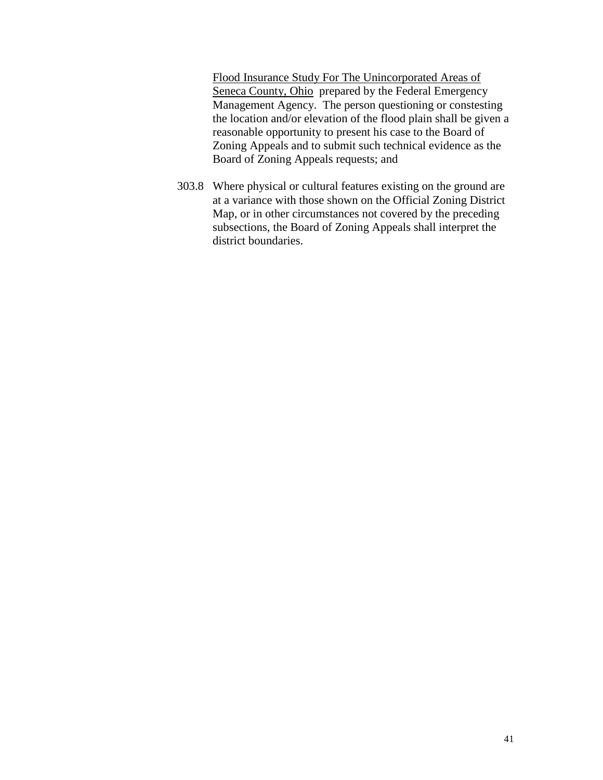Flood Insurance Study For The Unincorporated Areas of Seneca County, Ohio prepared by the Federal Emergency Management Agency. The person questioning or constesting the location and/or elevation of the flood plain shall be given a reasonable opportunity to present his case to the Board of Zoning Appeals and to submit such technical evidence as the Board of Zoning Appeals requests; and

303.8 Where physical or cultural features existing on the ground are at a variance with those shown on the Official Zoning District Map, or in other circumstances not covered by the preceding subsections, the Board of Zoning Appeals shall interpret the district boundaries.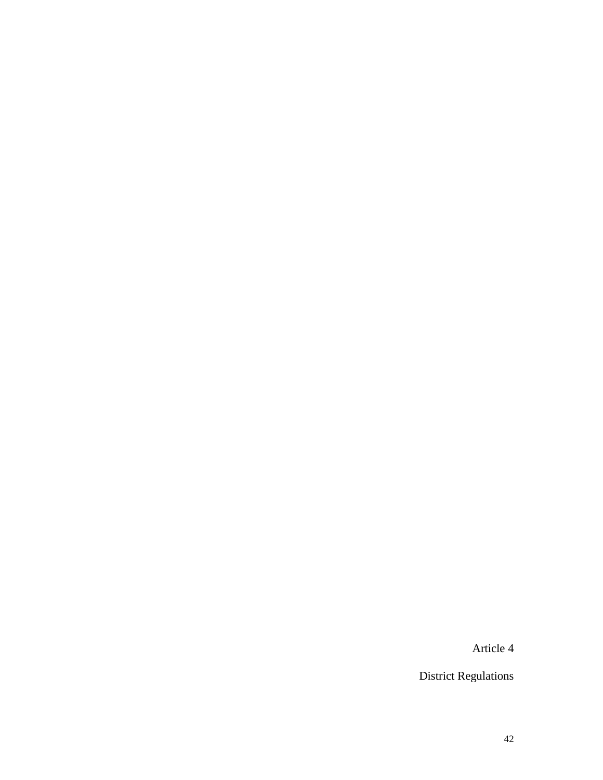Article 4

District Regulations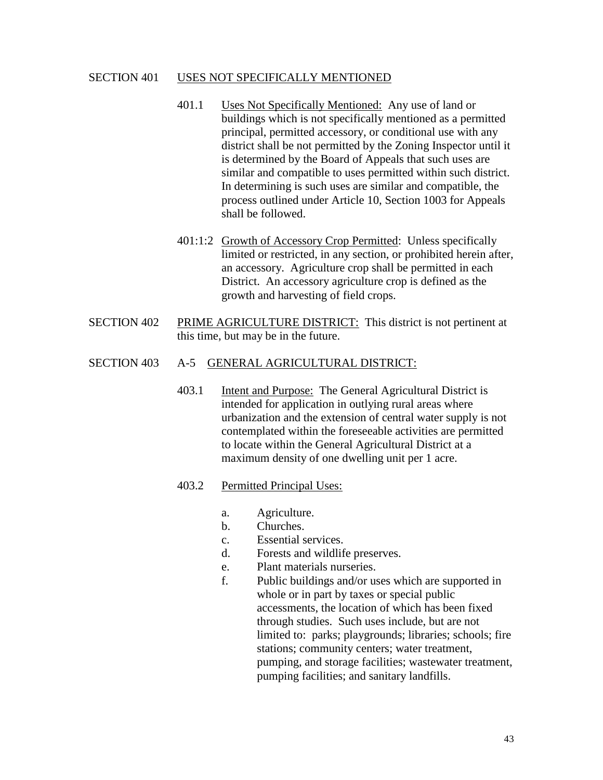#### SECTION 401 USES NOT SPECIFICALLY MENTIONED

- 401.1 Uses Not Specifically Mentioned: Any use of land or buildings which is not specifically mentioned as a permitted principal, permitted accessory, or conditional use with any district shall be not permitted by the Zoning Inspector until it is determined by the Board of Appeals that such uses are similar and compatible to uses permitted within such district. In determining is such uses are similar and compatible, the process outlined under Article 10, Section 1003 for Appeals shall be followed.
- 401:1:2 Growth of Accessory Crop Permitted: Unless specifically limited or restricted, in any section, or prohibited herein after, an accessory. Agriculture crop shall be permitted in each District. An accessory agriculture crop is defined as the growth and harvesting of field crops.
- SECTION 402 PRIME AGRICULTURE DISTRICT: This district is not pertinent at this time, but may be in the future.

### SECTION 403 A-5 GENERAL AGRICULTURAL DISTRICT:

403.1 Intent and Purpose: The General Agricultural District is intended for application in outlying rural areas where urbanization and the extension of central water supply is not contemplated within the foreseeable activities are permitted to locate within the General Agricultural District at a maximum density of one dwelling unit per 1 acre.

### 403.2 Permitted Principal Uses:

- a. Agriculture.
- b. Churches.
- c. Essential services.
- d. Forests and wildlife preserves.
- e. Plant materials nurseries.
- f. Public buildings and/or uses which are supported in whole or in part by taxes or special public accessments, the location of which has been fixed through studies. Such uses include, but are not limited to: parks; playgrounds; libraries; schools; fire stations; community centers; water treatment, pumping, and storage facilities; wastewater treatment, pumping facilities; and sanitary landfills.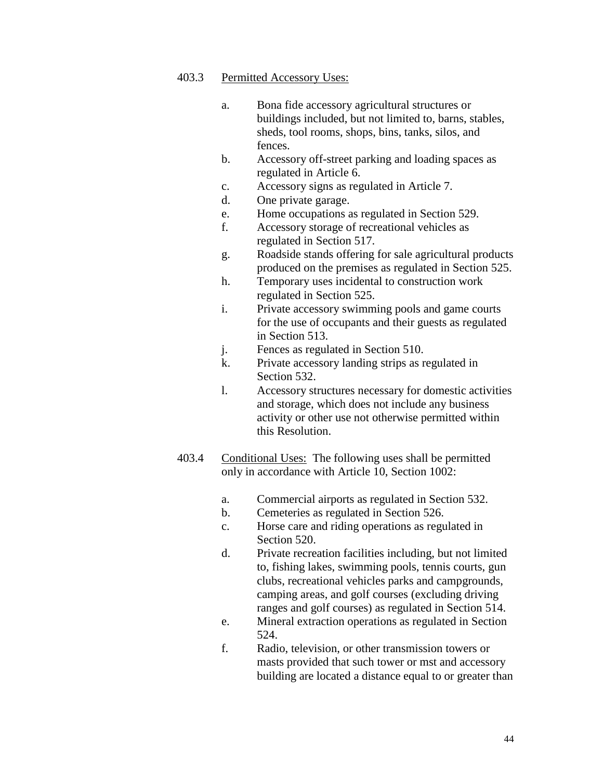- a. Bona fide accessory agricultural structures or buildings included, but not limited to, barns, stables, sheds, tool rooms, shops, bins, tanks, silos, and fences.
- b. Accessory off-street parking and loading spaces as regulated in Article 6.
- c. Accessory signs as regulated in Article 7.
- d. One private garage.
- e. Home occupations as regulated in Section 529.
- f. Accessory storage of recreational vehicles as regulated in Section 517.
- g. Roadside stands offering for sale agricultural products produced on the premises as regulated in Section 525.
- h. Temporary uses incidental to construction work regulated in Section 525.
- i. Private accessory swimming pools and game courts for the use of occupants and their guests as regulated in Section 513.
- j. Fences as regulated in Section 510.
- k. Private accessory landing strips as regulated in Section 532.
- l. Accessory structures necessary for domestic activities and storage, which does not include any business activity or other use not otherwise permitted within this Resolution.
- 403.4 Conditional Uses: The following uses shall be permitted only in accordance with Article 10, Section 1002:
	- a. Commercial airports as regulated in Section 532.
	- b. Cemeteries as regulated in Section 526.
	- c. Horse care and riding operations as regulated in Section 520.
	- d. Private recreation facilities including, but not limited to, fishing lakes, swimming pools, tennis courts, gun clubs, recreational vehicles parks and campgrounds, camping areas, and golf courses (excluding driving ranges and golf courses) as regulated in Section 514.
	- e. Mineral extraction operations as regulated in Section 524.
	- f. Radio, television, or other transmission towers or masts provided that such tower or mst and accessory building are located a distance equal to or greater than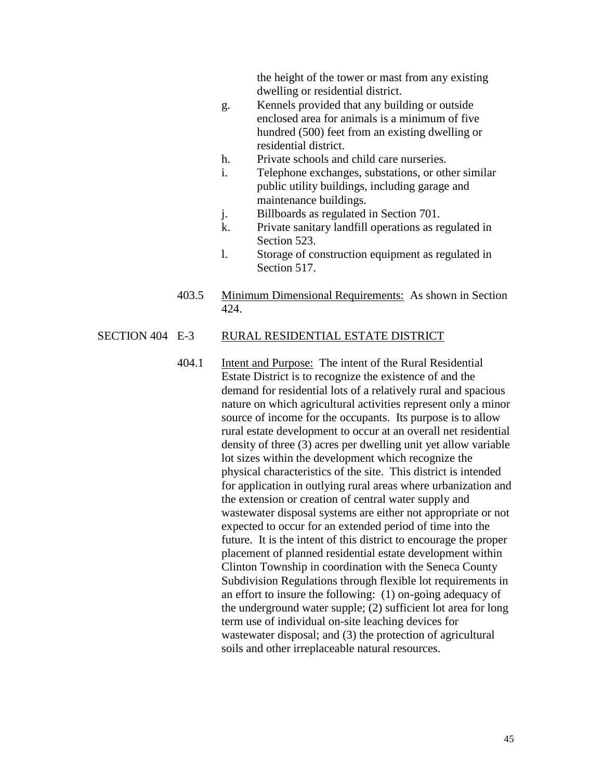the height of the tower or mast from any existing dwelling or residential district.

- g. Kennels provided that any building or outside enclosed area for animals is a minimum of five hundred (500) feet from an existing dwelling or residential district.
- h. Private schools and child care nurseries.
- i. Telephone exchanges, substations, or other similar public utility buildings, including garage and maintenance buildings.
- j. Billboards as regulated in Section 701.
- k. Private sanitary landfill operations as regulated in Section 523.
- l. Storage of construction equipment as regulated in Section 517.
- 403.5 Minimum Dimensional Requirements: As shown in Section 424.

#### SECTION 404 E-3 RURAL RESIDENTIAL ESTATE DISTRICT

404.1 Intent and Purpose: The intent of the Rural Residential Estate District is to recognize the existence of and the demand for residential lots of a relatively rural and spacious nature on which agricultural activities represent only a minor source of income for the occupants. Its purpose is to allow rural estate development to occur at an overall net residential density of three (3) acres per dwelling unit yet allow variable lot sizes within the development which recognize the physical characteristics of the site. This district is intended for application in outlying rural areas where urbanization and the extension or creation of central water supply and wastewater disposal systems are either not appropriate or not expected to occur for an extended period of time into the future. It is the intent of this district to encourage the proper placement of planned residential estate development within Clinton Township in coordination with the Seneca County Subdivision Regulations through flexible lot requirements in an effort to insure the following: (1) on-going adequacy of the underground water supple; (2) sufficient lot area for long term use of individual on-site leaching devices for wastewater disposal; and (3) the protection of agricultural soils and other irreplaceable natural resources.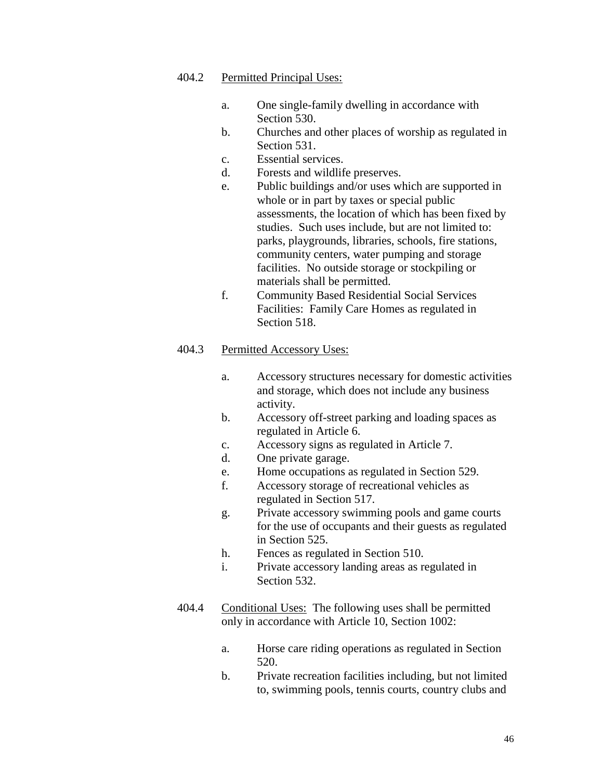### 404.2 Permitted Principal Uses:

- a. One single-family dwelling in accordance with Section 530.
- b. Churches and other places of worship as regulated in Section 531.
- c. Essential services.
- d. Forests and wildlife preserves.
- e. Public buildings and/or uses which are supported in whole or in part by taxes or special public assessments, the location of which has been fixed by studies. Such uses include, but are not limited to: parks, playgrounds, libraries, schools, fire stations, community centers, water pumping and storage facilities. No outside storage or stockpiling or materials shall be permitted.
- f. Community Based Residential Social Services Facilities: Family Care Homes as regulated in Section 518.

- a. Accessory structures necessary for domestic activities and storage, which does not include any business activity.
- b. Accessory off-street parking and loading spaces as regulated in Article 6.
- c. Accessory signs as regulated in Article 7.
- d. One private garage.
- e. Home occupations as regulated in Section 529.
- f. Accessory storage of recreational vehicles as regulated in Section 517.
- g. Private accessory swimming pools and game courts for the use of occupants and their guests as regulated in Section 525.
- h. Fences as regulated in Section 510.
- i. Private accessory landing areas as regulated in Section 532.
- 404.4 Conditional Uses: The following uses shall be permitted only in accordance with Article 10, Section 1002:
	- a. Horse care riding operations as regulated in Section 520.
	- b. Private recreation facilities including, but not limited to, swimming pools, tennis courts, country clubs and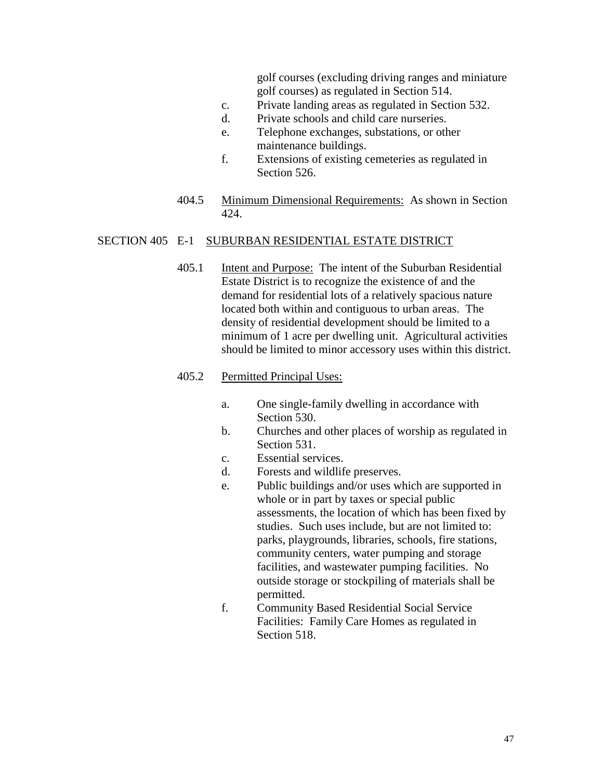golf courses (excluding driving ranges and miniature golf courses) as regulated in Section 514.

- c. Private landing areas as regulated in Section 532.
- d. Private schools and child care nurseries.
- e. Telephone exchanges, substations, or other maintenance buildings.
- f. Extensions of existing cemeteries as regulated in Section 526.
- 404.5 Minimum Dimensional Requirements: As shown in Section 424.

#### SECTION 405 E-1 SUBURBAN RESIDENTIAL ESTATE DISTRICT

405.1 Intent and Purpose: The intent of the Suburban Residential Estate District is to recognize the existence of and the demand for residential lots of a relatively spacious nature located both within and contiguous to urban areas. The density of residential development should be limited to a minimum of 1 acre per dwelling unit. Agricultural activities should be limited to minor accessory uses within this district.

# 405.2 Permitted Principal Uses:

- a. One single-family dwelling in accordance with Section 530.
- b. Churches and other places of worship as regulated in Section 531.
- c. Essential services.
- d. Forests and wildlife preserves.
- e. Public buildings and/or uses which are supported in whole or in part by taxes or special public assessments, the location of which has been fixed by studies. Such uses include, but are not limited to: parks, playgrounds, libraries, schools, fire stations, community centers, water pumping and storage facilities, and wastewater pumping facilities. No outside storage or stockpiling of materials shall be permitted.
- f. Community Based Residential Social Service Facilities: Family Care Homes as regulated in Section 518.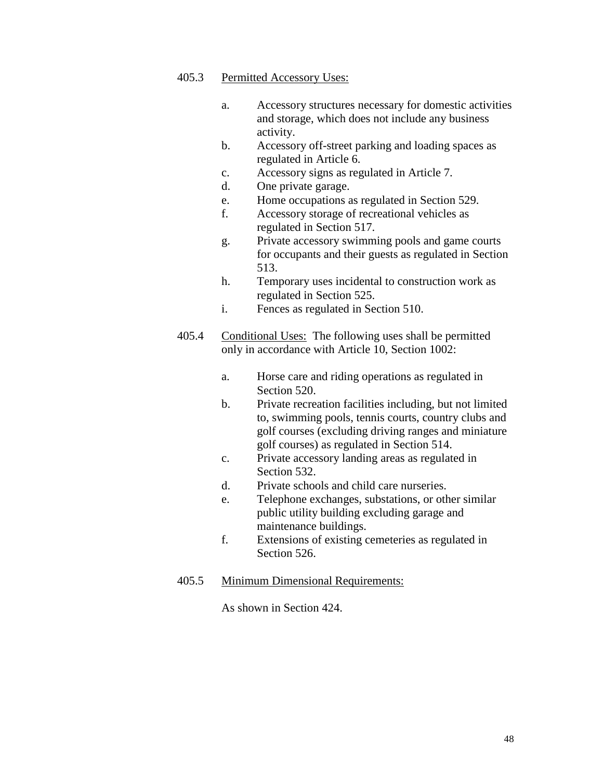#### 405.3 Permitted Accessory Uses:

- a. Accessory structures necessary for domestic activities and storage, which does not include any business activity.
- b. Accessory off-street parking and loading spaces as regulated in Article 6.
- c. Accessory signs as regulated in Article 7.
- d. One private garage.
- e. Home occupations as regulated in Section 529.
- f. Accessory storage of recreational vehicles as regulated in Section 517.
- g. Private accessory swimming pools and game courts for occupants and their guests as regulated in Section 513.
- h. Temporary uses incidental to construction work as regulated in Section 525.
- i. Fences as regulated in Section 510.
- 405.4 Conditional Uses: The following uses shall be permitted only in accordance with Article 10, Section 1002:
	- a. Horse care and riding operations as regulated in Section 520.
	- b. Private recreation facilities including, but not limited to, swimming pools, tennis courts, country clubs and golf courses (excluding driving ranges and miniature golf courses) as regulated in Section 514.
	- c. Private accessory landing areas as regulated in Section 532.
	- d. Private schools and child care nurseries.
	- e. Telephone exchanges, substations, or other similar public utility building excluding garage and maintenance buildings.
	- f. Extensions of existing cemeteries as regulated in Section 526.
- 405.5 Minimum Dimensional Requirements:

As shown in Section 424.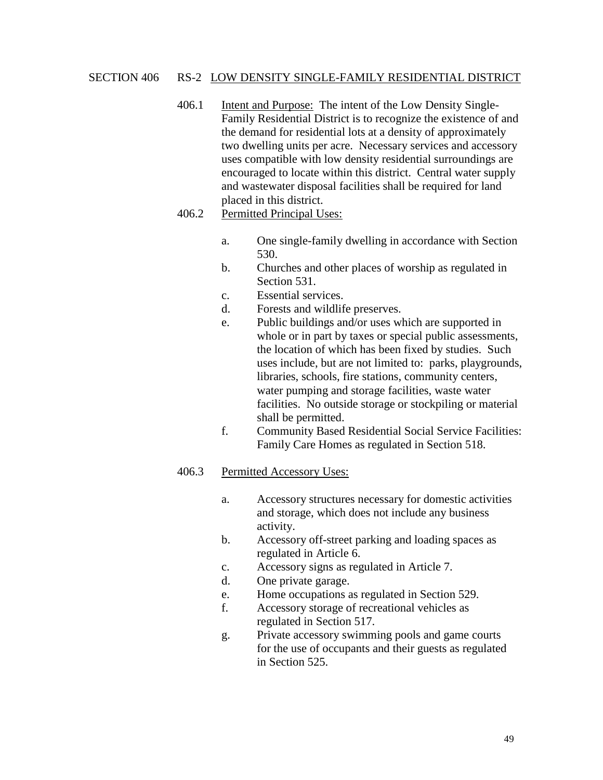#### SECTION 406 RS-2 LOW DENSITY SINGLE-FAMILY RESIDENTIAL DISTRICT

406.1 Intent and Purpose: The intent of the Low Density Single-Family Residential District is to recognize the existence of and the demand for residential lots at a density of approximately two dwelling units per acre. Necessary services and accessory uses compatible with low density residential surroundings are encouraged to locate within this district. Central water supply and wastewater disposal facilities shall be required for land placed in this district.

### 406.2 Permitted Principal Uses:

- a. One single-family dwelling in accordance with Section 530.
- b. Churches and other places of worship as regulated in Section 531.
- c. Essential services.
- d. Forests and wildlife preserves.
- e. Public buildings and/or uses which are supported in whole or in part by taxes or special public assessments, the location of which has been fixed by studies. Such uses include, but are not limited to: parks, playgrounds, libraries, schools, fire stations, community centers, water pumping and storage facilities, waste water facilities. No outside storage or stockpiling or material shall be permitted.
- f. Community Based Residential Social Service Facilities: Family Care Homes as regulated in Section 518.

- a. Accessory structures necessary for domestic activities and storage, which does not include any business activity.
- b. Accessory off-street parking and loading spaces as regulated in Article 6.
- c. Accessory signs as regulated in Article 7.
- d. One private garage.
- e. Home occupations as regulated in Section 529.
- f. Accessory storage of recreational vehicles as regulated in Section 517.
- g. Private accessory swimming pools and game courts for the use of occupants and their guests as regulated in Section 525.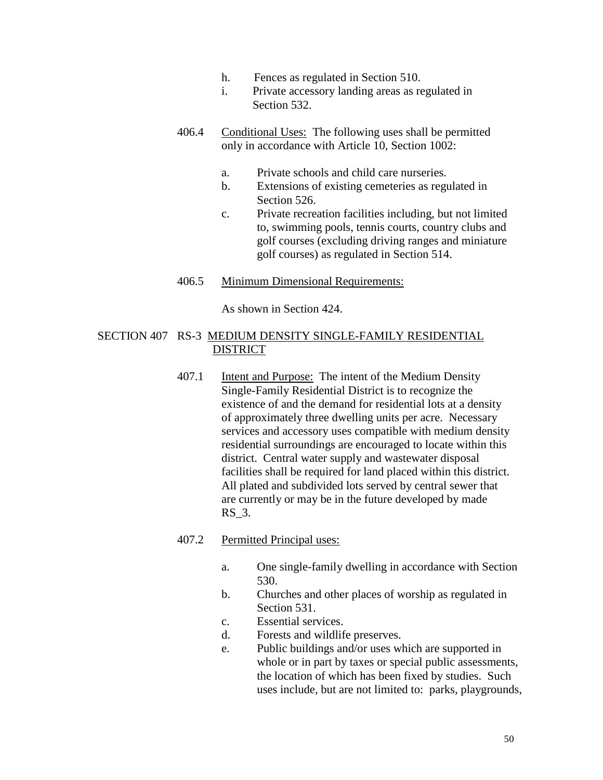- h. Fences as regulated in Section 510.
- i. Private accessory landing areas as regulated in Section 532.
- 406.4 Conditional Uses: The following uses shall be permitted only in accordance with Article 10, Section 1002:
	- a. Private schools and child care nurseries.
	- b. Extensions of existing cemeteries as regulated in Section 526.
	- c. Private recreation facilities including, but not limited to, swimming pools, tennis courts, country clubs and golf courses (excluding driving ranges and miniature golf courses) as regulated in Section 514.

### 406.5 Minimum Dimensional Requirements:

As shown in Section 424.

### SECTION 407 RS-3 MEDIUM DENSITY SINGLE-FAMILY RESIDENTIAL DISTRICT

407.1 Intent and Purpose: The intent of the Medium Density Single-Family Residential District is to recognize the existence of and the demand for residential lots at a density of approximately three dwelling units per acre. Necessary services and accessory uses compatible with medium density residential surroundings are encouraged to locate within this district. Central water supply and wastewater disposal facilities shall be required for land placed within this district. All plated and subdivided lots served by central sewer that are currently or may be in the future developed by made RS\_3.

### 407.2 Permitted Principal uses:

- a. One single-family dwelling in accordance with Section 530.
- b. Churches and other places of worship as regulated in Section 531.
- c. Essential services.
- d. Forests and wildlife preserves.
- e. Public buildings and/or uses which are supported in whole or in part by taxes or special public assessments, the location of which has been fixed by studies. Such uses include, but are not limited to: parks, playgrounds,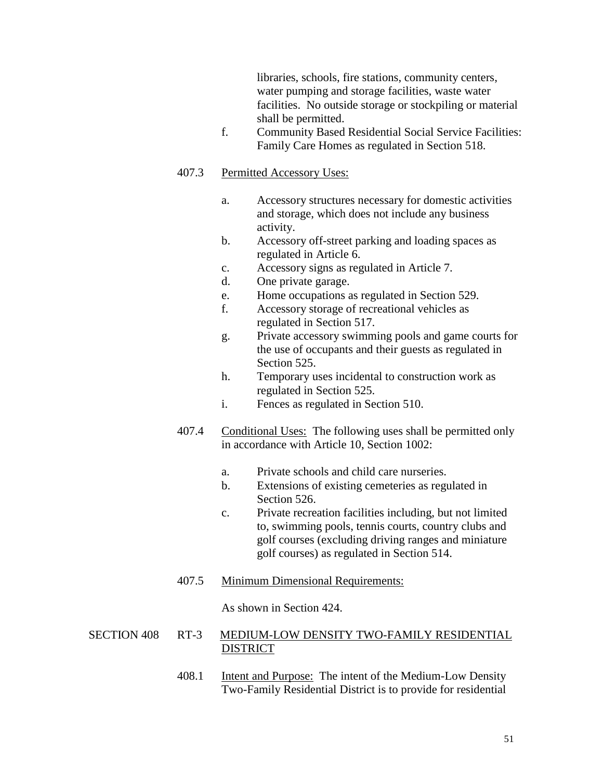libraries, schools, fire stations, community centers, water pumping and storage facilities, waste water facilities. No outside storage or stockpiling or material shall be permitted.

f. Community Based Residential Social Service Facilities: Family Care Homes as regulated in Section 518.

#### 407.3 Permitted Accessory Uses:

- a. Accessory structures necessary for domestic activities and storage, which does not include any business activity.
- b. Accessory off-street parking and loading spaces as regulated in Article 6.
- c. Accessory signs as regulated in Article 7.
- d. One private garage.
- e. Home occupations as regulated in Section 529.
- f. Accessory storage of recreational vehicles as regulated in Section 517.
- g. Private accessory swimming pools and game courts for the use of occupants and their guests as regulated in Section 525.
- h. Temporary uses incidental to construction work as regulated in Section 525.
- i. Fences as regulated in Section 510.
- 407.4 Conditional Uses: The following uses shall be permitted only in accordance with Article 10, Section 1002:
	- a. Private schools and child care nurseries.
	- b. Extensions of existing cemeteries as regulated in Section 526.
	- c. Private recreation facilities including, but not limited to, swimming pools, tennis courts, country clubs and golf courses (excluding driving ranges and miniature golf courses) as regulated in Section 514.
- 407.5 Minimum Dimensional Requirements:

As shown in Section 424.

#### SECTION 408 RT-3 MEDIUM-LOW DENSITY TWO-FAMILY RESIDENTIAL DISTRICT

408.1 Intent and Purpose: The intent of the Medium-Low Density Two-Family Residential District is to provide for residential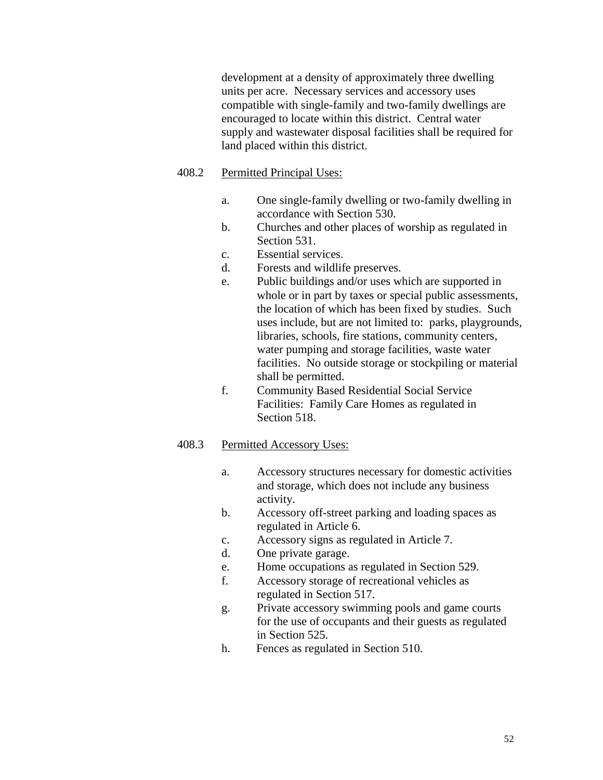development at a density of approximately three dwelling units per acre. Necessary services and accessory uses compatible with single-family and two-family dwellings are encouraged to locate within this district. Central water supply and wastewater disposal facilities shall be required for land placed within this district.

#### 408.2 Permitted Principal Uses:

- a. One single-family dwelling or two-family dwelling in accordance with Section 530.
- b. Churches and other places of worship as regulated in Section 531.
- c. Essential services.
- d. Forests and wildlife preserves.
- e. Public buildings and/or uses which are supported in whole or in part by taxes or special public assessments, the location of which has been fixed by studies. Such uses include, but are not limited to: parks, playgrounds, libraries, schools, fire stations, community centers, water pumping and storage facilities, waste water facilities. No outside storage or stockpiling or material shall be permitted.
- f. Community Based Residential Social Service Facilities: Family Care Homes as regulated in Section 518.

- a. Accessory structures necessary for domestic activities and storage, which does not include any business activity.
- b. Accessory off-street parking and loading spaces as regulated in Article 6.
- c. Accessory signs as regulated in Article 7.
- d. One private garage.
- e. Home occupations as regulated in Section 529.
- f. Accessory storage of recreational vehicles as regulated in Section 517.
- g. Private accessory swimming pools and game courts for the use of occupants and their guests as regulated in Section 525.
- h. Fences as regulated in Section 510.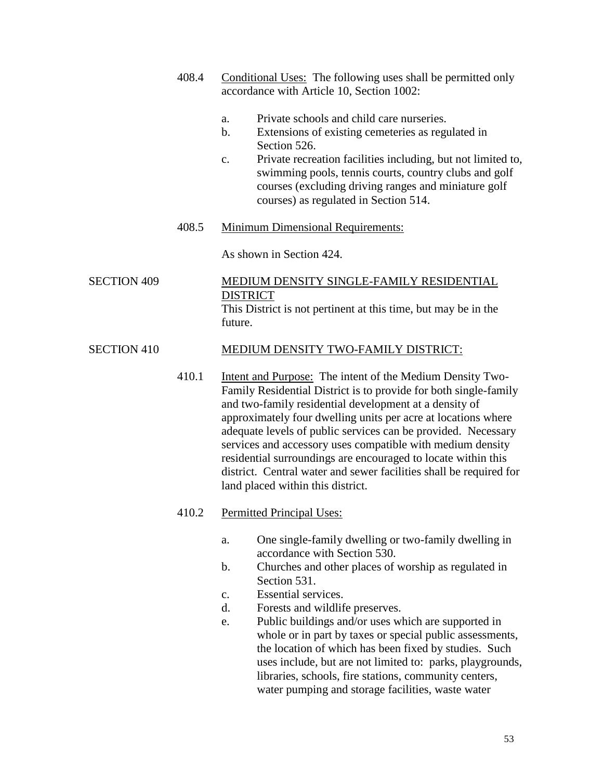- 408.4 Conditional Uses: The following uses shall be permitted only accordance with Article 10, Section 1002:
	- a. Private schools and child care nurseries.
	- b. Extensions of existing cemeteries as regulated in Section 526.
	- c. Private recreation facilities including, but not limited to, swimming pools, tennis courts, country clubs and golf courses (excluding driving ranges and miniature golf courses) as regulated in Section 514.
- 408.5 Minimum Dimensional Requirements:

As shown in Section 424.

# SECTION 409 MEDIUM DENSITY SINGLE-FAMILY RESIDENTIAL **DISTRICT**

This District is not pertinent at this time, but may be in the future.

### SECTION 410 MEDIUM DENSITY TWO-FAMILY DISTRICT:

410.1 Intent and Purpose: The intent of the Medium Density Two-Family Residential District is to provide for both single-family and two-family residential development at a density of approximately four dwelling units per acre at locations where adequate levels of public services can be provided. Necessary services and accessory uses compatible with medium density residential surroundings are encouraged to locate within this district. Central water and sewer facilities shall be required for land placed within this district.

### 410.2 Permitted Principal Uses:

- a. One single-family dwelling or two-family dwelling in accordance with Section 530.
- b. Churches and other places of worship as regulated in Section 531.
- c. Essential services.
- d. Forests and wildlife preserves.
- e. Public buildings and/or uses which are supported in whole or in part by taxes or special public assessments, the location of which has been fixed by studies. Such uses include, but are not limited to: parks, playgrounds, libraries, schools, fire stations, community centers, water pumping and storage facilities, waste water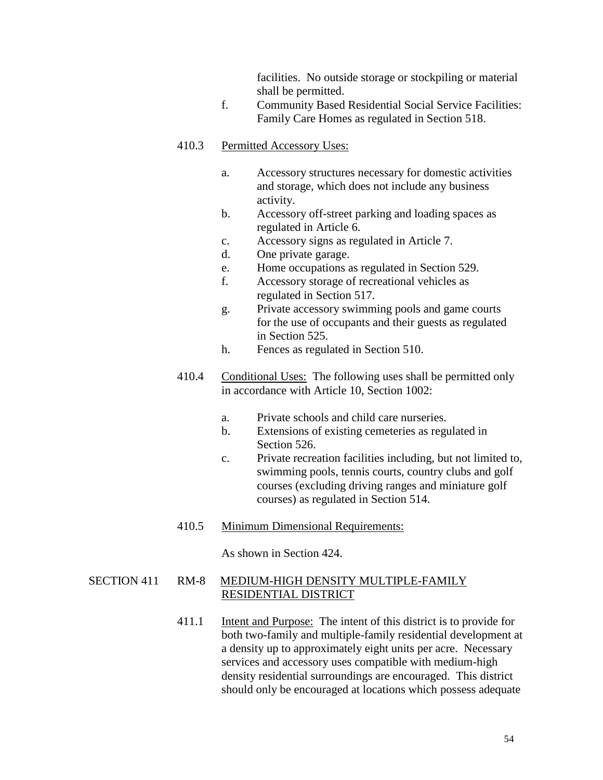facilities. No outside storage or stockpiling or material shall be permitted.

f. Community Based Residential Social Service Facilities: Family Care Homes as regulated in Section 518.

# 410.3 Permitted Accessory Uses:

- a. Accessory structures necessary for domestic activities and storage, which does not include any business activity.
- b. Accessory off-street parking and loading spaces as regulated in Article 6.
- c. Accessory signs as regulated in Article 7.
- d. One private garage.
- e. Home occupations as regulated in Section 529.
- f. Accessory storage of recreational vehicles as regulated in Section 517.
- g. Private accessory swimming pools and game courts for the use of occupants and their guests as regulated in Section 525.
- h. Fences as regulated in Section 510.
- 410.4 Conditional Uses: The following uses shall be permitted only in accordance with Article 10, Section 1002:
	- a. Private schools and child care nurseries.
	- b. Extensions of existing cemeteries as regulated in Section 526.
	- c. Private recreation facilities including, but not limited to, swimming pools, tennis courts, country clubs and golf courses (excluding driving ranges and miniature golf courses) as regulated in Section 514.
- 410.5 Minimum Dimensional Requirements:

As shown in Section 424.

# SECTION 411 RM-8 MEDIUM-HIGH DENSITY MULTIPLE-FAMILY RESIDENTIAL DISTRICT

411.1 Intent and Purpose: The intent of this district is to provide for both two-family and multiple-family residential development at a density up to approximately eight units per acre. Necessary services and accessory uses compatible with medium-high density residential surroundings are encouraged. This district should only be encouraged at locations which possess adequate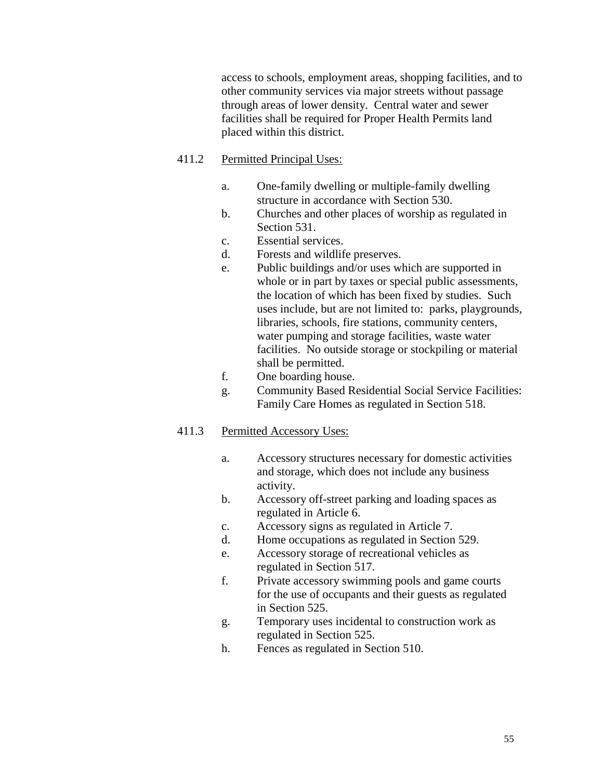access to schools, employment areas, shopping facilities, and to other community services via major streets without passage through areas of lower density. Central water and sewer facilities shall be required for Proper Health Permits land placed within this district.

# 411.2 Permitted Principal Uses:

- a. One-family dwelling or multiple-family dwelling structure in accordance with Section 530.
- b. Churches and other places of worship as regulated in Section 531.
- c. Essential services.
- d. Forests and wildlife preserves.
- e. Public buildings and/or uses which are supported in whole or in part by taxes or special public assessments, the location of which has been fixed by studies. Such uses include, but are not limited to: parks, playgrounds, libraries, schools, fire stations, community centers, water pumping and storage facilities, waste water facilities. No outside storage or stockpiling or material shall be permitted.
- f. One boarding house.
- g. Community Based Residential Social Service Facilities: Family Care Homes as regulated in Section 518.

- a. Accessory structures necessary for domestic activities and storage, which does not include any business activity.
- b. Accessory off-street parking and loading spaces as regulated in Article 6.
- c. Accessory signs as regulated in Article 7.
- d. Home occupations as regulated in Section 529.
- e. Accessory storage of recreational vehicles as regulated in Section 517.
- f. Private accessory swimming pools and game courts for the use of occupants and their guests as regulated in Section 525.
- g. Temporary uses incidental to construction work as regulated in Section 525.
- h. Fences as regulated in Section 510.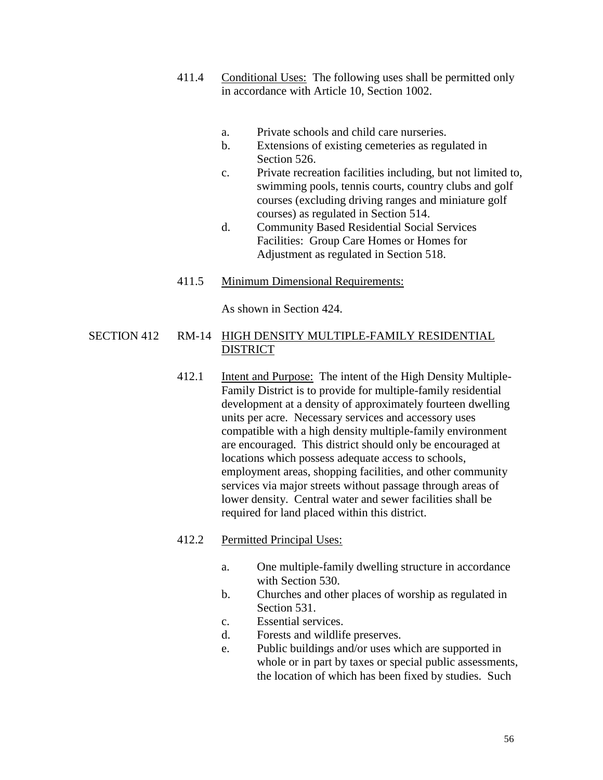- 411.4 Conditional Uses: The following uses shall be permitted only in accordance with Article 10, Section 1002.
	- a. Private schools and child care nurseries.
	- b. Extensions of existing cemeteries as regulated in Section 526.
	- c. Private recreation facilities including, but not limited to, swimming pools, tennis courts, country clubs and golf courses (excluding driving ranges and miniature golf courses) as regulated in Section 514.
	- d. Community Based Residential Social Services Facilities: Group Care Homes or Homes for Adjustment as regulated in Section 518.
- 411.5 Minimum Dimensional Requirements:

As shown in Section 424.

## SECTION 412 RM-14 HIGH DENSITY MULTIPLE-FAMILY RESIDENTIAL DISTRICT

412.1 Intent and Purpose: The intent of the High Density Multiple-Family District is to provide for multiple-family residential development at a density of approximately fourteen dwelling units per acre. Necessary services and accessory uses compatible with a high density multiple-family environment are encouraged. This district should only be encouraged at locations which possess adequate access to schools, employment areas, shopping facilities, and other community services via major streets without passage through areas of lower density. Central water and sewer facilities shall be required for land placed within this district.

# 412.2 Permitted Principal Uses:

- a. One multiple-family dwelling structure in accordance with Section 530.
- b. Churches and other places of worship as regulated in Section 531.
- c. Essential services.
- d. Forests and wildlife preserves.
- e. Public buildings and/or uses which are supported in whole or in part by taxes or special public assessments, the location of which has been fixed by studies. Such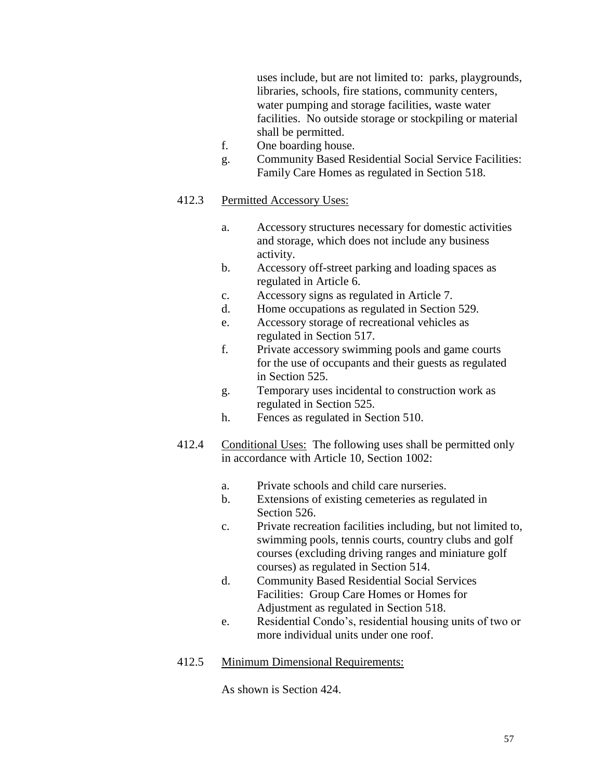uses include, but are not limited to: parks, playgrounds, libraries, schools, fire stations, community centers, water pumping and storage facilities, waste water facilities. No outside storage or stockpiling or material shall be permitted.

- f. One boarding house.
- g. Community Based Residential Social Service Facilities: Family Care Homes as regulated in Section 518.

# 412.3 Permitted Accessory Uses:

- a. Accessory structures necessary for domestic activities and storage, which does not include any business activity.
- b. Accessory off-street parking and loading spaces as regulated in Article 6.
- c. Accessory signs as regulated in Article 7.
- d. Home occupations as regulated in Section 529.
- e. Accessory storage of recreational vehicles as regulated in Section 517.
- f. Private accessory swimming pools and game courts for the use of occupants and their guests as regulated in Section 525.
- g. Temporary uses incidental to construction work as regulated in Section 525.
- h. Fences as regulated in Section 510.
- 412.4 Conditional Uses: The following uses shall be permitted only in accordance with Article 10, Section 1002:
	- a. Private schools and child care nurseries.
	- b. Extensions of existing cemeteries as regulated in Section 526.
	- c. Private recreation facilities including, but not limited to, swimming pools, tennis courts, country clubs and golf courses (excluding driving ranges and miniature golf courses) as regulated in Section 514.
	- d. Community Based Residential Social Services Facilities: Group Care Homes or Homes for Adjustment as regulated in Section 518.
	- e. Residential Condo's, residential housing units of two or more individual units under one roof.

# 412.5 Minimum Dimensional Requirements:

As shown is Section 424.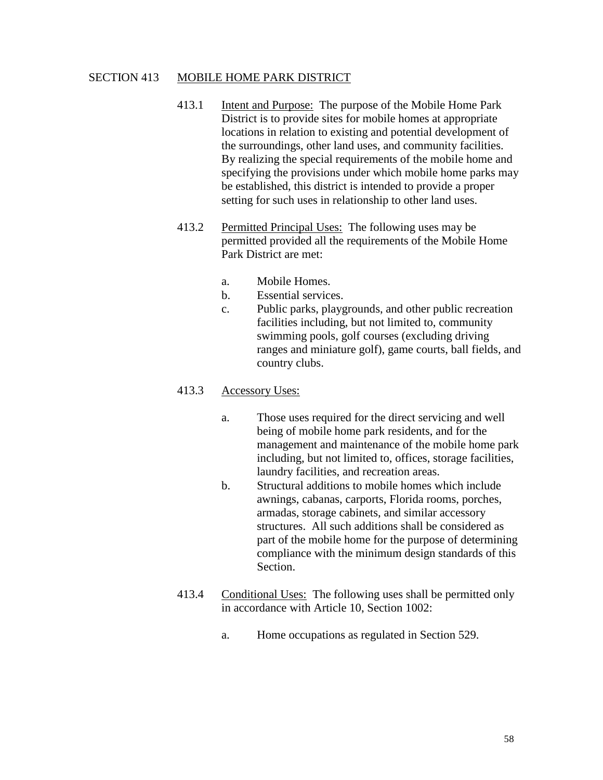#### SECTION 413 MOBILE HOME PARK DISTRICT

- 413.1 Intent and Purpose: The purpose of the Mobile Home Park District is to provide sites for mobile homes at appropriate locations in relation to existing and potential development of the surroundings, other land uses, and community facilities. By realizing the special requirements of the mobile home and specifying the provisions under which mobile home parks may be established, this district is intended to provide a proper setting for such uses in relationship to other land uses.
- 413.2 Permitted Principal Uses: The following uses may be permitted provided all the requirements of the Mobile Home Park District are met:
	- a. Mobile Homes.
	- b. Essential services.
	- c. Public parks, playgrounds, and other public recreation facilities including, but not limited to, community swimming pools, golf courses (excluding driving ranges and miniature golf), game courts, ball fields, and country clubs.

### 413.3 Accessory Uses:

- a. Those uses required for the direct servicing and well being of mobile home park residents, and for the management and maintenance of the mobile home park including, but not limited to, offices, storage facilities, laundry facilities, and recreation areas.
- b. Structural additions to mobile homes which include awnings, cabanas, carports, Florida rooms, porches, armadas, storage cabinets, and similar accessory structures. All such additions shall be considered as part of the mobile home for the purpose of determining compliance with the minimum design standards of this Section.
- 413.4 Conditional Uses: The following uses shall be permitted only in accordance with Article 10, Section 1002:
	- a. Home occupations as regulated in Section 529.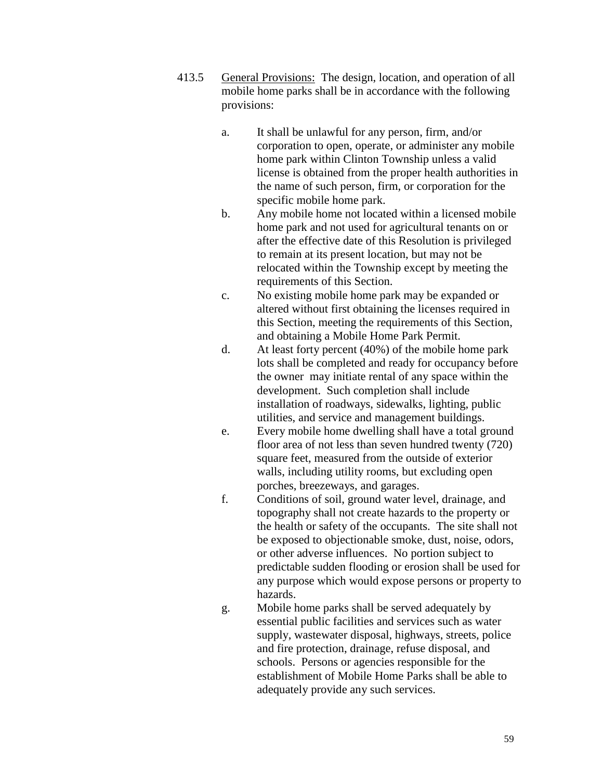- 413.5 General Provisions: The design, location, and operation of all mobile home parks shall be in accordance with the following provisions:
	- a. It shall be unlawful for any person, firm, and/or corporation to open, operate, or administer any mobile home park within Clinton Township unless a valid license is obtained from the proper health authorities in the name of such person, firm, or corporation for the specific mobile home park.
	- b. Any mobile home not located within a licensed mobile home park and not used for agricultural tenants on or after the effective date of this Resolution is privileged to remain at its present location, but may not be relocated within the Township except by meeting the requirements of this Section.
	- c. No existing mobile home park may be expanded or altered without first obtaining the licenses required in this Section, meeting the requirements of this Section, and obtaining a Mobile Home Park Permit.
	- d. At least forty percent (40%) of the mobile home park lots shall be completed and ready for occupancy before the owner may initiate rental of any space within the development. Such completion shall include installation of roadways, sidewalks, lighting, public utilities, and service and management buildings.
	- e. Every mobile home dwelling shall have a total ground floor area of not less than seven hundred twenty (720) square feet, measured from the outside of exterior walls, including utility rooms, but excluding open porches, breezeways, and garages.
	- f. Conditions of soil, ground water level, drainage, and topography shall not create hazards to the property or the health or safety of the occupants. The site shall not be exposed to objectionable smoke, dust, noise, odors, or other adverse influences. No portion subject to predictable sudden flooding or erosion shall be used for any purpose which would expose persons or property to hazards.
	- g. Mobile home parks shall be served adequately by essential public facilities and services such as water supply, wastewater disposal, highways, streets, police and fire protection, drainage, refuse disposal, and schools. Persons or agencies responsible for the establishment of Mobile Home Parks shall be able to adequately provide any such services.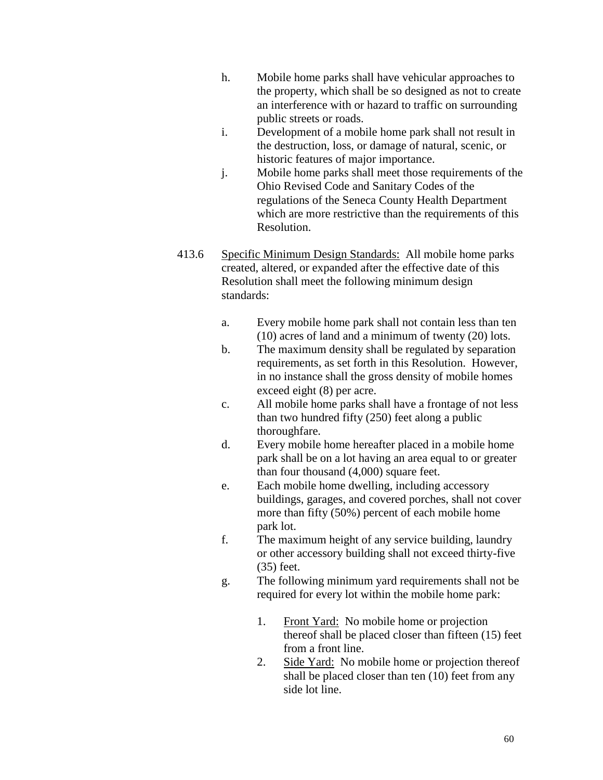- h. Mobile home parks shall have vehicular approaches to the property, which shall be so designed as not to create an interference with or hazard to traffic on surrounding public streets or roads.
- i. Development of a mobile home park shall not result in the destruction, loss, or damage of natural, scenic, or historic features of major importance.
- j. Mobile home parks shall meet those requirements of the Ohio Revised Code and Sanitary Codes of the regulations of the Seneca County Health Department which are more restrictive than the requirements of this Resolution.
- 413.6 Specific Minimum Design Standards: All mobile home parks created, altered, or expanded after the effective date of this Resolution shall meet the following minimum design standards:
	- a. Every mobile home park shall not contain less than ten (10) acres of land and a minimum of twenty (20) lots.
	- b. The maximum density shall be regulated by separation requirements, as set forth in this Resolution. However, in no instance shall the gross density of mobile homes exceed eight (8) per acre.
	- c. All mobile home parks shall have a frontage of not less than two hundred fifty (250) feet along a public thoroughfare.
	- d. Every mobile home hereafter placed in a mobile home park shall be on a lot having an area equal to or greater than four thousand (4,000) square feet.
	- e. Each mobile home dwelling, including accessory buildings, garages, and covered porches, shall not cover more than fifty (50%) percent of each mobile home park lot.
	- f. The maximum height of any service building, laundry or other accessory building shall not exceed thirty-five (35) feet.
	- g. The following minimum yard requirements shall not be required for every lot within the mobile home park:
		- 1. Front Yard: No mobile home or projection thereof shall be placed closer than fifteen (15) feet from a front line.
		- 2. Side Yard: No mobile home or projection thereof shall be placed closer than ten (10) feet from any side lot line.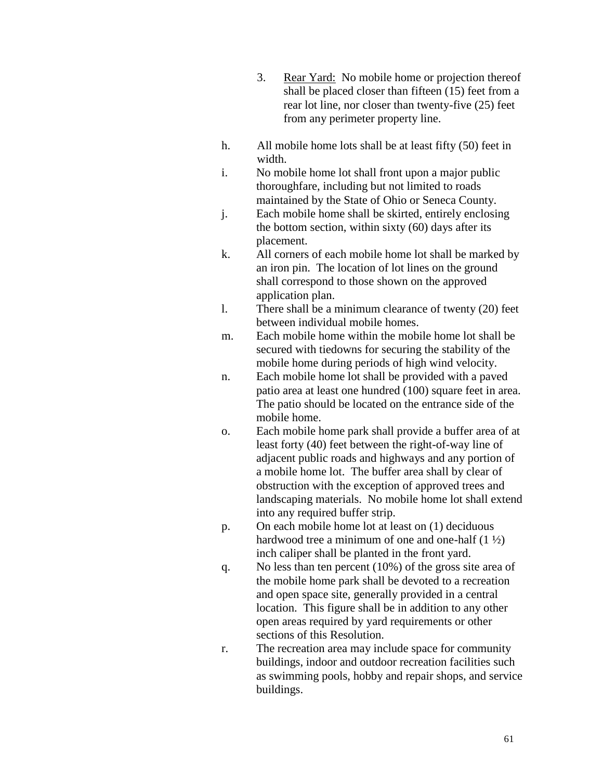- 3. Rear Yard: No mobile home or projection thereof shall be placed closer than fifteen (15) feet from a rear lot line, nor closer than twenty-five (25) feet from any perimeter property line.
- h. All mobile home lots shall be at least fifty (50) feet in width.
- i. No mobile home lot shall front upon a major public thoroughfare, including but not limited to roads maintained by the State of Ohio or Seneca County.
- j. Each mobile home shall be skirted, entirely enclosing the bottom section, within sixty (60) days after its placement.
- k. All corners of each mobile home lot shall be marked by an iron pin. The location of lot lines on the ground shall correspond to those shown on the approved application plan.
- l. There shall be a minimum clearance of twenty (20) feet between individual mobile homes.
- m. Each mobile home within the mobile home lot shall be secured with tiedowns for securing the stability of the mobile home during periods of high wind velocity.
- n. Each mobile home lot shall be provided with a paved patio area at least one hundred (100) square feet in area. The patio should be located on the entrance side of the mobile home.
- o. Each mobile home park shall provide a buffer area of at least forty (40) feet between the right-of-way line of adjacent public roads and highways and any portion of a mobile home lot. The buffer area shall by clear of obstruction with the exception of approved trees and landscaping materials. No mobile home lot shall extend into any required buffer strip.
- p. On each mobile home lot at least on (1) deciduous hardwood tree a minimum of one and one-half  $(1 \frac{1}{2})$ inch caliper shall be planted in the front yard.
- q. No less than ten percent (10%) of the gross site area of the mobile home park shall be devoted to a recreation and open space site, generally provided in a central location. This figure shall be in addition to any other open areas required by yard requirements or other sections of this Resolution.
- r. The recreation area may include space for community buildings, indoor and outdoor recreation facilities such as swimming pools, hobby and repair shops, and service buildings.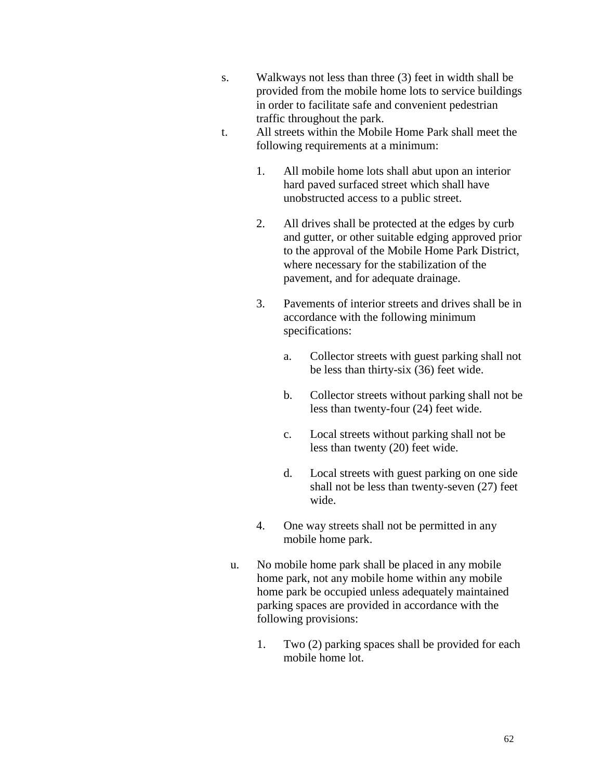- s. Walkways not less than three (3) feet in width shall be provided from the mobile home lots to service buildings in order to facilitate safe and convenient pedestrian traffic throughout the park.
- t. All streets within the Mobile Home Park shall meet the following requirements at a minimum:
	- 1. All mobile home lots shall abut upon an interior hard paved surfaced street which shall have unobstructed access to a public street.
	- 2. All drives shall be protected at the edges by curb and gutter, or other suitable edging approved prior to the approval of the Mobile Home Park District, where necessary for the stabilization of the pavement, and for adequate drainage.
	- 3. Pavements of interior streets and drives shall be in accordance with the following minimum specifications:
		- a. Collector streets with guest parking shall not be less than thirty-six (36) feet wide.
		- b. Collector streets without parking shall not be less than twenty-four (24) feet wide.
		- c. Local streets without parking shall not be less than twenty (20) feet wide.
		- d. Local streets with guest parking on one side shall not be less than twenty-seven (27) feet wide.
	- 4. One way streets shall not be permitted in any mobile home park.
	- u. No mobile home park shall be placed in any mobile home park, not any mobile home within any mobile home park be occupied unless adequately maintained parking spaces are provided in accordance with the following provisions:
		- 1. Two (2) parking spaces shall be provided for each mobile home lot.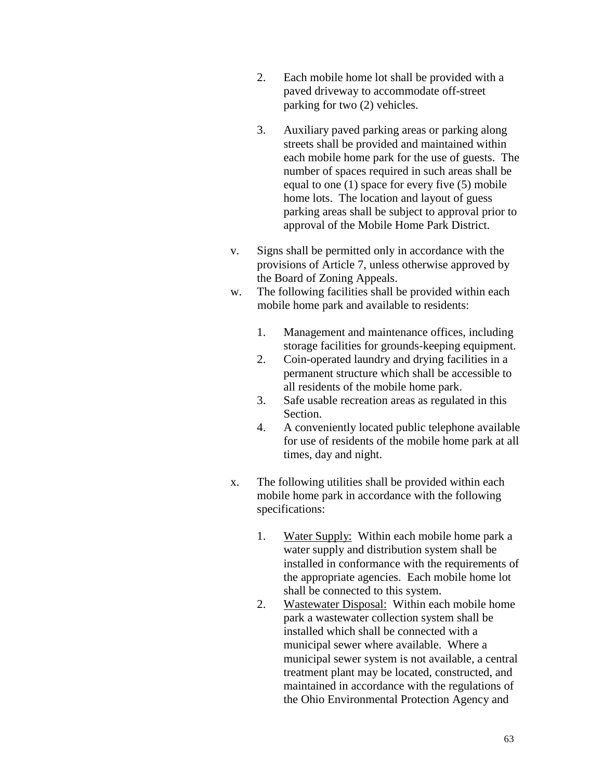- 2. Each mobile home lot shall be provided with a paved driveway to accommodate off-street parking for two (2) vehicles.
- 3. Auxiliary paved parking areas or parking along streets shall be provided and maintained within each mobile home park for the use of guests. The number of spaces required in such areas shall be equal to one (1) space for every five (5) mobile home lots. The location and layout of guess parking areas shall be subject to approval prior to approval of the Mobile Home Park District.
- v. Signs shall be permitted only in accordance with the provisions of Article 7, unless otherwise approved by the Board of Zoning Appeals.
- w. The following facilities shall be provided within each mobile home park and available to residents:
	- 1. Management and maintenance offices, including storage facilities for grounds-keeping equipment.
	- 2. Coin-operated laundry and drying facilities in a permanent structure which shall be accessible to all residents of the mobile home park.
	- 3. Safe usable recreation areas as regulated in this Section.
	- 4. A conveniently located public telephone available for use of residents of the mobile home park at all times, day and night.
- x. The following utilities shall be provided within each mobile home park in accordance with the following specifications:
	- 1. Water Supply: Within each mobile home park a water supply and distribution system shall be installed in conformance with the requirements of the appropriate agencies. Each mobile home lot shall be connected to this system.
	- 2. Wastewater Disposal: Within each mobile home park a wastewater collection system shall be installed which shall be connected with a municipal sewer where available. Where a municipal sewer system is not available, a central treatment plant may be located, constructed, and maintained in accordance with the regulations of the Ohio Environmental Protection Agency and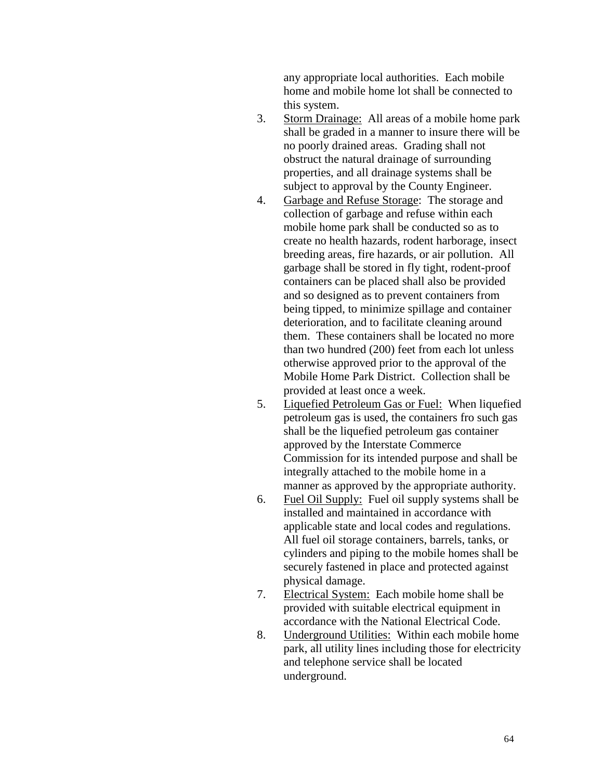any appropriate local authorities. Each mobile home and mobile home lot shall be connected to this system.

- 3. Storm Drainage: All areas of a mobile home park shall be graded in a manner to insure there will be no poorly drained areas. Grading shall not obstruct the natural drainage of surrounding properties, and all drainage systems shall be subject to approval by the County Engineer.
- 4. Garbage and Refuse Storage: The storage and collection of garbage and refuse within each mobile home park shall be conducted so as to create no health hazards, rodent harborage, insect breeding areas, fire hazards, or air pollution. All garbage shall be stored in fly tight, rodent-proof containers can be placed shall also be provided and so designed as to prevent containers from being tipped, to minimize spillage and container deterioration, and to facilitate cleaning around them. These containers shall be located no more than two hundred (200) feet from each lot unless otherwise approved prior to the approval of the Mobile Home Park District. Collection shall be provided at least once a week.
- 5. Liquefied Petroleum Gas or Fuel: When liquefied petroleum gas is used, the containers fro such gas shall be the liquefied petroleum gas container approved by the Interstate Commerce Commission for its intended purpose and shall be integrally attached to the mobile home in a manner as approved by the appropriate authority.
- 6. Fuel Oil Supply: Fuel oil supply systems shall be installed and maintained in accordance with applicable state and local codes and regulations. All fuel oil storage containers, barrels, tanks, or cylinders and piping to the mobile homes shall be securely fastened in place and protected against physical damage.
- 7. Electrical System: Each mobile home shall be provided with suitable electrical equipment in accordance with the National Electrical Code.
- 8. Underground Utilities: Within each mobile home park, all utility lines including those for electricity and telephone service shall be located underground.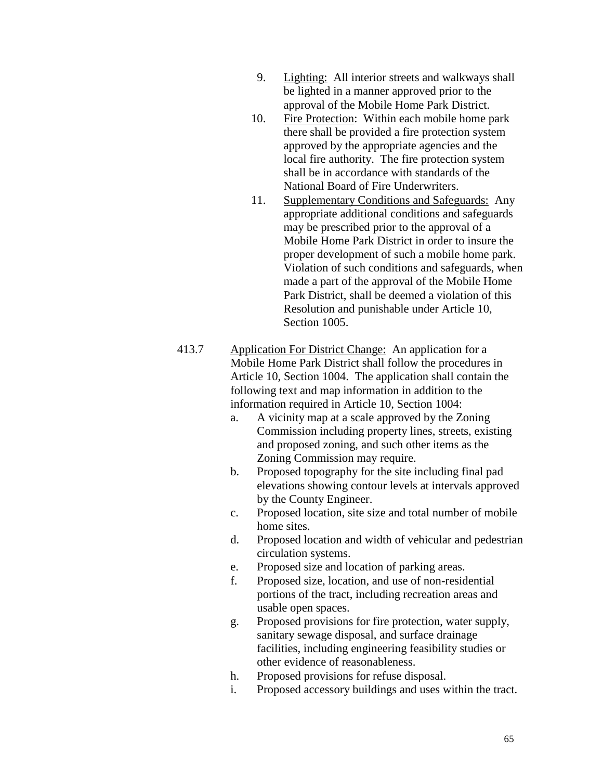- 9. Lighting: All interior streets and walkways shall be lighted in a manner approved prior to the approval of the Mobile Home Park District.
- 10. Fire Protection: Within each mobile home park there shall be provided a fire protection system approved by the appropriate agencies and the local fire authority. The fire protection system shall be in accordance with standards of the National Board of Fire Underwriters.
- 11. Supplementary Conditions and Safeguards: Any appropriate additional conditions and safeguards may be prescribed prior to the approval of a Mobile Home Park District in order to insure the proper development of such a mobile home park. Violation of such conditions and safeguards, when made a part of the approval of the Mobile Home Park District, shall be deemed a violation of this Resolution and punishable under Article 10, Section 1005.
- 413.7 Application For District Change: An application for a Mobile Home Park District shall follow the procedures in Article 10, Section 1004. The application shall contain the following text and map information in addition to the information required in Article 10, Section 1004:
	- a. A vicinity map at a scale approved by the Zoning Commission including property lines, streets, existing and proposed zoning, and such other items as the Zoning Commission may require.
	- b. Proposed topography for the site including final pad elevations showing contour levels at intervals approved by the County Engineer.
	- c. Proposed location, site size and total number of mobile home sites.
	- d. Proposed location and width of vehicular and pedestrian circulation systems.
	- e. Proposed size and location of parking areas.
	- f. Proposed size, location, and use of non-residential portions of the tract, including recreation areas and usable open spaces.
	- g. Proposed provisions for fire protection, water supply, sanitary sewage disposal, and surface drainage facilities, including engineering feasibility studies or other evidence of reasonableness.
	- h. Proposed provisions for refuse disposal.
	- i. Proposed accessory buildings and uses within the tract.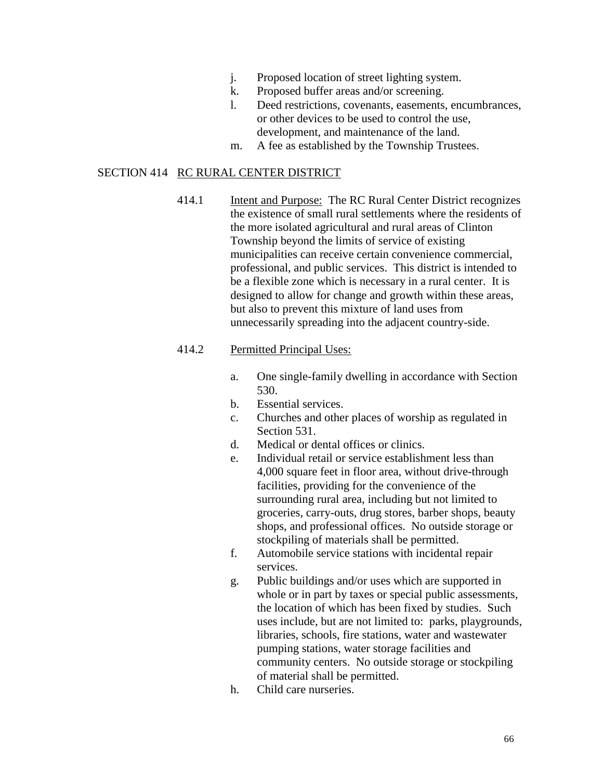- j. Proposed location of street lighting system.
- k. Proposed buffer areas and/or screening.
- l. Deed restrictions, covenants, easements, encumbrances, or other devices to be used to control the use, development, and maintenance of the land.
- m. A fee as established by the Township Trustees.

### SECTION 414 RC RURAL CENTER DISTRICT

414.1 Intent and Purpose: The RC Rural Center District recognizes the existence of small rural settlements where the residents of the more isolated agricultural and rural areas of Clinton Township beyond the limits of service of existing municipalities can receive certain convenience commercial, professional, and public services. This district is intended to be a flexible zone which is necessary in a rural center. It is designed to allow for change and growth within these areas, but also to prevent this mixture of land uses from unnecessarily spreading into the adjacent country-side.

#### 414.2 Permitted Principal Uses:

- a. One single-family dwelling in accordance with Section 530.
- b. Essential services.
- c. Churches and other places of worship as regulated in Section 531.
- d. Medical or dental offices or clinics.
- e. Individual retail or service establishment less than 4,000 square feet in floor area, without drive-through facilities, providing for the convenience of the surrounding rural area, including but not limited to groceries, carry-outs, drug stores, barber shops, beauty shops, and professional offices. No outside storage or stockpiling of materials shall be permitted.
- f. Automobile service stations with incidental repair services.
- g. Public buildings and/or uses which are supported in whole or in part by taxes or special public assessments, the location of which has been fixed by studies. Such uses include, but are not limited to: parks, playgrounds, libraries, schools, fire stations, water and wastewater pumping stations, water storage facilities and community centers. No outside storage or stockpiling of material shall be permitted.
- h. Child care nurseries.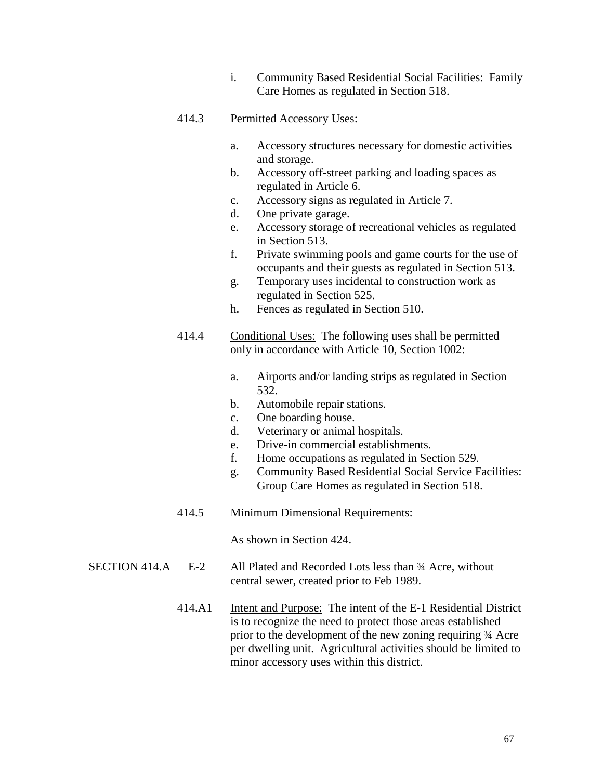i. Community Based Residential Social Facilities: Family Care Homes as regulated in Section 518.

# 414.3 Permitted Accessory Uses:

- a. Accessory structures necessary for domestic activities and storage.
- b. Accessory off-street parking and loading spaces as regulated in Article 6.
- c. Accessory signs as regulated in Article 7.
- d. One private garage.
- e. Accessory storage of recreational vehicles as regulated in Section 513.
- f. Private swimming pools and game courts for the use of occupants and their guests as regulated in Section 513.
- g. Temporary uses incidental to construction work as regulated in Section 525.
- h. Fences as regulated in Section 510.
- 414.4 Conditional Uses: The following uses shall be permitted only in accordance with Article 10, Section 1002:
	- a. Airports and/or landing strips as regulated in Section 532.
	- b. Automobile repair stations.
	- c. One boarding house.
	- d. Veterinary or animal hospitals.
	- e. Drive-in commercial establishments.
	- f. Home occupations as regulated in Section 529.
	- g. Community Based Residential Social Service Facilities: Group Care Homes as regulated in Section 518.
- 414.5 Minimum Dimensional Requirements:

As shown in Section 424.

- SECTION 414.A E-2 All Plated and Recorded Lots less than ¾ Acre, without central sewer, created prior to Feb 1989.
	- 414.A1 Intent and Purpose: The intent of the E-1 Residential District is to recognize the need to protect those areas established prior to the development of the new zoning requiring ¾ Acre per dwelling unit. Agricultural activities should be limited to minor accessory uses within this district.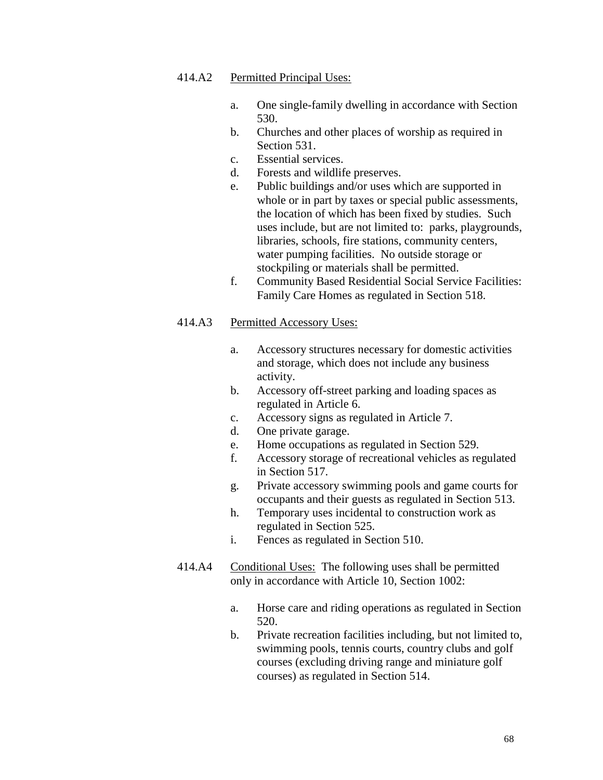### 414.A2 Permitted Principal Uses:

- a. One single-family dwelling in accordance with Section 530.
- b. Churches and other places of worship as required in Section 531.
- c. Essential services.
- d. Forests and wildlife preserves.
- e. Public buildings and/or uses which are supported in whole or in part by taxes or special public assessments, the location of which has been fixed by studies. Such uses include, but are not limited to: parks, playgrounds, libraries, schools, fire stations, community centers, water pumping facilities. No outside storage or stockpiling or materials shall be permitted.
- f. Community Based Residential Social Service Facilities: Family Care Homes as regulated in Section 518.

- a. Accessory structures necessary for domestic activities and storage, which does not include any business activity.
- b. Accessory off-street parking and loading spaces as regulated in Article 6.
- c. Accessory signs as regulated in Article 7.
- d. One private garage.
- e. Home occupations as regulated in Section 529.
- f. Accessory storage of recreational vehicles as regulated in Section 517.
- g. Private accessory swimming pools and game courts for occupants and their guests as regulated in Section 513.
- h. Temporary uses incidental to construction work as regulated in Section 525.
- i. Fences as regulated in Section 510.
- 414.A4 Conditional Uses: The following uses shall be permitted only in accordance with Article 10, Section 1002:
	- a. Horse care and riding operations as regulated in Section 520.
	- b. Private recreation facilities including, but not limited to, swimming pools, tennis courts, country clubs and golf courses (excluding driving range and miniature golf courses) as regulated in Section 514.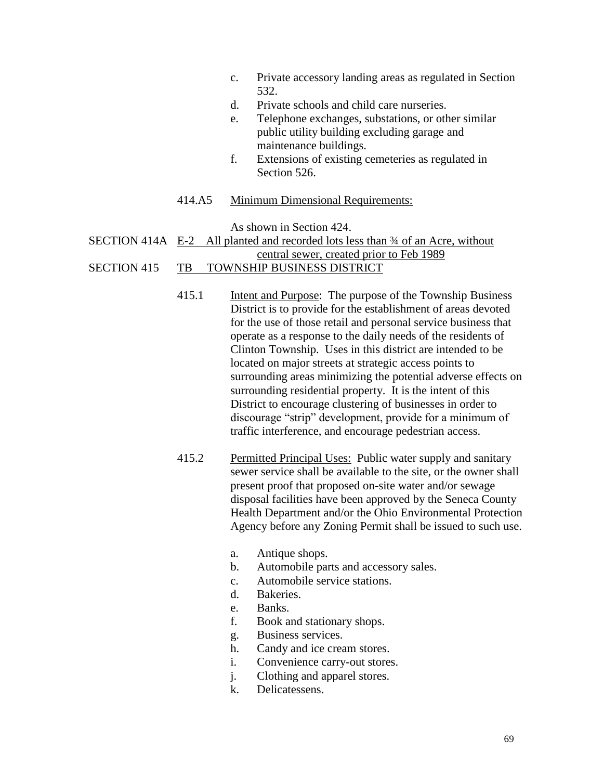- c. Private accessory landing areas as regulated in Section 532.
- d. Private schools and child care nurseries.
- e. Telephone exchanges, substations, or other similar public utility building excluding garage and maintenance buildings.
- f. Extensions of existing cemeteries as regulated in Section 526
- 414.A5 Minimum Dimensional Requirements:

As shown in Section 424.

# SECTION 414A E-2 All planted and recorded lots less than ¾ of an Acre, without

# central sewer, created prior to Feb 1989

# SECTION 415 TB TOWNSHIP BUSINESS DISTRICT

- 415.1 Intent and Purpose: The purpose of the Township Business District is to provide for the establishment of areas devoted for the use of those retail and personal service business that operate as a response to the daily needs of the residents of Clinton Township. Uses in this district are intended to be located on major streets at strategic access points to surrounding areas minimizing the potential adverse effects on surrounding residential property. It is the intent of this District to encourage clustering of businesses in order to discourage "strip" development, provide for a minimum of traffic interference, and encourage pedestrian access.
- 415.2 Permitted Principal Uses: Public water supply and sanitary sewer service shall be available to the site, or the owner shall present proof that proposed on-site water and/or sewage disposal facilities have been approved by the Seneca County Health Department and/or the Ohio Environmental Protection Agency before any Zoning Permit shall be issued to such use.
	- a. Antique shops.
	- b. Automobile parts and accessory sales.
	- c. Automobile service stations.
	- d. Bakeries.
	- e. Banks.
	- f. Book and stationary shops.
	- g. Business services.
	- h. Candy and ice cream stores.
	- i. Convenience carry-out stores.
	- j. Clothing and apparel stores.
	- k. Delicatessens.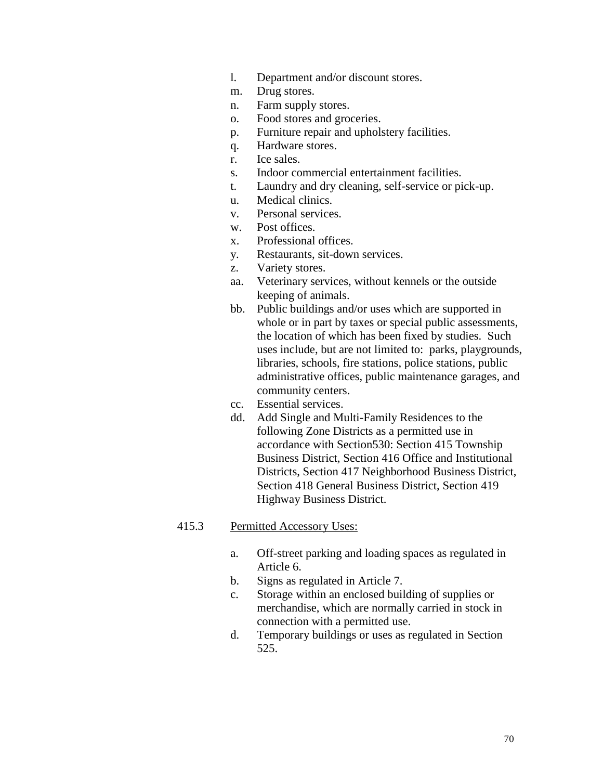- l. Department and/or discount stores.
- m. Drug stores.
- n. Farm supply stores.
- o. Food stores and groceries.
- p. Furniture repair and upholstery facilities.
- q. Hardware stores.
- r. Ice sales.
- s. Indoor commercial entertainment facilities.
- t. Laundry and dry cleaning, self-service or pick-up.
- u. Medical clinics.
- v. Personal services.
- w. Post offices.
- x. Professional offices.
- y. Restaurants, sit-down services.
- z. Variety stores.
- aa. Veterinary services, without kennels or the outside keeping of animals.
- bb. Public buildings and/or uses which are supported in whole or in part by taxes or special public assessments, the location of which has been fixed by studies. Such uses include, but are not limited to: parks, playgrounds, libraries, schools, fire stations, police stations, public administrative offices, public maintenance garages, and community centers.
- cc. Essential services.
- dd. Add Single and Multi-Family Residences to the following Zone Districts as a permitted use in accordance with Section530: Section 415 Township Business District, Section 416 Office and Institutional Districts, Section 417 Neighborhood Business District, Section 418 General Business District, Section 419 Highway Business District.

- a. Off-street parking and loading spaces as regulated in Article 6.
- b. Signs as regulated in Article 7.
- c. Storage within an enclosed building of supplies or merchandise, which are normally carried in stock in connection with a permitted use.
- d. Temporary buildings or uses as regulated in Section 525.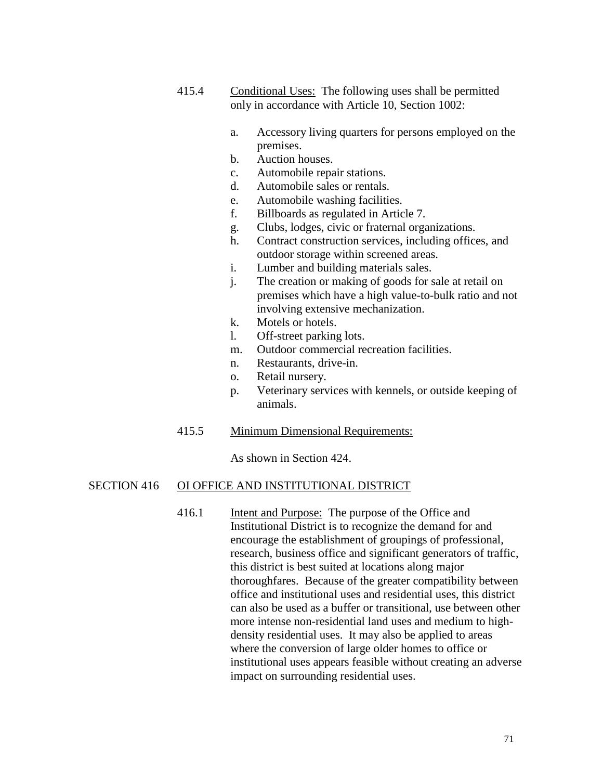- 415.4 Conditional Uses: The following uses shall be permitted only in accordance with Article 10, Section 1002:
	- a. Accessory living quarters for persons employed on the premises.
	- b. Auction houses.
	- c. Automobile repair stations.
	- d. Automobile sales or rentals.
	- e. Automobile washing facilities.
	- f. Billboards as regulated in Article 7.
	- g. Clubs, lodges, civic or fraternal organizations.
	- h. Contract construction services, including offices, and outdoor storage within screened areas.
	- i. Lumber and building materials sales.
	- j. The creation or making of goods for sale at retail on premises which have a high value-to-bulk ratio and not involving extensive mechanization.
	- k. Motels or hotels.
	- l. Off-street parking lots.
	- m. Outdoor commercial recreation facilities.
	- n. Restaurants, drive-in.
	- o. Retail nursery.
	- p. Veterinary services with kennels, or outside keeping of animals.

### 415.5 Minimum Dimensional Requirements:

As shown in Section 424.

#### SECTION 416 OI OFFICE AND INSTITUTIONAL DISTRICT

416.1 Intent and Purpose: The purpose of the Office and Institutional District is to recognize the demand for and encourage the establishment of groupings of professional, research, business office and significant generators of traffic, this district is best suited at locations along major thoroughfares. Because of the greater compatibility between office and institutional uses and residential uses, this district can also be used as a buffer or transitional, use between other more intense non-residential land uses and medium to highdensity residential uses. It may also be applied to areas where the conversion of large older homes to office or institutional uses appears feasible without creating an adverse impact on surrounding residential uses.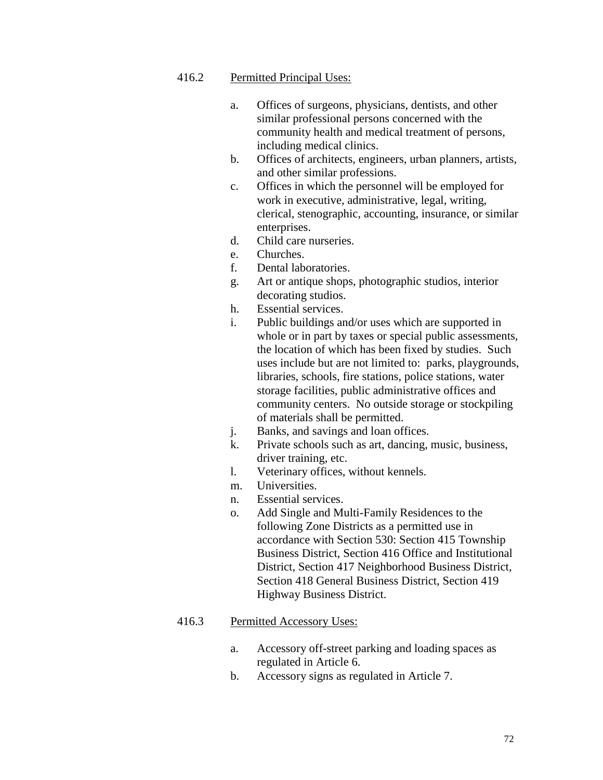# 416.2 Permitted Principal Uses:

- a. Offices of surgeons, physicians, dentists, and other similar professional persons concerned with the community health and medical treatment of persons, including medical clinics.
- b. Offices of architects, engineers, urban planners, artists, and other similar professions.
- c. Offices in which the personnel will be employed for work in executive, administrative, legal, writing, clerical, stenographic, accounting, insurance, or similar enterprises.
- d. Child care nurseries.
- e. Churches.
- f. Dental laboratories.
- g. Art or antique shops, photographic studios, interior decorating studios.
- h. Essential services.
- i. Public buildings and/or uses which are supported in whole or in part by taxes or special public assessments, the location of which has been fixed by studies. Such uses include but are not limited to: parks, playgrounds, libraries, schools, fire stations, police stations, water storage facilities, public administrative offices and community centers. No outside storage or stockpiling of materials shall be permitted.
- j. Banks, and savings and loan offices.
- k. Private schools such as art, dancing, music, business, driver training, etc.
- l. Veterinary offices, without kennels.
- m. Universities.
- n. Essential services.
- o. Add Single and Multi-Family Residences to the following Zone Districts as a permitted use in accordance with Section 530: Section 415 Township Business District, Section 416 Office and Institutional District, Section 417 Neighborhood Business District, Section 418 General Business District, Section 419 Highway Business District.

- a. Accessory off-street parking and loading spaces as regulated in Article 6.
- b. Accessory signs as regulated in Article 7.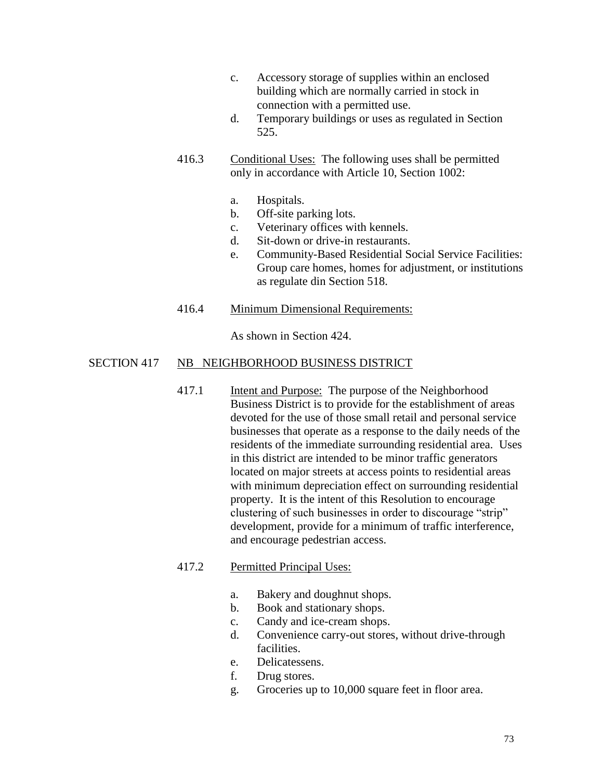- c. Accessory storage of supplies within an enclosed building which are normally carried in stock in connection with a permitted use.
- d. Temporary buildings or uses as regulated in Section 525.
- 416.3 Conditional Uses: The following uses shall be permitted only in accordance with Article 10, Section 1002:
	- a. Hospitals.
	- b. Off-site parking lots.
	- c. Veterinary offices with kennels.
	- d. Sit-down or drive-in restaurants.
	- e. Community-Based Residential Social Service Facilities: Group care homes, homes for adjustment, or institutions as regulate din Section 518.
- 416.4 Minimum Dimensional Requirements:

As shown in Section 424.

## SECTION 417 NB NEIGHBORHOOD BUSINESS DISTRICT

417.1 Intent and Purpose: The purpose of the Neighborhood Business District is to provide for the establishment of areas devoted for the use of those small retail and personal service businesses that operate as a response to the daily needs of the residents of the immediate surrounding residential area. Uses in this district are intended to be minor traffic generators located on major streets at access points to residential areas with minimum depreciation effect on surrounding residential property. It is the intent of this Resolution to encourage clustering of such businesses in order to discourage "strip" development, provide for a minimum of traffic interference, and encourage pedestrian access.

#### 417.2 Permitted Principal Uses:

- a. Bakery and doughnut shops.
- b. Book and stationary shops.
- c. Candy and ice-cream shops.
- d. Convenience carry-out stores, without drive-through facilities.
- e. Delicatessens.
- f. Drug stores.
- g. Groceries up to 10,000 square feet in floor area.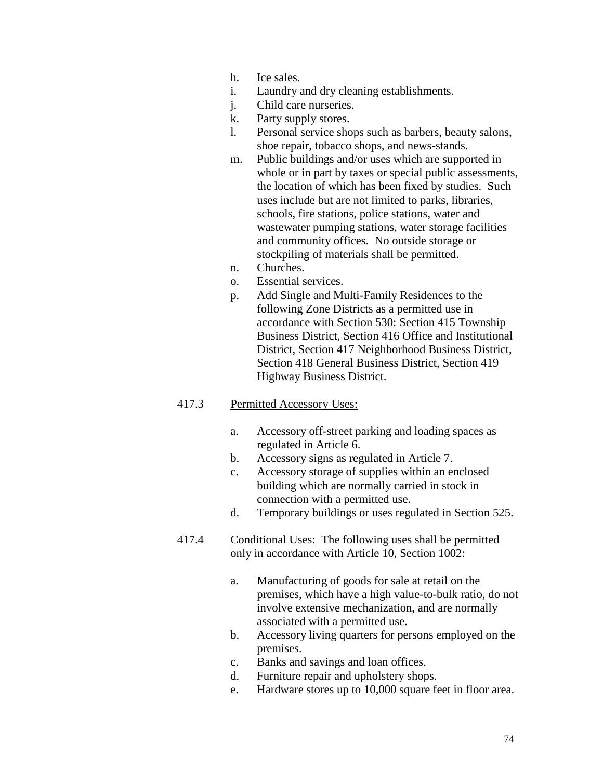- h. Ice sales.
- i. Laundry and dry cleaning establishments.
- j. Child care nurseries.
- k. Party supply stores.
- l. Personal service shops such as barbers, beauty salons, shoe repair, tobacco shops, and news-stands.
- m. Public buildings and/or uses which are supported in whole or in part by taxes or special public assessments, the location of which has been fixed by studies. Such uses include but are not limited to parks, libraries, schools, fire stations, police stations, water and wastewater pumping stations, water storage facilities and community offices. No outside storage or stockpiling of materials shall be permitted.
- n. Churches.
- o. Essential services.
- p. Add Single and Multi-Family Residences to the following Zone Districts as a permitted use in accordance with Section 530: Section 415 Township Business District, Section 416 Office and Institutional District, Section 417 Neighborhood Business District, Section 418 General Business District, Section 419 Highway Business District.

- a. Accessory off-street parking and loading spaces as regulated in Article 6.
- b. Accessory signs as regulated in Article 7.
- c. Accessory storage of supplies within an enclosed building which are normally carried in stock in connection with a permitted use.
- d. Temporary buildings or uses regulated in Section 525.
- 417.4 Conditional Uses: The following uses shall be permitted only in accordance with Article 10, Section 1002:
	- a. Manufacturing of goods for sale at retail on the premises, which have a high value-to-bulk ratio, do not involve extensive mechanization, and are normally associated with a permitted use.
	- b. Accessory living quarters for persons employed on the premises.
	- c. Banks and savings and loan offices.
	- d. Furniture repair and upholstery shops.
	- e. Hardware stores up to 10,000 square feet in floor area.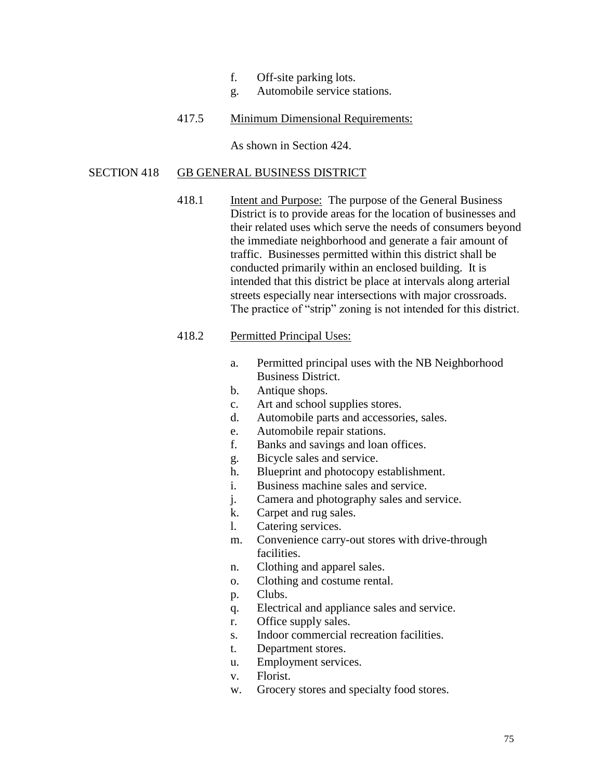- f. Off-site parking lots.
- g. Automobile service stations.
- 417.5 Minimum Dimensional Requirements:

As shown in Section 424.

#### SECTION 418 GB GENERAL BUSINESS DISTRICT

418.1 Intent and Purpose: The purpose of the General Business District is to provide areas for the location of businesses and their related uses which serve the needs of consumers beyond the immediate neighborhood and generate a fair amount of traffic. Businesses permitted within this district shall be conducted primarily within an enclosed building. It is intended that this district be place at intervals along arterial streets especially near intersections with major crossroads. The practice of "strip" zoning is not intended for this district.

## 418.2 Permitted Principal Uses:

- a. Permitted principal uses with the NB Neighborhood Business District.
- b. Antique shops.
- c. Art and school supplies stores.
- d. Automobile parts and accessories, sales.
- e. Automobile repair stations.
- f. Banks and savings and loan offices.
- g. Bicycle sales and service.
- h. Blueprint and photocopy establishment.
- i. Business machine sales and service.
- j. Camera and photography sales and service.
- k. Carpet and rug sales.
- l. Catering services.
- m. Convenience carry-out stores with drive-through facilities.
- n. Clothing and apparel sales.
- o. Clothing and costume rental.
- p. Clubs.
- q. Electrical and appliance sales and service.
- r. Office supply sales.
- s. Indoor commercial recreation facilities.
- t. Department stores.
- u. Employment services.
- v. Florist.
- w. Grocery stores and specialty food stores.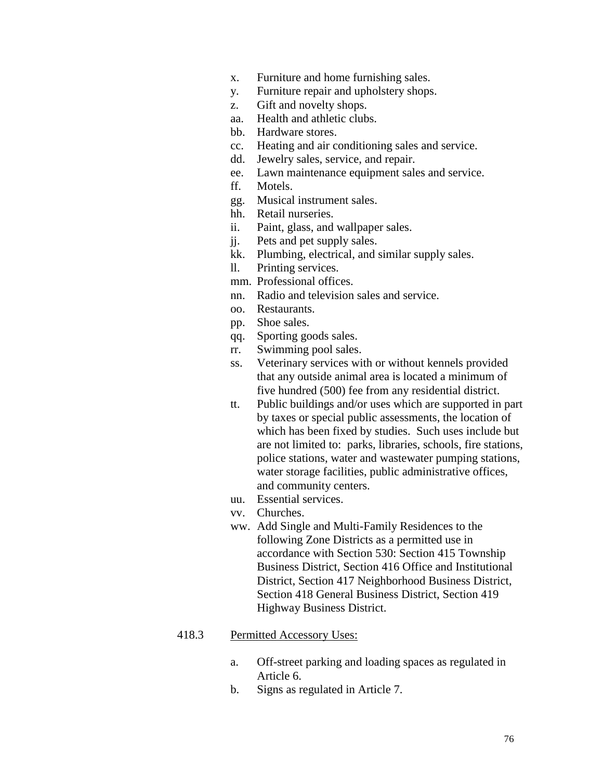- x. Furniture and home furnishing sales.
- y. Furniture repair and upholstery shops.
- z. Gift and novelty shops.
- aa. Health and athletic clubs.
- bb. Hardware stores.
- cc. Heating and air conditioning sales and service.
- dd. Jewelry sales, service, and repair.
- ee. Lawn maintenance equipment sales and service.
- ff. Motels.
- gg. Musical instrument sales.
- hh. Retail nurseries.
- ii. Paint, glass, and wallpaper sales.
- jj. Pets and pet supply sales.
- kk. Plumbing, electrical, and similar supply sales.
- ll. Printing services.
- mm. Professional offices.
- nn. Radio and television sales and service.
- oo. Restaurants.
- pp. Shoe sales.
- qq. Sporting goods sales.
- rr. Swimming pool sales.
- ss. Veterinary services with or without kennels provided that any outside animal area is located a minimum of five hundred (500) fee from any residential district.
- tt. Public buildings and/or uses which are supported in part by taxes or special public assessments, the location of which has been fixed by studies. Such uses include but are not limited to: parks, libraries, schools, fire stations, police stations, water and wastewater pumping stations, water storage facilities, public administrative offices, and community centers.
- uu. Essential services.
- vv. Churches.
- ww. Add Single and Multi-Family Residences to the following Zone Districts as a permitted use in accordance with Section 530: Section 415 Township Business District, Section 416 Office and Institutional District, Section 417 Neighborhood Business District, Section 418 General Business District, Section 419 Highway Business District.

- a. Off-street parking and loading spaces as regulated in Article 6.
- b. Signs as regulated in Article 7.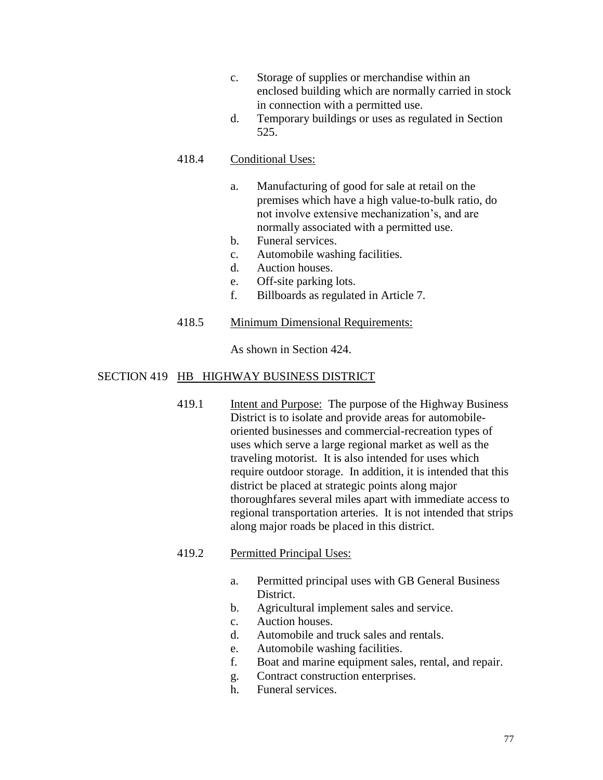- c. Storage of supplies or merchandise within an enclosed building which are normally carried in stock in connection with a permitted use.
- d. Temporary buildings or uses as regulated in Section 525.

# 418.4 Conditional Uses:

- a. Manufacturing of good for sale at retail on the premises which have a high value-to-bulk ratio, do not involve extensive mechanization's, and are normally associated with a permitted use.
- b. Funeral services.
- c. Automobile washing facilities.
- d. Auction houses.
- e. Off-site parking lots.
- f. Billboards as regulated in Article 7.

## 418.5 Minimum Dimensional Requirements:

As shown in Section 424.

## SECTION 419 HB HIGHWAY BUSINESS DISTRICT

419.1 Intent and Purpose: The purpose of the Highway Business District is to isolate and provide areas for automobileoriented businesses and commercial-recreation types of uses which serve a large regional market as well as the traveling motorist. It is also intended for uses which require outdoor storage. In addition, it is intended that this district be placed at strategic points along major thoroughfares several miles apart with immediate access to regional transportation arteries. It is not intended that strips along major roads be placed in this district.

# 419.2 Permitted Principal Uses:

- a. Permitted principal uses with GB General Business District.
- b. Agricultural implement sales and service.
- c. Auction houses.
- d. Automobile and truck sales and rentals.
- e. Automobile washing facilities.
- f. Boat and marine equipment sales, rental, and repair.
- g. Contract construction enterprises.
- h. Funeral services.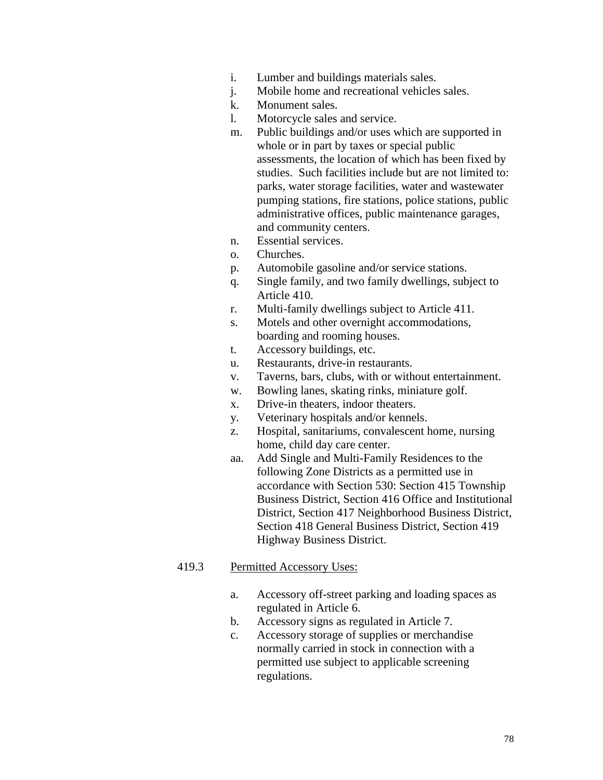- i. Lumber and buildings materials sales.
- j. Mobile home and recreational vehicles sales.
- k. Monument sales.
- l. Motorcycle sales and service.
- m. Public buildings and/or uses which are supported in whole or in part by taxes or special public assessments, the location of which has been fixed by studies. Such facilities include but are not limited to: parks, water storage facilities, water and wastewater pumping stations, fire stations, police stations, public administrative offices, public maintenance garages, and community centers.
- n. Essential services.
- o. Churches.
- p. Automobile gasoline and/or service stations.
- q. Single family, and two family dwellings, subject to Article 410.
- r. Multi-family dwellings subject to Article 411.
- s. Motels and other overnight accommodations, boarding and rooming houses.
- t. Accessory buildings, etc.
- u. Restaurants, drive-in restaurants.
- v. Taverns, bars, clubs, with or without entertainment.
- w. Bowling lanes, skating rinks, miniature golf.
- x. Drive-in theaters, indoor theaters.
- y. Veterinary hospitals and/or kennels.
- z. Hospital, sanitariums, convalescent home, nursing home, child day care center.
- aa. Add Single and Multi-Family Residences to the following Zone Districts as a permitted use in accordance with Section 530: Section 415 Township Business District, Section 416 Office and Institutional District, Section 417 Neighborhood Business District, Section 418 General Business District, Section 419 Highway Business District.

- a. Accessory off-street parking and loading spaces as regulated in Article 6.
- b. Accessory signs as regulated in Article 7.
- c. Accessory storage of supplies or merchandise normally carried in stock in connection with a permitted use subject to applicable screening regulations.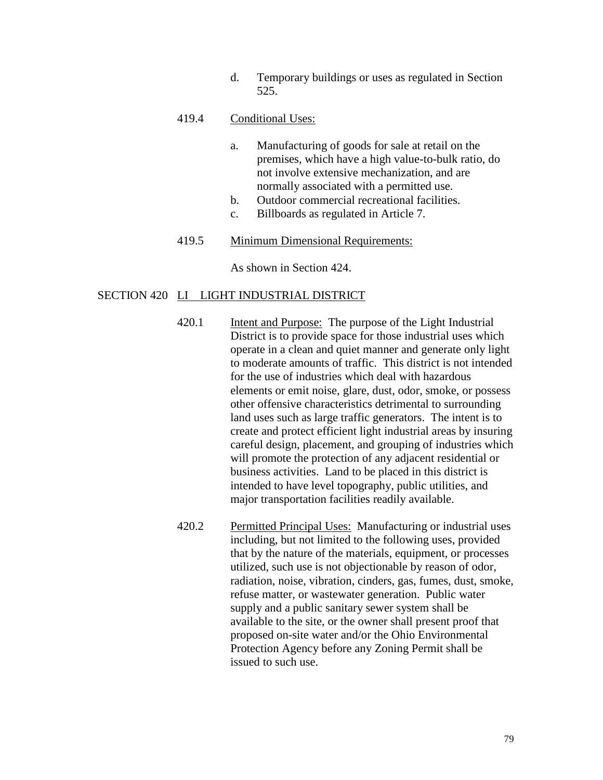d. Temporary buildings or uses as regulated in Section 525.

#### 419.4 Conditional Uses:

- a. Manufacturing of goods for sale at retail on the premises, which have a high value-to-bulk ratio, do not involve extensive mechanization, and are normally associated with a permitted use.
- b. Outdoor commercial recreational facilities.
- c. Billboards as regulated in Article 7.
- 419.5 Minimum Dimensional Requirements:

As shown in Section 424.

#### SECTION 420 LI LIGHT INDUSTRIAL DISTRICT

- 420.1 Intent and Purpose: The purpose of the Light Industrial District is to provide space for those industrial uses which operate in a clean and quiet manner and generate only light to moderate amounts of traffic. This district is not intended for the use of industries which deal with hazardous elements or emit noise, glare, dust, odor, smoke, or possess other offensive characteristics detrimental to surrounding land uses such as large traffic generators. The intent is to create and protect efficient light industrial areas by insuring careful design, placement, and grouping of industries which will promote the protection of any adjacent residential or business activities. Land to be placed in this district is intended to have level topography, public utilities, and major transportation facilities readily available.
- 420.2 Permitted Principal Uses: Manufacturing or industrial uses including, but not limited to the following uses, provided that by the nature of the materials, equipment, or processes utilized, such use is not objectionable by reason of odor, radiation, noise, vibration, cinders, gas, fumes, dust, smoke, refuse matter, or wastewater generation. Public water supply and a public sanitary sewer system shall be available to the site, or the owner shall present proof that proposed on-site water and/or the Ohio Environmental Protection Agency before any Zoning Permit shall be issued to such use.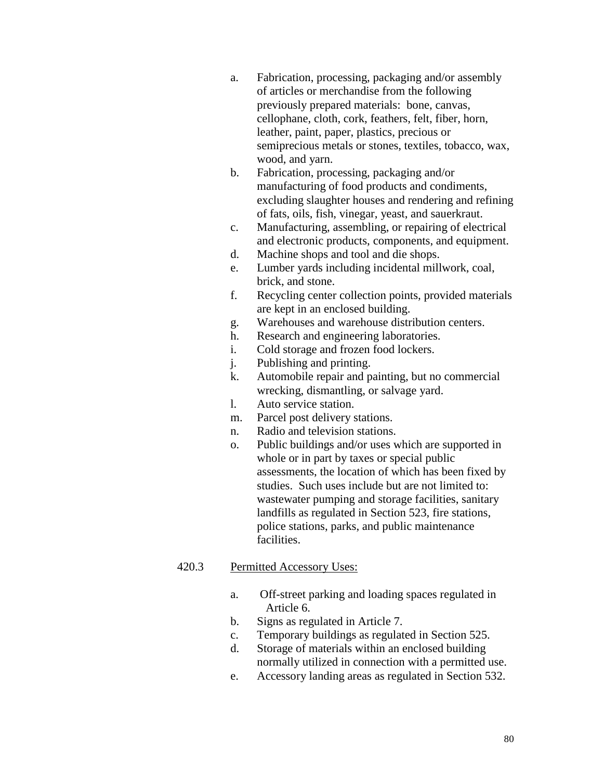- a. Fabrication, processing, packaging and/or assembly of articles or merchandise from the following previously prepared materials: bone, canvas, cellophane, cloth, cork, feathers, felt, fiber, horn, leather, paint, paper, plastics, precious or semiprecious metals or stones, textiles, tobacco, wax, wood, and yarn.
- b. Fabrication, processing, packaging and/or manufacturing of food products and condiments, excluding slaughter houses and rendering and refining of fats, oils, fish, vinegar, yeast, and sauerkraut.
- c. Manufacturing, assembling, or repairing of electrical and electronic products, components, and equipment.
- d. Machine shops and tool and die shops.
- e. Lumber yards including incidental millwork, coal, brick, and stone.
- f. Recycling center collection points, provided materials are kept in an enclosed building.
- g. Warehouses and warehouse distribution centers.
- h. Research and engineering laboratories.
- i. Cold storage and frozen food lockers.
- j. Publishing and printing.
- k. Automobile repair and painting, but no commercial wrecking, dismantling, or salvage yard.
- l. Auto service station.
- m. Parcel post delivery stations.
- n. Radio and television stations.
- o. Public buildings and/or uses which are supported in whole or in part by taxes or special public assessments, the location of which has been fixed by studies. Such uses include but are not limited to: wastewater pumping and storage facilities, sanitary landfills as regulated in Section 523, fire stations, police stations, parks, and public maintenance facilities.

- a. Off-street parking and loading spaces regulated in Article 6.
- b. Signs as regulated in Article 7.
- c. Temporary buildings as regulated in Section 525.
- d. Storage of materials within an enclosed building normally utilized in connection with a permitted use.
- e. Accessory landing areas as regulated in Section 532.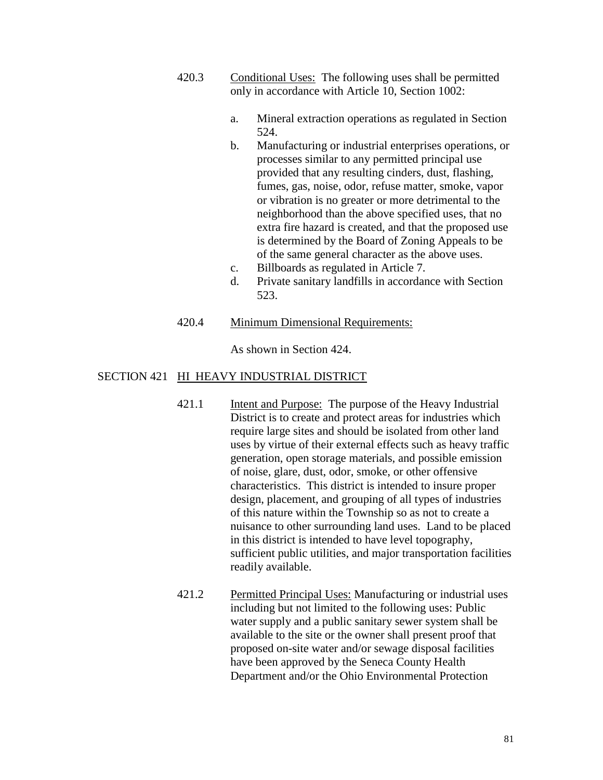- 420.3 Conditional Uses: The following uses shall be permitted only in accordance with Article 10, Section 1002:
	- a. Mineral extraction operations as regulated in Section 524.
	- b. Manufacturing or industrial enterprises operations, or processes similar to any permitted principal use provided that any resulting cinders, dust, flashing, fumes, gas, noise, odor, refuse matter, smoke, vapor or vibration is no greater or more detrimental to the neighborhood than the above specified uses, that no extra fire hazard is created, and that the proposed use is determined by the Board of Zoning Appeals to be of the same general character as the above uses.
	- c. Billboards as regulated in Article 7.
	- d. Private sanitary landfills in accordance with Section 523.
- 420.4 Minimum Dimensional Requirements:

As shown in Section 424.

# SECTION 421 HI HEAVY INDUSTRIAL DISTRICT

- 421.1 Intent and Purpose: The purpose of the Heavy Industrial District is to create and protect areas for industries which require large sites and should be isolated from other land uses by virtue of their external effects such as heavy traffic generation, open storage materials, and possible emission of noise, glare, dust, odor, smoke, or other offensive characteristics. This district is intended to insure proper design, placement, and grouping of all types of industries of this nature within the Township so as not to create a nuisance to other surrounding land uses. Land to be placed in this district is intended to have level topography, sufficient public utilities, and major transportation facilities readily available.
- 421.2 Permitted Principal Uses: Manufacturing or industrial uses including but not limited to the following uses: Public water supply and a public sanitary sewer system shall be available to the site or the owner shall present proof that proposed on-site water and/or sewage disposal facilities have been approved by the Seneca County Health Department and/or the Ohio Environmental Protection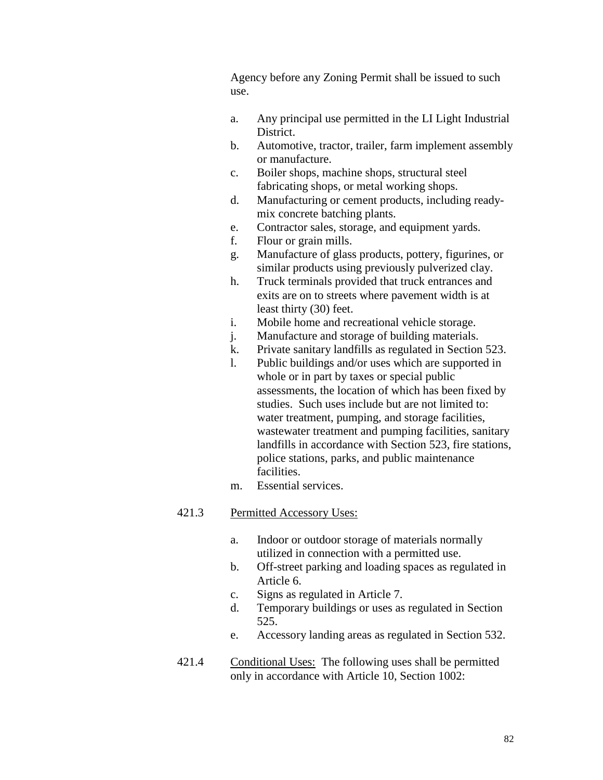Agency before any Zoning Permit shall be issued to such use.

- a. Any principal use permitted in the LI Light Industrial District.
- b. Automotive, tractor, trailer, farm implement assembly or manufacture.
- c. Boiler shops, machine shops, structural steel fabricating shops, or metal working shops.
- d. Manufacturing or cement products, including readymix concrete batching plants.
- e. Contractor sales, storage, and equipment yards.
- f. Flour or grain mills.
- g. Manufacture of glass products, pottery, figurines, or similar products using previously pulverized clay.
- h. Truck terminals provided that truck entrances and exits are on to streets where pavement width is at least thirty (30) feet.
- i. Mobile home and recreational vehicle storage.
- j. Manufacture and storage of building materials.
- k. Private sanitary landfills as regulated in Section 523.
- l. Public buildings and/or uses which are supported in whole or in part by taxes or special public assessments, the location of which has been fixed by studies. Such uses include but are not limited to: water treatment, pumping, and storage facilities, wastewater treatment and pumping facilities, sanitary landfills in accordance with Section 523, fire stations, police stations, parks, and public maintenance facilities.
- m. Essential services.

- a. Indoor or outdoor storage of materials normally utilized in connection with a permitted use.
- b. Off-street parking and loading spaces as regulated in Article 6.
- c. Signs as regulated in Article 7.
- d. Temporary buildings or uses as regulated in Section 525.
- e. Accessory landing areas as regulated in Section 532.
- 421.4 Conditional Uses: The following uses shall be permitted only in accordance with Article 10, Section 1002: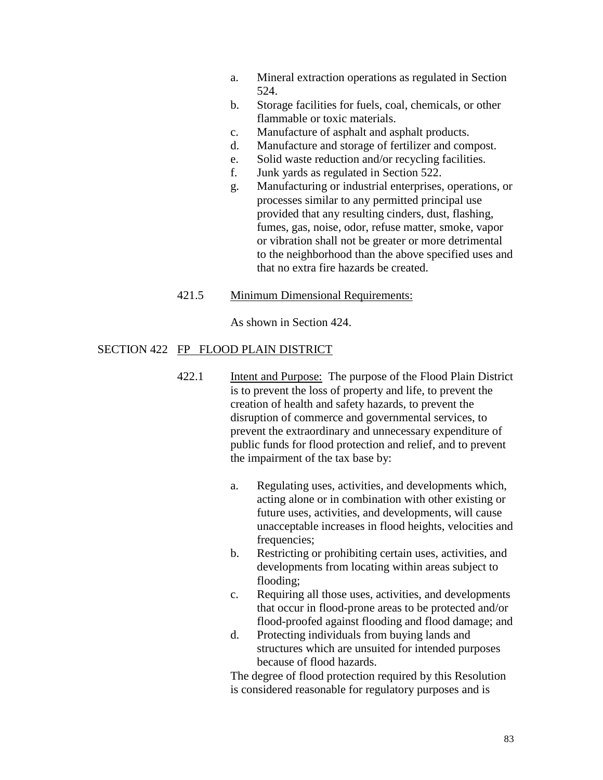- a. Mineral extraction operations as regulated in Section 524.
- b. Storage facilities for fuels, coal, chemicals, or other flammable or toxic materials.
- c. Manufacture of asphalt and asphalt products.
- d. Manufacture and storage of fertilizer and compost.
- e. Solid waste reduction and/or recycling facilities.
- f. Junk yards as regulated in Section 522.
- g. Manufacturing or industrial enterprises, operations, or processes similar to any permitted principal use provided that any resulting cinders, dust, flashing, fumes, gas, noise, odor, refuse matter, smoke, vapor or vibration shall not be greater or more detrimental to the neighborhood than the above specified uses and that no extra fire hazards be created.

#### 421.5 Minimum Dimensional Requirements:

As shown in Section 424.

## SECTION 422 FP FLOOD PLAIN DISTRICT

- 422.1 Intent and Purpose: The purpose of the Flood Plain District is to prevent the loss of property and life, to prevent the creation of health and safety hazards, to prevent the disruption of commerce and governmental services, to prevent the extraordinary and unnecessary expenditure of public funds for flood protection and relief, and to prevent the impairment of the tax base by:
	- a. Regulating uses, activities, and developments which, acting alone or in combination with other existing or future uses, activities, and developments, will cause unacceptable increases in flood heights, velocities and frequencies;
	- b. Restricting or prohibiting certain uses, activities, and developments from locating within areas subject to flooding;
	- c. Requiring all those uses, activities, and developments that occur in flood-prone areas to be protected and/or flood-proofed against flooding and flood damage; and
	- d. Protecting individuals from buying lands and structures which are unsuited for intended purposes because of flood hazards.

The degree of flood protection required by this Resolution is considered reasonable for regulatory purposes and is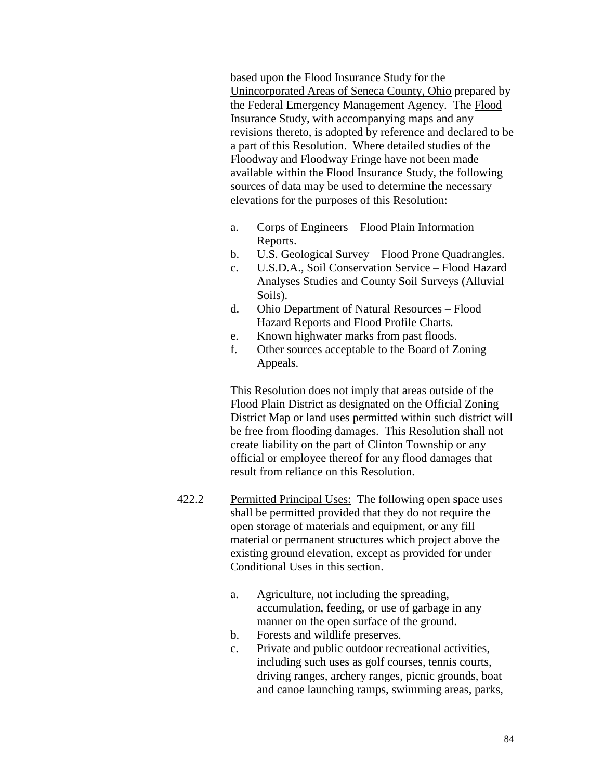based upon the Flood Insurance Study for the Unincorporated Areas of Seneca County, Ohio prepared by the Federal Emergency Management Agency. The Flood Insurance Study, with accompanying maps and any revisions thereto, is adopted by reference and declared to be a part of this Resolution. Where detailed studies of the Floodway and Floodway Fringe have not been made available within the Flood Insurance Study, the following sources of data may be used to determine the necessary elevations for the purposes of this Resolution:

- a. Corps of Engineers Flood Plain Information Reports.
- b. U.S. Geological Survey Flood Prone Quadrangles.
- c. U.S.D.A., Soil Conservation Service Flood Hazard Analyses Studies and County Soil Surveys (Alluvial Soils).
- d. Ohio Department of Natural Resources Flood Hazard Reports and Flood Profile Charts.
- e. Known highwater marks from past floods.
- f. Other sources acceptable to the Board of Zoning Appeals.

This Resolution does not imply that areas outside of the Flood Plain District as designated on the Official Zoning District Map or land uses permitted within such district will be free from flooding damages. This Resolution shall not create liability on the part of Clinton Township or any official or employee thereof for any flood damages that result from reliance on this Resolution.

- 422.2 Permitted Principal Uses: The following open space uses shall be permitted provided that they do not require the open storage of materials and equipment, or any fill material or permanent structures which project above the existing ground elevation, except as provided for under Conditional Uses in this section.
	- a. Agriculture, not including the spreading, accumulation, feeding, or use of garbage in any manner on the open surface of the ground.
	- b. Forests and wildlife preserves.
	- c. Private and public outdoor recreational activities, including such uses as golf courses, tennis courts, driving ranges, archery ranges, picnic grounds, boat and canoe launching ramps, swimming areas, parks,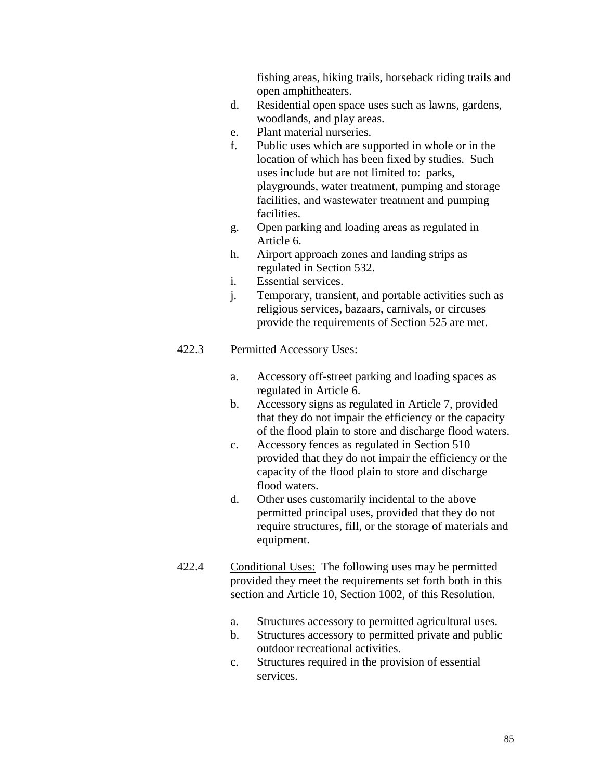fishing areas, hiking trails, horseback riding trails and open amphitheaters.

- d. Residential open space uses such as lawns, gardens, woodlands, and play areas.
- e. Plant material nurseries.
- f. Public uses which are supported in whole or in the location of which has been fixed by studies. Such uses include but are not limited to: parks, playgrounds, water treatment, pumping and storage facilities, and wastewater treatment and pumping facilities.
- g. Open parking and loading areas as regulated in Article 6.
- h. Airport approach zones and landing strips as regulated in Section 532.
- i. Essential services.
- j. Temporary, transient, and portable activities such as religious services, bazaars, carnivals, or circuses provide the requirements of Section 525 are met.

- a. Accessory off-street parking and loading spaces as regulated in Article 6.
- b. Accessory signs as regulated in Article 7, provided that they do not impair the efficiency or the capacity of the flood plain to store and discharge flood waters.
- c. Accessory fences as regulated in Section 510 provided that they do not impair the efficiency or the capacity of the flood plain to store and discharge flood waters.
- d. Other uses customarily incidental to the above permitted principal uses, provided that they do not require structures, fill, or the storage of materials and equipment.
- 422.4 Conditional Uses: The following uses may be permitted provided they meet the requirements set forth both in this section and Article 10, Section 1002, of this Resolution.
	- a. Structures accessory to permitted agricultural uses.
	- b. Structures accessory to permitted private and public outdoor recreational activities.
	- c. Structures required in the provision of essential services.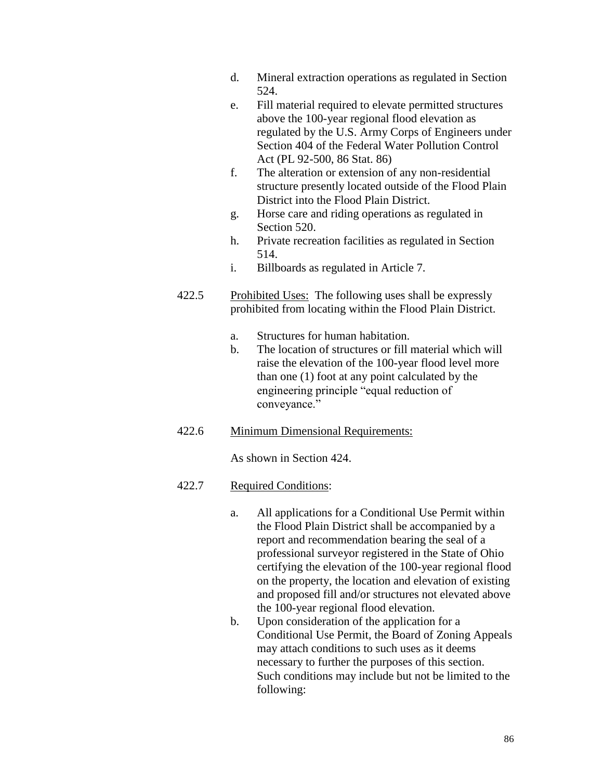- d. Mineral extraction operations as regulated in Section 524.
- e. Fill material required to elevate permitted structures above the 100-year regional flood elevation as regulated by the U.S. Army Corps of Engineers under Section 404 of the Federal Water Pollution Control Act (PL 92-500, 86 Stat. 86)
- f. The alteration or extension of any non-residential structure presently located outside of the Flood Plain District into the Flood Plain District.
- g. Horse care and riding operations as regulated in Section 520.
- h. Private recreation facilities as regulated in Section 514.
- i. Billboards as regulated in Article 7.
- 422.5 Prohibited Uses: The following uses shall be expressly prohibited from locating within the Flood Plain District.
	- a. Structures for human habitation.
	- b. The location of structures or fill material which will raise the elevation of the 100-year flood level more than one (1) foot at any point calculated by the engineering principle "equal reduction of conveyance."

# 422.6 Minimum Dimensional Requirements:

As shown in Section 424.

# 422.7 Required Conditions:

- a. All applications for a Conditional Use Permit within the Flood Plain District shall be accompanied by a report and recommendation bearing the seal of a professional surveyor registered in the State of Ohio certifying the elevation of the 100-year regional flood on the property, the location and elevation of existing and proposed fill and/or structures not elevated above the 100-year regional flood elevation.
- b. Upon consideration of the application for a Conditional Use Permit, the Board of Zoning Appeals may attach conditions to such uses as it deems necessary to further the purposes of this section. Such conditions may include but not be limited to the following: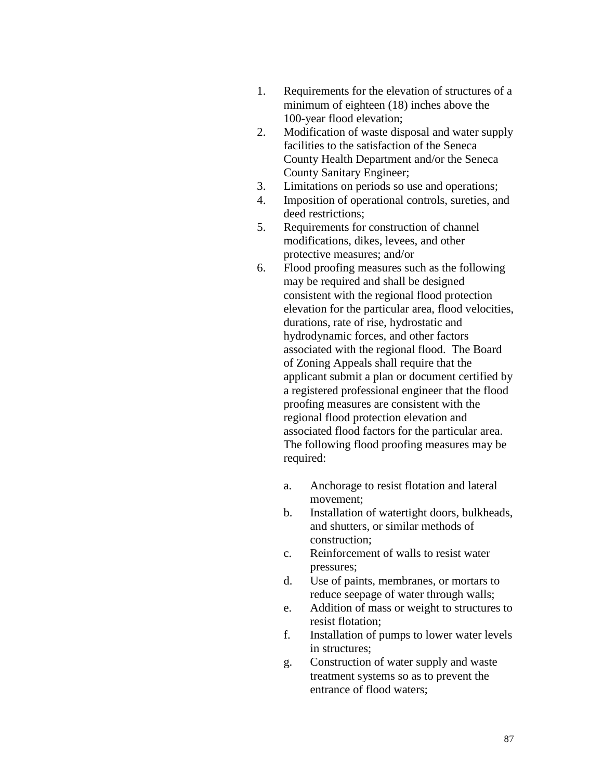- 1. Requirements for the elevation of structures of a minimum of eighteen (18) inches above the 100-year flood elevation;
- 2. Modification of waste disposal and water supply facilities to the satisfaction of the Seneca County Health Department and/or the Seneca County Sanitary Engineer;
- 3. Limitations on periods so use and operations;
- 4. Imposition of operational controls, sureties, and deed restrictions;
- 5. Requirements for construction of channel modifications, dikes, levees, and other protective measures; and/or
- 6. Flood proofing measures such as the following may be required and shall be designed consistent with the regional flood protection elevation for the particular area, flood velocities, durations, rate of rise, hydrostatic and hydrodynamic forces, and other factors associated with the regional flood. The Board of Zoning Appeals shall require that the applicant submit a plan or document certified by a registered professional engineer that the flood proofing measures are consistent with the regional flood protection elevation and associated flood factors for the particular area. The following flood proofing measures may be required:
	- a. Anchorage to resist flotation and lateral movement;
	- b. Installation of watertight doors, bulkheads, and shutters, or similar methods of construction;
	- c. Reinforcement of walls to resist water pressures;
	- d. Use of paints, membranes, or mortars to reduce seepage of water through walls;
	- e. Addition of mass or weight to structures to resist flotation;
	- f. Installation of pumps to lower water levels in structures;
	- g. Construction of water supply and waste treatment systems so as to prevent the entrance of flood waters;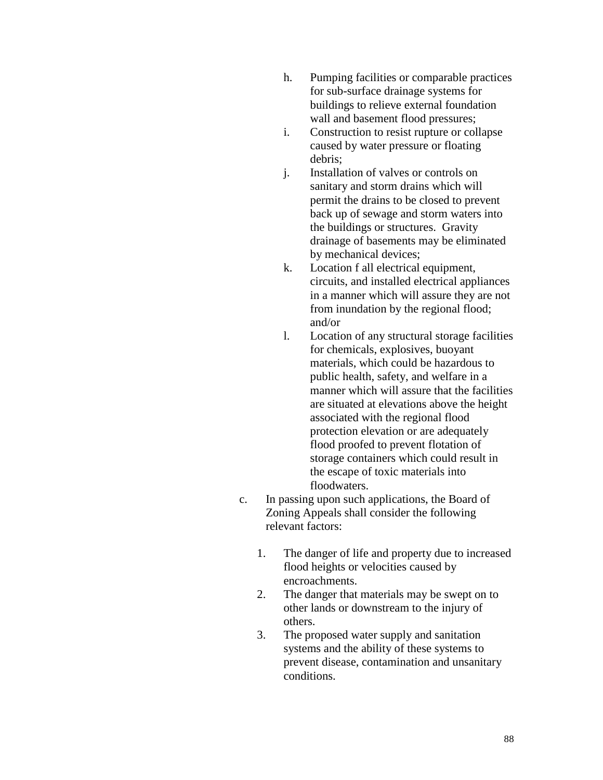- h. Pumping facilities or comparable practices for sub-surface drainage systems for buildings to relieve external foundation wall and basement flood pressures;
- i. Construction to resist rupture or collapse caused by water pressure or floating debris;
- j. Installation of valves or controls on sanitary and storm drains which will permit the drains to be closed to prevent back up of sewage and storm waters into the buildings or structures. Gravity drainage of basements may be eliminated by mechanical devices;
- k. Location f all electrical equipment, circuits, and installed electrical appliances in a manner which will assure they are not from inundation by the regional flood; and/or
- l. Location of any structural storage facilities for chemicals, explosives, buoyant materials, which could be hazardous to public health, safety, and welfare in a manner which will assure that the facilities are situated at elevations above the height associated with the regional flood protection elevation or are adequately flood proofed to prevent flotation of storage containers which could result in the escape of toxic materials into floodwaters.
- c. In passing upon such applications, the Board of Zoning Appeals shall consider the following relevant factors:
	- 1. The danger of life and property due to increased flood heights or velocities caused by encroachments.
	- 2. The danger that materials may be swept on to other lands or downstream to the injury of others.
	- 3. The proposed water supply and sanitation systems and the ability of these systems to prevent disease, contamination and unsanitary conditions.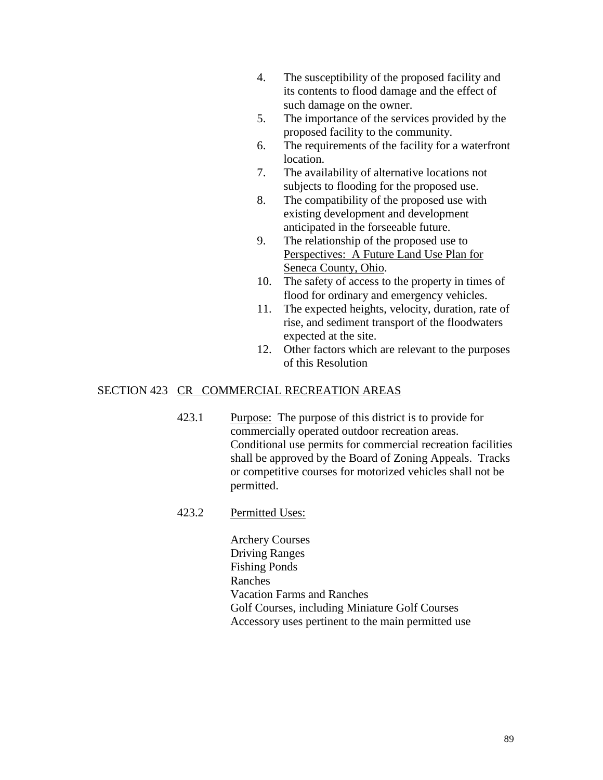- 4. The susceptibility of the proposed facility and its contents to flood damage and the effect of such damage on the owner.
- 5. The importance of the services provided by the proposed facility to the community.
- 6. The requirements of the facility for a waterfront location.
- 7. The availability of alternative locations not subjects to flooding for the proposed use.
- 8. The compatibility of the proposed use with existing development and development anticipated in the forseeable future.
- 9. The relationship of the proposed use to Perspectives: A Future Land Use Plan for Seneca County, Ohio.
- 10. The safety of access to the property in times of flood for ordinary and emergency vehicles.
- 11. The expected heights, velocity, duration, rate of rise, and sediment transport of the floodwaters expected at the site.
- 12. Other factors which are relevant to the purposes of this Resolution

## SECTION 423 CR COMMERCIAL RECREATION AREAS

- 423.1 Purpose: The purpose of this district is to provide for commercially operated outdoor recreation areas. Conditional use permits for commercial recreation facilities shall be approved by the Board of Zoning Appeals. Tracks or competitive courses for motorized vehicles shall not be permitted.
- 423.2 Permitted Uses:

Archery Courses Driving Ranges Fishing Ponds Ranches Vacation Farms and Ranches Golf Courses, including Miniature Golf Courses Accessory uses pertinent to the main permitted use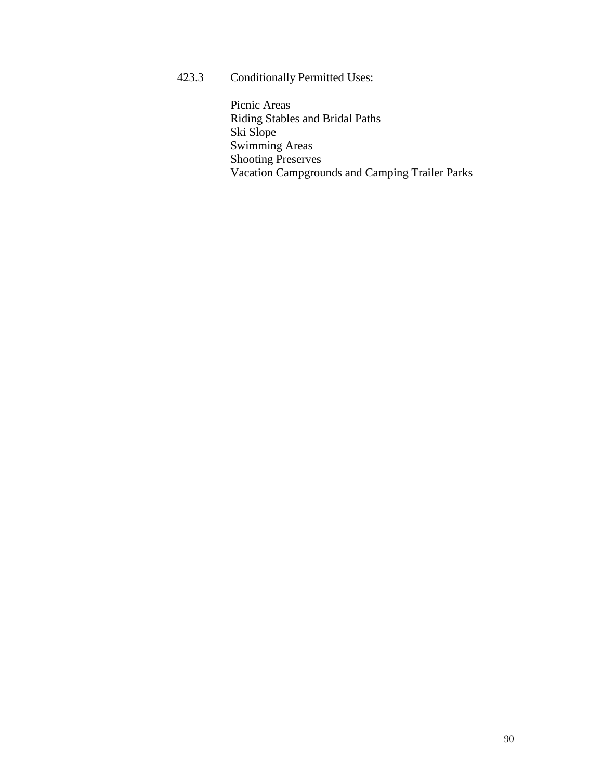423.3 Conditionally Permitted Uses:

Picnic Areas Riding Stables and Bridal Paths Ski Slope Swimming Areas Shooting Preserves Vacation Campgrounds and Camping Trailer Parks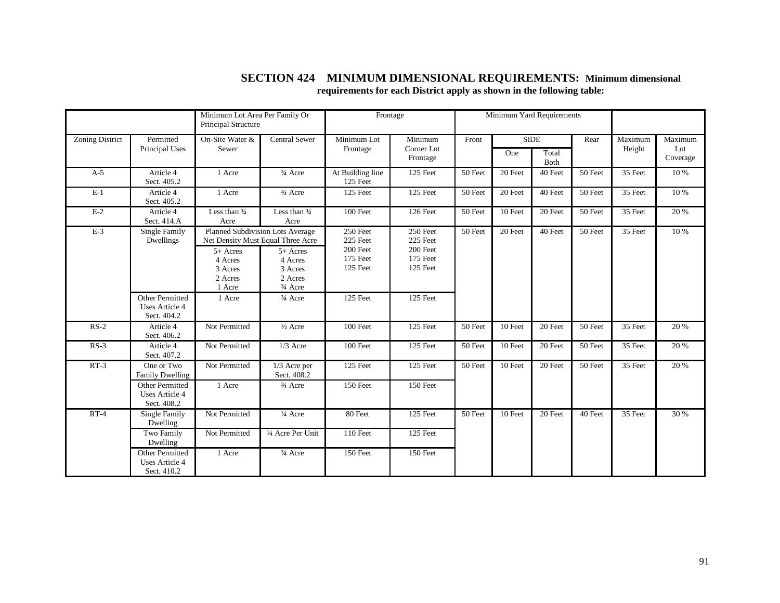|                        |                                                         | Minimum Lot Area Per Family Or<br>Principal Structure                                    |                                                                                             | Frontage                                                                                                             |                                   | Minimum Yard Requirements |                              |                              |         |         |                 |
|------------------------|---------------------------------------------------------|------------------------------------------------------------------------------------------|---------------------------------------------------------------------------------------------|----------------------------------------------------------------------------------------------------------------------|-----------------------------------|---------------------------|------------------------------|------------------------------|---------|---------|-----------------|
| <b>Zoning District</b> | Permitted<br>Principal Uses                             | On-Site Water &<br>Sewer                                                                 | <b>Central Sewer</b>                                                                        | Minimum Lot<br>Frontage                                                                                              | Minimum<br>Corner Lot<br>Frontage | Front                     | <b>SIDE</b>                  |                              | Rear    | Maximum | Maximum         |
|                        |                                                         |                                                                                          |                                                                                             |                                                                                                                      |                                   |                           | One                          | Total<br>Both                |         | Height  | Lot<br>Coverage |
| $A-5$                  | Article 4<br>Sect. 405.2                                | 1 Acre                                                                                   | 3/4 Acre                                                                                    | At Building line<br>125 Feet                                                                                         | 125 Feet                          | 50 Feet                   | 20 Feet                      | 40 Feet                      | 50 Feet | 35 Feet | 10 %            |
| $E-1$                  | Article 4<br>Sect. 405.2                                | 1 Acre                                                                                   | 3/4 Acre                                                                                    | 125 Feet                                                                                                             | 125 Feet                          | 50 Feet                   | 20 Feet                      | 40 Feet                      | 50 Feet | 35 Feet | 10 %            |
| $E-2$                  | Article 4<br>Sect. 414.A                                | Less than 3/4<br>Acre                                                                    | Less than 3/4<br>Acre                                                                       | 100 Feet                                                                                                             | 126 Feet                          | 50 Feet                   | 10 Feet                      | 20 Feet                      | 50 Feet | 35 Feet | 20 %            |
| $E-3$                  | Single Family<br>Dwellings                              | Net Density Must Equal Three Acre<br>5+ Acres<br>4 Acres<br>3 Acres<br>2 Acres<br>1 Acre | Planned Subdivision Lots Average<br>$5+$ Acres<br>4 Acres<br>3 Acres<br>2 Acres<br>3/4 Acre | 250 Feet<br>250 Feet<br>225 Feet<br>225 Feet<br>200 Feet<br>200 Feet<br>175 Feet<br>175 Feet<br>125 Feet<br>125 Feet |                                   | 50 Feet                   | $\overline{20 \text{ feet}}$ | 40 Feet                      | 50 Feet | 35 Feet | 10 %            |
|                        | Other Permitted<br>Uses Article 4<br>Sect. 404.2        | 1 Acre                                                                                   | 3/4 Acre                                                                                    | 125 Feet                                                                                                             | 125 Feet                          |                           |                              |                              |         |         |                 |
| $RS-2$                 | Article 4<br>Sect. 406.2                                | Not Permitted                                                                            | $\frac{1}{2}$ Acre                                                                          | 100 Feet                                                                                                             | 125 Feet                          | 50 Feet                   | 10 Feet                      | $\overline{20 \text{ feet}}$ | 50 Feet | 35 Feet | 20 %            |
| $RS-3$                 | Article 4<br>Sect. 407.2                                | Not Permitted                                                                            | $1/3$ Acre                                                                                  | 100 Feet                                                                                                             | 125 Feet                          | 50 Feet                   | 10 Feet                      | 20 Feet                      | 50 Feet | 35 Feet | 20 %            |
| $RT-3$                 | One or Two<br><b>Family Dwelling</b>                    | Not Permitted                                                                            | $\overline{1/3}$ Acre per<br>Sect. 408.2                                                    | 125 Feet                                                                                                             | 125 Feet                          | 50 Feet                   | 10 Feet                      | 20 Feet                      | 50 Feet | 35 Feet | 20 %            |
|                        | Other Permitted<br><b>Uses Article 4</b><br>Sect. 408.2 | 1 Acre                                                                                   | 3/4 Acre                                                                                    | 150 Feet                                                                                                             | 150 Feet                          |                           |                              |                              |         |         |                 |
| $RT-4$                 | Single Family<br>Dwelling                               | Not Permitted                                                                            | $\frac{1}{4}$ Acre                                                                          | 80 Feet                                                                                                              | 125 Feet                          | 50 Feet                   | 10 Feet                      | 20 Feet                      | 40 Feet | 35 Feet | 30 %            |
|                        | Two Family<br>Dwelling                                  | Not Permitted                                                                            | 1/4 Acre Per Unit                                                                           | <b>110 Feet</b>                                                                                                      | 125 Feet                          |                           |                              |                              |         |         |                 |
|                        | Other Permitted<br><b>Uses Article 4</b><br>Sect. 410.2 | 1 Acre                                                                                   | 3/4 Acre                                                                                    | <b>150 Feet</b>                                                                                                      | 150 Feet                          |                           |                              |                              |         |         |                 |

#### **SECTION 424 MINIMUM DIMENSIONAL REQUIREMENTS: Minimum dimensional requirements for each District apply as shown in the following table:**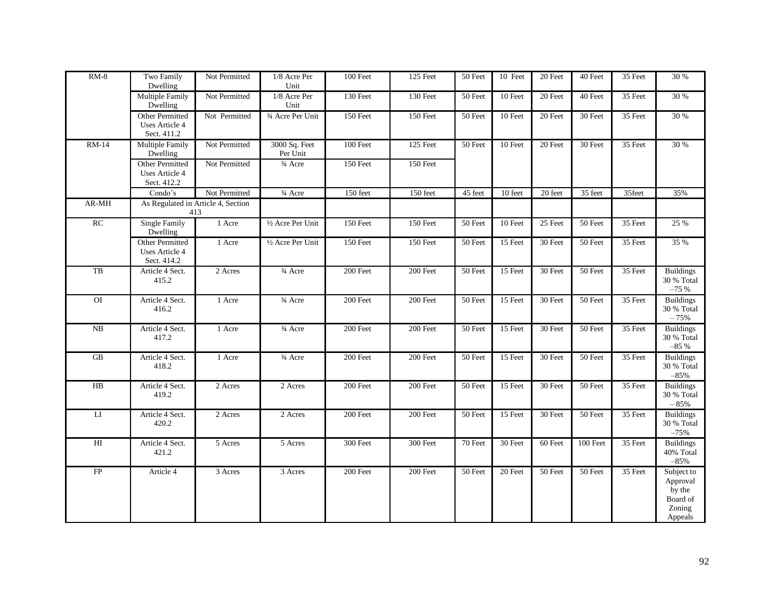| $RM-8$          | Two Family<br>Dwelling                           | Not Permitted | 1/8 Acre Per<br>Unit      | 100 Feet   | 125 Feet | 50 Feet | 10 Feet | 20 Feet              | 40 Feet  | 35 Feet | 30 %                                                                                 |
|-----------------|--------------------------------------------------|---------------|---------------------------|------------|----------|---------|---------|----------------------|----------|---------|--------------------------------------------------------------------------------------|
|                 | Multiple Family<br>Dwelling                      | Not Permitted | 1/8 Acre Per<br>Unit      | 130 Feet   | 130 Feet | 50 Feet | 10 Feet | 20 Feet              | 40 Feet  | 35 Feet | 30 %                                                                                 |
|                 | Other Permitted<br>Uses Article 4<br>Sect. 411.2 | Not Permitted | 3/4 Acre Per Unit         | 150 Feet   | 150 Feet | 50 Feet | 10 Feet | 20 Feet              | 30 Feet  | 35 Feet | 30 %                                                                                 |
| <b>RM-14</b>    | Multiple Family<br>Dwelling                      | Not Permitted | 3000 Sq. Feet<br>Per Unit | 100 Feet   | 125 Feet | 50 Feet | 10 Feet | 20 Feet              | 30 Feet  | 35 Feet | 30 %                                                                                 |
|                 | Other Permitted<br>Uses Article 4<br>Sect. 412.2 | Not Permitted | 3/4 Acre                  | 150 Feet   | 150 Feet |         |         |                      |          |         |                                                                                      |
|                 | Condo's                                          | Not Permitted | 3/4 Acre                  | 150 feet   | 150 feet | 45 feet | 10 feet | $\overline{20}$ feet | 35 feet  | 35feet  | 35%                                                                                  |
| $AR-MH$         | As Regulated in Article 4, Section<br>413        |               |                           |            |          |         |         |                      |          |         |                                                                                      |
| RC              | <b>Single Family</b><br>Dwelling                 | 1 Acre        | 1/2 Acre Per Unit         | 150 Feet   | 150 Feet | 50 Feet | 10 Feet | 25 Feet              | 50 Feet  | 35 Feet | 25 %                                                                                 |
|                 | Other Permitted<br>Uses Article 4<br>Sect. 414.2 | 1 Acre        | 1/2 Acre Per Unit         | 150 Feet   | 150 Feet | 50 Feet | 15 Feet | 30 Feet              | 50 Feet  | 35 Feet | 35 %                                                                                 |
| TB              | Article 4 Sect.<br>415.2                         | 2 Acres       | 3/4 Acre                  | 200 Feet   | 200 Feet | 50 Feet | 15 Feet | 30 Feet              | 50 Feet  | 35 Feet | <b>Buildings</b><br>30 % Total<br>$-75%$                                             |
| O               | Article 4 Sect.<br>416.2                         | 1 Acre        | 3/4 Acre                  | $200$ Feet | 200 Feet | 50 Feet | 15 Feet | 30 Feet              | 50 Feet  | 35 Feet | <b>Buildings</b><br>30 % Total<br>$-75%$                                             |
| NB              | Article 4 Sect.<br>417.2                         | 1 Acre        | 3/4 Acre                  | 200 Feet   | 200 Feet | 50 Feet | 15 Feet | 30 Feet              | 50 Feet  | 35 Feet | <b>Buildings</b><br>30 % Total<br>$-85%$                                             |
| GB              | Article 4 Sect.<br>418.2                         | 1 Acre        | 3/4 Acre                  | 200 Feet   | 200 Feet | 50 Feet | 15 Feet | 30 Feet              | 50 Feet  | 35 Feet | <b>Buildings</b><br>30 % Total<br>$-85%$                                             |
| $\overline{HB}$ | Article 4 Sect.<br>419.2                         | 2 Acres       | 2 Acres                   | 200 Feet   | 200 Feet | 50 Feet | 15 Feet | 30 Feet              | 50 Feet  | 35 Feet | <b>Buildings</b><br>30 % Total<br>$-85%$                                             |
| $\rm{LI}$       | Article 4 Sect.<br>420.2                         | 2 Acres       | 2 Acres                   | 200 Feet   | 200 Feet | 50 Feet | 15 Feet | 30 Feet              | 50 Feet  | 35 Feet | <b>Buildings</b><br>30 % Total<br>$-75%$                                             |
| HI              | Article 4 Sect.<br>421.2                         | 5 Acres       | 5 Acres                   | 300 Feet   | 300 Feet | 70 Feet | 30 Feet | 60 Feet              | 100 Feet | 35 Feet | <b>Buildings</b><br>40% Total<br>$-85%$                                              |
| FP              | Article 4                                        | 3 Acres       | 3 Acres                   | 200 Feet   | 200 Feet | 50 Feet | 20 Feet | 50 Feet              | 50 Feet  | 35 Feet | Subject to<br>Approval<br>$\overrightarrow{by}$ the<br>Board of<br>Zoning<br>Appeals |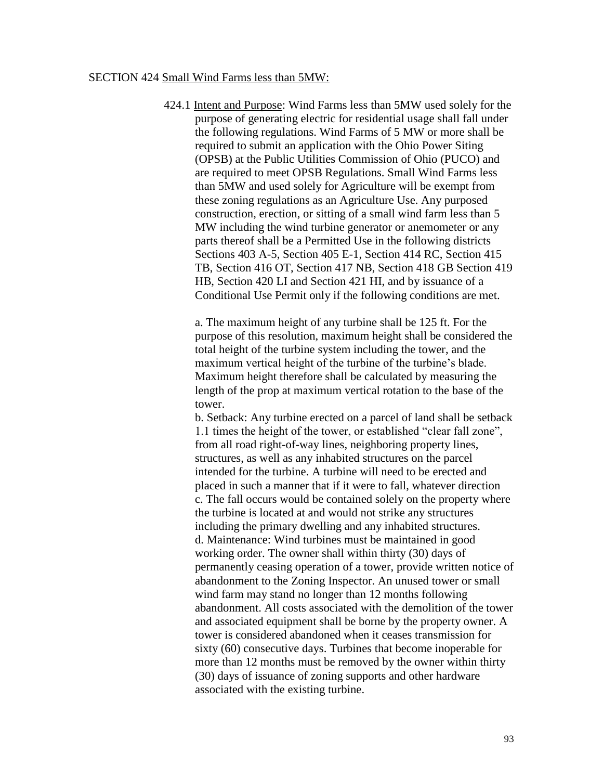#### SECTION 424 Small Wind Farms less than 5MW:

424.1 Intent and Purpose: Wind Farms less than 5MW used solely for the purpose of generating electric for residential usage shall fall under the following regulations. Wind Farms of 5 MW or more shall be required to submit an application with the Ohio Power Siting (OPSB) at the Public Utilities Commission of Ohio (PUCO) and are required to meet OPSB Regulations. Small Wind Farms less than 5MW and used solely for Agriculture will be exempt from these zoning regulations as an Agriculture Use. Any purposed construction, erection, or sitting of a small wind farm less than 5 MW including the wind turbine generator or anemometer or any parts thereof shall be a Permitted Use in the following districts Sections 403 A-5, Section 405 E-1, Section 414 RC, Section 415 TB, Section 416 OT, Section 417 NB, Section 418 GB Section 419 HB, Section 420 LI and Section 421 HI, and by issuance of a Conditional Use Permit only if the following conditions are met.

a. The maximum height of any turbine shall be 125 ft. For the purpose of this resolution, maximum height shall be considered the total height of the turbine system including the tower, and the maximum vertical height of the turbine of the turbine's blade. Maximum height therefore shall be calculated by measuring the length of the prop at maximum vertical rotation to the base of the tower.

b. Setback: Any turbine erected on a parcel of land shall be setback 1.1 times the height of the tower, or established "clear fall zone", from all road right-of-way lines, neighboring property lines, structures, as well as any inhabited structures on the parcel intended for the turbine. A turbine will need to be erected and placed in such a manner that if it were to fall, whatever direction c. The fall occurs would be contained solely on the property where the turbine is located at and would not strike any structures including the primary dwelling and any inhabited structures. d. Maintenance: Wind turbines must be maintained in good working order. The owner shall within thirty (30) days of permanently ceasing operation of a tower, provide written notice of abandonment to the Zoning Inspector. An unused tower or small wind farm may stand no longer than 12 months following abandonment. All costs associated with the demolition of the tower and associated equipment shall be borne by the property owner. A tower is considered abandoned when it ceases transmission for sixty (60) consecutive days. Turbines that become inoperable for more than 12 months must be removed by the owner within thirty (30) days of issuance of zoning supports and other hardware associated with the existing turbine.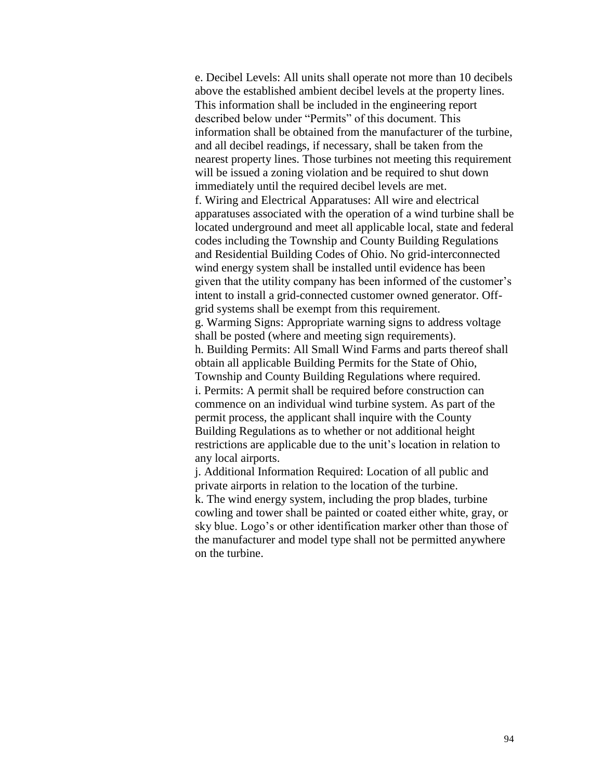e. Decibel Levels: All units shall operate not more than 10 decibels above the established ambient decibel levels at the property lines. This information shall be included in the engineering report described below under "Permits" of this document. This information shall be obtained from the manufacturer of the turbine, and all decibel readings, if necessary, shall be taken from the nearest property lines. Those turbines not meeting this requirement will be issued a zoning violation and be required to shut down immediately until the required decibel levels are met. f. Wiring and Electrical Apparatuses: All wire and electrical apparatuses associated with the operation of a wind turbine shall be located underground and meet all applicable local, state and federal codes including the Township and County Building Regulations and Residential Building Codes of Ohio. No grid-interconnected wind energy system shall be installed until evidence has been given that the utility company has been informed of the customer's intent to install a grid-connected customer owned generator. Offgrid systems shall be exempt from this requirement. g. Warming Signs: Appropriate warning signs to address voltage shall be posted (where and meeting sign requirements). h. Building Permits: All Small Wind Farms and parts thereof shall obtain all applicable Building Permits for the State of Ohio, Township and County Building Regulations where required. i. Permits: A permit shall be required before construction can commence on an individual wind turbine system. As part of the permit process, the applicant shall inquire with the County Building Regulations as to whether or not additional height restrictions are applicable due to the unit's location in relation to any local airports.

j. Additional Information Required: Location of all public and private airports in relation to the location of the turbine. k. The wind energy system, including the prop blades, turbine cowling and tower shall be painted or coated either white, gray, or sky blue. Logo's or other identification marker other than those of the manufacturer and model type shall not be permitted anywhere on the turbine.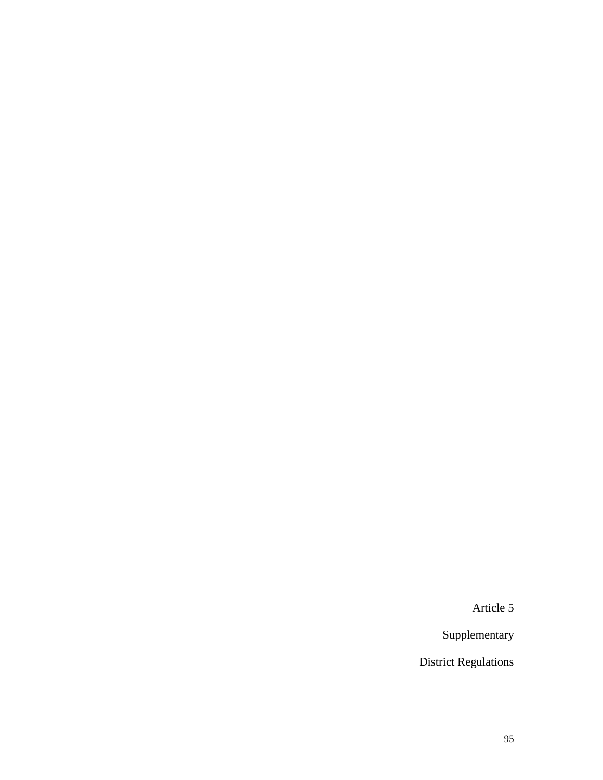Article 5

Supplementary

District Regulations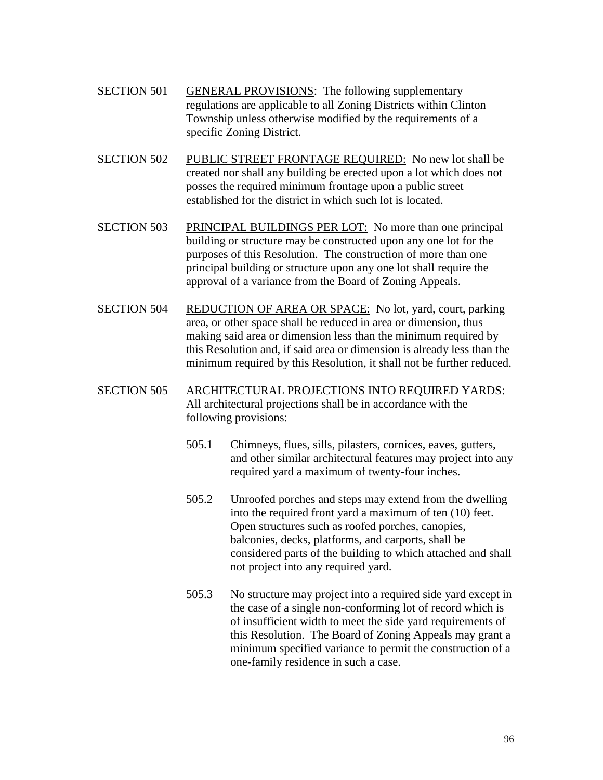- SECTION 501 GENERAL PROVISIONS: The following supplementary regulations are applicable to all Zoning Districts within Clinton Township unless otherwise modified by the requirements of a specific Zoning District.
- SECTION 502 PUBLIC STREET FRONTAGE REQUIRED: No new lot shall be created nor shall any building be erected upon a lot which does not posses the required minimum frontage upon a public street established for the district in which such lot is located.
- SECTION 503 PRINCIPAL BUILDINGS PER LOT: No more than one principal building or structure may be constructed upon any one lot for the purposes of this Resolution. The construction of more than one principal building or structure upon any one lot shall require the approval of a variance from the Board of Zoning Appeals.
- SECTION 504 REDUCTION OF AREA OR SPACE: No lot, yard, court, parking area, or other space shall be reduced in area or dimension, thus making said area or dimension less than the minimum required by this Resolution and, if said area or dimension is already less than the minimum required by this Resolution, it shall not be further reduced.

# SECTION 505 ARCHITECTURAL PROJECTIONS INTO REQUIRED YARDS: All architectural projections shall be in accordance with the following provisions:

- 505.1 Chimneys, flues, sills, pilasters, cornices, eaves, gutters, and other similar architectural features may project into any required yard a maximum of twenty-four inches.
- 505.2 Unroofed porches and steps may extend from the dwelling into the required front yard a maximum of ten (10) feet. Open structures such as roofed porches, canopies, balconies, decks, platforms, and carports, shall be considered parts of the building to which attached and shall not project into any required yard.
- 505.3 No structure may project into a required side yard except in the case of a single non-conforming lot of record which is of insufficient width to meet the side yard requirements of this Resolution. The Board of Zoning Appeals may grant a minimum specified variance to permit the construction of a one-family residence in such a case.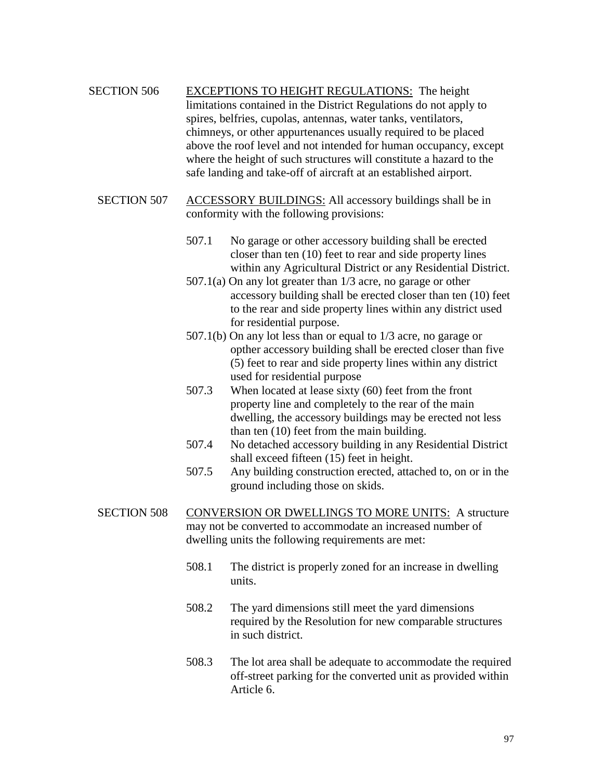SECTION 506 EXCEPTIONS TO HEIGHT REGULATIONS: The height limitations contained in the District Regulations do not apply to spires, belfries, cupolas, antennas, water tanks, ventilators, chimneys, or other appurtenances usually required to be placed above the roof level and not intended for human occupancy, except where the height of such structures will constitute a hazard to the safe landing and take-off of aircraft at an established airport.

- SECTION 507 ACCESSORY BUILDINGS: All accessory buildings shall be in conformity with the following provisions:
	- 507.1 No garage or other accessory building shall be erected closer than ten (10) feet to rear and side property lines within any Agricultural District or any Residential District.
	- 507.1(a) On any lot greater than 1/3 acre, no garage or other accessory building shall be erected closer than ten (10) feet to the rear and side property lines within any district used for residential purpose.
	- 507.1(b) On any lot less than or equal to 1/3 acre, no garage or opther accessory building shall be erected closer than five (5) feet to rear and side property lines within any district used for residential purpose
	- 507.3 When located at lease sixty (60) feet from the front property line and completely to the rear of the main dwelling, the accessory buildings may be erected not less than ten (10) feet from the main building.
	- 507.4 No detached accessory building in any Residential District shall exceed fifteen (15) feet in height.
	- 507.5 Any building construction erected, attached to, on or in the ground including those on skids.
- SECTION 508 CONVERSION OR DWELLINGS TO MORE UNITS: A structure may not be converted to accommodate an increased number of dwelling units the following requirements are met:
	- 508.1 The district is properly zoned for an increase in dwelling units.
	- 508.2 The yard dimensions still meet the yard dimensions required by the Resolution for new comparable structures in such district.
	- 508.3 The lot area shall be adequate to accommodate the required off-street parking for the converted unit as provided within Article 6.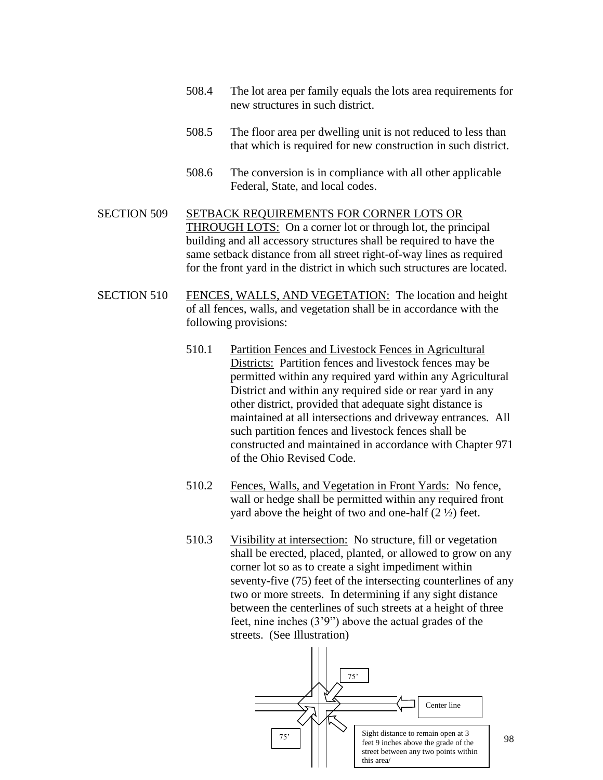- 508.4 The lot area per family equals the lots area requirements for new structures in such district.
- 508.5 The floor area per dwelling unit is not reduced to less than that which is required for new construction in such district.
- 508.6 The conversion is in compliance with all other applicable Federal, State, and local codes.

SECTION 509 SETBACK REQUIREMENTS FOR CORNER LOTS OR THROUGH LOTS: On a corner lot or through lot, the principal building and all accessory structures shall be required to have the same setback distance from all street right-of-way lines as required for the front yard in the district in which such structures are located.

- SECTION 510 FENCES, WALLS, AND VEGETATION: The location and height of all fences, walls, and vegetation shall be in accordance with the following provisions:
	- 510.1 Partition Fences and Livestock Fences in Agricultural Districts: Partition fences and livestock fences may be permitted within any required yard within any Agricultural District and within any required side or rear yard in any other district, provided that adequate sight distance is maintained at all intersections and driveway entrances. All such partition fences and livestock fences shall be constructed and maintained in accordance with Chapter 971 of the Ohio Revised Code.
	- 510.2 Fences, Walls, and Vegetation in Front Yards: No fence, wall or hedge shall be permitted within any required front yard above the height of two and one-half  $(2 \frac{1}{2})$  feet.
	- 510.3 Visibility at intersection: No structure, fill or vegetation shall be erected, placed, planted, or allowed to grow on any corner lot so as to create a sight impediment within seventy-five (75) feet of the intersecting counterlines of any two or more streets. In determining if any sight distance between the centerlines of such streets at a height of three feet, nine inches (3'9") above the actual grades of the streets. (See Illustration)

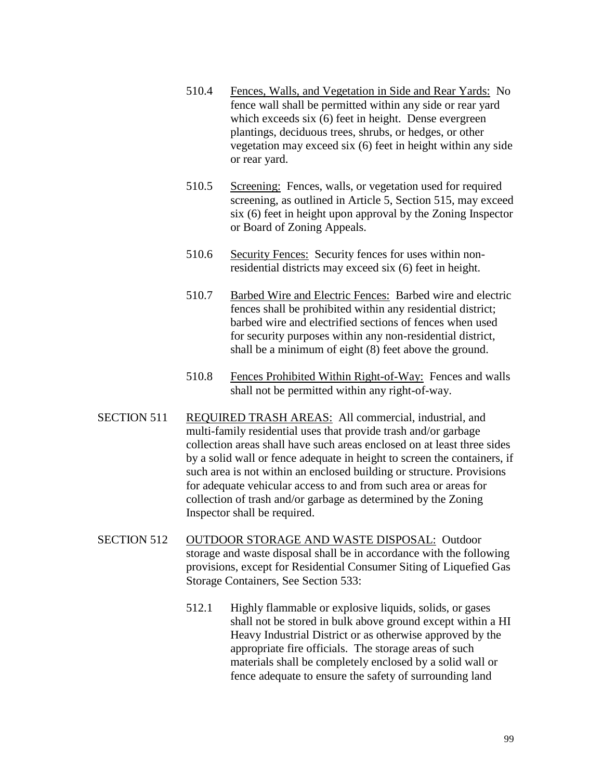- 510.4 Fences, Walls, and Vegetation in Side and Rear Yards: No fence wall shall be permitted within any side or rear yard which exceeds six (6) feet in height. Dense evergreen plantings, deciduous trees, shrubs, or hedges, or other vegetation may exceed six (6) feet in height within any side or rear yard.
- 510.5 Screening: Fences, walls, or vegetation used for required screening, as outlined in Article 5, Section 515, may exceed six (6) feet in height upon approval by the Zoning Inspector or Board of Zoning Appeals.
- 510.6 Security Fences: Security fences for uses within nonresidential districts may exceed six (6) feet in height.
- 510.7 Barbed Wire and Electric Fences: Barbed wire and electric fences shall be prohibited within any residential district; barbed wire and electrified sections of fences when used for security purposes within any non-residential district, shall be a minimum of eight (8) feet above the ground.
- 510.8 Fences Prohibited Within Right-of-Way: Fences and walls shall not be permitted within any right-of-way.
- SECTION 511 REQUIRED TRASH AREAS: All commercial, industrial, and multi-family residential uses that provide trash and/or garbage collection areas shall have such areas enclosed on at least three sides by a solid wall or fence adequate in height to screen the containers, if such area is not within an enclosed building or structure. Provisions for adequate vehicular access to and from such area or areas for collection of trash and/or garbage as determined by the Zoning Inspector shall be required.
- SECTION 512 OUTDOOR STORAGE AND WASTE DISPOSAL: Outdoor storage and waste disposal shall be in accordance with the following provisions, except for Residential Consumer Siting of Liquefied Gas Storage Containers, See Section 533:
	- 512.1 Highly flammable or explosive liquids, solids, or gases shall not be stored in bulk above ground except within a HI Heavy Industrial District or as otherwise approved by the appropriate fire officials. The storage areas of such materials shall be completely enclosed by a solid wall or fence adequate to ensure the safety of surrounding land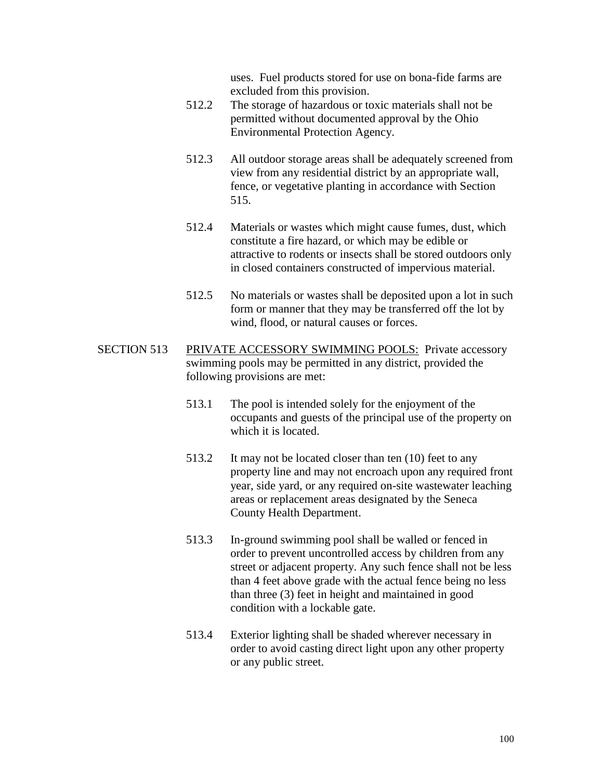uses. Fuel products stored for use on bona-fide farms are excluded from this provision.

- 512.2 The storage of hazardous or toxic materials shall not be permitted without documented approval by the Ohio Environmental Protection Agency.
- 512.3 All outdoor storage areas shall be adequately screened from view from any residential district by an appropriate wall, fence, or vegetative planting in accordance with Section 515.
- 512.4 Materials or wastes which might cause fumes, dust, which constitute a fire hazard, or which may be edible or attractive to rodents or insects shall be stored outdoors only in closed containers constructed of impervious material.
- 512.5 No materials or wastes shall be deposited upon a lot in such form or manner that they may be transferred off the lot by wind, flood, or natural causes or forces.
- SECTION 513 PRIVATE ACCESSORY SWIMMING POOLS: Private accessory swimming pools may be permitted in any district, provided the following provisions are met:
	- 513.1 The pool is intended solely for the enjoyment of the occupants and guests of the principal use of the property on which it is located.
	- 513.2 It may not be located closer than ten (10) feet to any property line and may not encroach upon any required front year, side yard, or any required on-site wastewater leaching areas or replacement areas designated by the Seneca County Health Department.
	- 513.3 In-ground swimming pool shall be walled or fenced in order to prevent uncontrolled access by children from any street or adjacent property. Any such fence shall not be less than 4 feet above grade with the actual fence being no less than three (3) feet in height and maintained in good condition with a lockable gate.
	- 513.4 Exterior lighting shall be shaded wherever necessary in order to avoid casting direct light upon any other property or any public street.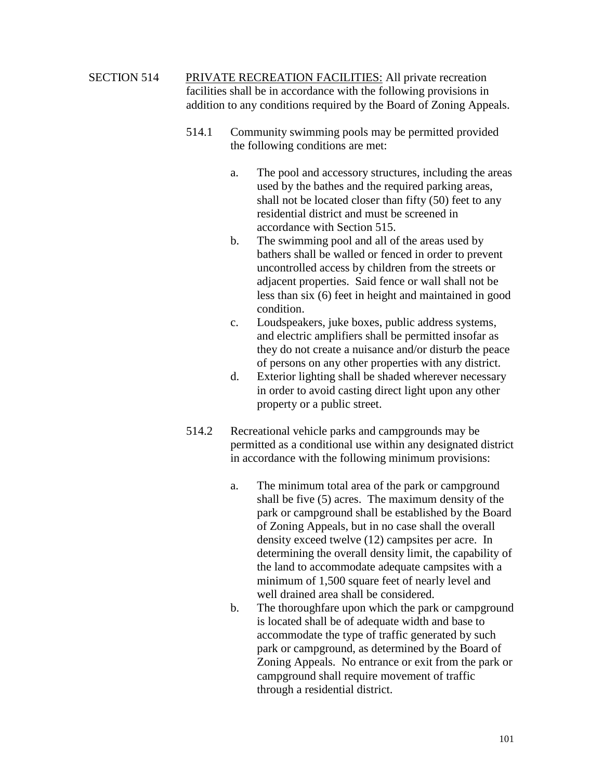SECTION 514 PRIVATE RECREATION FACILITIES: All private recreation facilities shall be in accordance with the following provisions in addition to any conditions required by the Board of Zoning Appeals.

- 514.1 Community swimming pools may be permitted provided the following conditions are met:
	- a. The pool and accessory structures, including the areas used by the bathes and the required parking areas, shall not be located closer than fifty (50) feet to any residential district and must be screened in accordance with Section 515.
	- b. The swimming pool and all of the areas used by bathers shall be walled or fenced in order to prevent uncontrolled access by children from the streets or adjacent properties. Said fence or wall shall not be less than six (6) feet in height and maintained in good condition.
	- c. Loudspeakers, juke boxes, public address systems, and electric amplifiers shall be permitted insofar as they do not create a nuisance and/or disturb the peace of persons on any other properties with any district.
	- d. Exterior lighting shall be shaded wherever necessary in order to avoid casting direct light upon any other property or a public street.
- 514.2 Recreational vehicle parks and campgrounds may be permitted as a conditional use within any designated district in accordance with the following minimum provisions:
	- a. The minimum total area of the park or campground shall be five (5) acres. The maximum density of the park or campground shall be established by the Board of Zoning Appeals, but in no case shall the overall density exceed twelve (12) campsites per acre. In determining the overall density limit, the capability of the land to accommodate adequate campsites with a minimum of 1,500 square feet of nearly level and well drained area shall be considered.
	- b. The thoroughfare upon which the park or campground is located shall be of adequate width and base to accommodate the type of traffic generated by such park or campground, as determined by the Board of Zoning Appeals. No entrance or exit from the park or campground shall require movement of traffic through a residential district.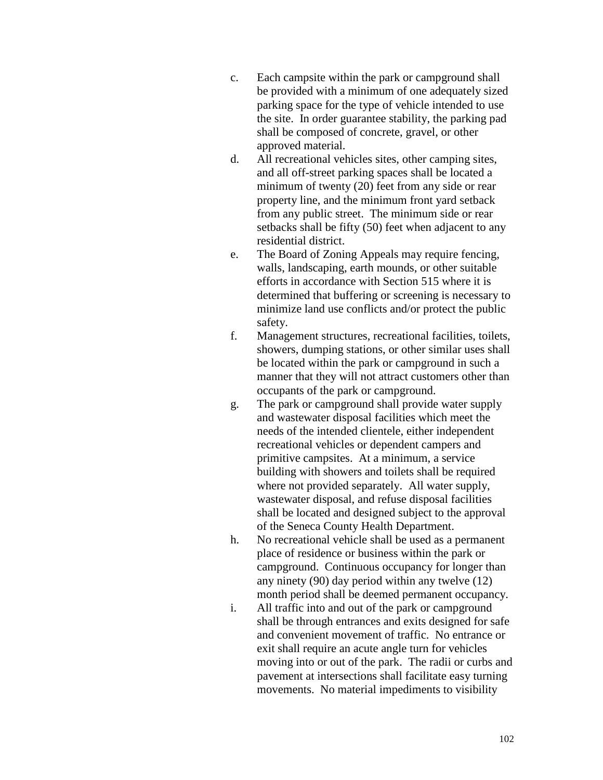- c. Each campsite within the park or campground shall be provided with a minimum of one adequately sized parking space for the type of vehicle intended to use the site. In order guarantee stability, the parking pad shall be composed of concrete, gravel, or other approved material.
- d. All recreational vehicles sites, other camping sites, and all off-street parking spaces shall be located a minimum of twenty (20) feet from any side or rear property line, and the minimum front yard setback from any public street. The minimum side or rear setbacks shall be fifty (50) feet when adjacent to any residential district.
- e. The Board of Zoning Appeals may require fencing, walls, landscaping, earth mounds, or other suitable efforts in accordance with Section 515 where it is determined that buffering or screening is necessary to minimize land use conflicts and/or protect the public safety.
- f. Management structures, recreational facilities, toilets, showers, dumping stations, or other similar uses shall be located within the park or campground in such a manner that they will not attract customers other than occupants of the park or campground.
- g. The park or campground shall provide water supply and wastewater disposal facilities which meet the needs of the intended clientele, either independent recreational vehicles or dependent campers and primitive campsites. At a minimum, a service building with showers and toilets shall be required where not provided separately. All water supply, wastewater disposal, and refuse disposal facilities shall be located and designed subject to the approval of the Seneca County Health Department.
- h. No recreational vehicle shall be used as a permanent place of residence or business within the park or campground. Continuous occupancy for longer than any ninety (90) day period within any twelve (12) month period shall be deemed permanent occupancy.
- i. All traffic into and out of the park or campground shall be through entrances and exits designed for safe and convenient movement of traffic. No entrance or exit shall require an acute angle turn for vehicles moving into or out of the park. The radii or curbs and pavement at intersections shall facilitate easy turning movements. No material impediments to visibility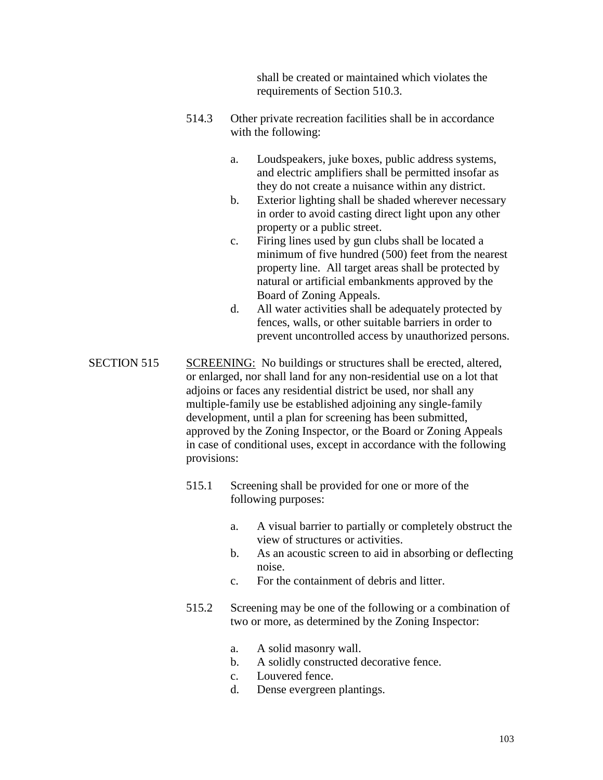shall be created or maintained which violates the requirements of Section 510.3.

- 514.3 Other private recreation facilities shall be in accordance with the following:
	- a. Loudspeakers, juke boxes, public address systems, and electric amplifiers shall be permitted insofar as they do not create a nuisance within any district.
	- b. Exterior lighting shall be shaded wherever necessary in order to avoid casting direct light upon any other property or a public street.
	- c. Firing lines used by gun clubs shall be located a minimum of five hundred (500) feet from the nearest property line. All target areas shall be protected by natural or artificial embankments approved by the Board of Zoning Appeals.
	- d. All water activities shall be adequately protected by fences, walls, or other suitable barriers in order to prevent uncontrolled access by unauthorized persons.
- SECTION 515 SCREENING: No buildings or structures shall be erected, altered, or enlarged, nor shall land for any non-residential use on a lot that adjoins or faces any residential district be used, nor shall any multiple-family use be established adjoining any single-family development, until a plan for screening has been submitted, approved by the Zoning Inspector, or the Board or Zoning Appeals in case of conditional uses, except in accordance with the following provisions:
	- 515.1 Screening shall be provided for one or more of the following purposes:
		- a. A visual barrier to partially or completely obstruct the view of structures or activities.
		- b. As an acoustic screen to aid in absorbing or deflecting noise.
		- c. For the containment of debris and litter.
	- 515.2 Screening may be one of the following or a combination of two or more, as determined by the Zoning Inspector:
		- a. A solid masonry wall.
		- b. A solidly constructed decorative fence.
		- c. Louvered fence.
		- d. Dense evergreen plantings.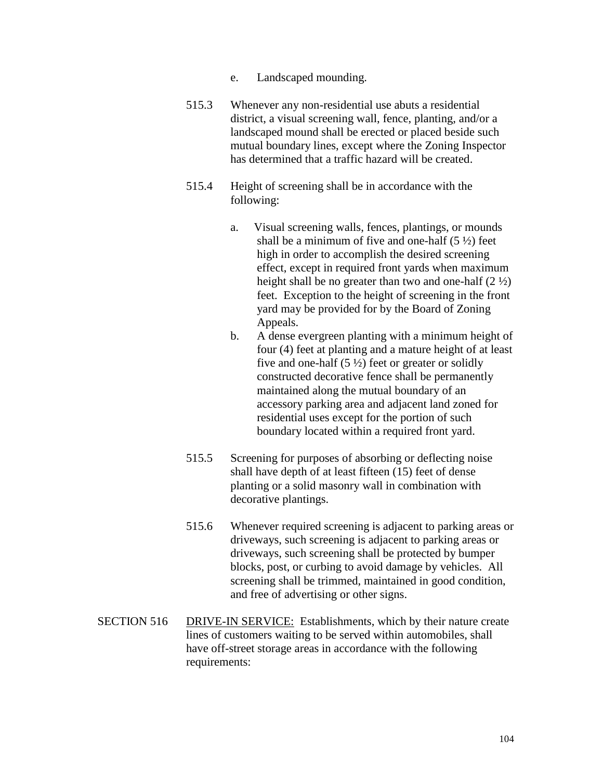- e. Landscaped mounding.
- 515.3 Whenever any non-residential use abuts a residential district, a visual screening wall, fence, planting, and/or a landscaped mound shall be erected or placed beside such mutual boundary lines, except where the Zoning Inspector has determined that a traffic hazard will be created.
- 515.4 Height of screening shall be in accordance with the following:
	- a. Visual screening walls, fences, plantings, or mounds shall be a minimum of five and one-half  $(5 \frac{1}{2})$  feet high in order to accomplish the desired screening effect, except in required front yards when maximum height shall be no greater than two and one-half  $(2 \frac{1}{2})$ feet. Exception to the height of screening in the front yard may be provided for by the Board of Zoning Appeals.
	- b. A dense evergreen planting with a minimum height of four (4) feet at planting and a mature height of at least five and one-half  $(5 \frac{1}{2})$  feet or greater or solidly constructed decorative fence shall be permanently maintained along the mutual boundary of an accessory parking area and adjacent land zoned for residential uses except for the portion of such boundary located within a required front yard.
- 515.5 Screening for purposes of absorbing or deflecting noise shall have depth of at least fifteen (15) feet of dense planting or a solid masonry wall in combination with decorative plantings.
- 515.6 Whenever required screening is adjacent to parking areas or driveways, such screening is adjacent to parking areas or driveways, such screening shall be protected by bumper blocks, post, or curbing to avoid damage by vehicles. All screening shall be trimmed, maintained in good condition, and free of advertising or other signs.
- SECTION 516 DRIVE-IN SERVICE: Establishments, which by their nature create lines of customers waiting to be served within automobiles, shall have off-street storage areas in accordance with the following requirements: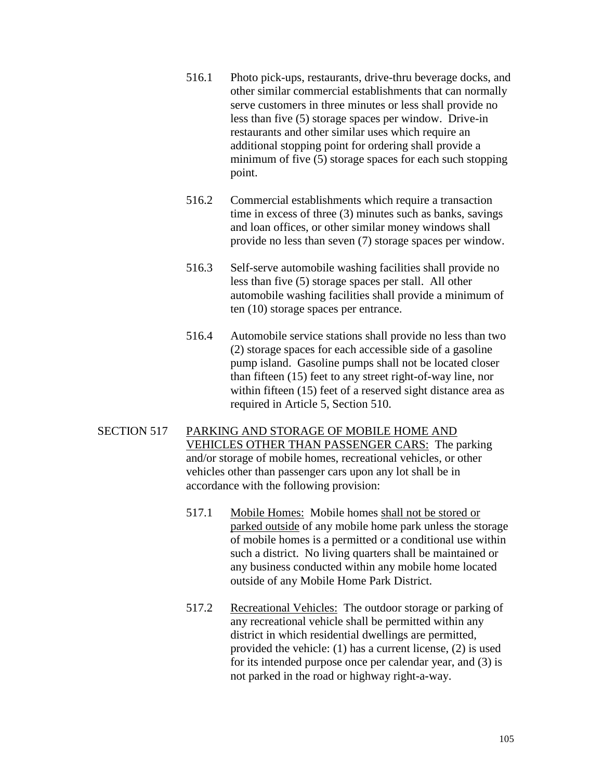- 516.1 Photo pick-ups, restaurants, drive-thru beverage docks, and other similar commercial establishments that can normally serve customers in three minutes or less shall provide no less than five (5) storage spaces per window. Drive-in restaurants and other similar uses which require an additional stopping point for ordering shall provide a minimum of five (5) storage spaces for each such stopping point.
- 516.2 Commercial establishments which require a transaction time in excess of three (3) minutes such as banks, savings and loan offices, or other similar money windows shall provide no less than seven (7) storage spaces per window.
- 516.3 Self-serve automobile washing facilities shall provide no less than five (5) storage spaces per stall. All other automobile washing facilities shall provide a minimum of ten (10) storage spaces per entrance.
- 516.4 Automobile service stations shall provide no less than two (2) storage spaces for each accessible side of a gasoline pump island. Gasoline pumps shall not be located closer than fifteen (15) feet to any street right-of-way line, nor within fifteen (15) feet of a reserved sight distance area as required in Article 5, Section 510.
- SECTION 517 PARKING AND STORAGE OF MOBILE HOME AND VEHICLES OTHER THAN PASSENGER CARS: The parking and/or storage of mobile homes, recreational vehicles, or other vehicles other than passenger cars upon any lot shall be in accordance with the following provision:
	- 517.1 Mobile Homes: Mobile homes shall not be stored or parked outside of any mobile home park unless the storage of mobile homes is a permitted or a conditional use within such a district. No living quarters shall be maintained or any business conducted within any mobile home located outside of any Mobile Home Park District.
	- 517.2 Recreational Vehicles: The outdoor storage or parking of any recreational vehicle shall be permitted within any district in which residential dwellings are permitted, provided the vehicle: (1) has a current license, (2) is used for its intended purpose once per calendar year, and (3) is not parked in the road or highway right-a-way.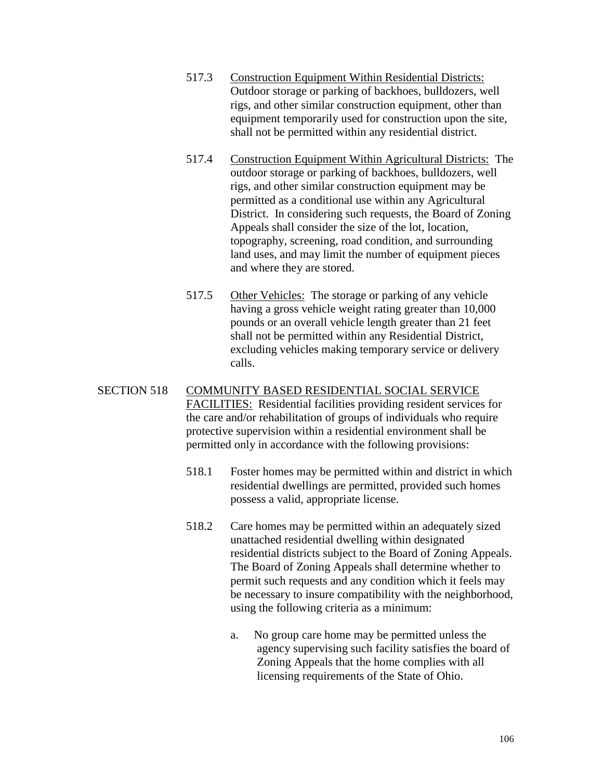- 517.3 Construction Equipment Within Residential Districts: Outdoor storage or parking of backhoes, bulldozers, well rigs, and other similar construction equipment, other than equipment temporarily used for construction upon the site, shall not be permitted within any residential district.
- 517.4 Construction Equipment Within Agricultural Districts: The outdoor storage or parking of backhoes, bulldozers, well rigs, and other similar construction equipment may be permitted as a conditional use within any Agricultural District. In considering such requests, the Board of Zoning Appeals shall consider the size of the lot, location, topography, screening, road condition, and surrounding land uses, and may limit the number of equipment pieces and where they are stored.
- 517.5 Other Vehicles: The storage or parking of any vehicle having a gross vehicle weight rating greater than 10,000 pounds or an overall vehicle length greater than 21 feet shall not be permitted within any Residential District, excluding vehicles making temporary service or delivery calls.

### SECTION 518 COMMUNITY BASED RESIDENTIAL SOCIAL SERVICE FACILITIES: Residential facilities providing resident services for the care and/or rehabilitation of groups of individuals who require protective supervision within a residential environment shall be permitted only in accordance with the following provisions:

- 518.1 Foster homes may be permitted within and district in which residential dwellings are permitted, provided such homes possess a valid, appropriate license.
- 518.2 Care homes may be permitted within an adequately sized unattached residential dwelling within designated residential districts subject to the Board of Zoning Appeals. The Board of Zoning Appeals shall determine whether to permit such requests and any condition which it feels may be necessary to insure compatibility with the neighborhood, using the following criteria as a minimum:
	- a. No group care home may be permitted unless the agency supervising such facility satisfies the board of Zoning Appeals that the home complies with all licensing requirements of the State of Ohio.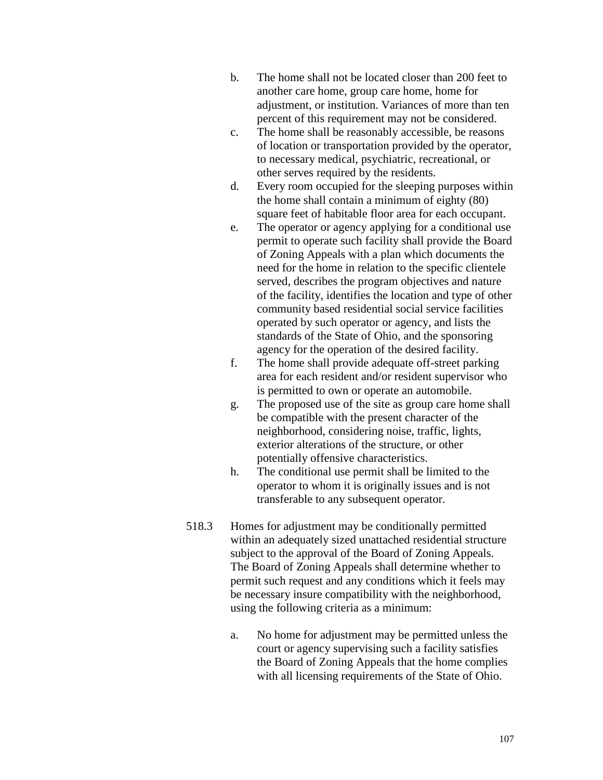- b. The home shall not be located closer than 200 feet to another care home, group care home, home for adjustment, or institution. Variances of more than ten percent of this requirement may not be considered.
- c. The home shall be reasonably accessible, be reasons of location or transportation provided by the operator, to necessary medical, psychiatric, recreational, or other serves required by the residents.
- d. Every room occupied for the sleeping purposes within the home shall contain a minimum of eighty (80) square feet of habitable floor area for each occupant.
- e. The operator or agency applying for a conditional use permit to operate such facility shall provide the Board of Zoning Appeals with a plan which documents the need for the home in relation to the specific clientele served, describes the program objectives and nature of the facility, identifies the location and type of other community based residential social service facilities operated by such operator or agency, and lists the standards of the State of Ohio, and the sponsoring agency for the operation of the desired facility.
- f. The home shall provide adequate off-street parking area for each resident and/or resident supervisor who is permitted to own or operate an automobile.
- g. The proposed use of the site as group care home shall be compatible with the present character of the neighborhood, considering noise, traffic, lights, exterior alterations of the structure, or other potentially offensive characteristics.
- h. The conditional use permit shall be limited to the operator to whom it is originally issues and is not transferable to any subsequent operator.
- 518.3 Homes for adjustment may be conditionally permitted within an adequately sized unattached residential structure subject to the approval of the Board of Zoning Appeals. The Board of Zoning Appeals shall determine whether to permit such request and any conditions which it feels may be necessary insure compatibility with the neighborhood, using the following criteria as a minimum:
	- a. No home for adjustment may be permitted unless the court or agency supervising such a facility satisfies the Board of Zoning Appeals that the home complies with all licensing requirements of the State of Ohio.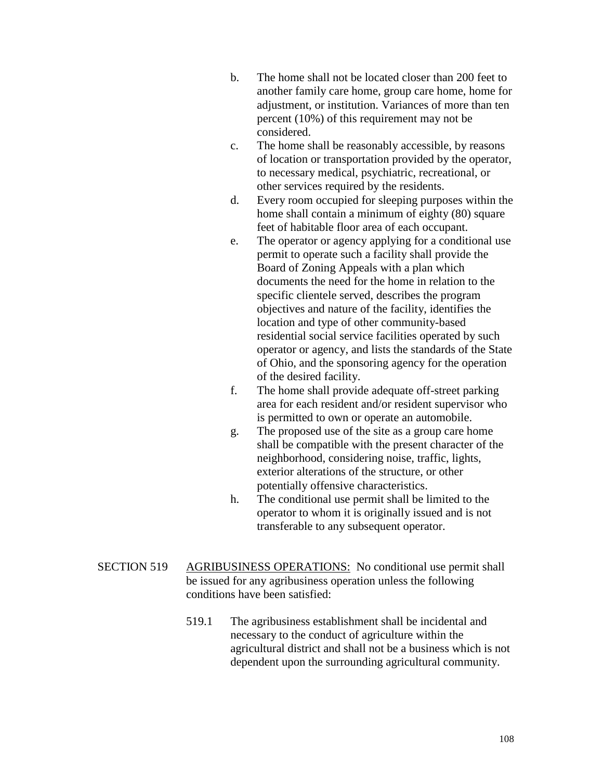- b. The home shall not be located closer than 200 feet to another family care home, group care home, home for adjustment, or institution. Variances of more than ten percent (10%) of this requirement may not be considered.
- c. The home shall be reasonably accessible, by reasons of location or transportation provided by the operator, to necessary medical, psychiatric, recreational, or other services required by the residents.
- d. Every room occupied for sleeping purposes within the home shall contain a minimum of eighty (80) square feet of habitable floor area of each occupant.
- e. The operator or agency applying for a conditional use permit to operate such a facility shall provide the Board of Zoning Appeals with a plan which documents the need for the home in relation to the specific clientele served, describes the program objectives and nature of the facility, identifies the location and type of other community-based residential social service facilities operated by such operator or agency, and lists the standards of the State of Ohio, and the sponsoring agency for the operation of the desired facility.
- f. The home shall provide adequate off-street parking area for each resident and/or resident supervisor who is permitted to own or operate an automobile.
- g. The proposed use of the site as a group care home shall be compatible with the present character of the neighborhood, considering noise, traffic, lights, exterior alterations of the structure, or other potentially offensive characteristics.
- h. The conditional use permit shall be limited to the operator to whom it is originally issued and is not transferable to any subsequent operator.
- SECTION 519 AGRIBUSINESS OPERATIONS: No conditional use permit shall be issued for any agribusiness operation unless the following conditions have been satisfied:
	- 519.1 The agribusiness establishment shall be incidental and necessary to the conduct of agriculture within the agricultural district and shall not be a business which is not dependent upon the surrounding agricultural community.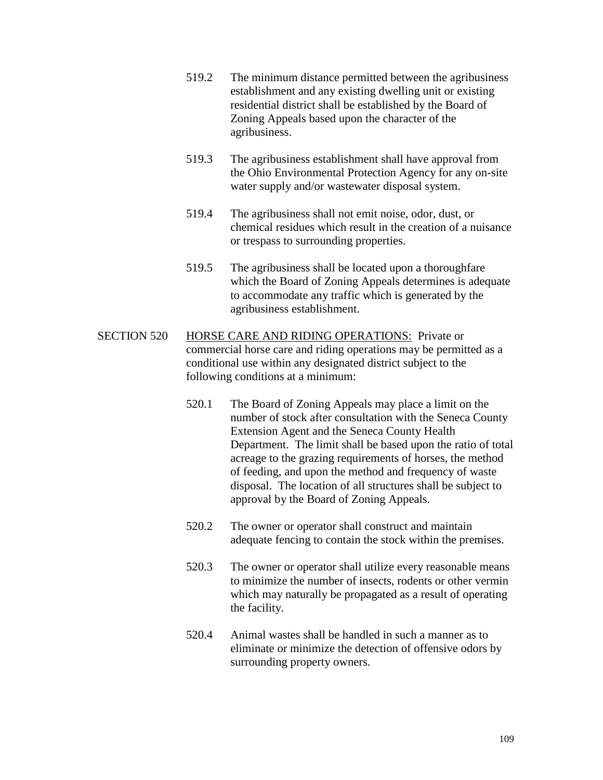- 519.2 The minimum distance permitted between the agribusiness establishment and any existing dwelling unit or existing residential district shall be established by the Board of Zoning Appeals based upon the character of the agribusiness.
- 519.3 The agribusiness establishment shall have approval from the Ohio Environmental Protection Agency for any on-site water supply and/or wastewater disposal system.
- 519.4 The agribusiness shall not emit noise, odor, dust, or chemical residues which result in the creation of a nuisance or trespass to surrounding properties.
- 519.5 The agribusiness shall be located upon a thoroughfare which the Board of Zoning Appeals determines is adequate to accommodate any traffic which is generated by the agribusiness establishment.
- SECTION 520 HORSE CARE AND RIDING OPERATIONS: Private or commercial horse care and riding operations may be permitted as a conditional use within any designated district subject to the following conditions at a minimum:
	- 520.1 The Board of Zoning Appeals may place a limit on the number of stock after consultation with the Seneca County Extension Agent and the Seneca County Health Department. The limit shall be based upon the ratio of total acreage to the grazing requirements of horses, the method of feeding, and upon the method and frequency of waste disposal. The location of all structures shall be subject to approval by the Board of Zoning Appeals.
	- 520.2 The owner or operator shall construct and maintain adequate fencing to contain the stock within the premises.
	- 520.3 The owner or operator shall utilize every reasonable means to minimize the number of insects, rodents or other vermin which may naturally be propagated as a result of operating the facility.
	- 520.4 Animal wastes shall be handled in such a manner as to eliminate or minimize the detection of offensive odors by surrounding property owners.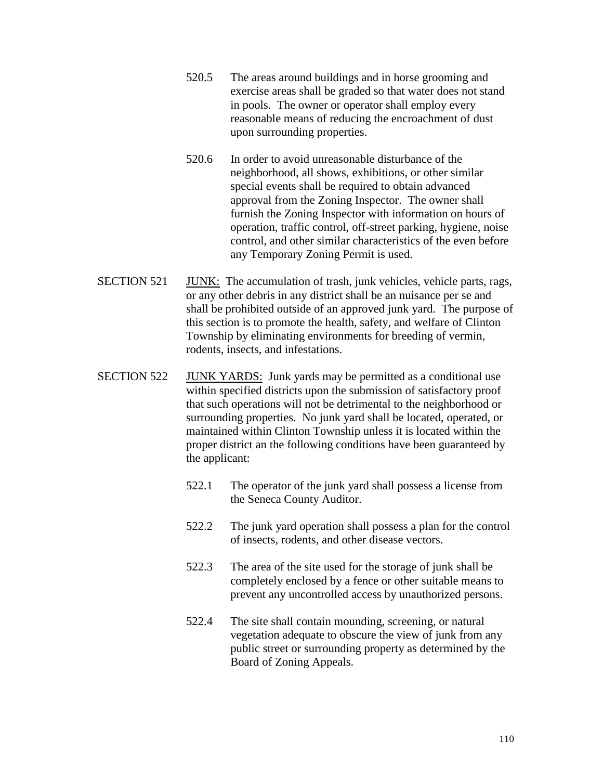- 520.5 The areas around buildings and in horse grooming and exercise areas shall be graded so that water does not stand in pools. The owner or operator shall employ every reasonable means of reducing the encroachment of dust upon surrounding properties.
- 520.6 In order to avoid unreasonable disturbance of the neighborhood, all shows, exhibitions, or other similar special events shall be required to obtain advanced approval from the Zoning Inspector. The owner shall furnish the Zoning Inspector with information on hours of operation, traffic control, off-street parking, hygiene, noise control, and other similar characteristics of the even before any Temporary Zoning Permit is used.
- SECTION 521 JUNK: The accumulation of trash, junk vehicles, vehicle parts, rags, or any other debris in any district shall be an nuisance per se and shall be prohibited outside of an approved junk yard. The purpose of this section is to promote the health, safety, and welfare of Clinton Township by eliminating environments for breeding of vermin, rodents, insects, and infestations.
- SECTION 522 JUNK YARDS: Junk yards may be permitted as a conditional use within specified districts upon the submission of satisfactory proof that such operations will not be detrimental to the neighborhood or surrounding properties. No junk yard shall be located, operated, or maintained within Clinton Township unless it is located within the proper district an the following conditions have been guaranteed by the applicant:
	- 522.1 The operator of the junk yard shall possess a license from the Seneca County Auditor.
	- 522.2 The junk yard operation shall possess a plan for the control of insects, rodents, and other disease vectors.
	- 522.3 The area of the site used for the storage of junk shall be completely enclosed by a fence or other suitable means to prevent any uncontrolled access by unauthorized persons.
	- 522.4 The site shall contain mounding, screening, or natural vegetation adequate to obscure the view of junk from any public street or surrounding property as determined by the Board of Zoning Appeals.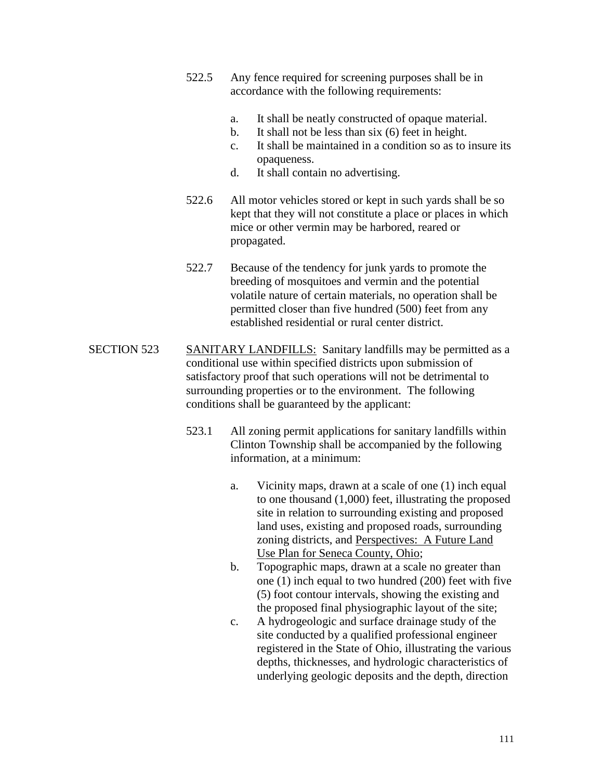- 522.5 Any fence required for screening purposes shall be in accordance with the following requirements:
	- a. It shall be neatly constructed of opaque material.
	- b. It shall not be less than six (6) feet in height.
	- c. It shall be maintained in a condition so as to insure its opaqueness.
	- d. It shall contain no advertising.
- 522.6 All motor vehicles stored or kept in such yards shall be so kept that they will not constitute a place or places in which mice or other vermin may be harbored, reared or propagated.
- 522.7 Because of the tendency for junk yards to promote the breeding of mosquitoes and vermin and the potential volatile nature of certain materials, no operation shall be permitted closer than five hundred (500) feet from any established residential or rural center district.
- SECTION 523 SANITARY LANDFILLS: Sanitary landfills may be permitted as a conditional use within specified districts upon submission of satisfactory proof that such operations will not be detrimental to surrounding properties or to the environment. The following conditions shall be guaranteed by the applicant:
	- 523.1 All zoning permit applications for sanitary landfills within Clinton Township shall be accompanied by the following information, at a minimum:
		- a. Vicinity maps, drawn at a scale of one (1) inch equal to one thousand (1,000) feet, illustrating the proposed site in relation to surrounding existing and proposed land uses, existing and proposed roads, surrounding zoning districts, and Perspectives: A Future Land Use Plan for Seneca County, Ohio;
		- b. Topographic maps, drawn at a scale no greater than one (1) inch equal to two hundred (200) feet with five (5) foot contour intervals, showing the existing and the proposed final physiographic layout of the site;
		- c. A hydrogeologic and surface drainage study of the site conducted by a qualified professional engineer registered in the State of Ohio, illustrating the various depths, thicknesses, and hydrologic characteristics of underlying geologic deposits and the depth, direction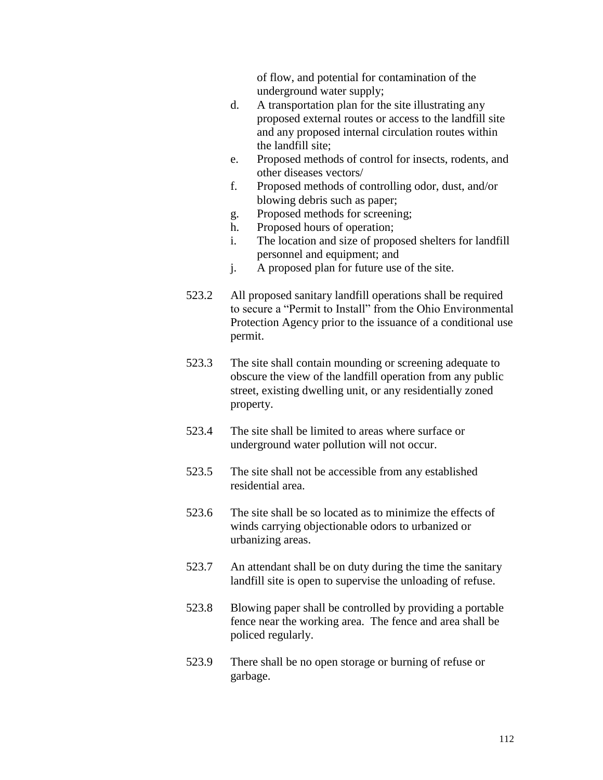of flow, and potential for contamination of the underground water supply;

- d. A transportation plan for the site illustrating any proposed external routes or access to the landfill site and any proposed internal circulation routes within the landfill site;
- e. Proposed methods of control for insects, rodents, and other diseases vectors/
- f. Proposed methods of controlling odor, dust, and/or blowing debris such as paper;
- g. Proposed methods for screening;
- h. Proposed hours of operation;
- i. The location and size of proposed shelters for landfill personnel and equipment; and
- j. A proposed plan for future use of the site.
- 523.2 All proposed sanitary landfill operations shall be required to secure a "Permit to Install" from the Ohio Environmental Protection Agency prior to the issuance of a conditional use permit.
- 523.3 The site shall contain mounding or screening adequate to obscure the view of the landfill operation from any public street, existing dwelling unit, or any residentially zoned property.
- 523.4 The site shall be limited to areas where surface or underground water pollution will not occur.
- 523.5 The site shall not be accessible from any established residential area.
- 523.6 The site shall be so located as to minimize the effects of winds carrying objectionable odors to urbanized or urbanizing areas.
- 523.7 An attendant shall be on duty during the time the sanitary landfill site is open to supervise the unloading of refuse.
- 523.8 Blowing paper shall be controlled by providing a portable fence near the working area. The fence and area shall be policed regularly.
- 523.9 There shall be no open storage or burning of refuse or garbage.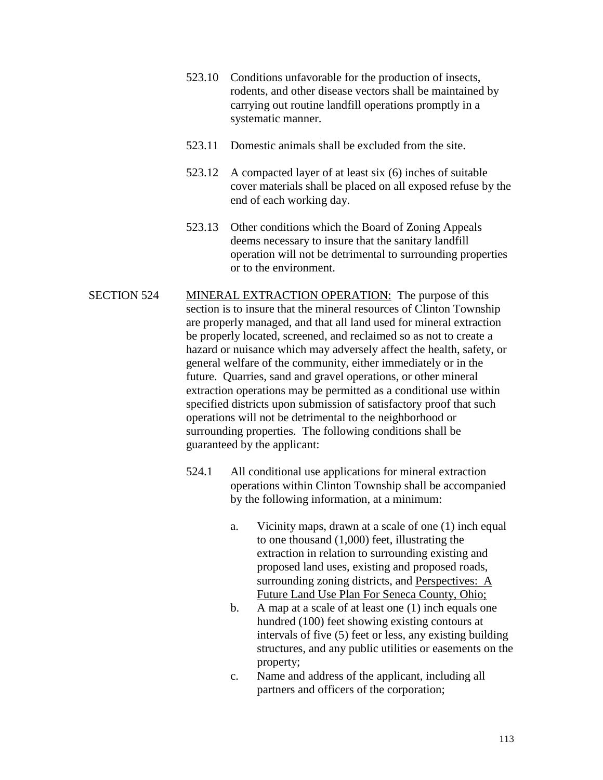- 523.10 Conditions unfavorable for the production of insects, rodents, and other disease vectors shall be maintained by carrying out routine landfill operations promptly in a systematic manner.
- 523.11 Domestic animals shall be excluded from the site.
- 523.12 A compacted layer of at least six (6) inches of suitable cover materials shall be placed on all exposed refuse by the end of each working day.
- 523.13 Other conditions which the Board of Zoning Appeals deems necessary to insure that the sanitary landfill operation will not be detrimental to surrounding properties or to the environment.
- SECTION 524 MINERAL EXTRACTION OPERATION: The purpose of this section is to insure that the mineral resources of Clinton Township are properly managed, and that all land used for mineral extraction be properly located, screened, and reclaimed so as not to create a hazard or nuisance which may adversely affect the health, safety, or general welfare of the community, either immediately or in the future. Quarries, sand and gravel operations, or other mineral extraction operations may be permitted as a conditional use within specified districts upon submission of satisfactory proof that such operations will not be detrimental to the neighborhood or surrounding properties. The following conditions shall be guaranteed by the applicant:
	- 524.1 All conditional use applications for mineral extraction operations within Clinton Township shall be accompanied by the following information, at a minimum:
		- a. Vicinity maps, drawn at a scale of one (1) inch equal to one thousand (1,000) feet, illustrating the extraction in relation to surrounding existing and proposed land uses, existing and proposed roads, surrounding zoning districts, and Perspectives: A Future Land Use Plan For Seneca County, Ohio;
		- b. A map at a scale of at least one (1) inch equals one hundred (100) feet showing existing contours at intervals of five (5) feet or less, any existing building structures, and any public utilities or easements on the property;
		- c. Name and address of the applicant, including all partners and officers of the corporation;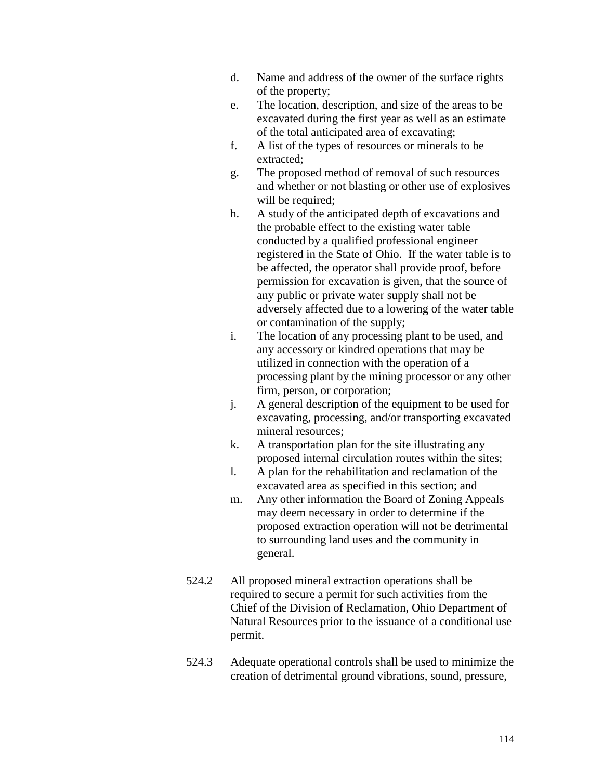- d. Name and address of the owner of the surface rights of the property;
- e. The location, description, and size of the areas to be excavated during the first year as well as an estimate of the total anticipated area of excavating;
- f. A list of the types of resources or minerals to be extracted;
- g. The proposed method of removal of such resources and whether or not blasting or other use of explosives will be required;
- h. A study of the anticipated depth of excavations and the probable effect to the existing water table conducted by a qualified professional engineer registered in the State of Ohio. If the water table is to be affected, the operator shall provide proof, before permission for excavation is given, that the source of any public or private water supply shall not be adversely affected due to a lowering of the water table or contamination of the supply;
- i. The location of any processing plant to be used, and any accessory or kindred operations that may be utilized in connection with the operation of a processing plant by the mining processor or any other firm, person, or corporation;
- j. A general description of the equipment to be used for excavating, processing, and/or transporting excavated mineral resources;
- k. A transportation plan for the site illustrating any proposed internal circulation routes within the sites;
- l. A plan for the rehabilitation and reclamation of the excavated area as specified in this section; and
- m. Any other information the Board of Zoning Appeals may deem necessary in order to determine if the proposed extraction operation will not be detrimental to surrounding land uses and the community in general.
- 524.2 All proposed mineral extraction operations shall be required to secure a permit for such activities from the Chief of the Division of Reclamation, Ohio Department of Natural Resources prior to the issuance of a conditional use permit.
- 524.3 Adequate operational controls shall be used to minimize the creation of detrimental ground vibrations, sound, pressure,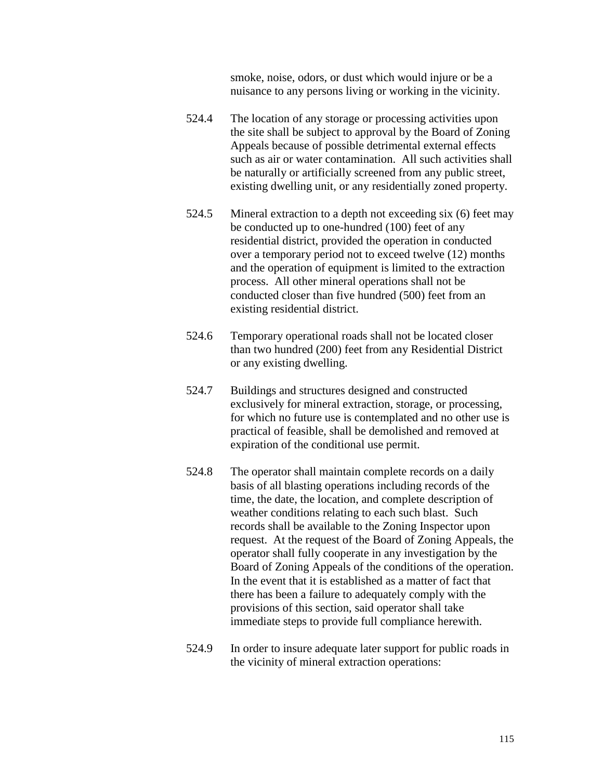smoke, noise, odors, or dust which would injure or be a nuisance to any persons living or working in the vicinity.

- 524.4 The location of any storage or processing activities upon the site shall be subject to approval by the Board of Zoning Appeals because of possible detrimental external effects such as air or water contamination. All such activities shall be naturally or artificially screened from any public street, existing dwelling unit, or any residentially zoned property.
- 524.5 Mineral extraction to a depth not exceeding six (6) feet may be conducted up to one-hundred (100) feet of any residential district, provided the operation in conducted over a temporary period not to exceed twelve (12) months and the operation of equipment is limited to the extraction process. All other mineral operations shall not be conducted closer than five hundred (500) feet from an existing residential district.
- 524.6 Temporary operational roads shall not be located closer than two hundred (200) feet from any Residential District or any existing dwelling.
- 524.7 Buildings and structures designed and constructed exclusively for mineral extraction, storage, or processing, for which no future use is contemplated and no other use is practical of feasible, shall be demolished and removed at expiration of the conditional use permit.
- 524.8 The operator shall maintain complete records on a daily basis of all blasting operations including records of the time, the date, the location, and complete description of weather conditions relating to each such blast. Such records shall be available to the Zoning Inspector upon request. At the request of the Board of Zoning Appeals, the operator shall fully cooperate in any investigation by the Board of Zoning Appeals of the conditions of the operation. In the event that it is established as a matter of fact that there has been a failure to adequately comply with the provisions of this section, said operator shall take immediate steps to provide full compliance herewith.
- 524.9 In order to insure adequate later support for public roads in the vicinity of mineral extraction operations: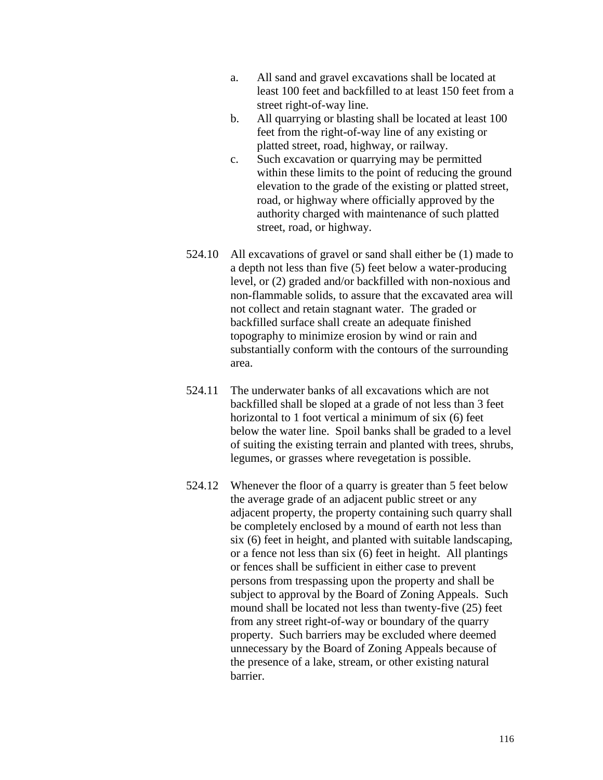- a. All sand and gravel excavations shall be located at least 100 feet and backfilled to at least 150 feet from a street right-of-way line.
- b. All quarrying or blasting shall be located at least 100 feet from the right-of-way line of any existing or platted street, road, highway, or railway.
- c. Such excavation or quarrying may be permitted within these limits to the point of reducing the ground elevation to the grade of the existing or platted street, road, or highway where officially approved by the authority charged with maintenance of such platted street, road, or highway.
- 524.10 All excavations of gravel or sand shall either be (1) made to a depth not less than five (5) feet below a water-producing level, or (2) graded and/or backfilled with non-noxious and non-flammable solids, to assure that the excavated area will not collect and retain stagnant water. The graded or backfilled surface shall create an adequate finished topography to minimize erosion by wind or rain and substantially conform with the contours of the surrounding area.
- 524.11 The underwater banks of all excavations which are not backfilled shall be sloped at a grade of not less than 3 feet horizontal to 1 foot vertical a minimum of six (6) feet below the water line. Spoil banks shall be graded to a level of suiting the existing terrain and planted with trees, shrubs, legumes, or grasses where revegetation is possible.
- 524.12 Whenever the floor of a quarry is greater than 5 feet below the average grade of an adjacent public street or any adjacent property, the property containing such quarry shall be completely enclosed by a mound of earth not less than six (6) feet in height, and planted with suitable landscaping, or a fence not less than six (6) feet in height. All plantings or fences shall be sufficient in either case to prevent persons from trespassing upon the property and shall be subject to approval by the Board of Zoning Appeals. Such mound shall be located not less than twenty-five (25) feet from any street right-of-way or boundary of the quarry property. Such barriers may be excluded where deemed unnecessary by the Board of Zoning Appeals because of the presence of a lake, stream, or other existing natural barrier.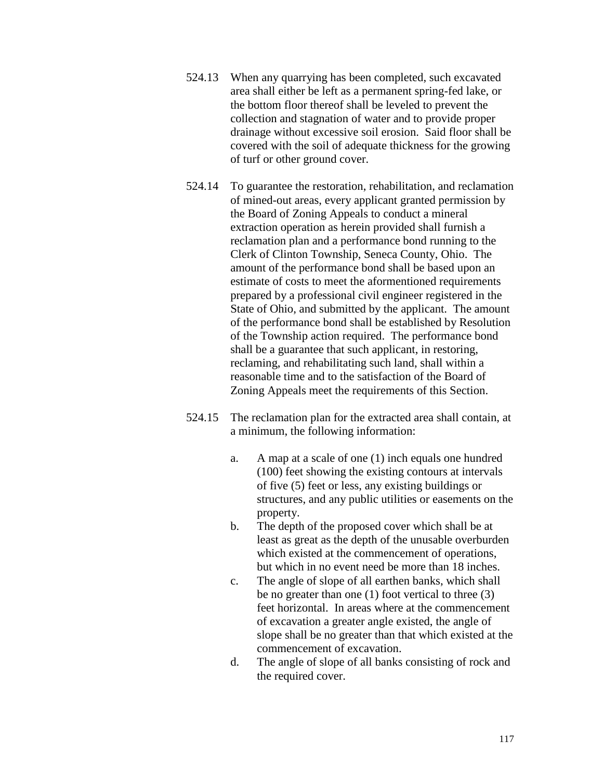- 524.13 When any quarrying has been completed, such excavated area shall either be left as a permanent spring-fed lake, or the bottom floor thereof shall be leveled to prevent the collection and stagnation of water and to provide proper drainage without excessive soil erosion. Said floor shall be covered with the soil of adequate thickness for the growing of turf or other ground cover.
- 524.14 To guarantee the restoration, rehabilitation, and reclamation of mined-out areas, every applicant granted permission by the Board of Zoning Appeals to conduct a mineral extraction operation as herein provided shall furnish a reclamation plan and a performance bond running to the Clerk of Clinton Township, Seneca County, Ohio. The amount of the performance bond shall be based upon an estimate of costs to meet the aformentioned requirements prepared by a professional civil engineer registered in the State of Ohio, and submitted by the applicant. The amount of the performance bond shall be established by Resolution of the Township action required. The performance bond shall be a guarantee that such applicant, in restoring, reclaming, and rehabilitating such land, shall within a reasonable time and to the satisfaction of the Board of Zoning Appeals meet the requirements of this Section.
- 524.15 The reclamation plan for the extracted area shall contain, at a minimum, the following information:
	- a. A map at a scale of one (1) inch equals one hundred (100) feet showing the existing contours at intervals of five (5) feet or less, any existing buildings or structures, and any public utilities or easements on the property.
	- b. The depth of the proposed cover which shall be at least as great as the depth of the unusable overburden which existed at the commencement of operations, but which in no event need be more than 18 inches.
	- c. The angle of slope of all earthen banks, which shall be no greater than one (1) foot vertical to three (3) feet horizontal. In areas where at the commencement of excavation a greater angle existed, the angle of slope shall be no greater than that which existed at the commencement of excavation.
	- d. The angle of slope of all banks consisting of rock and the required cover.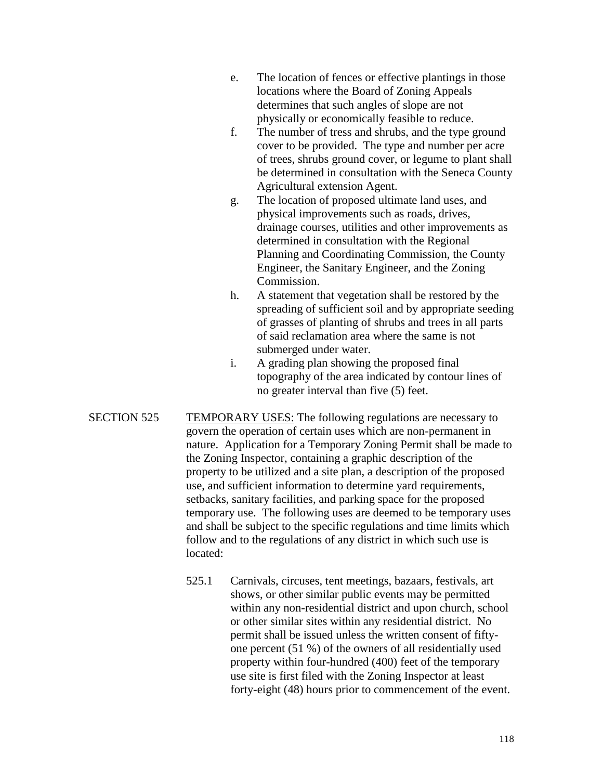- e. The location of fences or effective plantings in those locations where the Board of Zoning Appeals determines that such angles of slope are not physically or economically feasible to reduce.
- f. The number of tress and shrubs, and the type ground cover to be provided. The type and number per acre of trees, shrubs ground cover, or legume to plant shall be determined in consultation with the Seneca County Agricultural extension Agent.
- g. The location of proposed ultimate land uses, and physical improvements such as roads, drives, drainage courses, utilities and other improvements as determined in consultation with the Regional Planning and Coordinating Commission, the County Engineer, the Sanitary Engineer, and the Zoning Commission.
- h. A statement that vegetation shall be restored by the spreading of sufficient soil and by appropriate seeding of grasses of planting of shrubs and trees in all parts of said reclamation area where the same is not submerged under water.
- i. A grading plan showing the proposed final topography of the area indicated by contour lines of no greater interval than five (5) feet.
- SECTION 525 TEMPORARY USES: The following regulations are necessary to govern the operation of certain uses which are non-permanent in nature. Application for a Temporary Zoning Permit shall be made to the Zoning Inspector, containing a graphic description of the property to be utilized and a site plan, a description of the proposed use, and sufficient information to determine yard requirements, setbacks, sanitary facilities, and parking space for the proposed temporary use. The following uses are deemed to be temporary uses and shall be subject to the specific regulations and time limits which follow and to the regulations of any district in which such use is located:
	- 525.1 Carnivals, circuses, tent meetings, bazaars, festivals, art shows, or other similar public events may be permitted within any non-residential district and upon church, school or other similar sites within any residential district. No permit shall be issued unless the written consent of fiftyone percent (51 %) of the owners of all residentially used property within four-hundred (400) feet of the temporary use site is first filed with the Zoning Inspector at least forty-eight (48) hours prior to commencement of the event.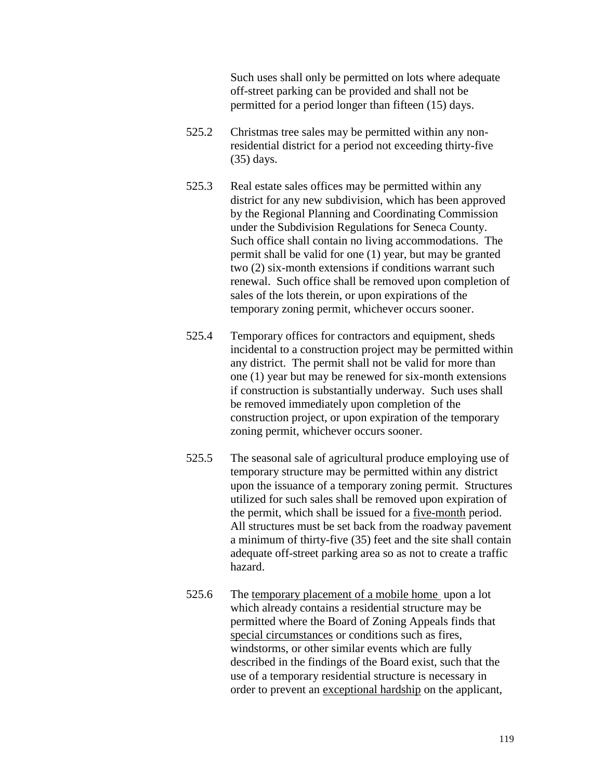Such uses shall only be permitted on lots where adequate off-street parking can be provided and shall not be permitted for a period longer than fifteen (15) days.

- 525.2 Christmas tree sales may be permitted within any nonresidential district for a period not exceeding thirty-five (35) days.
- 525.3 Real estate sales offices may be permitted within any district for any new subdivision, which has been approved by the Regional Planning and Coordinating Commission under the Subdivision Regulations for Seneca County. Such office shall contain no living accommodations. The permit shall be valid for one (1) year, but may be granted two (2) six-month extensions if conditions warrant such renewal. Such office shall be removed upon completion of sales of the lots therein, or upon expirations of the temporary zoning permit, whichever occurs sooner.
- 525.4 Temporary offices for contractors and equipment, sheds incidental to a construction project may be permitted within any district. The permit shall not be valid for more than one (1) year but may be renewed for six-month extensions if construction is substantially underway. Such uses shall be removed immediately upon completion of the construction project, or upon expiration of the temporary zoning permit, whichever occurs sooner.
- 525.5 The seasonal sale of agricultural produce employing use of temporary structure may be permitted within any district upon the issuance of a temporary zoning permit. Structures utilized for such sales shall be removed upon expiration of the permit, which shall be issued for a five-month period. All structures must be set back from the roadway pavement a minimum of thirty-five (35) feet and the site shall contain adequate off-street parking area so as not to create a traffic hazard.
- 525.6 The temporary placement of a mobile home upon a lot which already contains a residential structure may be permitted where the Board of Zoning Appeals finds that special circumstances or conditions such as fires, windstorms, or other similar events which are fully described in the findings of the Board exist, such that the use of a temporary residential structure is necessary in order to prevent an exceptional hardship on the applicant,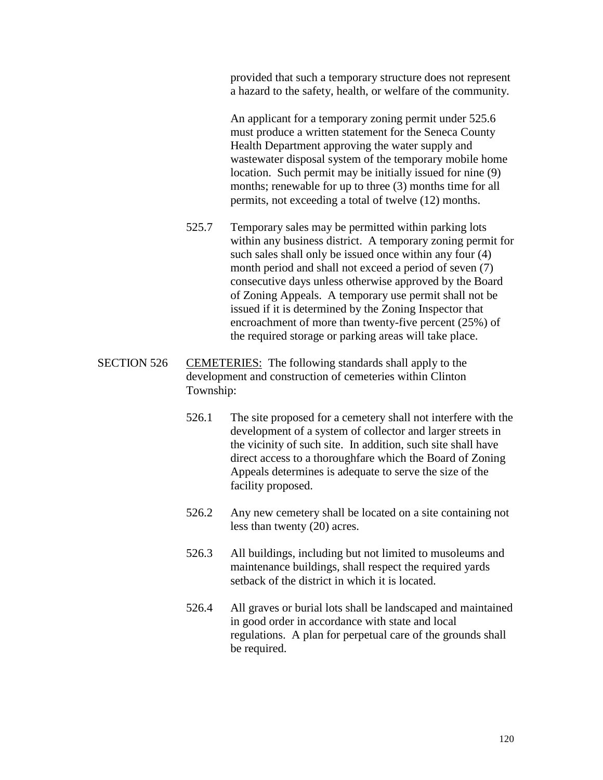provided that such a temporary structure does not represent a hazard to the safety, health, or welfare of the community.

An applicant for a temporary zoning permit under 525.6 must produce a written statement for the Seneca County Health Department approving the water supply and wastewater disposal system of the temporary mobile home location. Such permit may be initially issued for nine (9) months; renewable for up to three (3) months time for all permits, not exceeding a total of twelve (12) months.

- 525.7 Temporary sales may be permitted within parking lots within any business district. A temporary zoning permit for such sales shall only be issued once within any four (4) month period and shall not exceed a period of seven (7) consecutive days unless otherwise approved by the Board of Zoning Appeals. A temporary use permit shall not be issued if it is determined by the Zoning Inspector that encroachment of more than twenty-five percent (25%) of the required storage or parking areas will take place.
- SECTION 526 CEMETERIES: The following standards shall apply to the development and construction of cemeteries within Clinton Township:
	- 526.1 The site proposed for a cemetery shall not interfere with the development of a system of collector and larger streets in the vicinity of such site. In addition, such site shall have direct access to a thoroughfare which the Board of Zoning Appeals determines is adequate to serve the size of the facility proposed.
	- 526.2 Any new cemetery shall be located on a site containing not less than twenty (20) acres.
	- 526.3 All buildings, including but not limited to musoleums and maintenance buildings, shall respect the required yards setback of the district in which it is located.
	- 526.4 All graves or burial lots shall be landscaped and maintained in good order in accordance with state and local regulations. A plan for perpetual care of the grounds shall be required.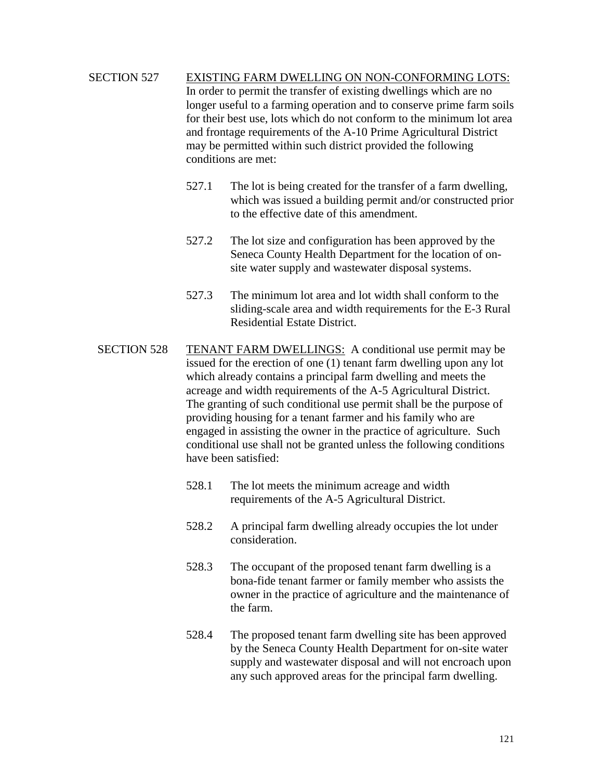# SECTION 527 EXISTING FARM DWELLING ON NON-CONFORMING LOTS: In order to permit the transfer of existing dwellings which are no longer useful to a farming operation and to conserve prime farm soils for their best use, lots which do not conform to the minimum lot area and frontage requirements of the A-10 Prime Agricultural District may be permitted within such district provided the following conditions are met:

- 527.1 The lot is being created for the transfer of a farm dwelling, which was issued a building permit and/or constructed prior to the effective date of this amendment.
- 527.2 The lot size and configuration has been approved by the Seneca County Health Department for the location of onsite water supply and wastewater disposal systems.
- 527.3 The minimum lot area and lot width shall conform to the sliding-scale area and width requirements for the E-3 Rural Residential Estate District.
- SECTION 528 TENANT FARM DWELLINGS: A conditional use permit may be issued for the erection of one (1) tenant farm dwelling upon any lot which already contains a principal farm dwelling and meets the acreage and width requirements of the A-5 Agricultural District. The granting of such conditional use permit shall be the purpose of providing housing for a tenant farmer and his family who are engaged in assisting the owner in the practice of agriculture. Such conditional use shall not be granted unless the following conditions have been satisfied:
	- 528.1 The lot meets the minimum acreage and width requirements of the A-5 Agricultural District.
	- 528.2 A principal farm dwelling already occupies the lot under consideration.
	- 528.3 The occupant of the proposed tenant farm dwelling is a bona-fide tenant farmer or family member who assists the owner in the practice of agriculture and the maintenance of the farm.
	- 528.4 The proposed tenant farm dwelling site has been approved by the Seneca County Health Department for on-site water supply and wastewater disposal and will not encroach upon any such approved areas for the principal farm dwelling.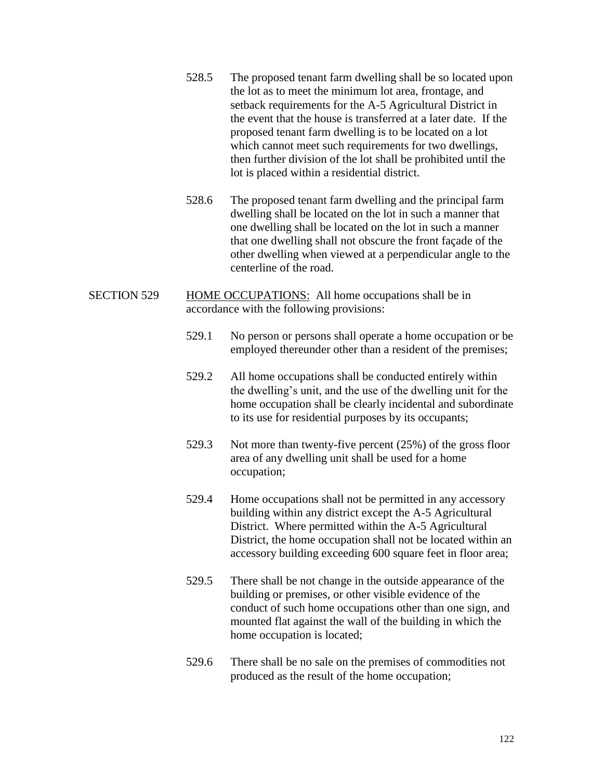- 528.5 The proposed tenant farm dwelling shall be so located upon the lot as to meet the minimum lot area, frontage, and setback requirements for the A-5 Agricultural District in the event that the house is transferred at a later date. If the proposed tenant farm dwelling is to be located on a lot which cannot meet such requirements for two dwellings, then further division of the lot shall be prohibited until the lot is placed within a residential district.
- 528.6 The proposed tenant farm dwelling and the principal farm dwelling shall be located on the lot in such a manner that one dwelling shall be located on the lot in such a manner that one dwelling shall not obscure the front façade of the other dwelling when viewed at a perpendicular angle to the centerline of the road.
- SECTION 529 HOME OCCUPATIONS: All home occupations shall be in accordance with the following provisions:
	- 529.1 No person or persons shall operate a home occupation or be employed thereunder other than a resident of the premises;
	- 529.2 All home occupations shall be conducted entirely within the dwelling's unit, and the use of the dwelling unit for the home occupation shall be clearly incidental and subordinate to its use for residential purposes by its occupants;
	- 529.3 Not more than twenty-five percent (25%) of the gross floor area of any dwelling unit shall be used for a home occupation;
	- 529.4 Home occupations shall not be permitted in any accessory building within any district except the A-5 Agricultural District. Where permitted within the A-5 Agricultural District, the home occupation shall not be located within an accessory building exceeding 600 square feet in floor area;
	- 529.5 There shall be not change in the outside appearance of the building or premises, or other visible evidence of the conduct of such home occupations other than one sign, and mounted flat against the wall of the building in which the home occupation is located;
	- 529.6 There shall be no sale on the premises of commodities not produced as the result of the home occupation;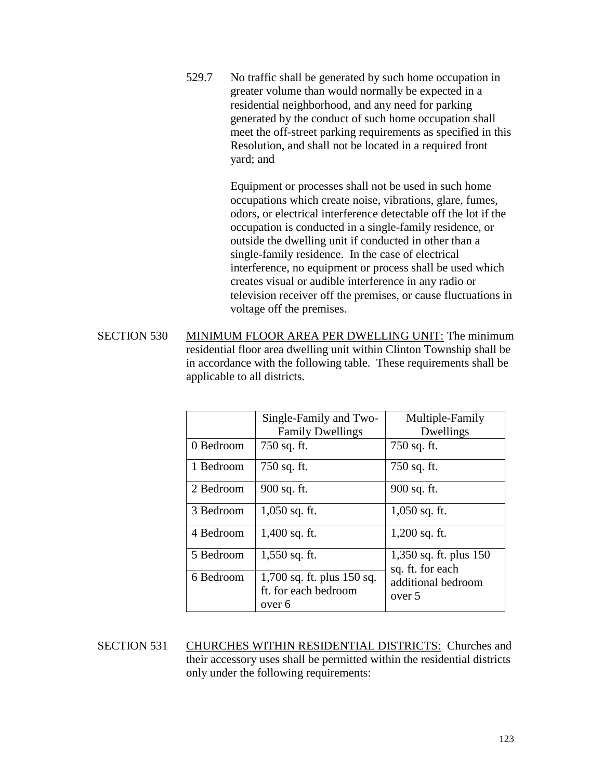529.7 No traffic shall be generated by such home occupation in greater volume than would normally be expected in a residential neighborhood, and any need for parking generated by the conduct of such home occupation shall meet the off-street parking requirements as specified in this Resolution, and shall not be located in a required front yard; and

> Equipment or processes shall not be used in such home occupations which create noise, vibrations, glare, fumes, odors, or electrical interference detectable off the lot if the occupation is conducted in a single-family residence, or outside the dwelling unit if conducted in other than a single-family residence. In the case of electrical interference, no equipment or process shall be used which creates visual or audible interference in any radio or television receiver off the premises, or cause fluctuations in voltage off the premises.

SECTION 530 MINIMUM FLOOR AREA PER DWELLING UNIT: The minimum residential floor area dwelling unit within Clinton Township shall be in accordance with the following table. These requirements shall be applicable to all districts.

|           | Single-Family and Two-<br><b>Family Dwellings</b>            | Multiple-Family<br>Dwellings               |
|-----------|--------------------------------------------------------------|--------------------------------------------|
| 0 Bedroom | 750 sq. ft.                                                  | 750 sq. ft.                                |
| 1 Bedroom | 750 sq. ft.                                                  | 750 sq. ft.                                |
| 2 Bedroom | 900 sq. ft.                                                  | 900 sq. ft.                                |
| 3 Bedroom | $1,050$ sq. ft.                                              | $1,050$ sq. ft.                            |
| 4 Bedroom | 1,400 sq. ft.                                                | $1,200$ sq. ft.                            |
| 5 Bedroom | 1,550 sq. ft.                                                | 1,350 sq. ft. plus 150<br>sq. ft. for each |
| 6 Bedroom | 1,700 sq. ft. plus 150 sq.<br>ft. for each bedroom<br>over 6 | additional bedroom<br>over 5               |

SECTION 531 CHURCHES WITHIN RESIDENTIAL DISTRICTS: Churches and their accessory uses shall be permitted within the residential districts only under the following requirements: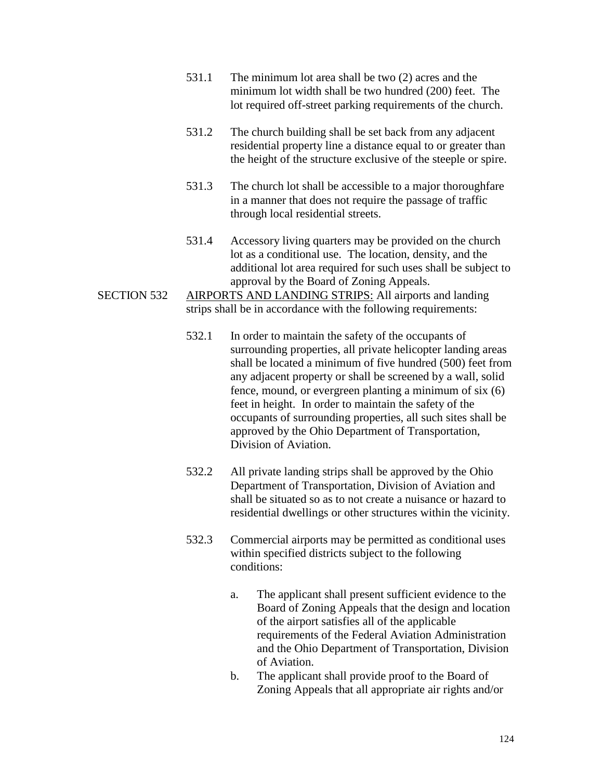- 531.1 The minimum lot area shall be two (2) acres and the minimum lot width shall be two hundred (200) feet. The lot required off-street parking requirements of the church.
- 531.2 The church building shall be set back from any adjacent residential property line a distance equal to or greater than the height of the structure exclusive of the steeple or spire.
- 531.3 The church lot shall be accessible to a major thoroughfare in a manner that does not require the passage of traffic through local residential streets.
- 531.4 Accessory living quarters may be provided on the church lot as a conditional use. The location, density, and the additional lot area required for such uses shall be subject to approval by the Board of Zoning Appeals.
- SECTION 532 AIRPORTS AND LANDING STRIPS: All airports and landing strips shall be in accordance with the following requirements:
	- 532.1 In order to maintain the safety of the occupants of surrounding properties, all private helicopter landing areas shall be located a minimum of five hundred (500) feet from any adjacent property or shall be screened by a wall, solid fence, mound, or evergreen planting a minimum of six (6) feet in height. In order to maintain the safety of the occupants of surrounding properties, all such sites shall be approved by the Ohio Department of Transportation, Division of Aviation.
	- 532.2 All private landing strips shall be approved by the Ohio Department of Transportation, Division of Aviation and shall be situated so as to not create a nuisance or hazard to residential dwellings or other structures within the vicinity.
	- 532.3 Commercial airports may be permitted as conditional uses within specified districts subject to the following conditions:
		- a. The applicant shall present sufficient evidence to the Board of Zoning Appeals that the design and location of the airport satisfies all of the applicable requirements of the Federal Aviation Administration and the Ohio Department of Transportation, Division of Aviation.
		- b. The applicant shall provide proof to the Board of Zoning Appeals that all appropriate air rights and/or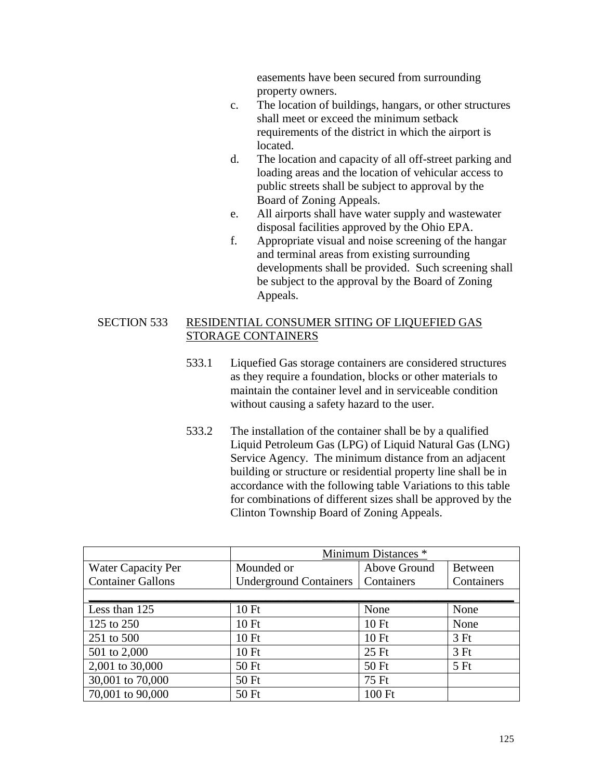easements have been secured from surrounding property owners.

- c. The location of buildings, hangars, or other structures shall meet or exceed the minimum setback requirements of the district in which the airport is located.
- d. The location and capacity of all off-street parking and loading areas and the location of vehicular access to public streets shall be subject to approval by the Board of Zoning Appeals.
- e. All airports shall have water supply and wastewater disposal facilities approved by the Ohio EPA.
- f. Appropriate visual and noise screening of the hangar and terminal areas from existing surrounding developments shall be provided. Such screening shall be subject to the approval by the Board of Zoning Appeals.

## SECTION 533 RESIDENTIAL CONSUMER SITING OF LIQUEFIED GAS STORAGE CONTAINERS

- 533.1 Liquefied Gas storage containers are considered structures as they require a foundation, blocks or other materials to maintain the container level and in serviceable condition without causing a safety hazard to the user.
- 533.2 The installation of the container shall be by a qualified Liquid Petroleum Gas (LPG) of Liquid Natural Gas (LNG) Service Agency. The minimum distance from an adjacent building or structure or residential property line shall be in accordance with the following table Variations to this table for combinations of different sizes shall be approved by the Clinton Township Board of Zoning Appeals.

|                           | Minimum Distances *           |              |            |
|---------------------------|-------------------------------|--------------|------------|
| <b>Water Capacity Per</b> | Mounded or                    | Above Ground | Between    |
| <b>Container Gallons</b>  | <b>Underground Containers</b> | Containers   | Containers |
|                           |                               |              |            |
| Less than 125             | 10 Ft                         | None         | None       |
| 125 to 250                | 10 Ft                         | 10Ft         | None       |
| 251 to 500                | 10Ft                          | 10Ft         | 3Ft        |
| 501 to 2,000              | 10 Ft                         | $25$ Ft      | 3Ft        |
| 2,001 to 30,000           | 50 Ft                         | 50 Ft        | 5Ft        |
| 30,001 to 70,000          | 50 Ft                         | 75 Ft        |            |
| 70,001 to 90,000          | 50 Ft                         | 100 Ft       |            |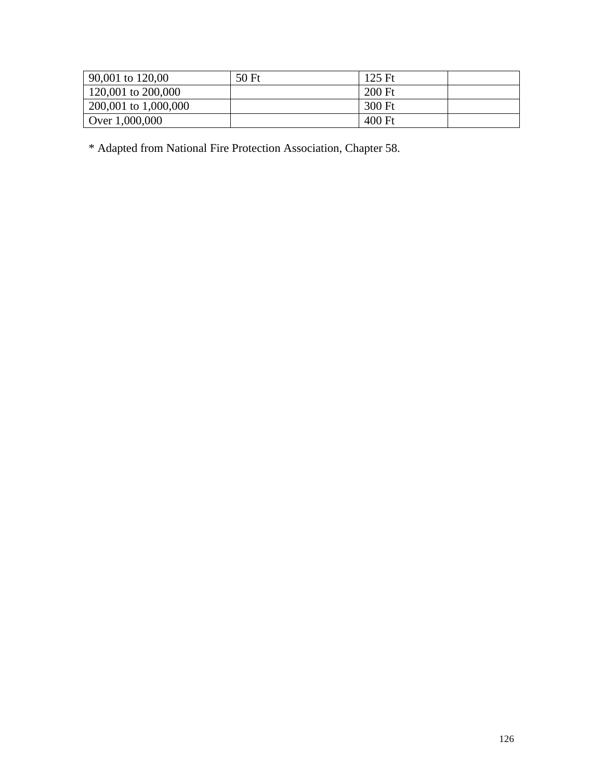| 90,001 to 120,00     | 50 Ft | $125 \text{ Ft}$ |  |
|----------------------|-------|------------------|--|
| 120,001 to 200,000   |       | 200 Ft           |  |
| 200,001 to 1,000,000 |       | 300 Ft           |  |
| Over 1,000,000       |       | 400 Ft           |  |

\* Adapted from National Fire Protection Association, Chapter 58.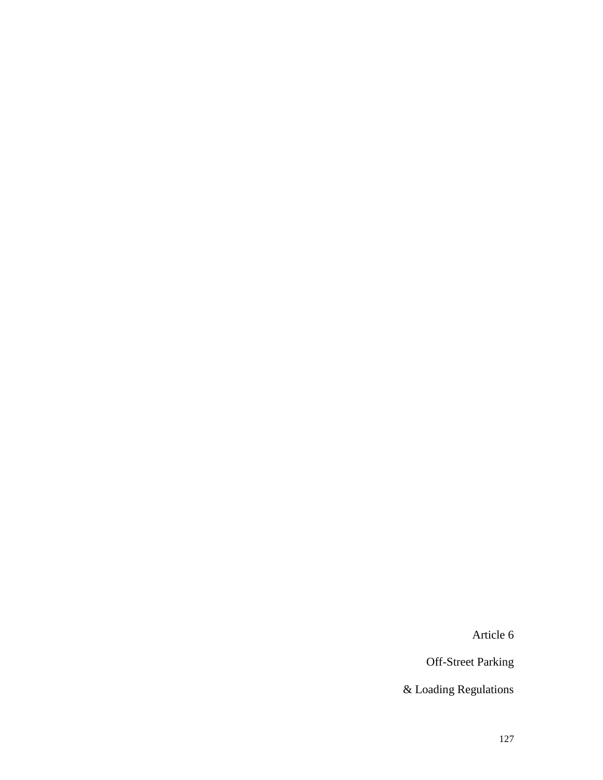Article 6

Off-Street Parking

& Loading Regulations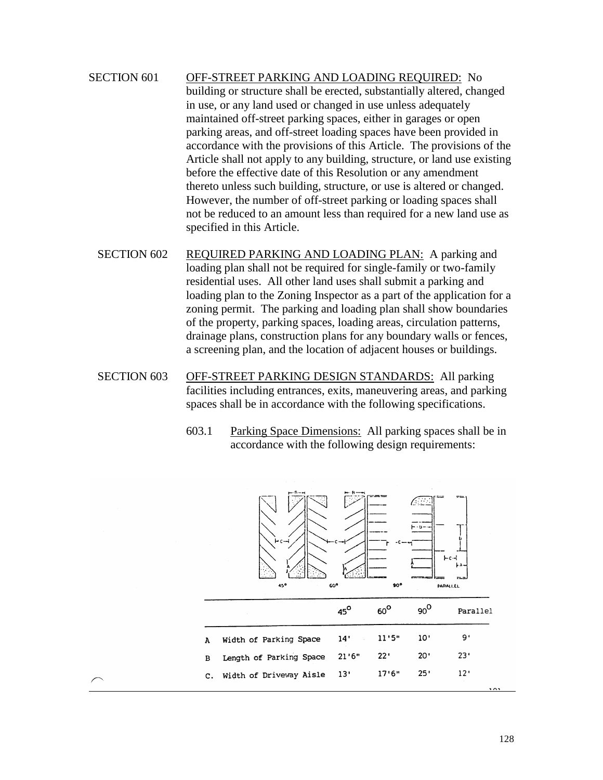# SECTION 601 OFF-STREET PARKING AND LOADING REQUIRED: No building or structure shall be erected, substantially altered, changed in use, or any land used or changed in use unless adequately maintained off-street parking spaces, either in garages or open parking areas, and off-street loading spaces have been provided in accordance with the provisions of this Article. The provisions of the Article shall not apply to any building, structure, or land use existing before the effective date of this Resolution or any amendment thereto unless such building, structure, or use is altered or changed. However, the number of off-street parking or loading spaces shall not be reduced to an amount less than required for a new land use as specified in this Article.

- SECTION 602 REQUIRED PARKING AND LOADING PLAN: A parking and loading plan shall not be required for single-family or two-family residential uses. All other land uses shall submit a parking and loading plan to the Zoning Inspector as a part of the application for a zoning permit. The parking and loading plan shall show boundaries of the property, parking spaces, loading areas, circulation patterns, drainage plans, construction plans for any boundary walls or fences, a screening plan, and the location of adjacent houses or buildings.
- SECTION 603 OFF-STREET PARKING DESIGN STANDARDS: All parking facilities including entrances, exits, maneuvering areas, and parking spaces shall be in accordance with the following specifications.
	- 603.1 Parking Space Dimensions: All parking spaces shall be in accordance with the following design requirements:

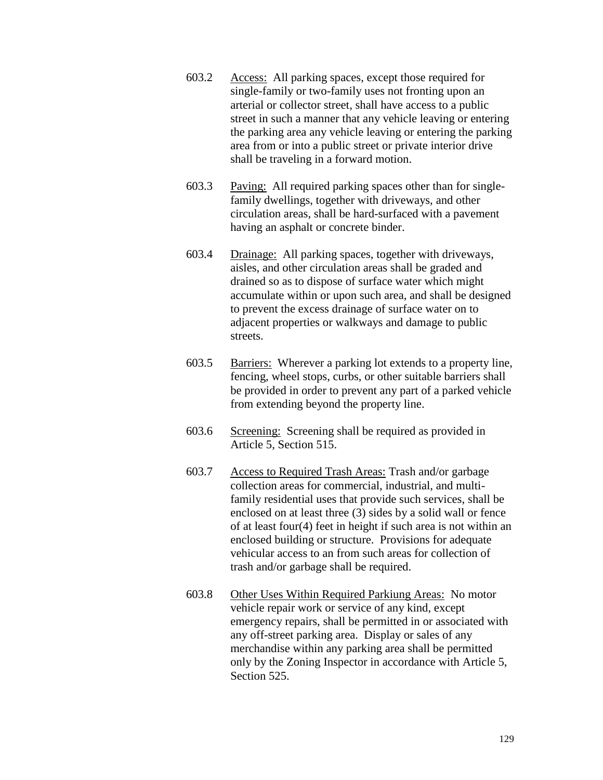- 603.2 Access: All parking spaces, except those required for single-family or two-family uses not fronting upon an arterial or collector street, shall have access to a public street in such a manner that any vehicle leaving or entering the parking area any vehicle leaving or entering the parking area from or into a public street or private interior drive shall be traveling in a forward motion.
- 603.3 Paving: All required parking spaces other than for singlefamily dwellings, together with driveways, and other circulation areas, shall be hard-surfaced with a pavement having an asphalt or concrete binder.
- 603.4 Drainage: All parking spaces, together with driveways, aisles, and other circulation areas shall be graded and drained so as to dispose of surface water which might accumulate within or upon such area, and shall be designed to prevent the excess drainage of surface water on to adjacent properties or walkways and damage to public streets.
- 603.5 Barriers: Wherever a parking lot extends to a property line, fencing, wheel stops, curbs, or other suitable barriers shall be provided in order to prevent any part of a parked vehicle from extending beyond the property line.
- 603.6 Screening: Screening shall be required as provided in Article 5, Section 515.
- 603.7 Access to Required Trash Areas: Trash and/or garbage collection areas for commercial, industrial, and multifamily residential uses that provide such services, shall be enclosed on at least three (3) sides by a solid wall or fence of at least four(4) feet in height if such area is not within an enclosed building or structure. Provisions for adequate vehicular access to an from such areas for collection of trash and/or garbage shall be required.
- 603.8 Other Uses Within Required Parkiung Areas: No motor vehicle repair work or service of any kind, except emergency repairs, shall be permitted in or associated with any off-street parking area. Display or sales of any merchandise within any parking area shall be permitted only by the Zoning Inspector in accordance with Article 5, Section 525.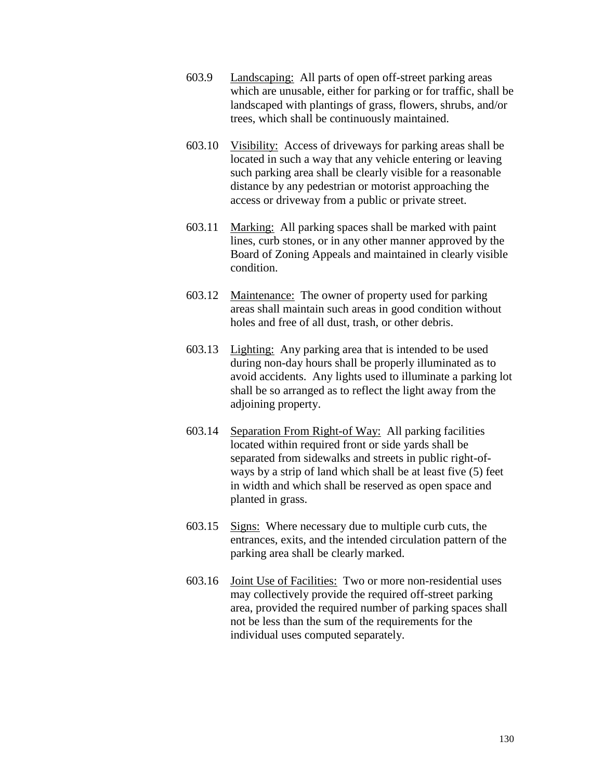- 603.9 Landscaping: All parts of open off-street parking areas which are unusable, either for parking or for traffic, shall be landscaped with plantings of grass, flowers, shrubs, and/or trees, which shall be continuously maintained.
- 603.10 Visibility: Access of driveways for parking areas shall be located in such a way that any vehicle entering or leaving such parking area shall be clearly visible for a reasonable distance by any pedestrian or motorist approaching the access or driveway from a public or private street.
- 603.11 Marking: All parking spaces shall be marked with paint lines, curb stones, or in any other manner approved by the Board of Zoning Appeals and maintained in clearly visible condition.
- 603.12 Maintenance: The owner of property used for parking areas shall maintain such areas in good condition without holes and free of all dust, trash, or other debris.
- 603.13 Lighting: Any parking area that is intended to be used during non-day hours shall be properly illuminated as to avoid accidents. Any lights used to illuminate a parking lot shall be so arranged as to reflect the light away from the adjoining property.
- 603.14 Separation From Right-of Way: All parking facilities located within required front or side yards shall be separated from sidewalks and streets in public right-ofways by a strip of land which shall be at least five (5) feet in width and which shall be reserved as open space and planted in grass.
- 603.15 Signs: Where necessary due to multiple curb cuts, the entrances, exits, and the intended circulation pattern of the parking area shall be clearly marked.
- 603.16 Joint Use of Facilities: Two or more non-residential uses may collectively provide the required off-street parking area, provided the required number of parking spaces shall not be less than the sum of the requirements for the individual uses computed separately.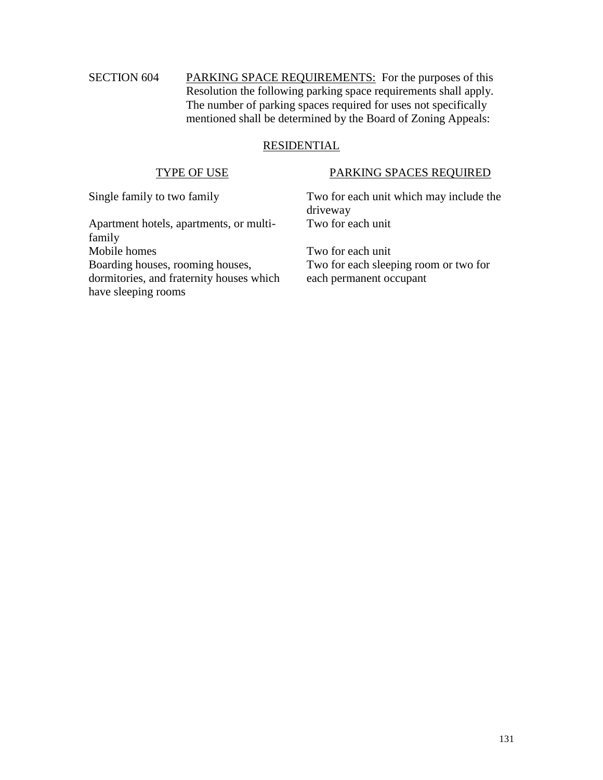# SECTION 604 PARKING SPACE REQUIREMENTS: For the purposes of this Resolution the following parking space requirements shall apply. The number of parking spaces required for uses not specifically mentioned shall be determined by the Board of Zoning Appeals:

## RESIDENTIAL

# TYPE OF USE PARKING SPACES REQUIRED

Apartment hotels, apartments, or multifamily Mobile homes Two for each unit Boarding houses, rooming houses, dormitories, and fraternity houses which have sleeping rooms

Single family to two family Two for each unit which may include the driveway Two for each unit

> Two for each sleeping room or two for each permanent occupant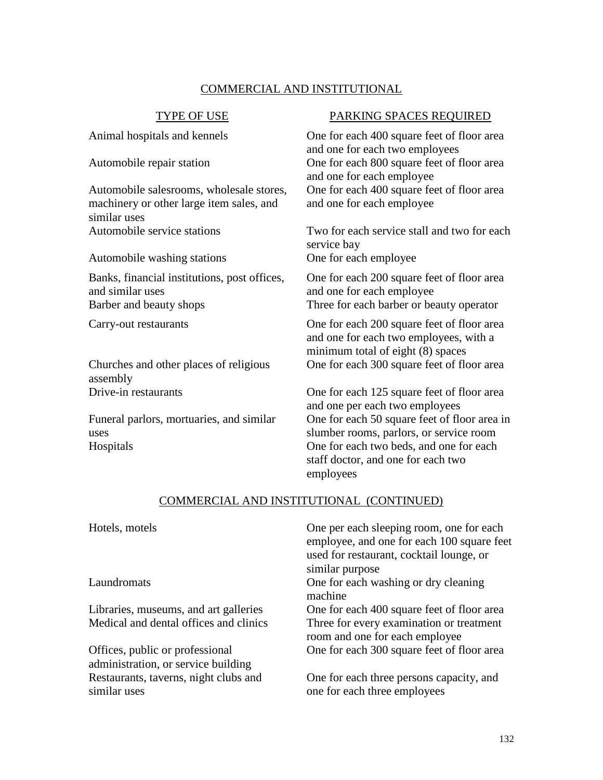# COMMERCIAL AND INSTITUTIONAL

Automobile salesrooms, wholesale stores, machinery or other large item sales, and similar uses

Automobile washing stations One for each employee

Banks, financial institutions, post offices, and similar uses Barber and beauty shops Three for each barber or beauty operator

Churches and other places of religious assembly

Funeral parlors, mortuaries, and similar uses

### TYPE OF USE PARKING SPACES REQUIRED

Animal hospitals and kennels **One for each 400 square feet of floor area** and one for each two employees Automobile repair station One for each 800 square feet of floor area and one for each employee One for each 400 square feet of floor area and one for each employee

Automobile service stations Two for each service stall and two for each service bay

> One for each 200 square feet of floor area and one for each employee

Carry-out restaurants One for each 200 square feet of floor area and one for each two employees, with a minimum total of eight (8) spaces One for each 300 square feet of floor area

Drive-in restaurants One for each 125 square feet of floor area and one per each two employees One for each 50 square feet of floor area in slumber rooms, parlors, or service room Hospitals One for each two beds, and one for each staff doctor, and one for each two employees

### COMMERCIAL AND INSTITUTIONAL (CONTINUED)

| Hotels, motels                                                         | One per each sleeping room, one for each<br>employee, and one for each 100 square feet<br>used for restaurant, cocktail lounge, or<br>similar purpose |
|------------------------------------------------------------------------|-------------------------------------------------------------------------------------------------------------------------------------------------------|
| Laundromats                                                            | One for each washing or dry cleaning<br>machine                                                                                                       |
| Libraries, museums, and art galleries                                  | One for each 400 square feet of floor area                                                                                                            |
| Medical and dental offices and clinics                                 | Three for every examination or treatment<br>room and one for each employee                                                                            |
| Offices, public or professional<br>administration, or service building | One for each 300 square feet of floor area                                                                                                            |
| Restaurants, taverns, night clubs and<br>similar uses                  | One for each three persons capacity, and<br>one for each three employees                                                                              |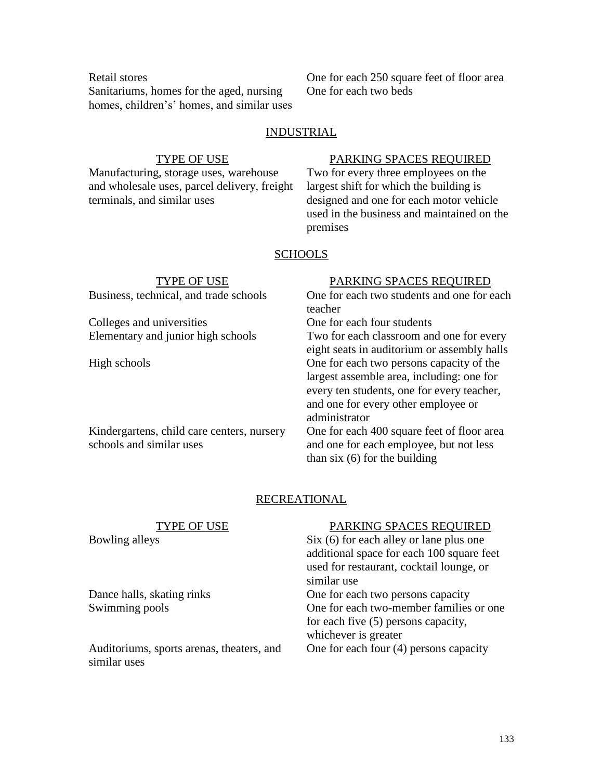Sanitariums, homes for the aged, nursing homes, children's' homes, and similar uses

Retail stores One for each 250 square feet of floor area One for each two beds

## **INDUSTRIAL**

Manufacturing, storage uses, warehouse and wholesale uses, parcel delivery, freight terminals, and similar uses

### TYPE OF USE PARKING SPACES REQUIRED

Two for every three employees on the largest shift for which the building is designed and one for each motor vehicle used in the business and maintained on the premises

### **SCHOOLS**

| TYPE OF USE                                | PARKING SPACES REQUIRED                     |
|--------------------------------------------|---------------------------------------------|
| Business, technical, and trade schools     | One for each two students and one for each  |
|                                            | teacher                                     |
| Colleges and universities                  | One for each four students                  |
| Elementary and junior high schools         | Two for each classroom and one for every    |
|                                            | eight seats in auditorium or assembly halls |
| High schools                               | One for each two persons capacity of the    |
|                                            | largest assemble area, including: one for   |
|                                            | every ten students, one for every teacher,  |
|                                            | and one for every other employee or         |
|                                            | administrator                               |
| Kindergartens, child care centers, nursery | One for each 400 square feet of floor area  |
| schools and similar uses                   | and one for each employee, but not less     |
|                                            | than six $(6)$ for the building             |

## **RECREATIONAL**

| TYPE OF USE                               | PARKING SPACES REQUIRED                   |
|-------------------------------------------|-------------------------------------------|
| Bowling alleys                            | $Six (6)$ for each alley or lane plus one |
|                                           | additional space for each 100 square feet |
|                                           | used for restaurant, cocktail lounge, or  |
|                                           | similar use                               |
| Dance halls, skating rinks                | One for each two persons capacity         |
| Swimming pools                            | One for each two-member families or one   |
|                                           | for each five (5) persons capacity,       |
|                                           | whichever is greater                      |
| Auditoriums, sports arenas, theaters, and | One for each four $(4)$ persons capacity  |
| similar uses                              |                                           |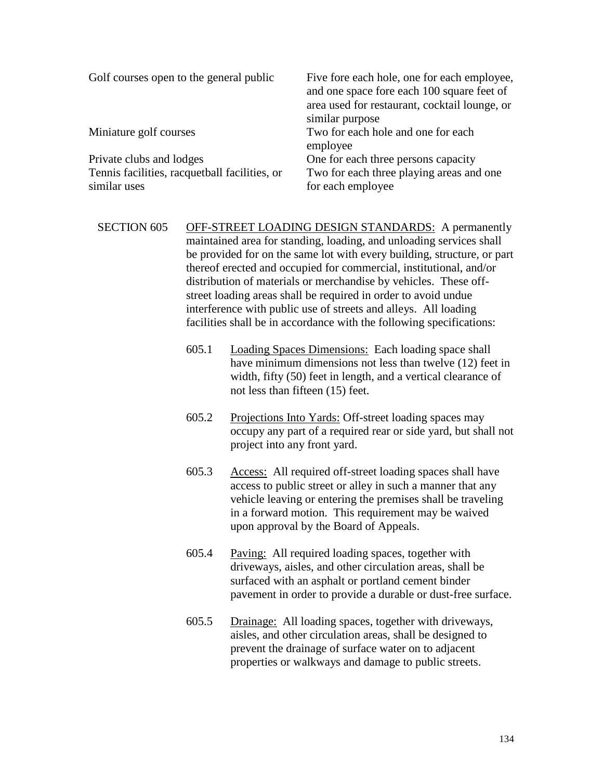| Golf courses open to the general public       | Five fore each hole, one for each employee,<br>and one space fore each 100 square feet of<br>area used for restaurant, cocktail lounge, or |
|-----------------------------------------------|--------------------------------------------------------------------------------------------------------------------------------------------|
|                                               | similar purpose                                                                                                                            |
| Miniature golf courses                        | Two for each hole and one for each<br>employee                                                                                             |
| Private clubs and lodges                      | One for each three persons capacity                                                                                                        |
| Tennis facilities, racquetball facilities, or | Two for each three playing areas and one                                                                                                   |
| similar uses                                  | for each employee                                                                                                                          |

SECTION 605 OFF-STREET LOADING DESIGN STANDARDS: A permanently maintained area for standing, loading, and unloading services shall be provided for on the same lot with every building, structure, or part thereof erected and occupied for commercial, institutional, and/or distribution of materials or merchandise by vehicles. These offstreet loading areas shall be required in order to avoid undue interference with public use of streets and alleys. All loading facilities shall be in accordance with the following specifications:

- 605.1 Loading Spaces Dimensions: Each loading space shall have minimum dimensions not less than twelve (12) feet in width, fifty (50) feet in length, and a vertical clearance of not less than fifteen (15) feet.
- 605.2 Projections Into Yards: Off-street loading spaces may occupy any part of a required rear or side yard, but shall not project into any front yard.
- 605.3 Access: All required off-street loading spaces shall have access to public street or alley in such a manner that any vehicle leaving or entering the premises shall be traveling in a forward motion. This requirement may be waived upon approval by the Board of Appeals.
- 605.4 Paving: All required loading spaces, together with driveways, aisles, and other circulation areas, shall be surfaced with an asphalt or portland cement binder pavement in order to provide a durable or dust-free surface.
- 605.5 Drainage: All loading spaces, together with driveways, aisles, and other circulation areas, shall be designed to prevent the drainage of surface water on to adjacent properties or walkways and damage to public streets.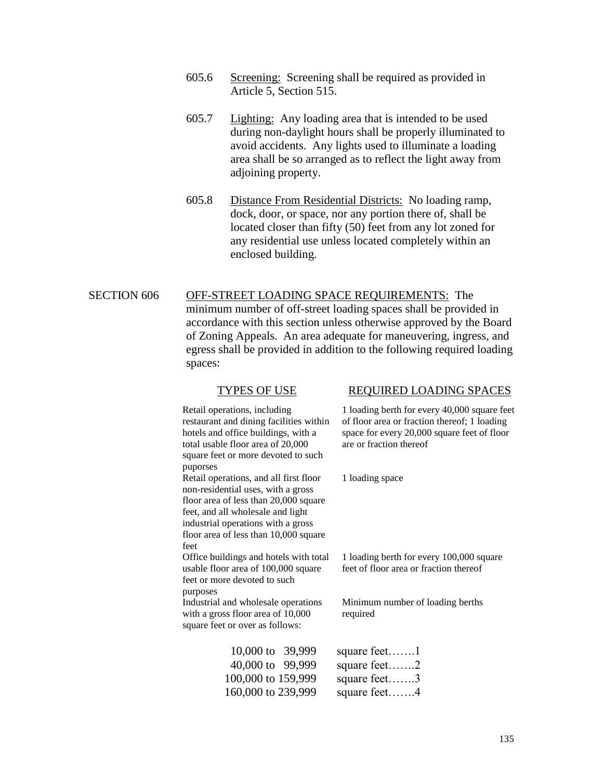- 605.6 Screening: Screening shall be required as provided in Article 5, Section 515.
- 605.7 Lighting: Any loading area that is intended to be used during non-daylight hours shall be properly illuminated to avoid accidents. Any lights used to illuminate a loading area shall be so arranged as to reflect the light away from adjoining property.
- 605.8 Distance From Residential Districts: No loading ramp, dock, door, or space, nor any portion there of, shall be located closer than fifty (50) feet from any lot zoned for any residential use unless located completely within an enclosed building.

# SECTION 606 OFF-STREET LOADING SPACE REQUIREMENTS: The minimum number of off-street loading spaces shall be provided in accordance with this section unless otherwise approved by the Board of Zoning Appeals. An area adequate for maneuvering, ingress, and egress shall be provided in addition to the following required loading spaces:

| TYPES OF USE                                                                                                                                                                                                                                      | REQUIRED LOADING SPACES                                                                                                                                                |
|---------------------------------------------------------------------------------------------------------------------------------------------------------------------------------------------------------------------------------------------------|------------------------------------------------------------------------------------------------------------------------------------------------------------------------|
| Retail operations, including<br>restaurant and dining facilities within<br>hotels and office buildings, with a<br>total usable floor area of 20,000<br>square feet or more devoted to such<br>puporses                                            | 1 loading berth for every 40,000 square feet<br>of floor area or fraction thereof; 1 loading<br>space for every 20,000 square feet of floor<br>are or fraction thereof |
| Retail operations, and all first floor<br>non-residential uses, with a gross<br>floor area of less than 20,000 square<br>feet, and all wholesale and light<br>industrial operations with a gross<br>floor area of less than 10,000 square<br>feet | 1 loading space                                                                                                                                                        |
| Office buildings and hotels with total<br>usable floor area of 100,000 square<br>feet or more devoted to such<br>purposes                                                                                                                         | 1 loading berth for every 100,000 square<br>feet of floor area or fraction thereof                                                                                     |
| Industrial and wholesale operations<br>with a gross floor area of 10,000<br>square feet or over as follows:                                                                                                                                       | Minimum number of loading berths<br>required                                                                                                                           |
| 10,000 to 39,999<br>40,000 to 99,999<br>100,000 to 159,999<br>160,000 to 239,999                                                                                                                                                                  | square feet1<br>square feet2<br>square feet3<br>square feet4                                                                                                           |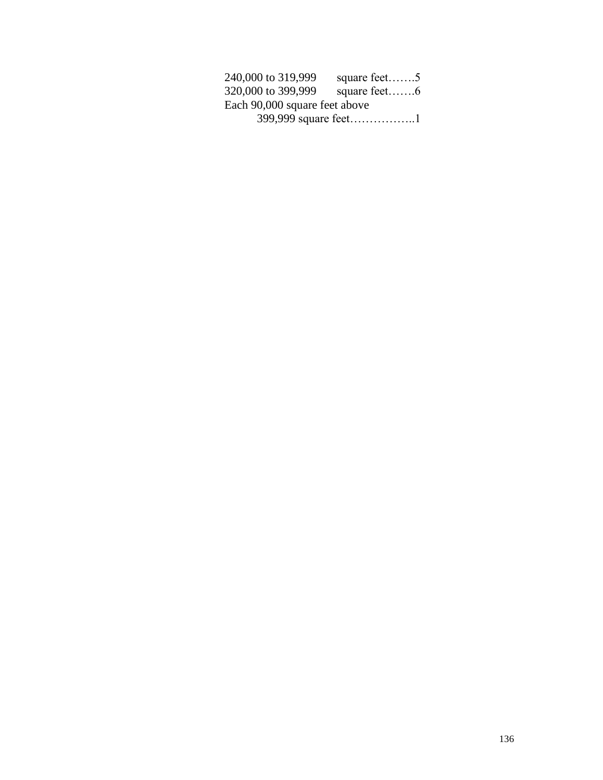| 240,000 to 319,999            | square feet $\dots$ |  |
|-------------------------------|---------------------|--|
| 320,000 to 399,999            |                     |  |
| Each 90,000 square feet above |                     |  |
| 399,999 square feet1          |                     |  |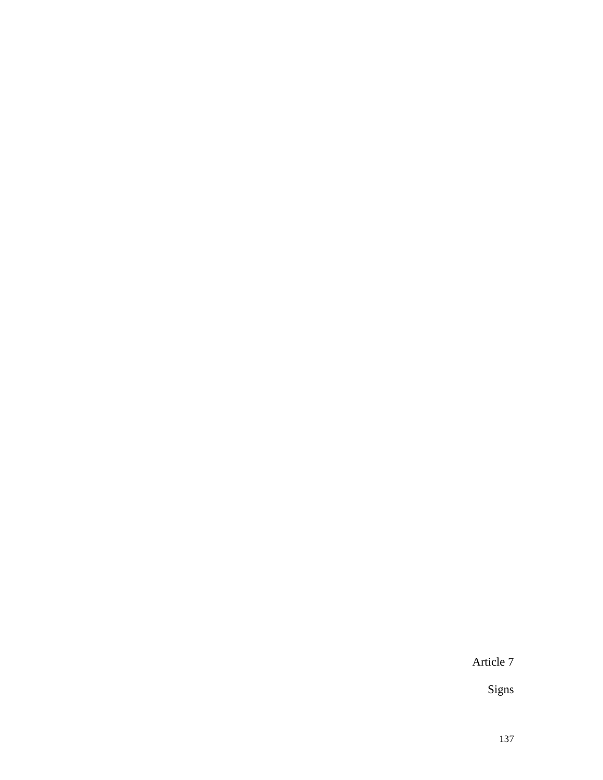Article 7

Signs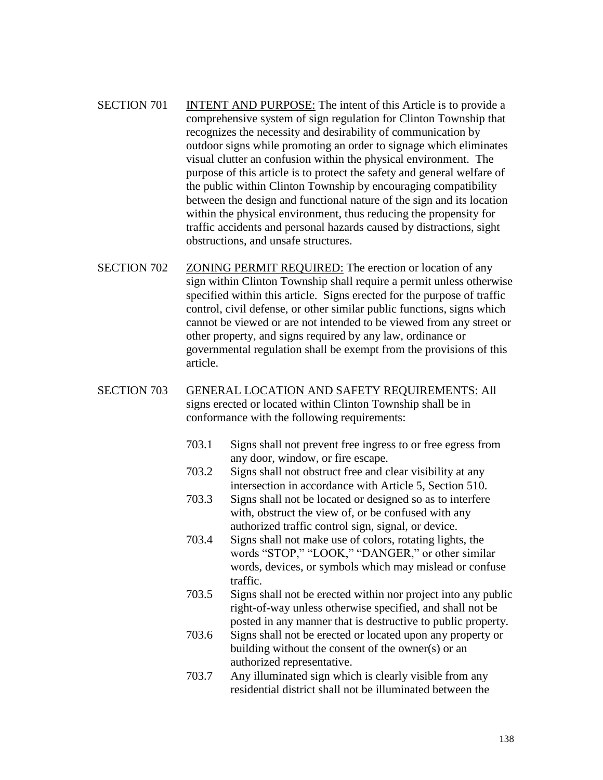- SECTION 701 INTENT AND PURPOSE: The intent of this Article is to provide a comprehensive system of sign regulation for Clinton Township that recognizes the necessity and desirability of communication by outdoor signs while promoting an order to signage which eliminates visual clutter an confusion within the physical environment. The purpose of this article is to protect the safety and general welfare of the public within Clinton Township by encouraging compatibility between the design and functional nature of the sign and its location within the physical environment, thus reducing the propensity for traffic accidents and personal hazards caused by distractions, sight obstructions, and unsafe structures.
- SECTION 702 ZONING PERMIT REQUIRED: The erection or location of any sign within Clinton Township shall require a permit unless otherwise specified within this article. Signs erected for the purpose of traffic control, civil defense, or other similar public functions, signs which cannot be viewed or are not intended to be viewed from any street or other property, and signs required by any law, ordinance or governmental regulation shall be exempt from the provisions of this article.

## SECTION 703 GENERAL LOCATION AND SAFETY REQUIREMENTS: All signs erected or located within Clinton Township shall be in conformance with the following requirements:

- 703.1 Signs shall not prevent free ingress to or free egress from any door, window, or fire escape.
- 703.2 Signs shall not obstruct free and clear visibility at any intersection in accordance with Article 5, Section 510.
- 703.3 Signs shall not be located or designed so as to interfere with, obstruct the view of, or be confused with any authorized traffic control sign, signal, or device.
- 703.4 Signs shall not make use of colors, rotating lights, the words "STOP," "LOOK," "DANGER," or other similar words, devices, or symbols which may mislead or confuse traffic.
- 703.5 Signs shall not be erected within nor project into any public right-of-way unless otherwise specified, and shall not be posted in any manner that is destructive to public property.
- 703.6 Signs shall not be erected or located upon any property or building without the consent of the owner(s) or an authorized representative.
- 703.7 Any illuminated sign which is clearly visible from any residential district shall not be illuminated between the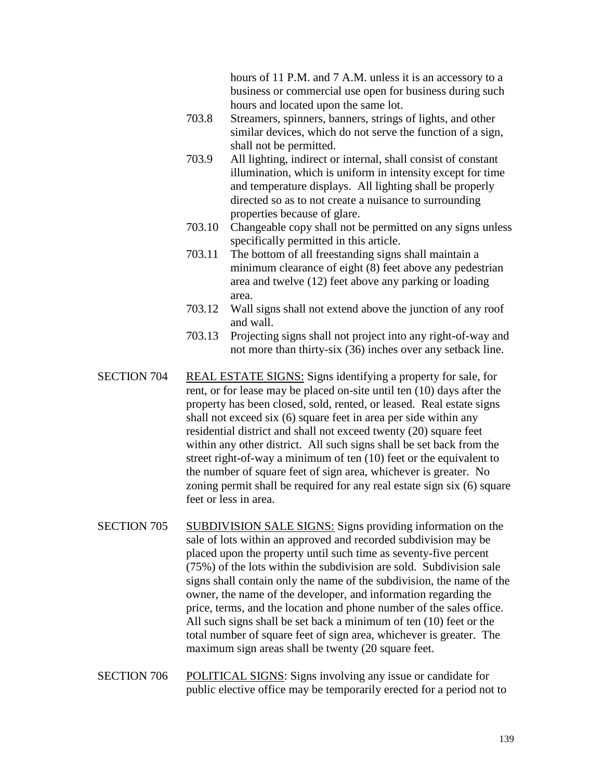hours of 11 P.M. and 7 A.M. unless it is an accessory to a business or commercial use open for business during such hours and located upon the same lot.

- 703.8 Streamers, spinners, banners, strings of lights, and other similar devices, which do not serve the function of a sign, shall not be permitted.
- 703.9 All lighting, indirect or internal, shall consist of constant illumination, which is uniform in intensity except for time and temperature displays. All lighting shall be properly directed so as to not create a nuisance to surrounding properties because of glare.
- 703.10 Changeable copy shall not be permitted on any signs unless specifically permitted in this article.
- 703.11 The bottom of all freestanding signs shall maintain a minimum clearance of eight (8) feet above any pedestrian area and twelve (12) feet above any parking or loading area.
- 703.12 Wall signs shall not extend above the junction of any roof and wall.
- 703.13 Projecting signs shall not project into any right-of-way and not more than thirty-six (36) inches over any setback line.
- SECTION 704 REAL ESTATE SIGNS: Signs identifying a property for sale, for rent, or for lease may be placed on-site until ten (10) days after the property has been closed, sold, rented, or leased. Real estate signs shall not exceed six (6) square feet in area per side within any residential district and shall not exceed twenty (20) square feet within any other district. All such signs shall be set back from the street right-of-way a minimum of ten (10) feet or the equivalent to the number of square feet of sign area, whichever is greater. No zoning permit shall be required for any real estate sign six (6) square feet or less in area.
- SECTION 705 SUBDIVISION SALE SIGNS: Signs providing information on the sale of lots within an approved and recorded subdivision may be placed upon the property until such time as seventy-five percent (75%) of the lots within the subdivision are sold. Subdivision sale signs shall contain only the name of the subdivision, the name of the owner, the name of the developer, and information regarding the price, terms, and the location and phone number of the sales office. All such signs shall be set back a minimum of ten (10) feet or the total number of square feet of sign area, whichever is greater. The maximum sign areas shall be twenty (20 square feet.
- SECTION 706 POLITICAL SIGNS: Signs involving any issue or candidate for public elective office may be temporarily erected for a period not to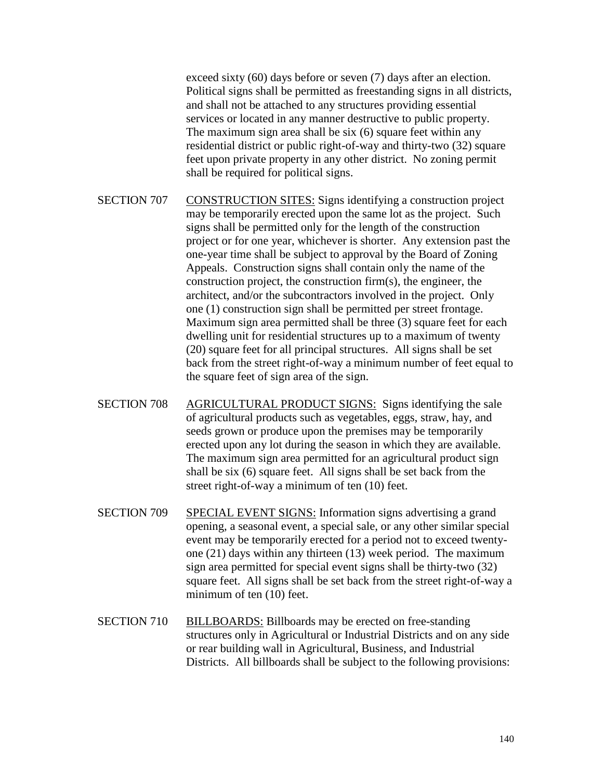exceed sixty (60) days before or seven (7) days after an election. Political signs shall be permitted as freestanding signs in all districts, and shall not be attached to any structures providing essential services or located in any manner destructive to public property. The maximum sign area shall be six (6) square feet within any residential district or public right-of-way and thirty-two (32) square feet upon private property in any other district. No zoning permit shall be required for political signs.

- SECTION 707 CONSTRUCTION SITES: Signs identifying a construction project may be temporarily erected upon the same lot as the project. Such signs shall be permitted only for the length of the construction project or for one year, whichever is shorter. Any extension past the one-year time shall be subject to approval by the Board of Zoning Appeals. Construction signs shall contain only the name of the construction project, the construction firm(s), the engineer, the architect, and/or the subcontractors involved in the project. Only one (1) construction sign shall be permitted per street frontage. Maximum sign area permitted shall be three (3) square feet for each dwelling unit for residential structures up to a maximum of twenty (20) square feet for all principal structures. All signs shall be set back from the street right-of-way a minimum number of feet equal to the square feet of sign area of the sign.
- SECTION 708 AGRICULTURAL PRODUCT SIGNS: Signs identifying the sale of agricultural products such as vegetables, eggs, straw, hay, and seeds grown or produce upon the premises may be temporarily erected upon any lot during the season in which they are available. The maximum sign area permitted for an agricultural product sign shall be six (6) square feet. All signs shall be set back from the street right-of-way a minimum of ten (10) feet.
- SECTION 709 SPECIAL EVENT SIGNS: Information signs advertising a grand opening, a seasonal event, a special sale, or any other similar special event may be temporarily erected for a period not to exceed twentyone (21) days within any thirteen (13) week period. The maximum sign area permitted for special event signs shall be thirty-two (32) square feet. All signs shall be set back from the street right-of-way a minimum of ten (10) feet.
- SECTION 710 BILLBOARDS: Billboards may be erected on free-standing structures only in Agricultural or Industrial Districts and on any side or rear building wall in Agricultural, Business, and Industrial Districts. All billboards shall be subject to the following provisions: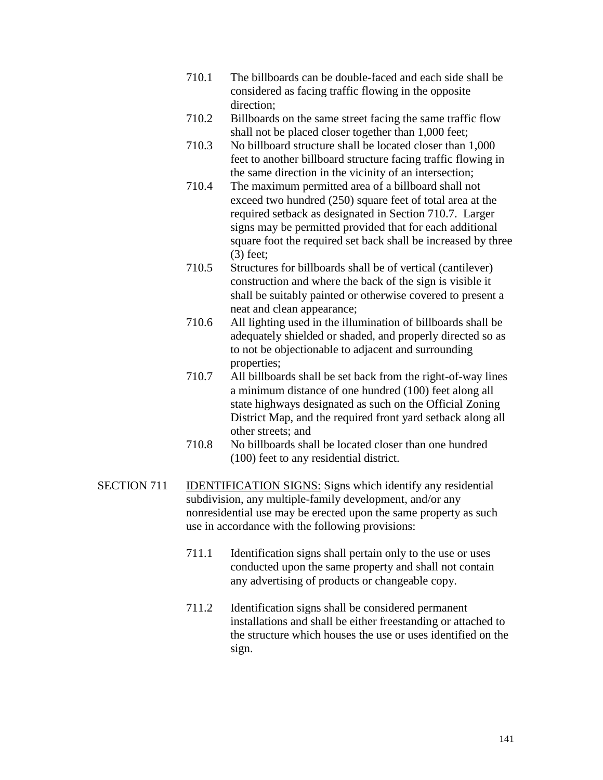- 710.1 The billboards can be double-faced and each side shall be considered as facing traffic flowing in the opposite direction;
- 710.2 Billboards on the same street facing the same traffic flow shall not be placed closer together than 1,000 feet;
- 710.3 No billboard structure shall be located closer than 1,000 feet to another billboard structure facing traffic flowing in the same direction in the vicinity of an intersection;
- 710.4 The maximum permitted area of a billboard shall not exceed two hundred (250) square feet of total area at the required setback as designated in Section 710.7. Larger signs may be permitted provided that for each additional square foot the required set back shall be increased by three (3) feet;
- 710.5 Structures for billboards shall be of vertical (cantilever) construction and where the back of the sign is visible it shall be suitably painted or otherwise covered to present a neat and clean appearance;
- 710.6 All lighting used in the illumination of billboards shall be adequately shielded or shaded, and properly directed so as to not be objectionable to adjacent and surrounding properties;
- 710.7 All billboards shall be set back from the right-of-way lines a minimum distance of one hundred (100) feet along all state highways designated as such on the Official Zoning District Map, and the required front yard setback along all other streets; and
- 710.8 No billboards shall be located closer than one hundred (100) feet to any residential district.
- SECTION 711 IDENTIFICATION SIGNS: Signs which identify any residential subdivision, any multiple-family development, and/or any nonresidential use may be erected upon the same property as such use in accordance with the following provisions:
	- 711.1 Identification signs shall pertain only to the use or uses conducted upon the same property and shall not contain any advertising of products or changeable copy.
	- 711.2 Identification signs shall be considered permanent installations and shall be either freestanding or attached to the structure which houses the use or uses identified on the sign.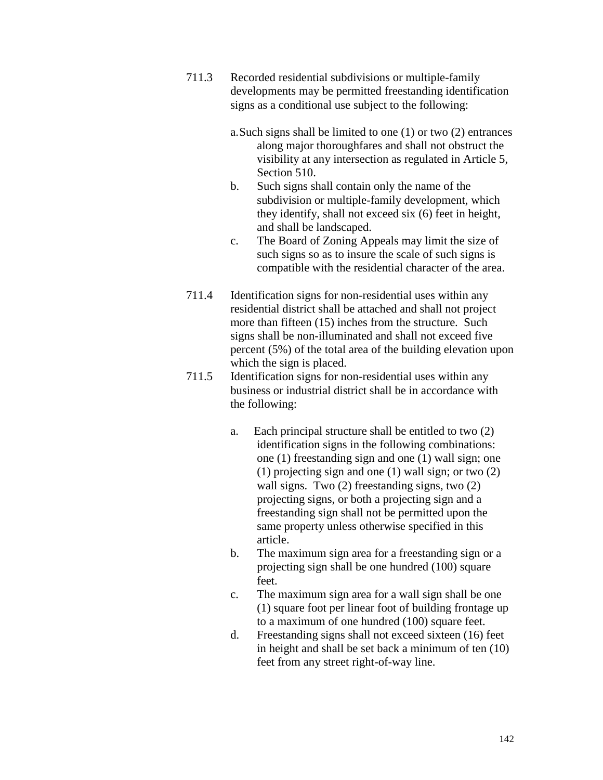- 711.3 Recorded residential subdivisions or multiple-family developments may be permitted freestanding identification signs as a conditional use subject to the following:
	- a.Such signs shall be limited to one (1) or two (2) entrances along major thoroughfares and shall not obstruct the visibility at any intersection as regulated in Article 5, Section 510.
	- b. Such signs shall contain only the name of the subdivision or multiple-family development, which they identify, shall not exceed six (6) feet in height, and shall be landscaped.
	- c. The Board of Zoning Appeals may limit the size of such signs so as to insure the scale of such signs is compatible with the residential character of the area.
- 711.4 Identification signs for non-residential uses within any residential district shall be attached and shall not project more than fifteen (15) inches from the structure. Such signs shall be non-illuminated and shall not exceed five percent (5%) of the total area of the building elevation upon which the sign is placed.
- 711.5 Identification signs for non-residential uses within any business or industrial district shall be in accordance with the following:
	- a. Each principal structure shall be entitled to two (2) identification signs in the following combinations: one (1) freestanding sign and one (1) wall sign; one (1) projecting sign and one (1) wall sign; or two (2) wall signs. Two (2) freestanding signs, two (2) projecting signs, or both a projecting sign and a freestanding sign shall not be permitted upon the same property unless otherwise specified in this article.
	- b. The maximum sign area for a freestanding sign or a projecting sign shall be one hundred (100) square feet.
	- c. The maximum sign area for a wall sign shall be one (1) square foot per linear foot of building frontage up to a maximum of one hundred (100) square feet.
	- d. Freestanding signs shall not exceed sixteen (16) feet in height and shall be set back a minimum of ten (10) feet from any street right-of-way line.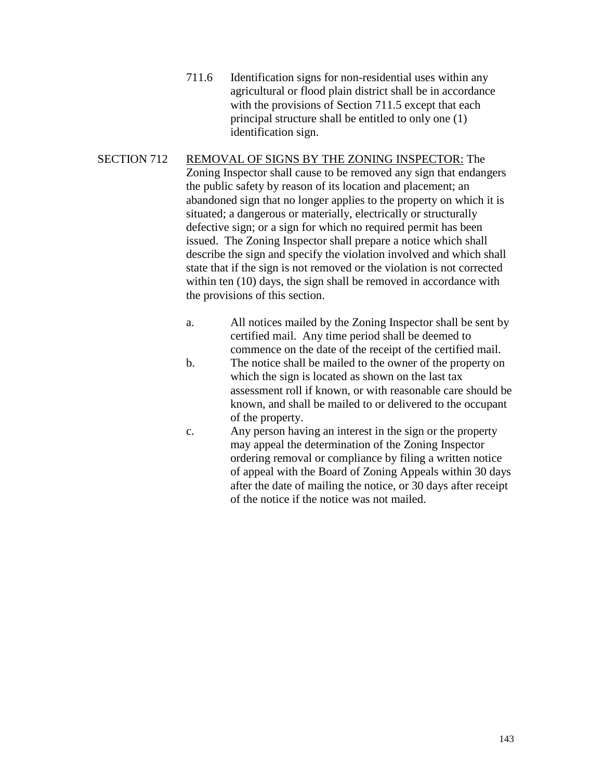- 711.6 Identification signs for non-residential uses within any agricultural or flood plain district shall be in accordance with the provisions of Section 711.5 except that each principal structure shall be entitled to only one (1) identification sign.
- SECTION 712 REMOVAL OF SIGNS BY THE ZONING INSPECTOR: The Zoning Inspector shall cause to be removed any sign that endangers the public safety by reason of its location and placement; an abandoned sign that no longer applies to the property on which it is situated; a dangerous or materially, electrically or structurally defective sign; or a sign for which no required permit has been issued. The Zoning Inspector shall prepare a notice which shall describe the sign and specify the violation involved and which shall state that if the sign is not removed or the violation is not corrected within ten (10) days, the sign shall be removed in accordance with the provisions of this section.
	- a. All notices mailed by the Zoning Inspector shall be sent by certified mail. Any time period shall be deemed to commence on the date of the receipt of the certified mail.
	- b. The notice shall be mailed to the owner of the property on which the sign is located as shown on the last tax assessment roll if known, or with reasonable care should be known, and shall be mailed to or delivered to the occupant of the property.
	- c. Any person having an interest in the sign or the property may appeal the determination of the Zoning Inspector ordering removal or compliance by filing a written notice of appeal with the Board of Zoning Appeals within 30 days after the date of mailing the notice, or 30 days after receipt of the notice if the notice was not mailed.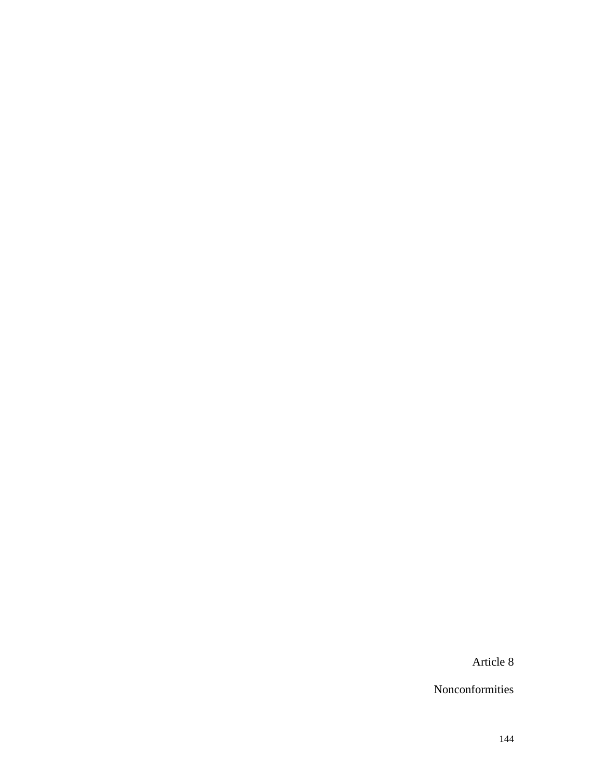Article 8

Nonconformities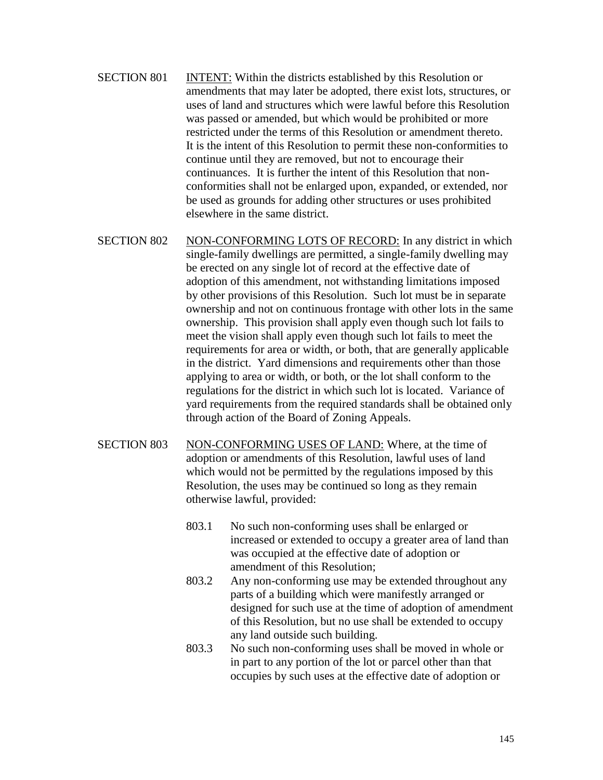- SECTION 801 INTENT: Within the districts established by this Resolution or amendments that may later be adopted, there exist lots, structures, or uses of land and structures which were lawful before this Resolution was passed or amended, but which would be prohibited or more restricted under the terms of this Resolution or amendment thereto. It is the intent of this Resolution to permit these non-conformities to continue until they are removed, but not to encourage their continuances. It is further the intent of this Resolution that nonconformities shall not be enlarged upon, expanded, or extended, nor be used as grounds for adding other structures or uses prohibited elsewhere in the same district.
- SECTION 802 NON-CONFORMING LOTS OF RECORD: In any district in which single-family dwellings are permitted, a single-family dwelling may be erected on any single lot of record at the effective date of adoption of this amendment, not withstanding limitations imposed by other provisions of this Resolution. Such lot must be in separate ownership and not on continuous frontage with other lots in the same ownership. This provision shall apply even though such lot fails to meet the vision shall apply even though such lot fails to meet the requirements for area or width, or both, that are generally applicable in the district. Yard dimensions and requirements other than those applying to area or width, or both, or the lot shall conform to the regulations for the district in which such lot is located. Variance of yard requirements from the required standards shall be obtained only through action of the Board of Zoning Appeals.
- SECTION 803 NON-CONFORMING USES OF LAND: Where, at the time of adoption or amendments of this Resolution, lawful uses of land which would not be permitted by the regulations imposed by this Resolution, the uses may be continued so long as they remain otherwise lawful, provided:
	- 803.1 No such non-conforming uses shall be enlarged or increased or extended to occupy a greater area of land than was occupied at the effective date of adoption or amendment of this Resolution;
	- 803.2 Any non-conforming use may be extended throughout any parts of a building which were manifestly arranged or designed for such use at the time of adoption of amendment of this Resolution, but no use shall be extended to occupy any land outside such building.
	- 803.3 No such non-conforming uses shall be moved in whole or in part to any portion of the lot or parcel other than that occupies by such uses at the effective date of adoption or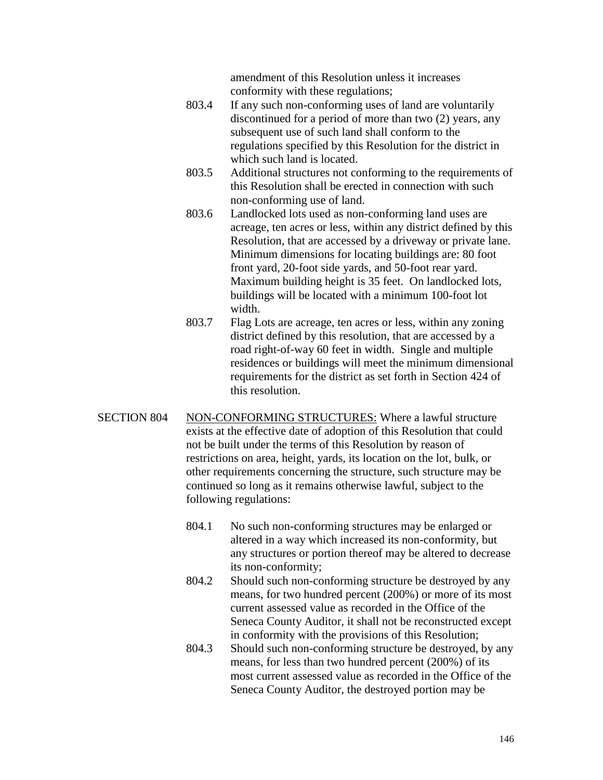amendment of this Resolution unless it increases conformity with these regulations;

- 803.4 If any such non-conforming uses of land are voluntarily discontinued for a period of more than two (2) years, any subsequent use of such land shall conform to the regulations specified by this Resolution for the district in which such land is located.
- 803.5 Additional structures not conforming to the requirements of this Resolution shall be erected in connection with such non-conforming use of land.
- 803.6 Landlocked lots used as non-conforming land uses are acreage, ten acres or less, within any district defined by this Resolution, that are accessed by a driveway or private lane. Minimum dimensions for locating buildings are: 80 foot front yard, 20-foot side yards, and 50-foot rear yard. Maximum building height is 35 feet. On landlocked lots, buildings will be located with a minimum 100-foot lot width.
- 803.7 Flag Lots are acreage, ten acres or less, within any zoning district defined by this resolution, that are accessed by a road right-of-way 60 feet in width. Single and multiple residences or buildings will meet the minimum dimensional requirements for the district as set forth in Section 424 of this resolution.
- SECTION 804 NON-CONFORMING STRUCTURES: Where a lawful structure exists at the effective date of adoption of this Resolution that could not be built under the terms of this Resolution by reason of restrictions on area, height, yards, its location on the lot, bulk, or other requirements concerning the structure, such structure may be continued so long as it remains otherwise lawful, subject to the following regulations:
	- 804.1 No such non-conforming structures may be enlarged or altered in a way which increased its non-conformity, but any structures or portion thereof may be altered to decrease its non-conformity;
	- 804.2 Should such non-conforming structure be destroyed by any means, for two hundred percent (200%) or more of its most current assessed value as recorded in the Office of the Seneca County Auditor, it shall not be reconstructed except in conformity with the provisions of this Resolution;
	- 804.3 Should such non-conforming structure be destroyed, by any means, for less than two hundred percent (200%) of its most current assessed value as recorded in the Office of the Seneca County Auditor, the destroyed portion may be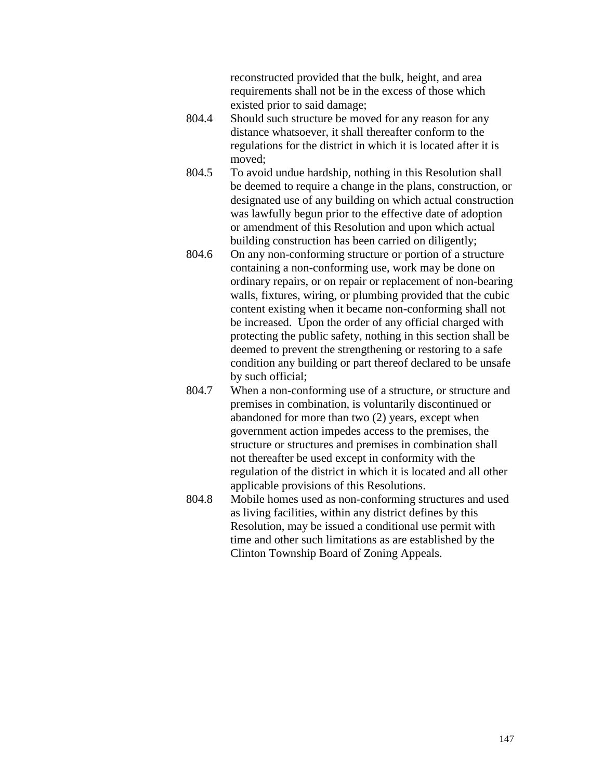reconstructed provided that the bulk, height, and area requirements shall not be in the excess of those which existed prior to said damage;

- 804.4 Should such structure be moved for any reason for any distance whatsoever, it shall thereafter conform to the regulations for the district in which it is located after it is moved;
- 804.5 To avoid undue hardship, nothing in this Resolution shall be deemed to require a change in the plans, construction, or designated use of any building on which actual construction was lawfully begun prior to the effective date of adoption or amendment of this Resolution and upon which actual building construction has been carried on diligently;
- 804.6 On any non-conforming structure or portion of a structure containing a non-conforming use, work may be done on ordinary repairs, or on repair or replacement of non-bearing walls, fixtures, wiring, or plumbing provided that the cubic content existing when it became non-conforming shall not be increased. Upon the order of any official charged with protecting the public safety, nothing in this section shall be deemed to prevent the strengthening or restoring to a safe condition any building or part thereof declared to be unsafe by such official;
- 804.7 When a non-conforming use of a structure, or structure and premises in combination, is voluntarily discontinued or abandoned for more than two (2) years, except when government action impedes access to the premises, the structure or structures and premises in combination shall not thereafter be used except in conformity with the regulation of the district in which it is located and all other applicable provisions of this Resolutions.
- 804.8 Mobile homes used as non-conforming structures and used as living facilities, within any district defines by this Resolution, may be issued a conditional use permit with time and other such limitations as are established by the Clinton Township Board of Zoning Appeals.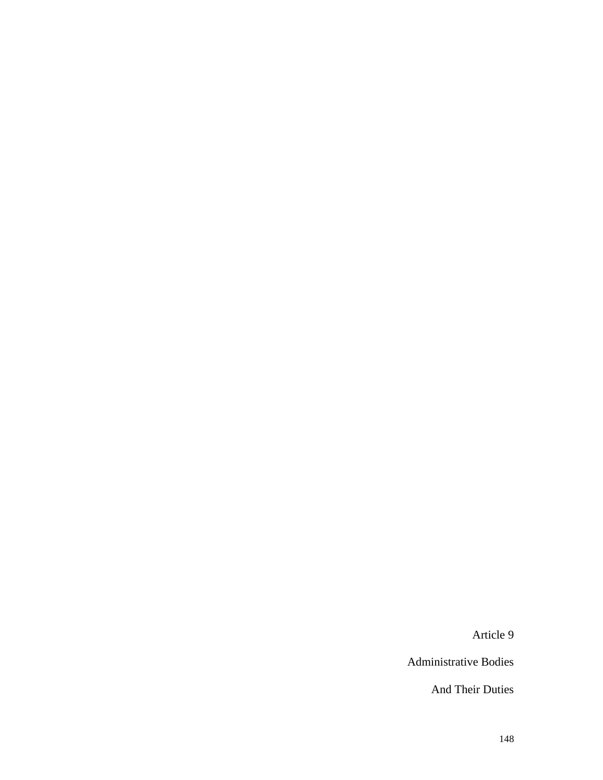Article 9

Administrative Bodies

And Their Duties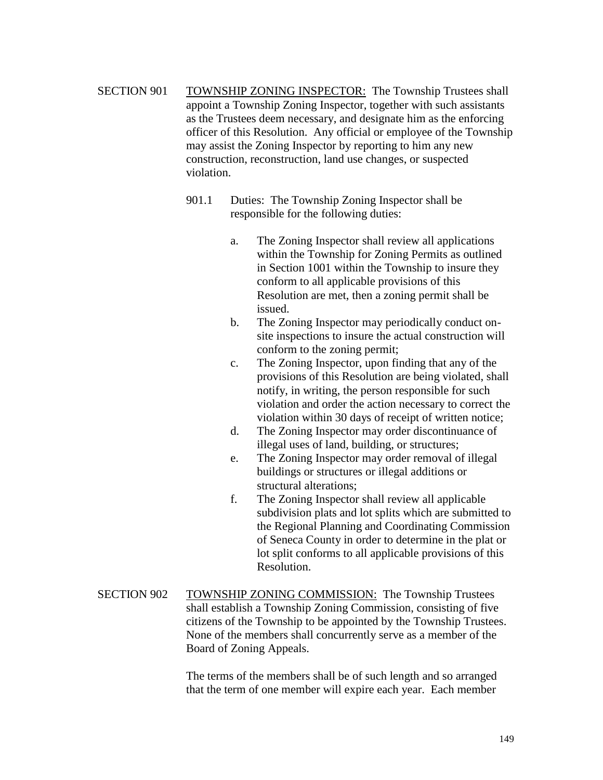- SECTION 901 TOWNSHIP ZONING INSPECTOR: The Township Trustees shall appoint a Township Zoning Inspector, together with such assistants as the Trustees deem necessary, and designate him as the enforcing officer of this Resolution. Any official or employee of the Township may assist the Zoning Inspector by reporting to him any new construction, reconstruction, land use changes, or suspected violation.
	- 901.1 Duties: The Township Zoning Inspector shall be responsible for the following duties:
		- a. The Zoning Inspector shall review all applications within the Township for Zoning Permits as outlined in Section 1001 within the Township to insure they conform to all applicable provisions of this Resolution are met, then a zoning permit shall be issued.
		- b. The Zoning Inspector may periodically conduct onsite inspections to insure the actual construction will conform to the zoning permit;
		- c. The Zoning Inspector, upon finding that any of the provisions of this Resolution are being violated, shall notify, in writing, the person responsible for such violation and order the action necessary to correct the violation within 30 days of receipt of written notice;
		- d. The Zoning Inspector may order discontinuance of illegal uses of land, building, or structures;
		- e. The Zoning Inspector may order removal of illegal buildings or structures or illegal additions or structural alterations;
		- f. The Zoning Inspector shall review all applicable subdivision plats and lot splits which are submitted to the Regional Planning and Coordinating Commission of Seneca County in order to determine in the plat or lot split conforms to all applicable provisions of this Resolution.
- SECTION 902 TOWNSHIP ZONING COMMISSION: The Township Trustees shall establish a Township Zoning Commission, consisting of five citizens of the Township to be appointed by the Township Trustees. None of the members shall concurrently serve as a member of the Board of Zoning Appeals.

The terms of the members shall be of such length and so arranged that the term of one member will expire each year. Each member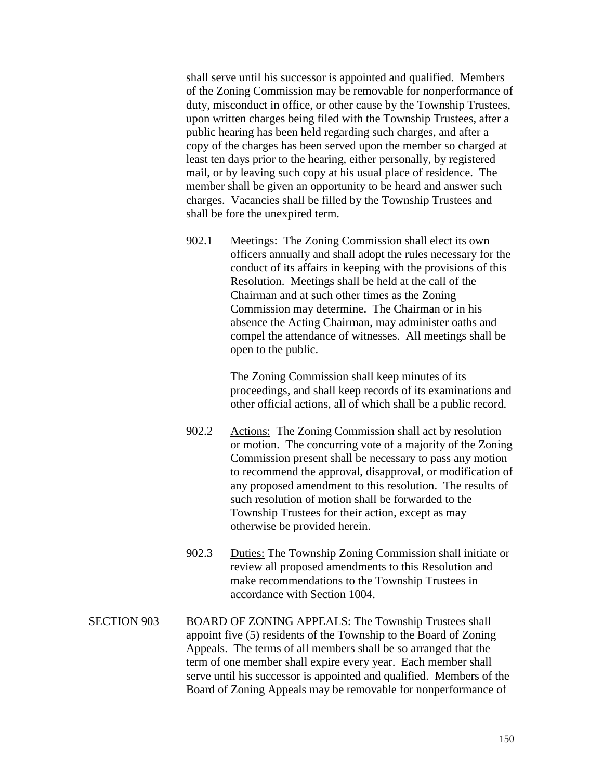shall serve until his successor is appointed and qualified. Members of the Zoning Commission may be removable for nonperformance of duty, misconduct in office, or other cause by the Township Trustees, upon written charges being filed with the Township Trustees, after a public hearing has been held regarding such charges, and after a copy of the charges has been served upon the member so charged at least ten days prior to the hearing, either personally, by registered mail, or by leaving such copy at his usual place of residence. The member shall be given an opportunity to be heard and answer such charges. Vacancies shall be filled by the Township Trustees and shall be fore the unexpired term.

902.1 Meetings: The Zoning Commission shall elect its own officers annually and shall adopt the rules necessary for the conduct of its affairs in keeping with the provisions of this Resolution. Meetings shall be held at the call of the Chairman and at such other times as the Zoning Commission may determine. The Chairman or in his absence the Acting Chairman, may administer oaths and compel the attendance of witnesses. All meetings shall be open to the public.

> The Zoning Commission shall keep minutes of its proceedings, and shall keep records of its examinations and other official actions, all of which shall be a public record.

- 902.2 Actions: The Zoning Commission shall act by resolution or motion. The concurring vote of a majority of the Zoning Commission present shall be necessary to pass any motion to recommend the approval, disapproval, or modification of any proposed amendment to this resolution. The results of such resolution of motion shall be forwarded to the Township Trustees for their action, except as may otherwise be provided herein.
- 902.3 Duties: The Township Zoning Commission shall initiate or review all proposed amendments to this Resolution and make recommendations to the Township Trustees in accordance with Section 1004.
- SECTION 903 BOARD OF ZONING APPEALS: The Township Trustees shall appoint five (5) residents of the Township to the Board of Zoning Appeals. The terms of all members shall be so arranged that the term of one member shall expire every year. Each member shall serve until his successor is appointed and qualified. Members of the Board of Zoning Appeals may be removable for nonperformance of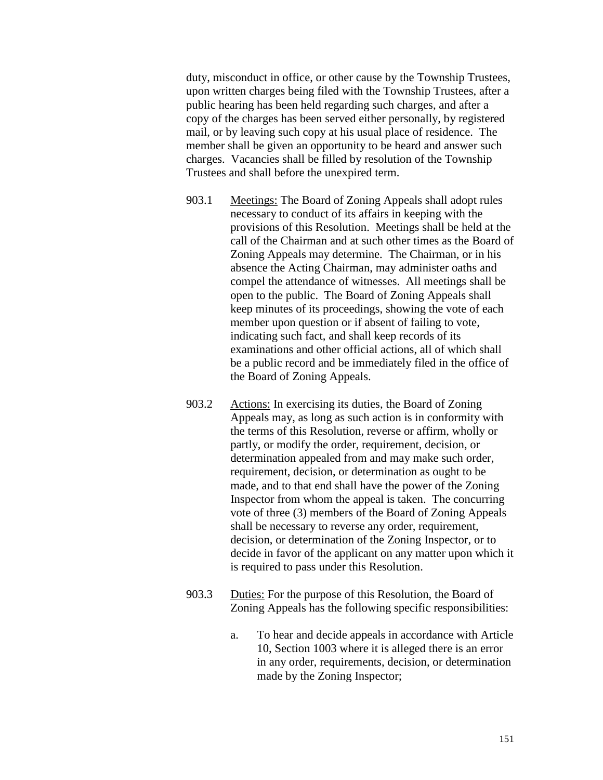duty, misconduct in office, or other cause by the Township Trustees, upon written charges being filed with the Township Trustees, after a public hearing has been held regarding such charges, and after a copy of the charges has been served either personally, by registered mail, or by leaving such copy at his usual place of residence. The member shall be given an opportunity to be heard and answer such charges. Vacancies shall be filled by resolution of the Township Trustees and shall before the unexpired term.

- 903.1 Meetings: The Board of Zoning Appeals shall adopt rules necessary to conduct of its affairs in keeping with the provisions of this Resolution. Meetings shall be held at the call of the Chairman and at such other times as the Board of Zoning Appeals may determine. The Chairman, or in his absence the Acting Chairman, may administer oaths and compel the attendance of witnesses. All meetings shall be open to the public. The Board of Zoning Appeals shall keep minutes of its proceedings, showing the vote of each member upon question or if absent of failing to vote, indicating such fact, and shall keep records of its examinations and other official actions, all of which shall be a public record and be immediately filed in the office of the Board of Zoning Appeals.
- 903.2 Actions: In exercising its duties, the Board of Zoning Appeals may, as long as such action is in conformity with the terms of this Resolution, reverse or affirm, wholly or partly, or modify the order, requirement, decision, or determination appealed from and may make such order, requirement, decision, or determination as ought to be made, and to that end shall have the power of the Zoning Inspector from whom the appeal is taken. The concurring vote of three (3) members of the Board of Zoning Appeals shall be necessary to reverse any order, requirement, decision, or determination of the Zoning Inspector, or to decide in favor of the applicant on any matter upon which it is required to pass under this Resolution.
- 903.3 Duties: For the purpose of this Resolution, the Board of Zoning Appeals has the following specific responsibilities:
	- a. To hear and decide appeals in accordance with Article 10, Section 1003 where it is alleged there is an error in any order, requirements, decision, or determination made by the Zoning Inspector;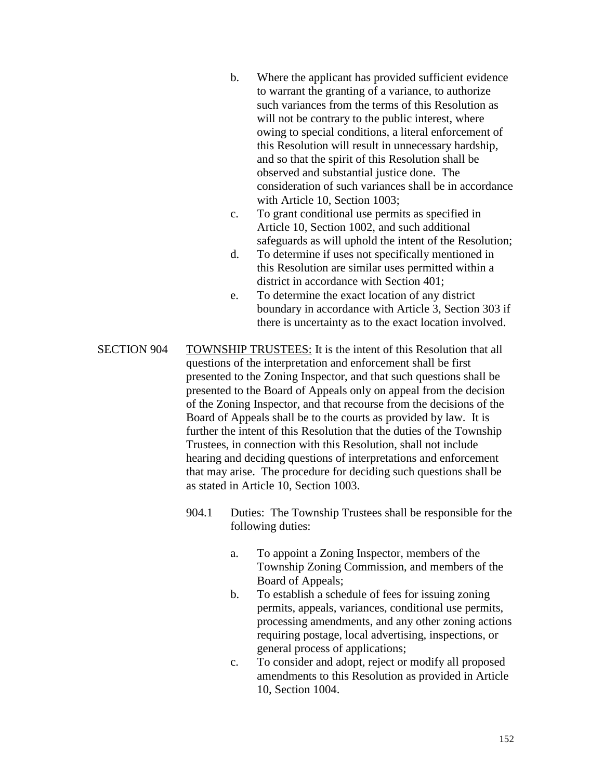- b. Where the applicant has provided sufficient evidence to warrant the granting of a variance, to authorize such variances from the terms of this Resolution as will not be contrary to the public interest, where owing to special conditions, a literal enforcement of this Resolution will result in unnecessary hardship, and so that the spirit of this Resolution shall be observed and substantial justice done. The consideration of such variances shall be in accordance with Article 10, Section 1003;
- c. To grant conditional use permits as specified in Article 10, Section 1002, and such additional safeguards as will uphold the intent of the Resolution;
- d. To determine if uses not specifically mentioned in this Resolution are similar uses permitted within a district in accordance with Section 401;
- e. To determine the exact location of any district boundary in accordance with Article 3, Section 303 if there is uncertainty as to the exact location involved.
- SECTION 904 TOWNSHIP TRUSTEES: It is the intent of this Resolution that all questions of the interpretation and enforcement shall be first presented to the Zoning Inspector, and that such questions shall be presented to the Board of Appeals only on appeal from the decision of the Zoning Inspector, and that recourse from the decisions of the Board of Appeals shall be to the courts as provided by law. It is further the intent of this Resolution that the duties of the Township Trustees, in connection with this Resolution, shall not include hearing and deciding questions of interpretations and enforcement that may arise. The procedure for deciding such questions shall be as stated in Article 10, Section 1003.
	- 904.1 Duties: The Township Trustees shall be responsible for the following duties:
		- a. To appoint a Zoning Inspector, members of the Township Zoning Commission, and members of the Board of Appeals;
		- b. To establish a schedule of fees for issuing zoning permits, appeals, variances, conditional use permits, processing amendments, and any other zoning actions requiring postage, local advertising, inspections, or general process of applications;
		- c. To consider and adopt, reject or modify all proposed amendments to this Resolution as provided in Article 10, Section 1004.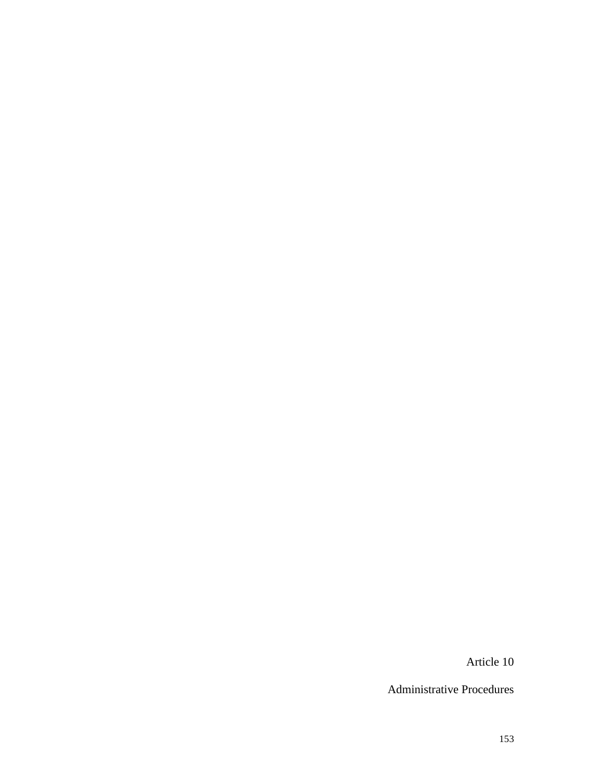Article 10

Administrative Procedures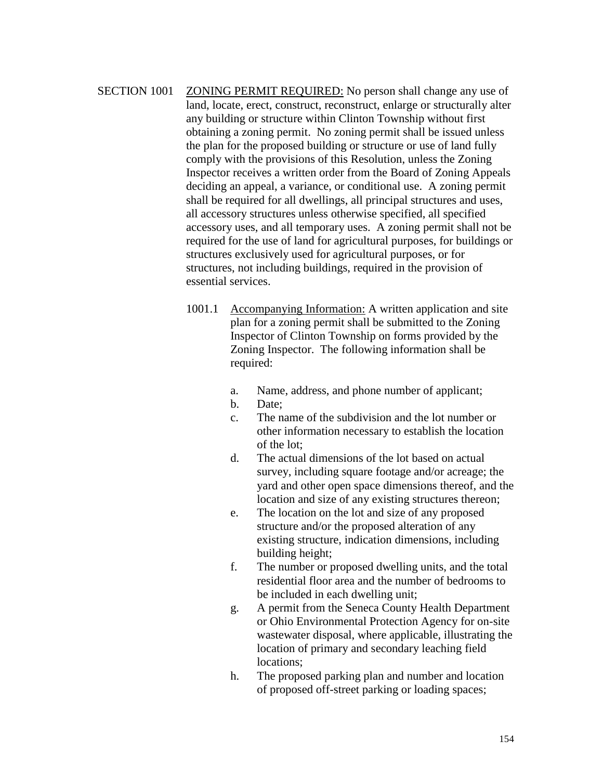SECTION 1001 ZONING PERMIT REQUIRED: No person shall change any use of land, locate, erect, construct, reconstruct, enlarge or structurally alter any building or structure within Clinton Township without first obtaining a zoning permit. No zoning permit shall be issued unless the plan for the proposed building or structure or use of land fully comply with the provisions of this Resolution, unless the Zoning Inspector receives a written order from the Board of Zoning Appeals deciding an appeal, a variance, or conditional use. A zoning permit shall be required for all dwellings, all principal structures and uses, all accessory structures unless otherwise specified, all specified accessory uses, and all temporary uses. A zoning permit shall not be required for the use of land for agricultural purposes, for buildings or structures exclusively used for agricultural purposes, or for structures, not including buildings, required in the provision of essential services.

- 1001.1 Accompanying Information: A written application and site plan for a zoning permit shall be submitted to the Zoning Inspector of Clinton Township on forms provided by the Zoning Inspector. The following information shall be required:
	- a. Name, address, and phone number of applicant;
	- b. Date;
	- c. The name of the subdivision and the lot number or other information necessary to establish the location of the lot;
	- d. The actual dimensions of the lot based on actual survey, including square footage and/or acreage; the yard and other open space dimensions thereof, and the location and size of any existing structures thereon;
	- e. The location on the lot and size of any proposed structure and/or the proposed alteration of any existing structure, indication dimensions, including building height;
	- f. The number or proposed dwelling units, and the total residential floor area and the number of bedrooms to be included in each dwelling unit;
	- g. A permit from the Seneca County Health Department or Ohio Environmental Protection Agency for on-site wastewater disposal, where applicable, illustrating the location of primary and secondary leaching field locations;
	- h. The proposed parking plan and number and location of proposed off-street parking or loading spaces;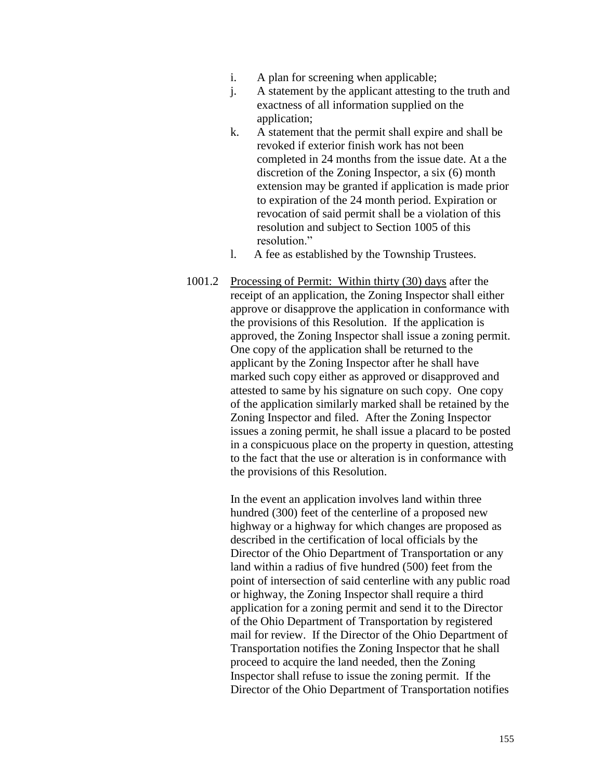- i. A plan for screening when applicable;
- j. A statement by the applicant attesting to the truth and exactness of all information supplied on the application;
- k. A statement that the permit shall expire and shall be revoked if exterior finish work has not been completed in 24 months from the issue date. At a the discretion of the Zoning Inspector, a six (6) month extension may be granted if application is made prior to expiration of the 24 month period. Expiration or revocation of said permit shall be a violation of this resolution and subject to Section 1005 of this resolution."
- l. A fee as established by the Township Trustees.
- 1001.2 Processing of Permit: Within thirty (30) days after the receipt of an application, the Zoning Inspector shall either approve or disapprove the application in conformance with the provisions of this Resolution. If the application is approved, the Zoning Inspector shall issue a zoning permit. One copy of the application shall be returned to the applicant by the Zoning Inspector after he shall have marked such copy either as approved or disapproved and attested to same by his signature on such copy. One copy of the application similarly marked shall be retained by the Zoning Inspector and filed. After the Zoning Inspector issues a zoning permit, he shall issue a placard to be posted in a conspicuous place on the property in question, attesting to the fact that the use or alteration is in conformance with the provisions of this Resolution.

In the event an application involves land within three hundred (300) feet of the centerline of a proposed new highway or a highway for which changes are proposed as described in the certification of local officials by the Director of the Ohio Department of Transportation or any land within a radius of five hundred (500) feet from the point of intersection of said centerline with any public road or highway, the Zoning Inspector shall require a third application for a zoning permit and send it to the Director of the Ohio Department of Transportation by registered mail for review. If the Director of the Ohio Department of Transportation notifies the Zoning Inspector that he shall proceed to acquire the land needed, then the Zoning Inspector shall refuse to issue the zoning permit. If the Director of the Ohio Department of Transportation notifies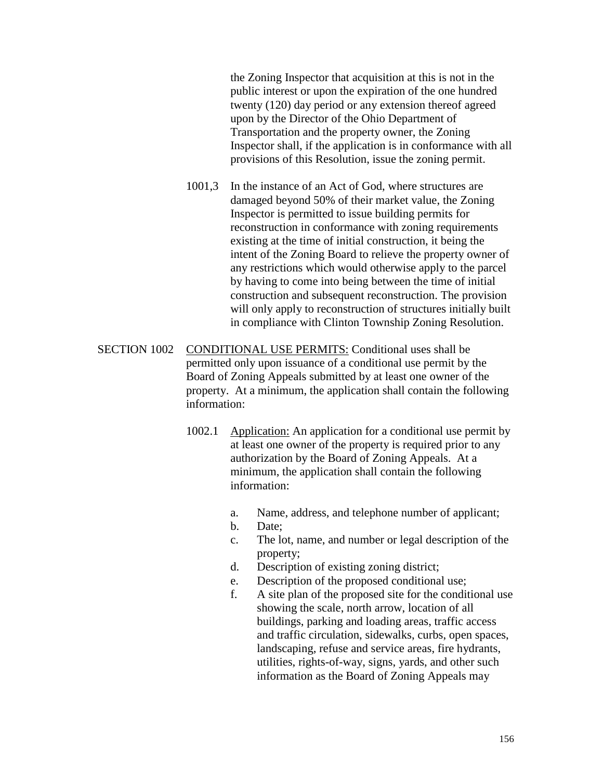the Zoning Inspector that acquisition at this is not in the public interest or upon the expiration of the one hundred twenty (120) day period or any extension thereof agreed upon by the Director of the Ohio Department of Transportation and the property owner, the Zoning Inspector shall, if the application is in conformance with all provisions of this Resolution, issue the zoning permit.

- 1001,3 In the instance of an Act of God, where structures are damaged beyond 50% of their market value, the Zoning Inspector is permitted to issue building permits for reconstruction in conformance with zoning requirements existing at the time of initial construction, it being the intent of the Zoning Board to relieve the property owner of any restrictions which would otherwise apply to the parcel by having to come into being between the time of initial construction and subsequent reconstruction. The provision will only apply to reconstruction of structures initially built in compliance with Clinton Township Zoning Resolution.
- SECTION 1002 CONDITIONAL USE PERMITS: Conditional uses shall be permitted only upon issuance of a conditional use permit by the Board of Zoning Appeals submitted by at least one owner of the property. At a minimum, the application shall contain the following information:
	- 1002.1 Application: An application for a conditional use permit by at least one owner of the property is required prior to any authorization by the Board of Zoning Appeals. At a minimum, the application shall contain the following information:
		- a. Name, address, and telephone number of applicant;
		- b. Date;
		- c. The lot, name, and number or legal description of the property;
		- d. Description of existing zoning district;
		- e. Description of the proposed conditional use;
		- f. A site plan of the proposed site for the conditional use showing the scale, north arrow, location of all buildings, parking and loading areas, traffic access and traffic circulation, sidewalks, curbs, open spaces, landscaping, refuse and service areas, fire hydrants, utilities, rights-of-way, signs, yards, and other such information as the Board of Zoning Appeals may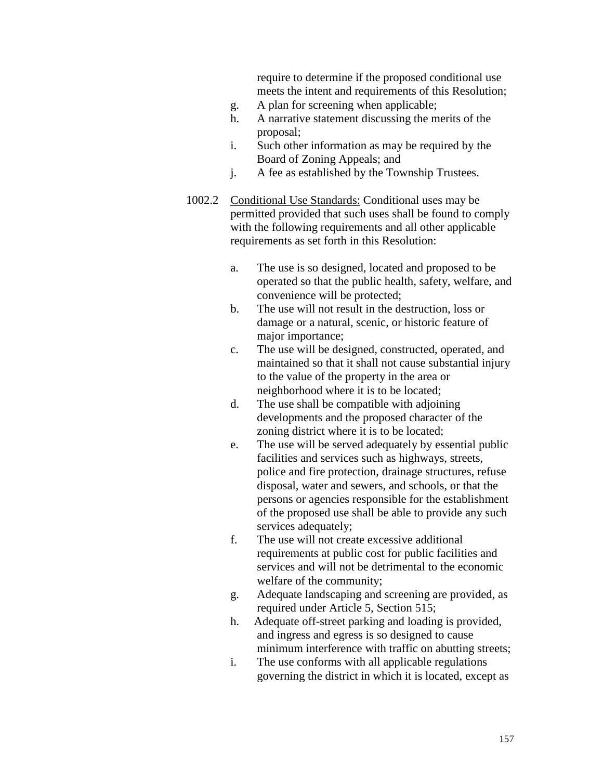require to determine if the proposed conditional use meets the intent and requirements of this Resolution;

- g. A plan for screening when applicable;
- h. A narrative statement discussing the merits of the proposal;
- i. Such other information as may be required by the Board of Zoning Appeals; and
- j. A fee as established by the Township Trustees.
- 1002.2 Conditional Use Standards: Conditional uses may be permitted provided that such uses shall be found to comply with the following requirements and all other applicable requirements as set forth in this Resolution:
	- a. The use is so designed, located and proposed to be operated so that the public health, safety, welfare, and convenience will be protected;
	- b. The use will not result in the destruction, loss or damage or a natural, scenic, or historic feature of major importance;
	- c. The use will be designed, constructed, operated, and maintained so that it shall not cause substantial injury to the value of the property in the area or neighborhood where it is to be located;
	- d. The use shall be compatible with adjoining developments and the proposed character of the zoning district where it is to be located;
	- e. The use will be served adequately by essential public facilities and services such as highways, streets, police and fire protection, drainage structures, refuse disposal, water and sewers, and schools, or that the persons or agencies responsible for the establishment of the proposed use shall be able to provide any such services adequately;
	- f. The use will not create excessive additional requirements at public cost for public facilities and services and will not be detrimental to the economic welfare of the community;
	- g. Adequate landscaping and screening are provided, as required under Article 5, Section 515;
	- h. Adequate off-street parking and loading is provided, and ingress and egress is so designed to cause minimum interference with traffic on abutting streets;
	- i. The use conforms with all applicable regulations governing the district in which it is located, except as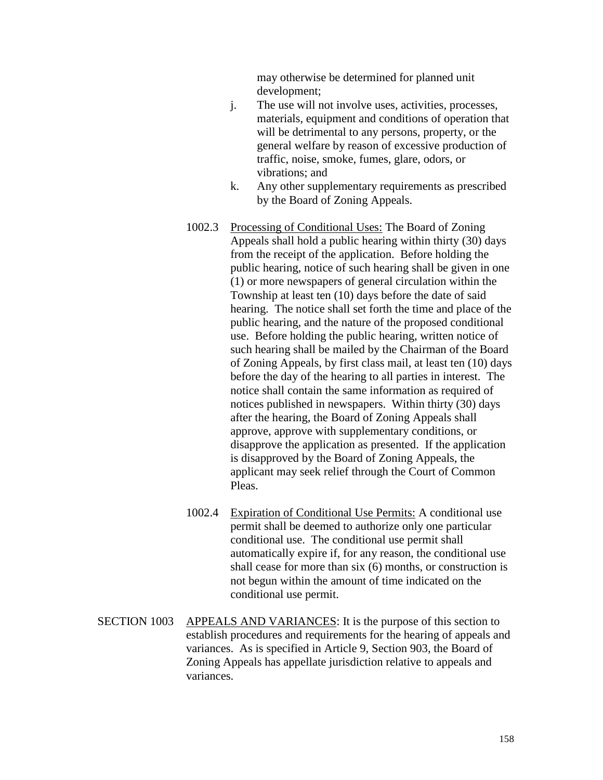may otherwise be determined for planned unit development;

- j. The use will not involve uses, activities, processes, materials, equipment and conditions of operation that will be detrimental to any persons, property, or the general welfare by reason of excessive production of traffic, noise, smoke, fumes, glare, odors, or vibrations; and
- k. Any other supplementary requirements as prescribed by the Board of Zoning Appeals.
- 1002.3 Processing of Conditional Uses: The Board of Zoning Appeals shall hold a public hearing within thirty (30) days from the receipt of the application. Before holding the public hearing, notice of such hearing shall be given in one (1) or more newspapers of general circulation within the Township at least ten (10) days before the date of said hearing. The notice shall set forth the time and place of the public hearing, and the nature of the proposed conditional use. Before holding the public hearing, written notice of such hearing shall be mailed by the Chairman of the Board of Zoning Appeals, by first class mail, at least ten (10) days before the day of the hearing to all parties in interest. The notice shall contain the same information as required of notices published in newspapers. Within thirty (30) days after the hearing, the Board of Zoning Appeals shall approve, approve with supplementary conditions, or disapprove the application as presented. If the application is disapproved by the Board of Zoning Appeals, the applicant may seek relief through the Court of Common Pleas.
- 1002.4 Expiration of Conditional Use Permits: A conditional use permit shall be deemed to authorize only one particular conditional use. The conditional use permit shall automatically expire if, for any reason, the conditional use shall cease for more than six (6) months, or construction is not begun within the amount of time indicated on the conditional use permit.
- SECTION 1003 APPEALS AND VARIANCES: It is the purpose of this section to establish procedures and requirements for the hearing of appeals and variances. As is specified in Article 9, Section 903, the Board of Zoning Appeals has appellate jurisdiction relative to appeals and variances.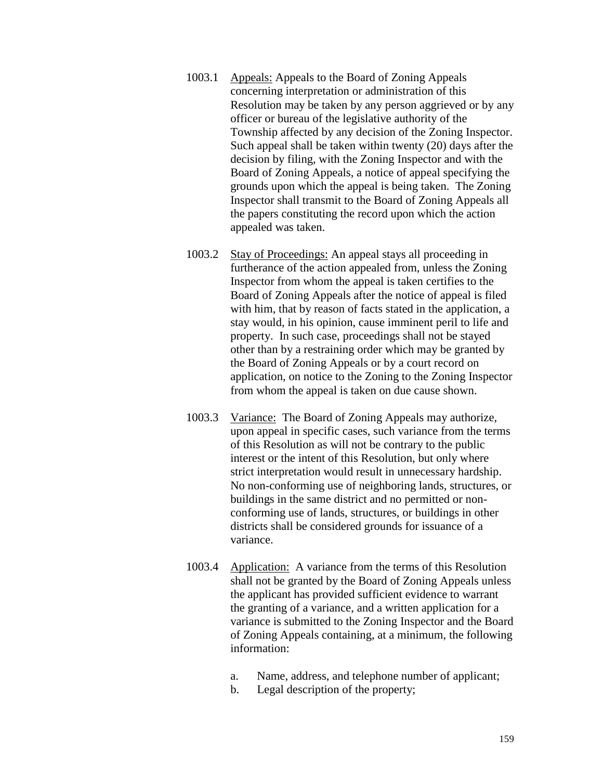- 1003.1 Appeals: Appeals to the Board of Zoning Appeals concerning interpretation or administration of this Resolution may be taken by any person aggrieved or by any officer or bureau of the legislative authority of the Township affected by any decision of the Zoning Inspector. Such appeal shall be taken within twenty (20) days after the decision by filing, with the Zoning Inspector and with the Board of Zoning Appeals, a notice of appeal specifying the grounds upon which the appeal is being taken. The Zoning Inspector shall transmit to the Board of Zoning Appeals all the papers constituting the record upon which the action appealed was taken.
- 1003.2 Stay of Proceedings: An appeal stays all proceeding in furtherance of the action appealed from, unless the Zoning Inspector from whom the appeal is taken certifies to the Board of Zoning Appeals after the notice of appeal is filed with him, that by reason of facts stated in the application, a stay would, in his opinion, cause imminent peril to life and property. In such case, proceedings shall not be stayed other than by a restraining order which may be granted by the Board of Zoning Appeals or by a court record on application, on notice to the Zoning to the Zoning Inspector from whom the appeal is taken on due cause shown.
- 1003.3 Variance: The Board of Zoning Appeals may authorize, upon appeal in specific cases, such variance from the terms of this Resolution as will not be contrary to the public interest or the intent of this Resolution, but only where strict interpretation would result in unnecessary hardship. No non-conforming use of neighboring lands, structures, or buildings in the same district and no permitted or nonconforming use of lands, structures, or buildings in other districts shall be considered grounds for issuance of a variance.
- 1003.4 Application: A variance from the terms of this Resolution shall not be granted by the Board of Zoning Appeals unless the applicant has provided sufficient evidence to warrant the granting of a variance, and a written application for a variance is submitted to the Zoning Inspector and the Board of Zoning Appeals containing, at a minimum, the following information:
	- a. Name, address, and telephone number of applicant;
	- b. Legal description of the property;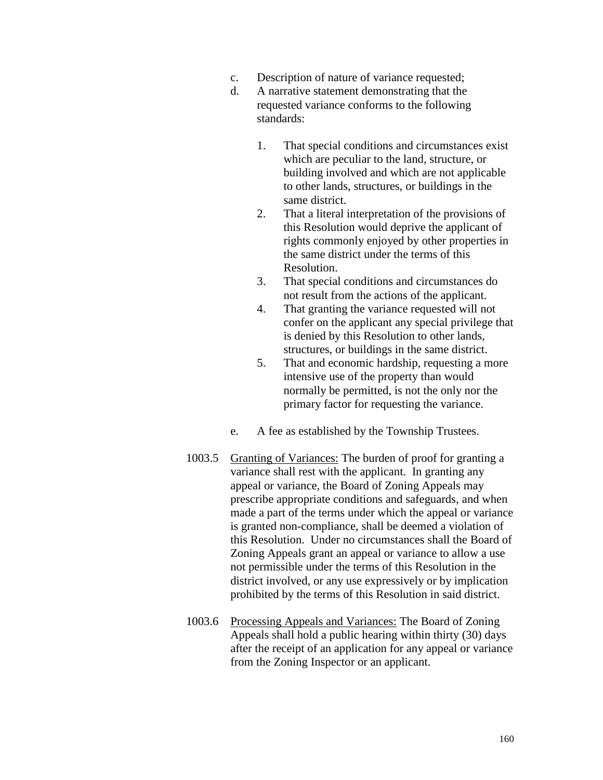- c. Description of nature of variance requested;
- d. A narrative statement demonstrating that the requested variance conforms to the following standards:
	- 1. That special conditions and circumstances exist which are peculiar to the land, structure, or building involved and which are not applicable to other lands, structures, or buildings in the same district.
	- 2. That a literal interpretation of the provisions of this Resolution would deprive the applicant of rights commonly enjoyed by other properties in the same district under the terms of this Resolution.
	- 3. That special conditions and circumstances do not result from the actions of the applicant.
	- 4. That granting the variance requested will not confer on the applicant any special privilege that is denied by this Resolution to other lands, structures, or buildings in the same district.
	- 5. That and economic hardship, requesting a more intensive use of the property than would normally be permitted, is not the only nor the primary factor for requesting the variance.
- e. A fee as established by the Township Trustees.
- 1003.5 Granting of Variances: The burden of proof for granting a variance shall rest with the applicant. In granting any appeal or variance, the Board of Zoning Appeals may prescribe appropriate conditions and safeguards, and when made a part of the terms under which the appeal or variance is granted non-compliance, shall be deemed a violation of this Resolution. Under no circumstances shall the Board of Zoning Appeals grant an appeal or variance to allow a use not permissible under the terms of this Resolution in the district involved, or any use expressively or by implication prohibited by the terms of this Resolution in said district.
- 1003.6 Processing Appeals and Variances: The Board of Zoning Appeals shall hold a public hearing within thirty (30) days after the receipt of an application for any appeal or variance from the Zoning Inspector or an applicant.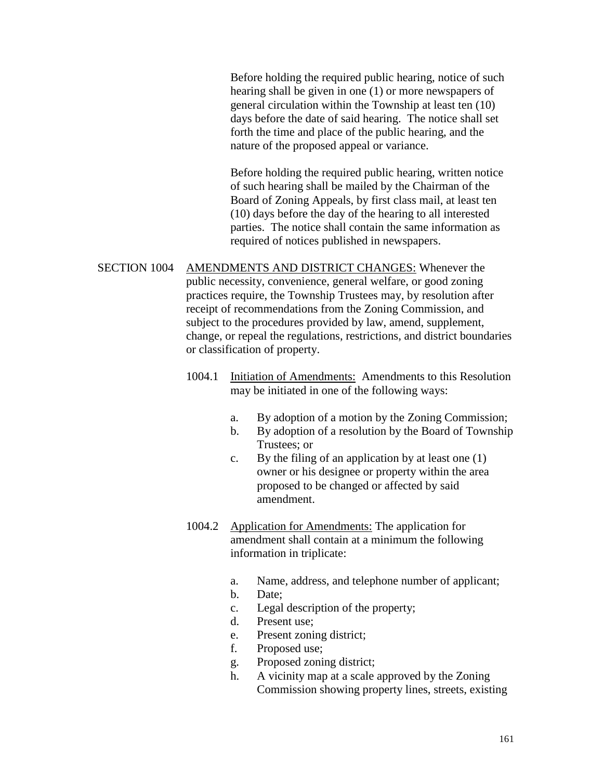Before holding the required public hearing, notice of such hearing shall be given in one (1) or more newspapers of general circulation within the Township at least ten (10) days before the date of said hearing. The notice shall set forth the time and place of the public hearing, and the nature of the proposed appeal or variance.

Before holding the required public hearing, written notice of such hearing shall be mailed by the Chairman of the Board of Zoning Appeals, by first class mail, at least ten (10) days before the day of the hearing to all interested parties. The notice shall contain the same information as required of notices published in newspapers.

SECTION 1004 AMENDMENTS AND DISTRICT CHANGES: Whenever the public necessity, convenience, general welfare, or good zoning practices require, the Township Trustees may, by resolution after receipt of recommendations from the Zoning Commission, and subject to the procedures provided by law, amend, supplement, change, or repeal the regulations, restrictions, and district boundaries or classification of property.

- 1004.1 Initiation of Amendments: Amendments to this Resolution may be initiated in one of the following ways:
	- a. By adoption of a motion by the Zoning Commission;
	- b. By adoption of a resolution by the Board of Township Trustees; or
	- c. By the filing of an application by at least one (1) owner or his designee or property within the area proposed to be changed or affected by said amendment.
- 1004.2 Application for Amendments: The application for amendment shall contain at a minimum the following information in triplicate:
	- a. Name, address, and telephone number of applicant;
	- b. Date;
	- c. Legal description of the property;
	- d. Present use;
	- e. Present zoning district;
	- f. Proposed use;
	- g. Proposed zoning district;
	- h. A vicinity map at a scale approved by the Zoning Commission showing property lines, streets, existing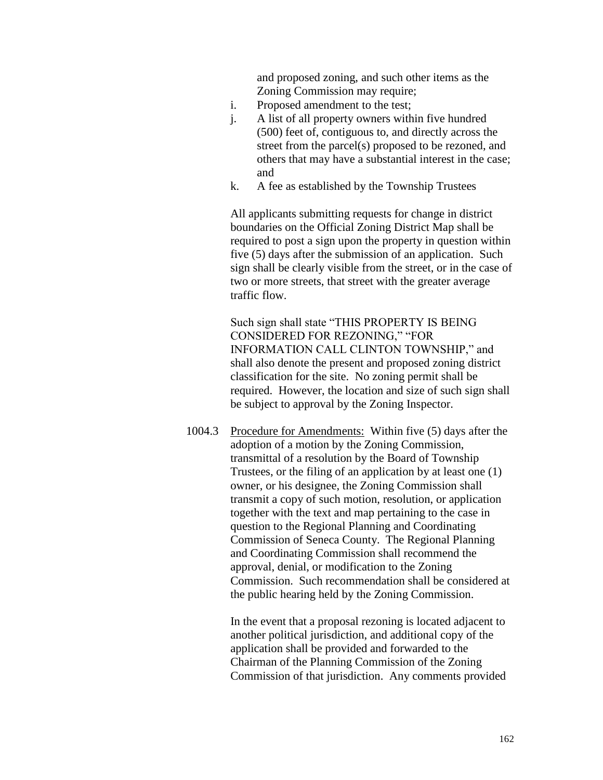and proposed zoning, and such other items as the Zoning Commission may require;

- i. Proposed amendment to the test;
- j. A list of all property owners within five hundred (500) feet of, contiguous to, and directly across the street from the parcel(s) proposed to be rezoned, and others that may have a substantial interest in the case; and
- k. A fee as established by the Township Trustees

All applicants submitting requests for change in district boundaries on the Official Zoning District Map shall be required to post a sign upon the property in question within five (5) days after the submission of an application. Such sign shall be clearly visible from the street, or in the case of two or more streets, that street with the greater average traffic flow.

Such sign shall state "THIS PROPERTY IS BEING CONSIDERED FOR REZONING," "FOR INFORMATION CALL CLINTON TOWNSHIP," and shall also denote the present and proposed zoning district classification for the site. No zoning permit shall be required. However, the location and size of such sign shall be subject to approval by the Zoning Inspector.

1004.3 Procedure for Amendments: Within five (5) days after the adoption of a motion by the Zoning Commission, transmittal of a resolution by the Board of Township Trustees, or the filing of an application by at least one (1) owner, or his designee, the Zoning Commission shall transmit a copy of such motion, resolution, or application together with the text and map pertaining to the case in question to the Regional Planning and Coordinating Commission of Seneca County. The Regional Planning and Coordinating Commission shall recommend the approval, denial, or modification to the Zoning Commission. Such recommendation shall be considered at the public hearing held by the Zoning Commission.

> In the event that a proposal rezoning is located adjacent to another political jurisdiction, and additional copy of the application shall be provided and forwarded to the Chairman of the Planning Commission of the Zoning Commission of that jurisdiction. Any comments provided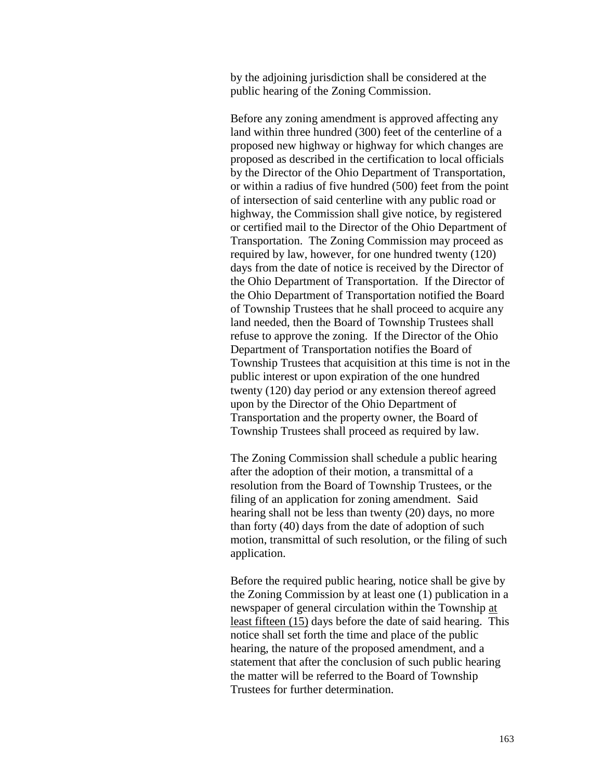by the adjoining jurisdiction shall be considered at the public hearing of the Zoning Commission.

Before any zoning amendment is approved affecting any land within three hundred (300) feet of the centerline of a proposed new highway or highway for which changes are proposed as described in the certification to local officials by the Director of the Ohio Department of Transportation, or within a radius of five hundred (500) feet from the point of intersection of said centerline with any public road or highway, the Commission shall give notice, by registered or certified mail to the Director of the Ohio Department of Transportation. The Zoning Commission may proceed as required by law, however, for one hundred twenty (120) days from the date of notice is received by the Director of the Ohio Department of Transportation. If the Director of the Ohio Department of Transportation notified the Board of Township Trustees that he shall proceed to acquire any land needed, then the Board of Township Trustees shall refuse to approve the zoning. If the Director of the Ohio Department of Transportation notifies the Board of Township Trustees that acquisition at this time is not in the public interest or upon expiration of the one hundred twenty (120) day period or any extension thereof agreed upon by the Director of the Ohio Department of Transportation and the property owner, the Board of Township Trustees shall proceed as required by law.

The Zoning Commission shall schedule a public hearing after the adoption of their motion, a transmittal of a resolution from the Board of Township Trustees, or the filing of an application for zoning amendment. Said hearing shall not be less than twenty (20) days, no more than forty (40) days from the date of adoption of such motion, transmittal of such resolution, or the filing of such application.

Before the required public hearing, notice shall be give by the Zoning Commission by at least one (1) publication in a newspaper of general circulation within the Township at least fifteen (15) days before the date of said hearing. This notice shall set forth the time and place of the public hearing, the nature of the proposed amendment, and a statement that after the conclusion of such public hearing the matter will be referred to the Board of Township Trustees for further determination.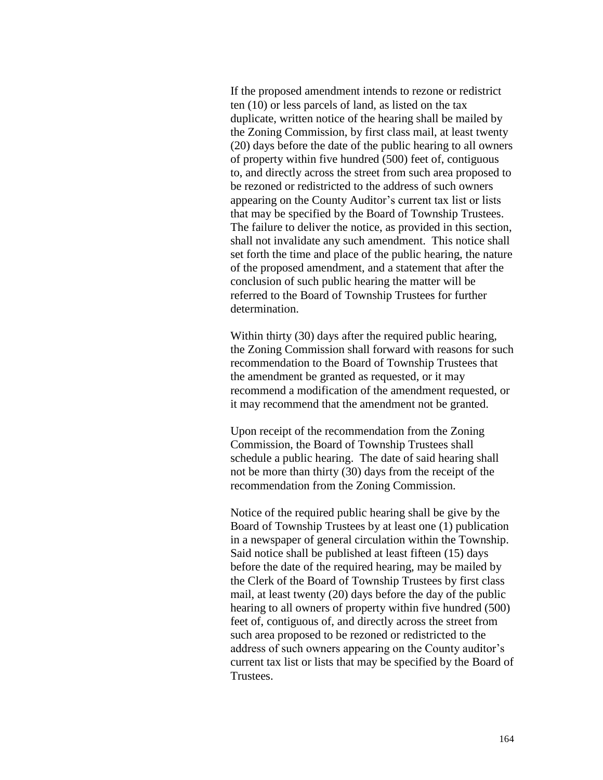If the proposed amendment intends to rezone or redistrict ten (10) or less parcels of land, as listed on the tax duplicate, written notice of the hearing shall be mailed by the Zoning Commission, by first class mail, at least twenty (20) days before the date of the public hearing to all owners of property within five hundred (500) feet of, contiguous to, and directly across the street from such area proposed to be rezoned or redistricted to the address of such owners appearing on the County Auditor's current tax list or lists that may be specified by the Board of Township Trustees. The failure to deliver the notice, as provided in this section, shall not invalidate any such amendment. This notice shall set forth the time and place of the public hearing, the nature of the proposed amendment, and a statement that after the conclusion of such public hearing the matter will be referred to the Board of Township Trustees for further determination.

Within thirty (30) days after the required public hearing, the Zoning Commission shall forward with reasons for such recommendation to the Board of Township Trustees that the amendment be granted as requested, or it may recommend a modification of the amendment requested, or it may recommend that the amendment not be granted.

Upon receipt of the recommendation from the Zoning Commission, the Board of Township Trustees shall schedule a public hearing. The date of said hearing shall not be more than thirty (30) days from the receipt of the recommendation from the Zoning Commission.

Notice of the required public hearing shall be give by the Board of Township Trustees by at least one (1) publication in a newspaper of general circulation within the Township. Said notice shall be published at least fifteen (15) days before the date of the required hearing, may be mailed by the Clerk of the Board of Township Trustees by first class mail, at least twenty (20) days before the day of the public hearing to all owners of property within five hundred (500) feet of, contiguous of, and directly across the street from such area proposed to be rezoned or redistricted to the address of such owners appearing on the County auditor's current tax list or lists that may be specified by the Board of Trustees.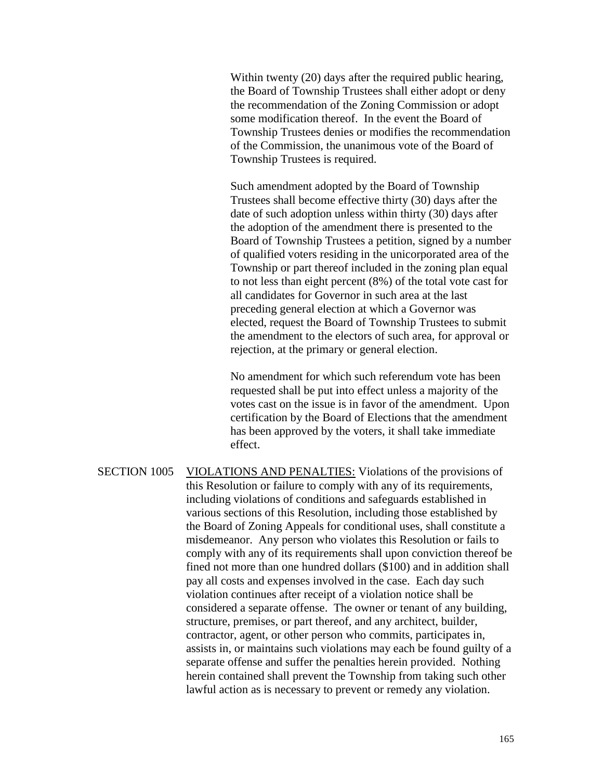Within twenty (20) days after the required public hearing, the Board of Township Trustees shall either adopt or deny the recommendation of the Zoning Commission or adopt some modification thereof. In the event the Board of Township Trustees denies or modifies the recommendation of the Commission, the unanimous vote of the Board of Township Trustees is required.

Such amendment adopted by the Board of Township Trustees shall become effective thirty (30) days after the date of such adoption unless within thirty (30) days after the adoption of the amendment there is presented to the Board of Township Trustees a petition, signed by a number of qualified voters residing in the unicorporated area of the Township or part thereof included in the zoning plan equal to not less than eight percent (8%) of the total vote cast for all candidates for Governor in such area at the last preceding general election at which a Governor was elected, request the Board of Township Trustees to submit the amendment to the electors of such area, for approval or rejection, at the primary or general election.

No amendment for which such referendum vote has been requested shall be put into effect unless a majority of the votes cast on the issue is in favor of the amendment. Upon certification by the Board of Elections that the amendment has been approved by the voters, it shall take immediate effect.

SECTION 1005 VIOLATIONS AND PENALTIES: Violations of the provisions of this Resolution or failure to comply with any of its requirements, including violations of conditions and safeguards established in various sections of this Resolution, including those established by the Board of Zoning Appeals for conditional uses, shall constitute a misdemeanor. Any person who violates this Resolution or fails to comply with any of its requirements shall upon conviction thereof be fined not more than one hundred dollars (\$100) and in addition shall pay all costs and expenses involved in the case. Each day such violation continues after receipt of a violation notice shall be considered a separate offense. The owner or tenant of any building, structure, premises, or part thereof, and any architect, builder, contractor, agent, or other person who commits, participates in, assists in, or maintains such violations may each be found guilty of a separate offense and suffer the penalties herein provided. Nothing herein contained shall prevent the Township from taking such other lawful action as is necessary to prevent or remedy any violation.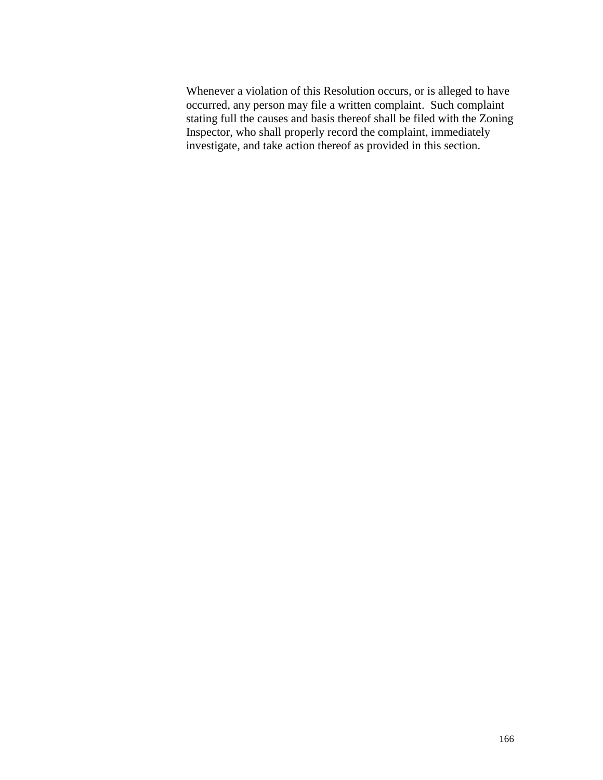Whenever a violation of this Resolution occurs, or is alleged to have occurred, any person may file a written complaint. Such complaint stating full the causes and basis thereof shall be filed with the Zoning Inspector, who shall properly record the complaint, immediately investigate, and take action thereof as provided in this section.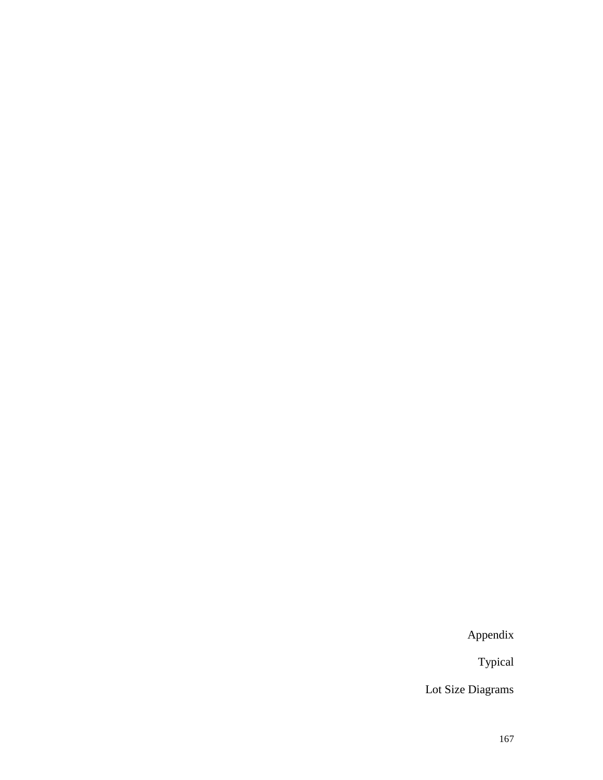Appendix

Typical

Lot Size Diagrams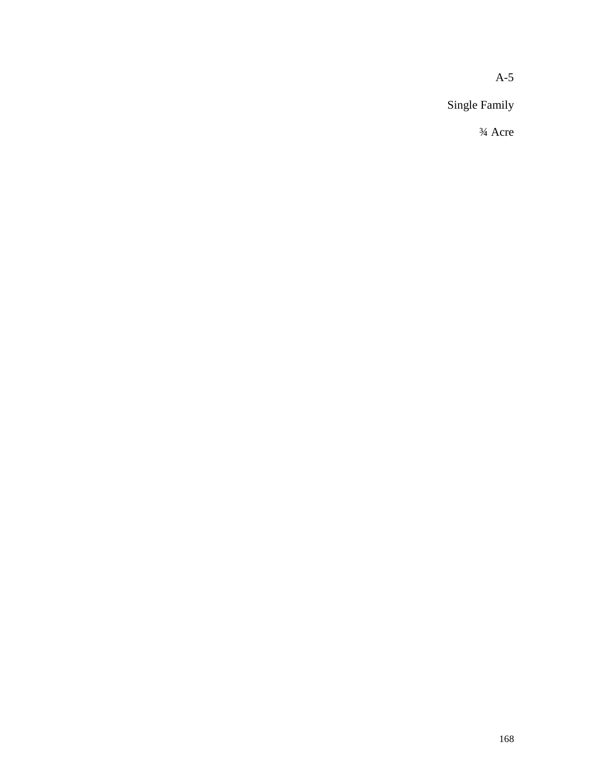A-5

Single Family

¾ Acre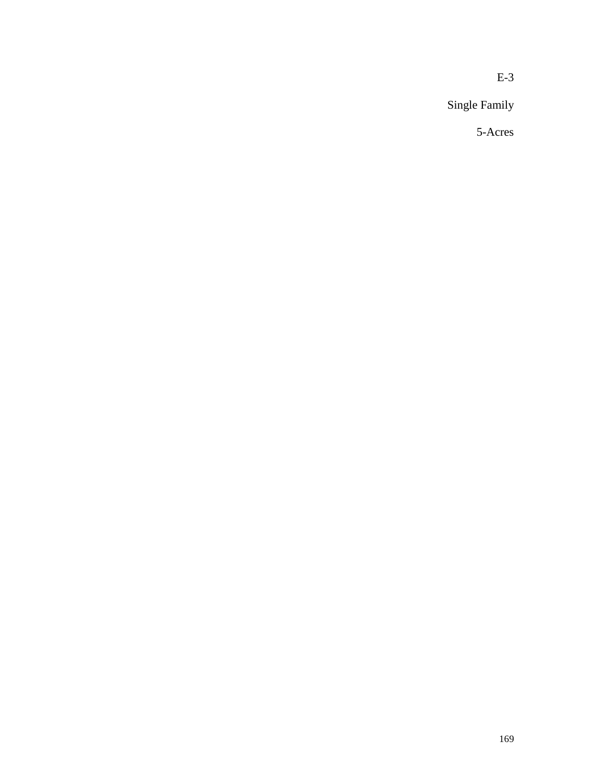Single Family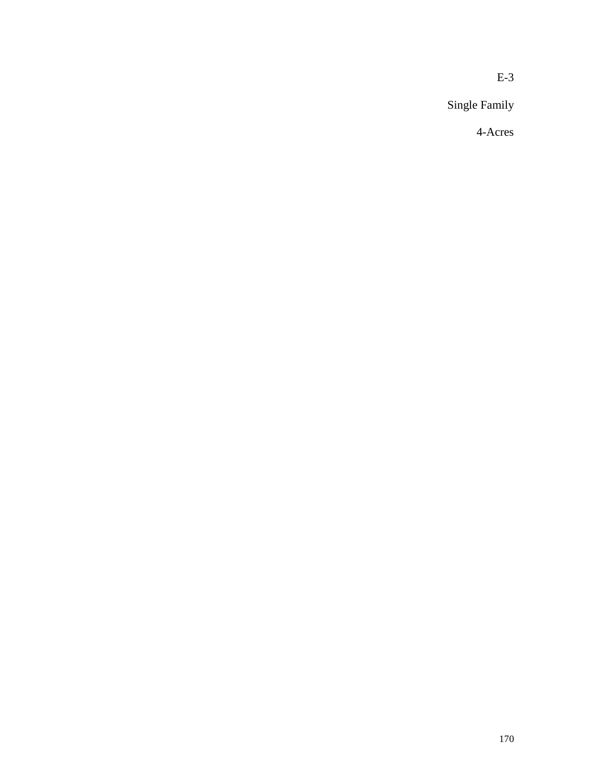Single Family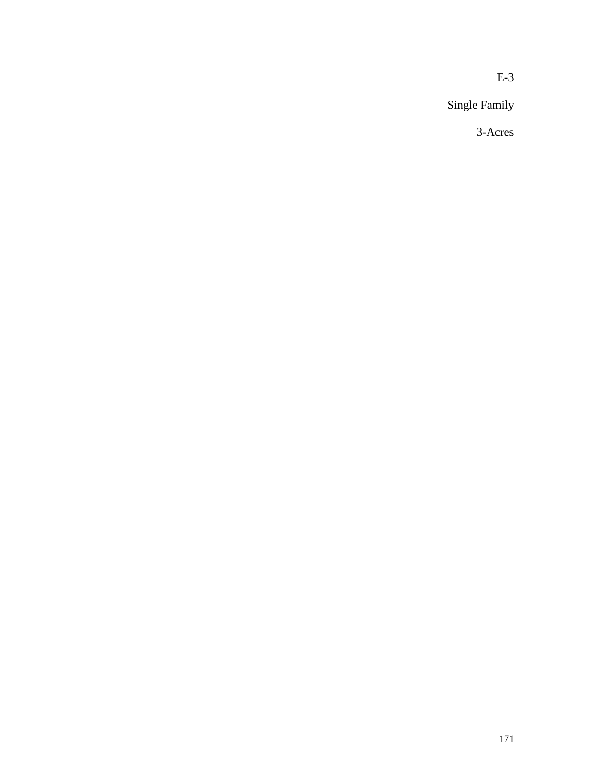Single Family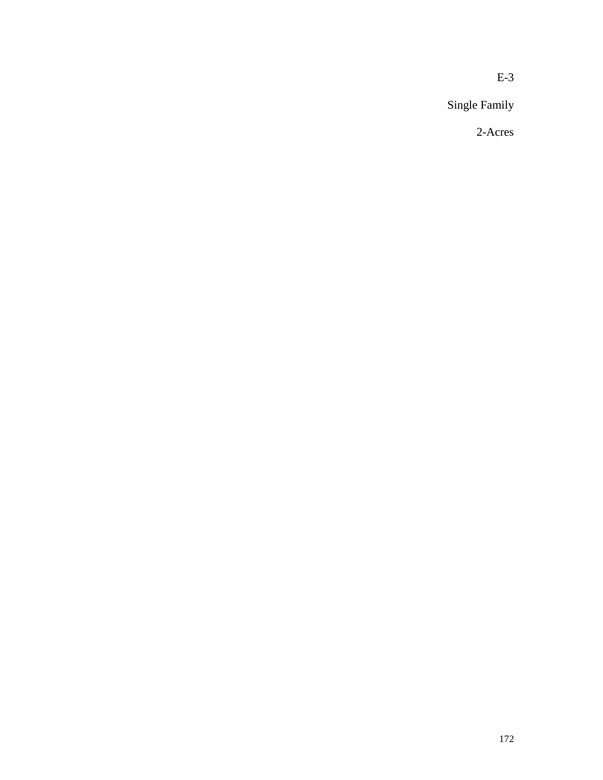Single Family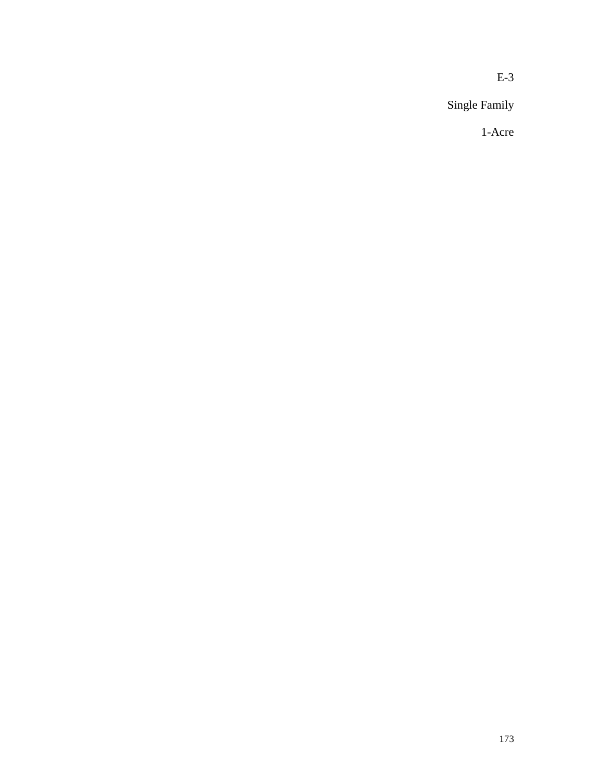Single Family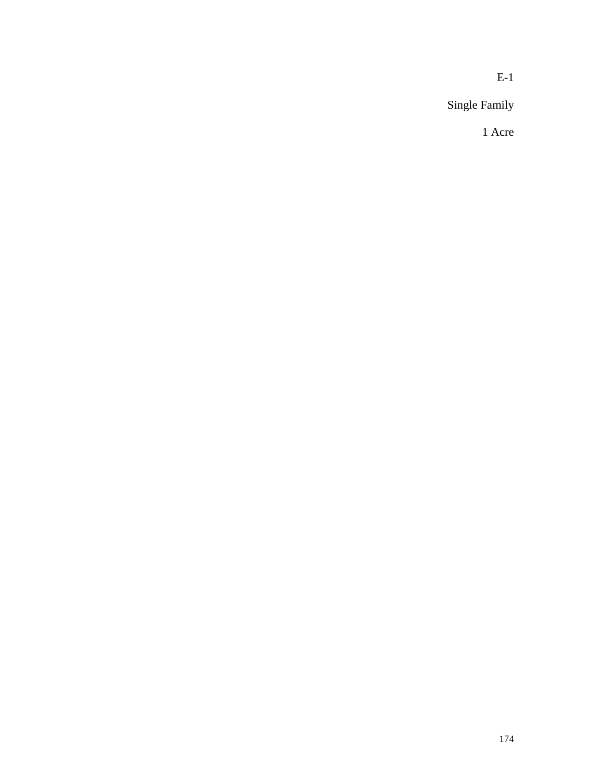Single Family

1 Acre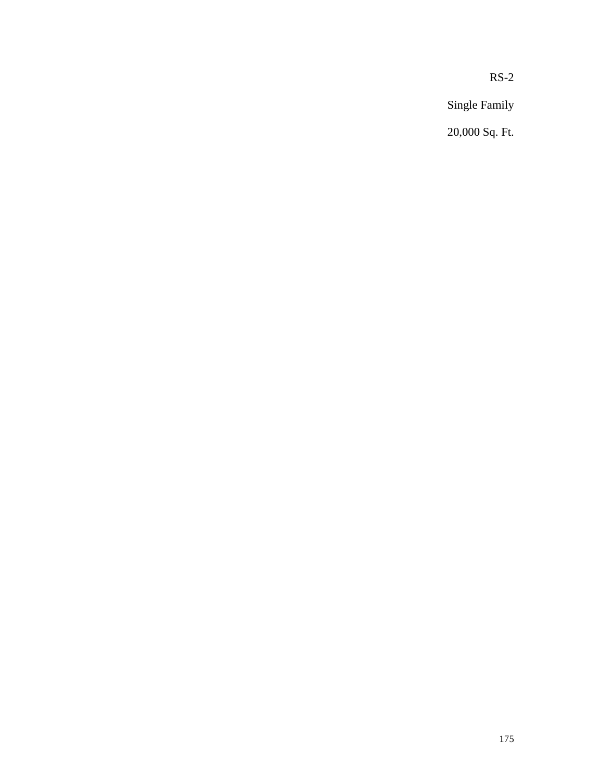RS-2

Single Family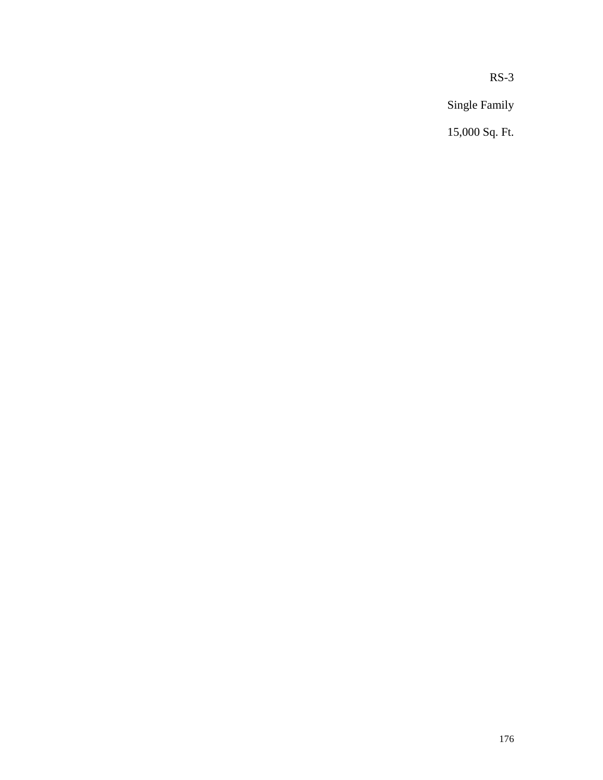RS-3

Single Family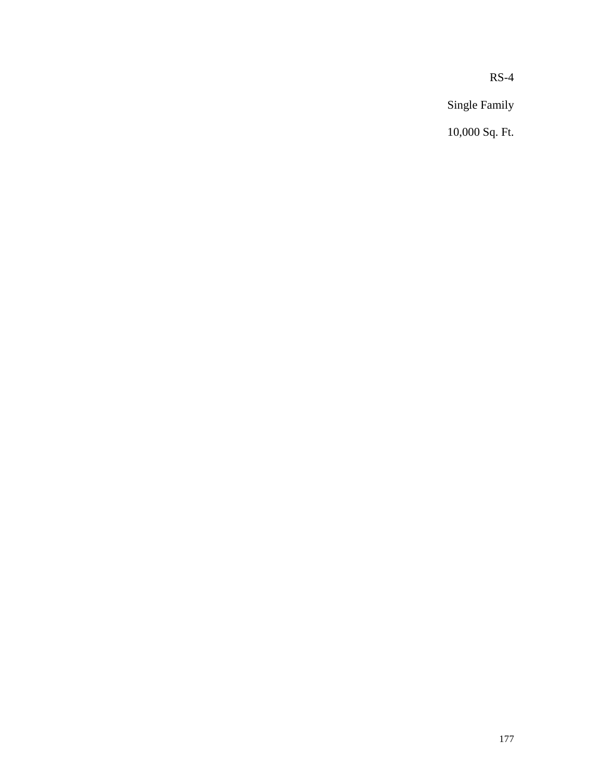RS-4

Single Family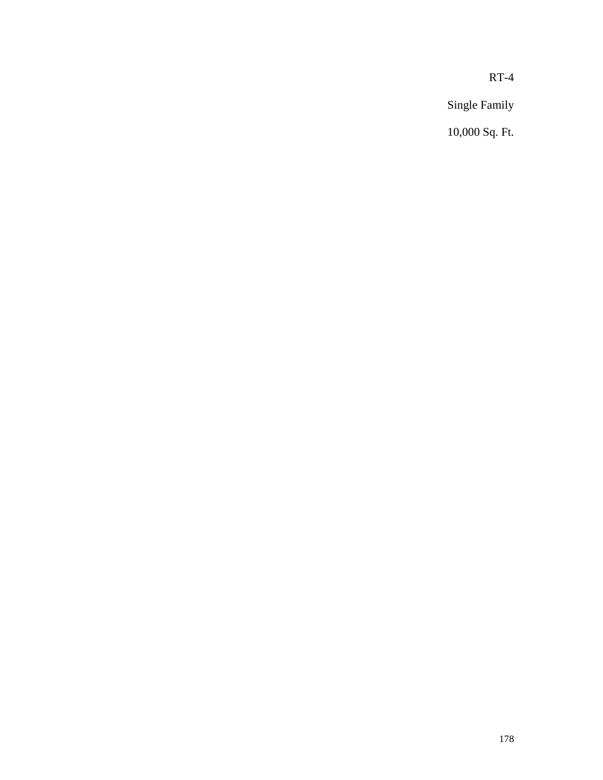RT-4

Single Family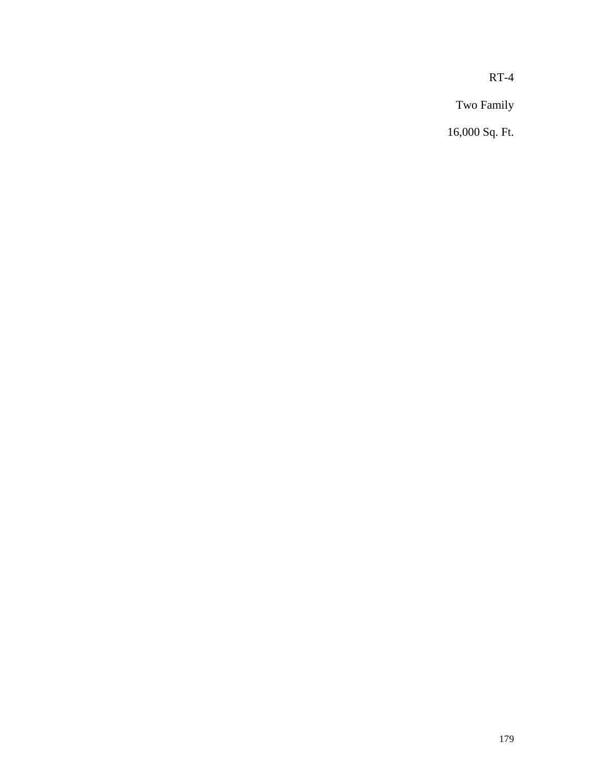RT-4

Two Family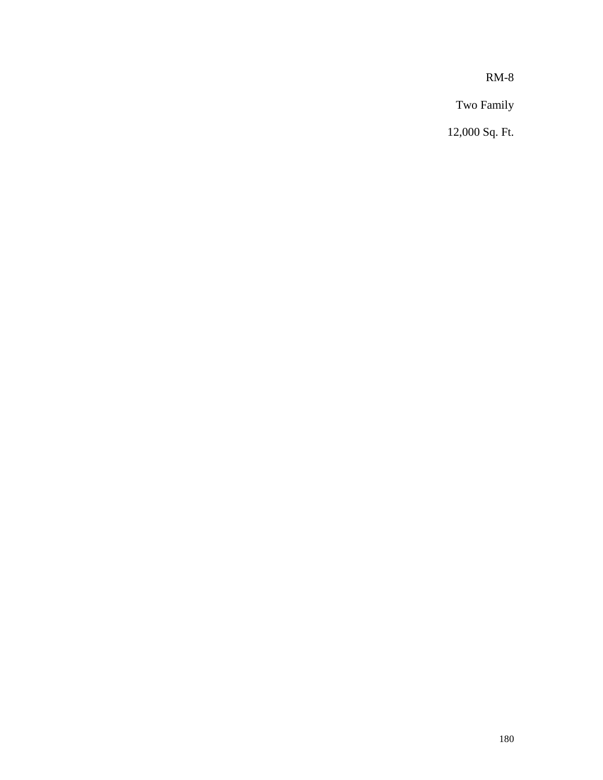RM-8

Two Family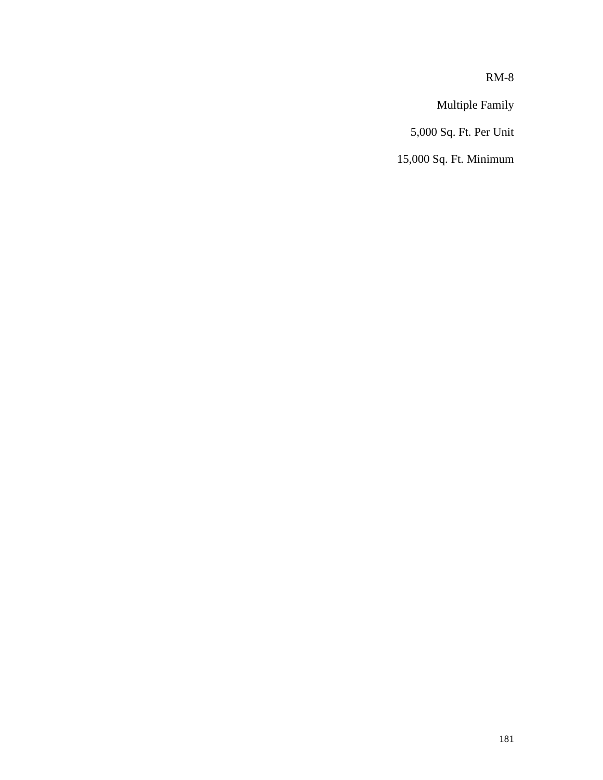RM-8

Multiple Family

5,000 Sq. Ft. Per Unit

15,000 Sq. Ft. Minimum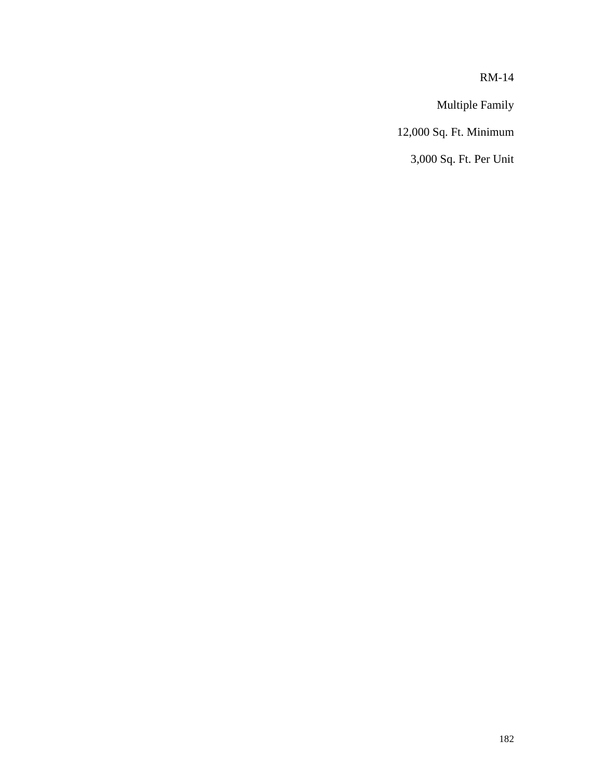RM-14

Multiple Family

12,000 Sq. Ft. Minimum

3,000 Sq. Ft. Per Unit